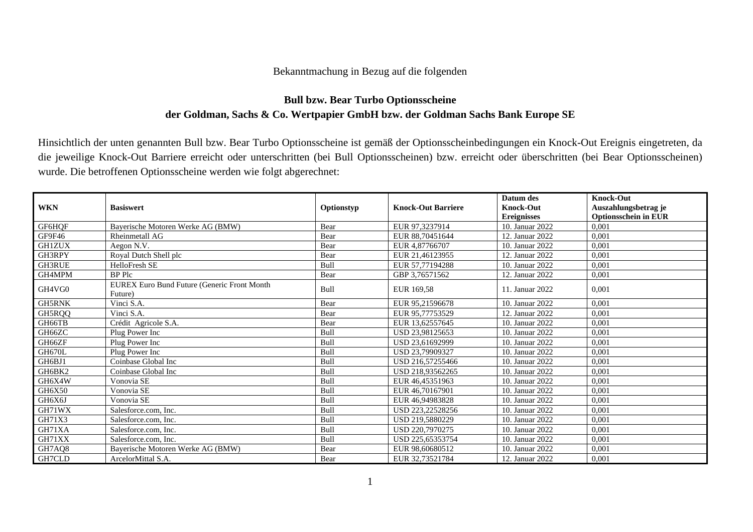## Bekanntmachung in Bezug auf die folgenden

## **Bull bzw. Bear Turbo Optionsscheine der Goldman, Sachs & Co. Wertpapier GmbH bzw. der Goldman Sachs Bank Europe SE**

Hinsichtlich der unten genannten Bull bzw. Bear Turbo Optionsscheine ist gemäß der Optionsscheinbedingungen ein Knock-Out Ereignis eingetreten, da die jeweilige Knock-Out Barriere erreicht oder unterschritten (bei Bull Optionsscheinen) bzw. erreicht oder überschritten (bei Bear Optionsscheinen) wurde. Die betroffenen Optionsscheine werden wie folgt abgerechnet:

|               |                                             |            |                           | Datum des          | <b>Knock-Out</b>            |
|---------------|---------------------------------------------|------------|---------------------------|--------------------|-----------------------------|
| <b>WKN</b>    | <b>Basiswert</b>                            | Optionstyp | <b>Knock-Out Barriere</b> | <b>Knock-Out</b>   | Auszahlungsbetrag je        |
|               |                                             |            |                           | <b>Ereignisses</b> | <b>Optionsschein in EUR</b> |
| GF6HQF        | Bayerische Motoren Werke AG (BMW)           | Bear       | EUR 97,3237914            | 10. Januar 2022    | 0,001                       |
| GF9F46        | Rheinmetall AG                              | Bear       | EUR 88,70451644           | 12. Januar 2022    | 0.001                       |
| <b>GH1ZUX</b> | Aegon N.V.                                  | Bear       | EUR 4.87766707            | 10. Januar 2022    | 0.001                       |
| GH3RPY        | Royal Dutch Shell plc                       | Bear       | EUR 21.46123955           | 12. Januar 2022    | 0,001                       |
| GH3RUE        | HelloFresh SE                               | Bull       | EUR 57,77194288           | 10. Januar 2022    | 0,001                       |
| GH4MPM        | <b>BP</b> Plc                               | Bear       | GBP 3,76571562            | 12. Januar 2022    | 0,001                       |
| GH4VG0        | EUREX Euro Bund Future (Generic Front Month | Bull       | EUR 169,58                | 11. Januar 2022    | 0,001                       |
|               | Future)                                     |            |                           |                    |                             |
| <b>GH5RNK</b> | Vinci S.A.                                  | Bear       | EUR 95,21596678           | 10. Januar 2022    | 0,001                       |
| GH5RQQ        | Vinci S.A.                                  | Bear       | EUR 95,77753529           | 12. Januar 2022    | 0,001                       |
| GH66TB        | Crédit Agricole S.A.                        | Bear       | EUR 13,62557645           | 10. Januar 2022    | 0,001                       |
| GH66ZC        | Plug Power Inc                              | Bull       | USD 23,98125653           | 10. Januar 2022    | 0,001                       |
| GH66ZF        | Plug Power Inc                              | Bull       | USD 23.61692999           | 10. Januar 2022    | 0,001                       |
| GH670L        | Plug Power Inc                              | Bull       | USD 23,79909327           | 10. Januar 2022    | 0,001                       |
| GH6BJ1        | Coinbase Global Inc                         | Bull       | USD 216,57255466          | 10. Januar 2022    | 0,001                       |
| GH6BK2        | Coinbase Global Inc                         | Bull       | USD 218.93562265          | 10. Januar 2022    | 0,001                       |
| GH6X4W        | Vonovia SE                                  | Bull       | EUR 46,45351963           | 10. Januar 2022    | 0,001                       |
| GH6X50        | Vonovia SE                                  | Bull       | EUR 46,70167901           | 10. Januar 2022    | 0,001                       |
| GH6X6J        | Vonovia SE                                  | Bull       | EUR 46,94983828           | 10. Januar 2022    | 0,001                       |
| GH71WX        | Salesforce.com, Inc.                        | Bull       | USD 223,22528256          | 10. Januar 2022    | 0,001                       |
| GH71X3        | Salesforce.com, Inc.                        | Bull       | USD 219.5880229           | 10. Januar 2022    | 0.001                       |
| GH71XA        | Salesforce.com, Inc.                        | Bull       | USD 220,7970275           | 10. Januar 2022    | 0,001                       |
| GH71XX        | Salesforce.com, Inc.                        | Bull       | USD 225,65353754          | 10. Januar 2022    | 0,001                       |
| GH7AQ8        | Baverische Motoren Werke AG (BMW)           | Bear       | EUR 98,60680512           | 10. Januar 2022    | 0,001                       |
| GH7CLD        | ArcelorMittal S.A.                          | Bear       | EUR 32,73521784           | 12. Januar 2022    | 0,001                       |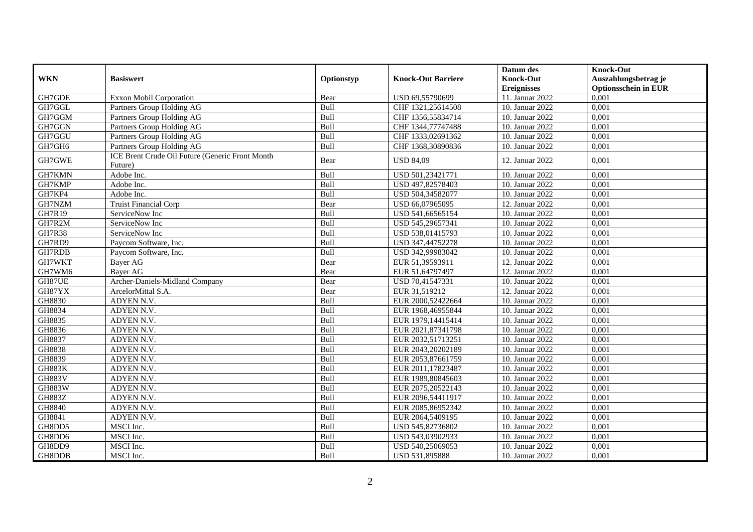|               |                                                            |            |                           | Datum des          | <b>Knock-Out</b>            |
|---------------|------------------------------------------------------------|------------|---------------------------|--------------------|-----------------------------|
| <b>WKN</b>    | <b>Basiswert</b>                                           | Optionstyp | <b>Knock-Out Barriere</b> | <b>Knock-Out</b>   | Auszahlungsbetrag je        |
|               |                                                            |            |                           | <b>Ereignisses</b> | <b>Optionsschein in EUR</b> |
| GH7GDE        | <b>Exxon Mobil Corporation</b>                             | Bear       | USD 69,55790699           | 11. Januar 2022    | 0,001                       |
| GH7GGL        | Partners Group Holding AG                                  | Bull       | CHF 1321,25614508         | 10. Januar 2022    | 0,001                       |
| GH7GGM        | Partners Group Holding AG                                  | Bull       | CHF 1356,55834714         | 10. Januar 2022    | 0,001                       |
| GH7GGN        | Partners Group Holding AG                                  | Bull       | CHF 1344,77747488         | 10. Januar 2022    | 0,001                       |
| GH7GGU        | Partners Group Holding AG                                  | Bull       | CHF 1333,02691362         | 10. Januar 2022    | 0,001                       |
| GH7GH6        | Partners Group Holding AG                                  | Bull       | CHF 1368,30890836         | 10. Januar 2022    | 0,001                       |
| GH7GWE        | ICE Brent Crude Oil Future (Generic Front Month<br>Future) | Bear       | <b>USD 84,09</b>          | 12. Januar 2022    | 0,001                       |
| GH7KMN        | Adobe Inc.                                                 | Bull       | USD 501,23421771          | 10. Januar 2022    | 0,001                       |
| GH7KMP        | Adobe Inc.                                                 | Bull       | USD 497,82578403          | 10. Januar 2022    | 0,001                       |
| GH7KP4        | Adobe Inc.                                                 | Bull       | USD 504,34582077          | 10. Januar 2022    | 0,001                       |
| GH7NZM        | <b>Truist Financial Corp</b>                               | Bear       | USD 66,07965095           | 12. Januar 2022    | 0,001                       |
| GH7R19        | ServiceNow Inc                                             | Bull       | USD 541,66565154          | 10. Januar 2022    | 0,001                       |
| GH7R2M        | ServiceNow Inc                                             | Bull       | USD 545,29657341          | 10. Januar 2022    | 0,001                       |
| <b>GH7R38</b> | ServiceNow Inc                                             | Bull       | USD 538,01415793          | 10. Januar 2022    | 0,001                       |
| GH7RD9        | Paycom Software, Inc.                                      | Bull       | USD 347,44752278          | 10. Januar 2022    | 0,001                       |
| GH7RDB        | Paycom Software, Inc.                                      | Bull       | USD 342,99983042          | 10. Januar 2022    | 0,001                       |
| GH7WKT        | Bayer AG                                                   | Bear       | EUR 51,39593911           | 12. Januar 2022    | 0,001                       |
| GH7WM6        | <b>Baver AG</b>                                            | Bear       | EUR 51,64797497           | 12. Januar 2022    | 0,001                       |
| GH87UE        | Archer-Daniels-Midland Company                             | Bear       | USD 70,41547331           | 10. Januar 2022    | 0,001                       |
| GH87YX        | ArcelorMittal S.A.                                         | Bear       | EUR 31,519212             | 12. Januar 2022    | 0,001                       |
| GH8830        | ADYEN N.V.                                                 | Bull       | EUR 2000,52422664         | 10. Januar 2022    | 0,001                       |
| GH8834        | ADYEN N.V.                                                 | Bull       | EUR 1968,46955844         | 10. Januar 2022    | 0,001                       |
| GH8835        | ADYEN N.V.                                                 | Bull       | EUR 1979,14415414         | 10. Januar 2022    | 0,001                       |
| GH8836        | ADYEN N.V.                                                 | Bull       | EUR 2021,87341798         | 10. Januar 2022    | 0,001                       |
| GH8837        | ADYEN N.V.                                                 | Bull       | EUR 2032,51713251         | 10. Januar 2022    | 0,001                       |
| GH8838        | ADYEN N.V.                                                 | Bull       | EUR 2043,20202189         | 10. Januar 2022    | 0,001                       |
| GH8839        | ADYEN N.V.                                                 | Bull       | EUR 2053,87661759         | 10. Januar 2022    | 0,001                       |
| <b>GH883K</b> | ADYEN N.V.                                                 | Bull       | EUR 2011,17823487         | 10. Januar 2022    | 0,001                       |
| <b>GH883V</b> | ADYEN N.V.                                                 | Bull       | EUR 1989,80845603         | 10. Januar 2022    | 0,001                       |
| <b>GH883W</b> | ADYEN N.V.                                                 | Bull       | EUR 2075,20522143         | 10. Januar 2022    | 0,001                       |
| <b>GH883Z</b> | ADYEN N.V.                                                 | Bull       | EUR 2096,54411917         | 10. Januar 2022    | 0,001                       |
| GH8840        | ADYEN N.V.                                                 | Bull       | EUR 2085,86952342         | 10. Januar 2022    | 0,001                       |
| GH8841        | ADYEN N.V.                                                 | Bull       | EUR 2064,5409195          | 10. Januar 2022    | 0,001                       |
| GH8DD5        | MSCI Inc.                                                  | Bull       | USD 545,82736802          | 10. Januar 2022    | 0,001                       |
| GH8DD6        | MSCI Inc.                                                  | Bull       | USD 543,03902933          | 10. Januar 2022    | 0,001                       |
| GH8DD9        | MSCI Inc.                                                  | Bull       | USD 540,25069053          | 10. Januar 2022    | 0,001                       |
| GH8DDB        | MSCI Inc.                                                  | Bull       | USD 531,895888            | 10. Januar 2022    | 0,001                       |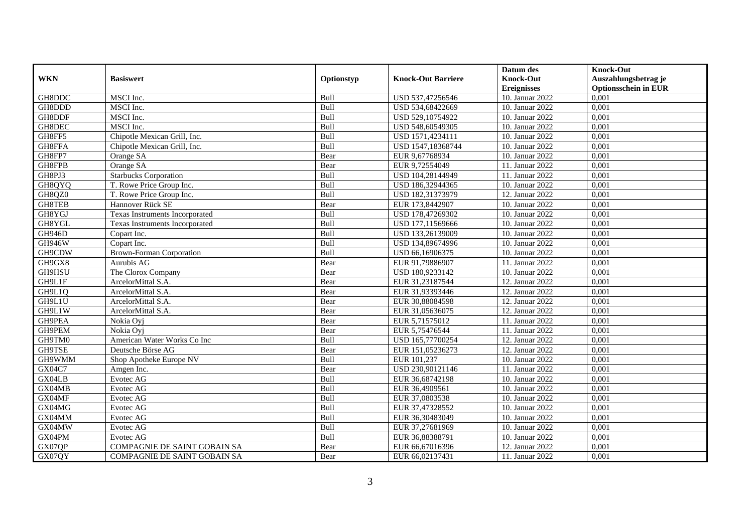|               |                                 |            |                           | Datum des          | <b>Knock-Out</b>            |
|---------------|---------------------------------|------------|---------------------------|--------------------|-----------------------------|
| <b>WKN</b>    | <b>Basiswert</b>                | Optionstyp | <b>Knock-Out Barriere</b> | <b>Knock-Out</b>   | Auszahlungsbetrag je        |
|               |                                 |            |                           | <b>Ereignisses</b> | <b>Optionsschein in EUR</b> |
| GH8DDC        | MSCI Inc.                       | Bull       | USD 537,47256546          | 10. Januar 2022    | 0,001                       |
| GH8DDD        | MSCI Inc.                       | Bull       | USD 534,68422669          | 10. Januar 2022    | 0,001                       |
| GH8DDF        | MSCI Inc.                       | Bull       | USD 529,10754922          | 10. Januar 2022    | 0,001                       |
| GH8DEC        | MSCI Inc.                       | Bull       | USD 548,60549305          | 10. Januar 2022    | 0,001                       |
| GH8FF5        | Chipotle Mexican Grill, Inc.    | Bull       | USD 1571,4234111          | 10. Januar 2022    | 0,001                       |
| GH8FFA        | Chipotle Mexican Grill, Inc.    | Bull       | USD 1547,18368744         | 10. Januar 2022    | 0,001                       |
| GH8FP7        | Orange SA                       | Bear       | EUR 9,67768934            | 10. Januar 2022    | 0,001                       |
| GH8FPB        | Orange SA                       | Bear       | EUR 9,72554049            | 11. Januar 2022    | 0,001                       |
| GH8PJ3        | <b>Starbucks Corporation</b>    | Bull       | USD 104,28144949          | 11. Januar 2022    | 0,001                       |
| GH8QYQ        | T. Rowe Price Group Inc.        | Bull       | USD 186,32944365          | 10. Januar 2022    | 0,001                       |
| GH8QZ0        | T. Rowe Price Group Inc.        | Bull       | USD 182,31373979          | 12. Januar 2022    | 0,001                       |
| GH8TEB        | Hannover Rück SE                | Bear       | EUR 173,8442907           | 10. Januar 2022    | 0,001                       |
| GH8YGJ        | Texas Instruments Incorporated  | Bull       | USD 178,47269302          | 10. Januar 2022    | 0,001                       |
| GH8YGL        | Texas Instruments Incorporated  | Bull       | USD 177,11569666          | 10. Januar 2022    | 0,001                       |
| <b>GH946D</b> | Copart Inc.                     | Bull       | USD 133,26139009          | 10. Januar 2022    | 0,001                       |
| <b>GH946W</b> | Copart Inc.                     | Bull       | USD 134,89674996          | 10. Januar 2022    | 0,001                       |
| GH9CDW        | <b>Brown-Forman Corporation</b> | Bull       | USD 66,16906375           | 10. Januar 2022    | 0,001                       |
| GH9GX8        | Aurubis AG                      | Bear       | EUR 91.79886907           | 11. Januar 2022    | 0,001                       |
| GH9HSU        | The Clorox Company              | Bear       | USD 180,9233142           | 10. Januar 2022    | 0,001                       |
| GH9L1F        | ArcelorMittal S.A.              | Bear       | EUR 31,23187544           | 12. Januar 2022    | 0,001                       |
| GH9L1Q        | ArcelorMittal S.A.              | Bear       | EUR 31,93393446           | 12. Januar 2022    | 0,001                       |
| GH9L1U        | ArcelorMittal S.A.              | Bear       | EUR 30,88084598           | 12. Januar 2022    | 0,001                       |
| GH9L1W        | ArcelorMittal S.A.              | Bear       | EUR 31,05636075           | 12. Januar 2022    | 0,001                       |
| GH9PEA        | Nokia Oyi                       | Bear       | EUR 5,71575012            | 11. Januar 2022    | 0,001                       |
| GH9PEM        | Nokia Ovi                       | Bear       | EUR 5,75476544            | 11. Januar 2022    | 0,001                       |
| GH9TM0        | American Water Works Co Inc     | Bull       | USD 165,77700254          | 12. Januar 2022    | 0,001                       |
| GH9TSE        | Deutsche Börse AG               | Bear       | EUR 151,05236273          | 12. Januar 2022    | 0,001                       |
| GH9WMM        | Shop Apotheke Europe NV         | Bull       | EUR 101,237               | 10. Januar 2022    | 0,001                       |
| <b>GX04C7</b> | Amgen Inc.                      | Bear       | USD 230,90121146          | 11. Januar 2022    | 0,001                       |
| GX04LB        | Evotec AG                       | Bull       | EUR 36,68742198           | 10. Januar 2022    | 0,001                       |
| GX04MB        | Evotec AG                       | Bull       | EUR 36,4909561            | 10. Januar 2022    | 0,001                       |
| GX04MF        | Evotec AG                       | Bull       | EUR 37,0803538            | 10. Januar 2022    | 0.001                       |
| GX04MG        | Evotec AG                       | Bull       | EUR 37,47328552           | 10. Januar 2022    | 0,001                       |
| GX04MM        | Evotec AG                       | Bull       | EUR 36,30483049           | 10. Januar 2022    | 0,001                       |
| GX04MW        | Evotec AG                       | Bull       | EUR 37,27681969           | 10. Januar 2022    | 0,001                       |
| GX04PM        | Evotec AG                       | Bull       | EUR 36,88388791           | 10. Januar 2022    | 0,001                       |
| GX07QP        | COMPAGNIE DE SAINT GOBAIN SA    | Bear       | EUR 66,67016396           | 12. Januar 2022    | 0,001                       |
| GX07QY        | COMPAGNIE DE SAINT GOBAIN SA    | Bear       | EUR 66,02137431           | 11. Januar 2022    | 0,001                       |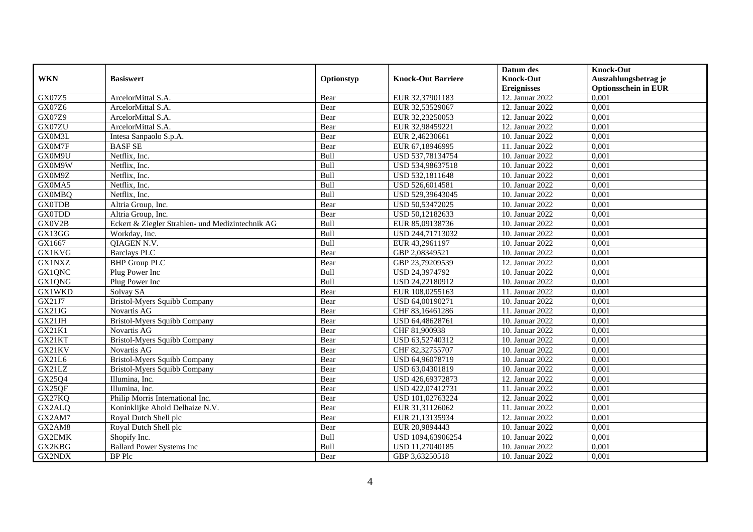|               |                                                  |            |                           | Datum des          | <b>Knock-Out</b>            |
|---------------|--------------------------------------------------|------------|---------------------------|--------------------|-----------------------------|
| <b>WKN</b>    | <b>Basiswert</b>                                 | Optionstyp | <b>Knock-Out Barriere</b> | <b>Knock-Out</b>   | Auszahlungsbetrag je        |
|               |                                                  |            |                           | <b>Ereignisses</b> | <b>Optionsschein in EUR</b> |
| GX07Z5        | ArcelorMittal S.A.                               | Bear       | EUR 32,37901183           | 12. Januar 2022    | 0,001                       |
| GX07Z6        | ArcelorMittal S.A.                               | Bear       | EUR 32,53529067           | 12. Januar 2022    | 0,001                       |
| GX07Z9        | ArcelorMittal S.A.                               | Bear       | EUR 32,23250053           | 12. Januar 2022    | 0,001                       |
| GX07ZU        | ArcelorMittal S.A.                               | Bear       | EUR 32,98459221           | 12. Januar 2022    | 0,001                       |
| GX0M3L        | Intesa Sanpaolo S.p.A.                           | Bear       | EUR 2,46230661            | 10. Januar 2022    | 0,001                       |
| GX0M7F        | <b>BASFSE</b>                                    | Bear       | EUR 67,18946995           | 11. Januar 2022    | 0,001                       |
| GX0M9U        | Netflix, Inc.                                    | Bull       | USD 537,78134754          | 10. Januar 2022    | 0,001                       |
| GX0M9W        | Netflix, Inc.                                    | Bull       | USD 534,98637518          | 10. Januar 2022    | 0,001                       |
| GX0M9Z        | Netflix, Inc.                                    | Bull       | USD 532,1811648           | 10. Januar 2022    | 0,001                       |
| GX0MA5        | Netflix, Inc.                                    | Bull       | USD 526,6014581           | 10. Januar 2022    | 0,001                       |
| <b>GX0MBQ</b> | Netflix, Inc.                                    | Bull       | USD 529,39643045          | 10. Januar 2022    | 0,001                       |
| <b>GX0TDB</b> | Altria Group, Inc.                               | Bear       | USD 50,53472025           | 10. Januar 2022    | 0,001                       |
| <b>GX0TDD</b> | Altria Group, Inc.                               | Bear       | USD 50,12182633           | 10. Januar 2022    | 0,001                       |
| GX0V2B        | Eckert & Ziegler Strahlen- und Medizintechnik AG | Bull       | EUR 85,09138736           | 10. Januar 2022    | 0,001                       |
| GX13GG        | Workday, Inc.                                    | Bull       | USD 244,71713032          | 10. Januar 2022    | 0,001                       |
| GX1667        | QIAGEN N.V.                                      | Bull       | EUR 43,2961197            | 10. Januar 2022    | 0,001                       |
| <b>GX1KVG</b> | <b>Barclays PLC</b>                              | Bear       | GBP 2,08349521            | 10. Januar 2022    | 0,001                       |
| <b>GX1NXZ</b> | <b>BHP</b> Group PLC                             | Bear       | GBP 23,79209539           | 12. Januar 2022    | 0,001                       |
| GX1QNC        | Plug Power Inc                                   | Bull       | USD 24,3974792            | 10. Januar 2022    | 0,001                       |
| GX1QNG        | Plug Power Inc                                   | Bull       | USD 24,22180912           | 10. Januar 2022    | 0,001                       |
| <b>GX1WKD</b> | Solvay SA                                        | Bear       | EUR 108,0255163           | 11. Januar 2022    | 0,001                       |
| GX21J7        | Bristol-Myers Squibb Company                     | Bear       | USD 64,00190271           | 10. Januar 2022    | 0,001                       |
| GX21JG        | Novartis AG                                      | Bear       | CHF 83,16461286           | 11. Januar 2022    | 0,001                       |
| GX21JH        | <b>Bristol-Myers Squibb Company</b>              | Bear       | USD 64,48628761           | 10. Januar 2022    | 0,001                       |
| <b>GX21K1</b> | Novartis AG                                      | Bear       | CHF 81,900938             | 10. Januar 2022    | 0,001                       |
| GX21KT        | Bristol-Myers Squibb Company                     | Bear       | USD 63,52740312           | 10. Januar 2022    | 0,001                       |
| GX21KV        | Novartis AG                                      | Bear       | CHF 82,32755707           | 10. Januar 2022    | 0,001                       |
| GX21L6        | Bristol-Myers Squibb Company                     | Bear       | USD 64,96078719           | 10. Januar 2022    | 0,001                       |
| GX21LZ        | Bristol-Myers Squibb Company                     | Bear       | USD 63,04301819           | 10. Januar 2022    | 0,001                       |
| GX25Q4        | Illumina, Inc.                                   | Bear       | USD 426,69372873          | 12. Januar 2022    | 0.001                       |
| GX25QF        | Illumina, Inc.                                   | Bear       | USD 422,07412731          | 11. Januar 2022    | 0,001                       |
| GX27KQ        | Philip Morris International Inc.                 | Bear       | USD 101,02763224          | 12. Januar 2022    | 0,001                       |
| GX2ALQ        | Koninklijke Ahold Delhaize N.V.                  | Bear       | EUR 31,31126062           | 11. Januar 2022    | 0,001                       |
| GX2AM7        | Royal Dutch Shell plc                            | Bear       | EUR 21,13135934           | 12. Januar 2022    | 0,001                       |
| GX2AM8        | Royal Dutch Shell plc                            | Bear       | EUR 20,9894443            | 10. Januar 2022    | 0,001                       |
| <b>GX2EMK</b> | Shopify Inc.                                     | Bull       | USD 1094,63906254         | 10. Januar 2022    | 0,001                       |
| GX2KBG        | <b>Ballard Power Systems Inc</b>                 | Bull       | USD 11,27040185           | 10. Januar 2022    | 0,001                       |
| GX2NDX        | BP Plc                                           | Bear       | GBP 3,63250518            | 10. Januar 2022    | 0,001                       |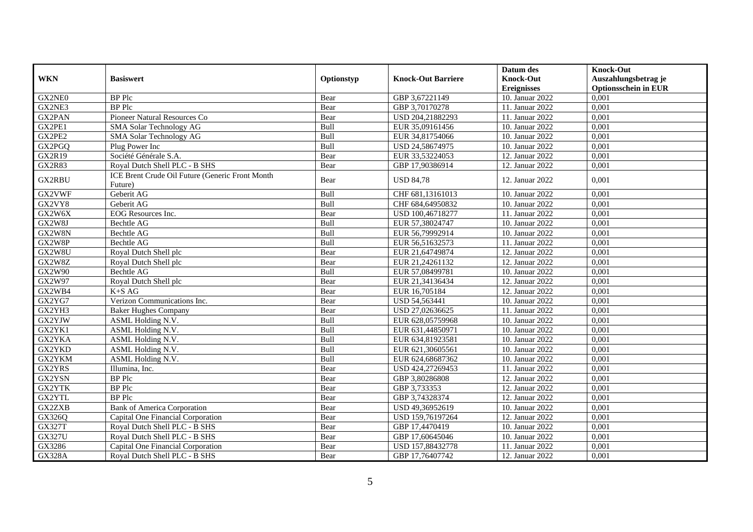|               |                                                 |            |                           | Datum des          | <b>Knock-Out</b>            |
|---------------|-------------------------------------------------|------------|---------------------------|--------------------|-----------------------------|
| <b>WKN</b>    | <b>Basiswert</b>                                | Optionstyp | <b>Knock-Out Barriere</b> | <b>Knock-Out</b>   | Auszahlungsbetrag je        |
|               |                                                 |            |                           | <b>Ereignisses</b> | <b>Optionsschein in EUR</b> |
| GX2NE0        | <b>BP</b> Plc                                   | Bear       | GBP 3,67221149            | 10. Januar 2022    | 0,001                       |
| GX2NE3        | <b>BP</b> Plc                                   | Bear       | GBP 3,70170278            | 11. Januar 2022    | 0,001                       |
| GX2PAN        | Pioneer Natural Resources Co                    | Bear       | USD 204,21882293          | 11. Januar 2022    | 0,001                       |
| GX2PE1        | SMA Solar Technology AG                         | Bull       | EUR 35,09161456           | 10. Januar 2022    | 0,001                       |
| GX2PE2        | SMA Solar Technology AG                         | Bull       | EUR 34,81754066           | 10. Januar 2022    | 0,001                       |
| GX2PGQ        | Plug Power Inc                                  | Bull       | USD 24,58674975           | 10. Januar 2022    | 0,001                       |
| <b>GX2R19</b> | Société Générale S.A.                           | Bear       | EUR 33,53224053           | 12. Januar 2022    | 0,001                       |
| <b>GX2R83</b> | Royal Dutch Shell PLC - B SHS                   | Bear       | GBP 17,90386914           | 12. Januar 2022    | 0,001                       |
| <b>GX2RBU</b> | ICE Brent Crude Oil Future (Generic Front Month | Bear       | <b>USD 84,78</b>          | 12. Januar 2022    | 0,001                       |
|               | Future)                                         |            |                           |                    |                             |
| GX2VWF        | Geberit AG                                      | Bull       | CHF 681,13161013          | 10. Januar 2022    | 0,001                       |
| GX2VY8        | Geberit AG                                      | Bull       | CHF 684,64950832          | 10. Januar 2022    | 0,001                       |
| GX2W6X        | EOG Resources Inc.                              | Bear       | USD 100,46718277          | 11. Januar 2022    | 0,001                       |
| GX2W8J        | Bechtle AG                                      | Bull       | EUR 57,38024747           | 10. Januar 2022    | 0,001                       |
| GX2W8N        | Bechtle AG                                      | Bull       | EUR 56,79992914           | 10. Januar 2022    | 0,001                       |
| GX2W8P        | Bechtle AG                                      | Bull       | EUR 56,51632573           | 11. Januar 2022    | 0,001                       |
| GX2W8U        | Royal Dutch Shell plc                           | Bear       | EUR 21,64749874           | 12. Januar 2022    | 0,001                       |
| GX2W8Z        | Royal Dutch Shell plc                           | Bear       | EUR 21,24261132           | 12. Januar 2022    | 0.001                       |
| GX2W90        | Bechtle AG                                      | Bull       | EUR 57,08499781           | 10. Januar 2022    | 0,001                       |
| GX2W97        | Royal Dutch Shell plc                           | Bear       | EUR 21,34136434           | 12. Januar 2022    | 0,001                       |
| GX2WB4        | $K+SAG$                                         | Bear       | EUR 16,705184             | 12. Januar 2022    | 0,001                       |
| GX2YG7        | Verizon Communications Inc.                     | Bear       | USD 54,563441             | 10. Januar 2022    | 0,001                       |
| GX2YH3        | <b>Baker Hughes Company</b>                     | Bear       | USD 27,02636625           | 11. Januar 2022    | 0,001                       |
| GX2YJW        | ASML Holding N.V.                               | Bull       | EUR 628,05759968          | 10. Januar 2022    | 0,001                       |
| GX2YK1        | <b>ASML Holding N.V.</b>                        | Bull       | EUR 631,44850971          | 10. Januar 2022    | 0,001                       |
| GX2YKA        | ASML Holding N.V.                               | Bull       | EUR 634,81923581          | 10. Januar 2022    | 0,001                       |
| GX2YKD        | ASML Holding N.V.                               | Bull       | EUR 621,30605561          | 10. Januar 2022    | 0,001                       |
| GX2YKM        | ASML Holding N.V.                               | Bull       | EUR 624,68687362          | 10. Januar 2022    | 0,001                       |
| GX2YRS        | Illumina, Inc.                                  | Bear       | USD 424,27269453          | 11. Januar 2022    | 0,001                       |
| GX2YSN        | <b>BP</b> Plc                                   | Bear       | GBP 3,80286808            | 12. Januar 2022    | 0,001                       |
| GX2YTK        | BP Plc                                          | Bear       | GBP 3,733353              | 12. Januar 2022    | 0,001                       |
| GX2YTL        | <b>BP</b> Plc                                   | Bear       | GBP 3,74328374            | 12. Januar 2022    | 0,001                       |
| GX2ZXB        | <b>Bank of America Corporation</b>              | Bear       | USD 49,36952619           | 10. Januar 2022    | 0,001                       |
| GX326Q        | Capital One Financial Corporation               | Bear       | USD 159,76197264          | 12. Januar 2022    | 0,001                       |
| <b>GX327T</b> | Royal Dutch Shell PLC - B SHS                   | Bear       | GBP 17,4470419            | 10. Januar 2022    | 0,001                       |
| <b>GX327U</b> | Royal Dutch Shell PLC - B SHS                   | Bear       | GBP 17,60645046           | 10. Januar 2022    | 0,001                       |
| GX3286        | Capital One Financial Corporation               | Bear       | USD 157,88432778          | 11. Januar 2022    | 0,001                       |
| <b>GX328A</b> | Royal Dutch Shell PLC - B SHS                   | Bear       | GBP 17,76407742           | 12. Januar 2022    | 0,001                       |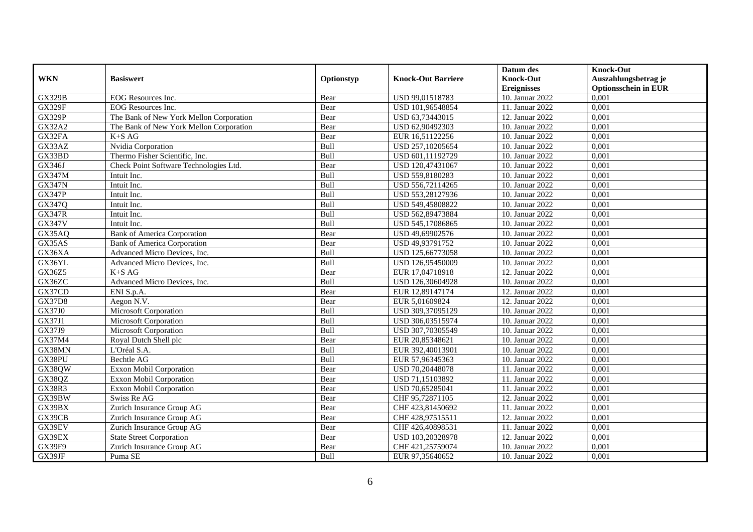|               |                                         |             |                           | Datum des          | <b>Knock-Out</b>            |
|---------------|-----------------------------------------|-------------|---------------------------|--------------------|-----------------------------|
| <b>WKN</b>    | <b>Basiswert</b>                        | Optionstyp  | <b>Knock-Out Barriere</b> | <b>Knock-Out</b>   | Auszahlungsbetrag je        |
|               |                                         |             |                           | <b>Ereignisses</b> | <b>Optionsschein in EUR</b> |
| <b>GX329B</b> | EOG Resources Inc.                      | Bear        | USD 99,01518783           | 10. Januar 2022    | 0,001                       |
| <b>GX329F</b> | <b>EOG</b> Resources Inc.               | Bear        | USD 101,96548854          | 11. Januar 2022    | 0,001                       |
| <b>GX329P</b> | The Bank of New York Mellon Corporation | Bear        | USD 63,73443015           | 12. Januar 2022    | 0,001                       |
| <b>GX32A2</b> | The Bank of New York Mellon Corporation | Bear        | USD 62,90492303           | 10. Januar 2022    | 0,001                       |
| GX32FA        | $K+SAG$                                 | Bear        | EUR 16,51122256           | 10. Januar 2022    | 0,001                       |
| GX33AZ        | Nvidia Corporation                      | Bull        | USD 257,10205654          | 10. Januar 2022    | 0,001                       |
| GX33BD        | Thermo Fisher Scientific, Inc.          | Bull        | USD 601,11192729          | 10. Januar 2022    | 0,001                       |
| GX346J        | Check Point Software Technologies Ltd.  | Bear        | USD 120,47431067          | 10. Januar 2022    | 0,001                       |
| GX347M        | Intuit Inc.                             | Bull        | USD 559,8180283           | 10. Januar 2022    | 0,001                       |
| <b>GX347N</b> | Intuit Inc.                             | Bull        | USD 556,72114265          | 10. Januar 2022    | 0,001                       |
| <b>GX347P</b> | Intuit Inc.                             | Bull        | USD 553,28127936          | 10. Januar 2022    | 0,001                       |
| GX347Q        | Intuit Inc.                             | Bull        | USD 549,45808822          | 10. Januar 2022    | 0,001                       |
| <b>GX347R</b> | Intuit Inc.                             | Bull        | USD 562,89473884          | 10. Januar 2022    | 0,001                       |
| <b>GX347V</b> | Intuit Inc.                             | Bull        | USD 545,17086865          | 10. Januar 2022    | 0,001                       |
| GX35AQ        | <b>Bank of America Corporation</b>      | Bear        | USD 49,69902576           | 10. Januar 2022    | 0,001                       |
| GX35AS        | <b>Bank of America Corporation</b>      | Bear        | USD 49,93791752           | 10. Januar 2022    | 0,001                       |
| GX36XA        | Advanced Micro Devices, Inc.            | Bull        | USD 125,66773058          | 10. Januar 2022    | 0,001                       |
| GX36YL        | Advanced Micro Devices, Inc.            | Bull        | USD 126,95450009          | 10. Januar 2022    | 0,001                       |
| GX36Z5        | $K+SAG$                                 | Bear        | EUR 17,04718918           | 12. Januar 2022    | 0,001                       |
| GX36ZC        | Advanced Micro Devices, Inc.            | Bull        | USD 126,30604928          | 10. Januar 2022    | 0,001                       |
| GX37CD        | ENI S.p.A.                              | Bear        | EUR 12,89147174           | 12. Januar 2022    | 0,001                       |
| <b>GX37D8</b> | Aegon $N.V.$                            | Bear        | EUR 5,01609824            | 12. Januar 2022    | 0,001                       |
| GX37J0        | Microsoft Corporation                   | Bull        | USD 309,37095129          | 10. Januar 2022    | 0,001                       |
| GX37J1        | Microsoft Corporation                   | Bull        | USD 306,03515974          | 10. Januar 2022    | 0,001                       |
| GX37J9        | Microsoft Corporation                   | <b>Bull</b> | USD 307,70305549          | 10. Januar 2022    | 0.001                       |
| GX37M4        | Royal Dutch Shell plc                   | Bear        | EUR 20,85348621           | 10. Januar 2022    | 0,001                       |
| GX38MN        | L'Oréal S.A.                            | Bull        | EUR 392,40013901          | 10. Januar 2022    | 0,001                       |
| GX38PU        | Bechtle AG                              | Bull        | EUR 57,96345363           | 10. Januar 2022    | 0,001                       |
| GX38QW        | Exxon Mobil Corporation                 | Bear        | USD 70,20448078           | 11. Januar 2022    | 0,001                       |
| GX38QZ        | <b>Exxon Mobil Corporation</b>          | Bear        | USD 71,15103892           | 11. Januar 2022    | 0,001                       |
| <b>GX38R3</b> | Exxon Mobil Corporation                 | Bear        | USD 70,65285041           | 11. Januar 2022    | 0,001                       |
| GX39BW        | Swiss Re AG                             | Bear        | CHF 95,72871105           | 12. Januar 2022    | 0,001                       |
| GX39BX        | Zurich Insurance Group AG               | Bear        | CHF 423,81450692          | 11. Januar 2022    | 0,001                       |
| GX39CB        | Zurich Insurance Group AG               | Bear        | CHF 428,97515511          | 12. Januar 2022    | 0,001                       |
| GX39EV        | Zurich Insurance Group AG               | Bear        | CHF 426,40898531          | 11. Januar 2022    | 0,001                       |
| GX39EX        | <b>State Street Corporation</b>         | Bear        | USD 103,20328978          | 12. Januar 2022    | 0,001                       |
| GX39F9        | Zurich Insurance Group AG               | Bear        | CHF 421,25759074          | 10. Januar 2022    | 0,001                       |
| GX39JF        | Puma SE                                 | Bull        | EUR 97,35640652           | 10. Januar 2022    | 0,001                       |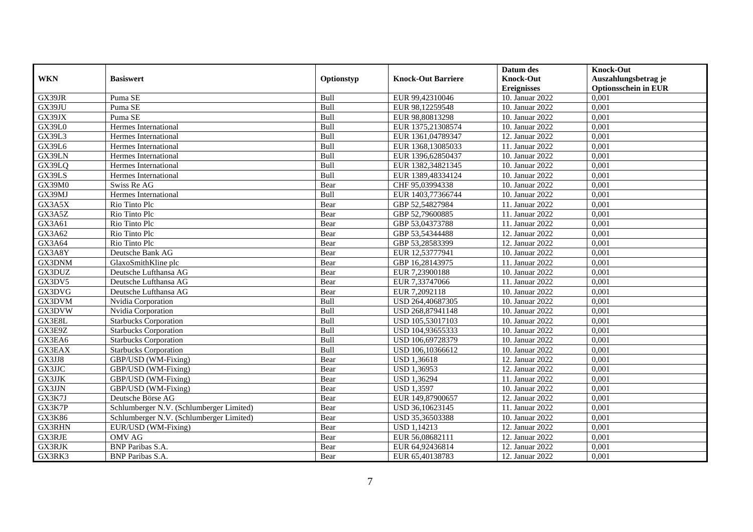|               |                                          |            |                           | Datum des          | <b>Knock-Out</b>            |
|---------------|------------------------------------------|------------|---------------------------|--------------------|-----------------------------|
| <b>WKN</b>    | <b>Basiswert</b>                         | Optionstyp | <b>Knock-Out Barriere</b> | <b>Knock-Out</b>   | Auszahlungsbetrag je        |
|               |                                          |            |                           | <b>Ereignisses</b> | <b>Optionsschein in EUR</b> |
| GX39JR        | Puma SE                                  | Bull       | EUR 99,42310046           | 10. Januar 2022    | 0,001                       |
| GX39JU        | Puma SE                                  | Bull       | EUR 98,12259548           | 10. Januar 2022    | 0,001                       |
| GX39JX        | Puma SE                                  | Bull       | EUR 98,80813298           | 10. Januar 2022    | 0,001                       |
| <b>GX39L0</b> | Hermes International                     | Bull       | EUR 1375,21308574         | 10. Januar 2022    | 0,001                       |
| <b>GX39L3</b> | Hermes International                     | Bull       | EUR 1361,04789347         | 12. Januar 2022    | 0,001                       |
| GX39L6        | Hermes International                     | Bull       | EUR 1368,13085033         | 11. Januar 2022    | 0,001                       |
| GX39LN        | Hermes International                     | Bull       | EUR 1396,62850437         | 10. Januar 2022    | 0,001                       |
| GX39LQ        | Hermes International                     | Bull       | EUR 1382,34821345         | 10. Januar 2022    | 0,001                       |
| GX39LS        | Hermes International                     | Bull       | EUR 1389,48334124         | 10. Januar 2022    | 0,001                       |
| GX39M0        | Swiss Re AG                              | Bear       | CHF 95,03994338           | 10. Januar 2022    | 0,001                       |
| GX39MJ        | Hermes International                     | Bull       | EUR 1403,77366744         | 10. Januar 2022    | 0,001                       |
| GX3A5X        | Rio Tinto Plc                            | Bear       | GBP 52,54827984           | 11. Januar 2022    | 0,001                       |
| GX3A5Z        | Rio Tinto Plc                            | Bear       | GBP 52,79600885           | 11. Januar 2022    | 0,001                       |
| GX3A61        | Rio Tinto Plc                            | Bear       | GBP 53,04373788           | 11. Januar 2022    | 0,001                       |
| GX3A62        | Rio Tinto Plc                            | Bear       | GBP 53,54344488           | 12. Januar 2022    | 0,001                       |
| GX3A64        | Rio Tinto Plc                            | Bear       | GBP 53,28583399           | 12. Januar 2022    | 0,001                       |
| GX3A8Y        | Deutsche Bank AG                         | Bear       | EUR 12,53777941           | 10. Januar 2022    | 0,001                       |
| GX3DNM        | GlaxoSmithKline plc                      | Bear       | GBP 16,28143975           | 11. Januar 2022    | 0,001                       |
| GX3DUZ        | Deutsche Lufthansa AG                    | Bear       | EUR 7,23900188            | 10. Januar 2022    | 0,001                       |
| GX3DV5        | Deutsche Lufthansa AG                    | Bear       | EUR 7,33747066            | 11. Januar 2022    | 0,001                       |
| GX3DVG        | Deutsche Lufthansa AG                    | Bear       | EUR 7,2092118             | 10. Januar 2022    | 0,001                       |
| GX3DVM        | Nvidia Corporation                       | Bull       | USD 264,40687305          | 10. Januar 2022    | 0,001                       |
| GX3DVW        | Nvidia Corporation                       | Bull       | USD 268,87941148          | 10. Januar 2022    | 0,001                       |
| GX3E8L        | <b>Starbucks Corporation</b>             | Bull       | USD 105,53017103          | 10. Januar 2022    | 0,001                       |
| GX3E9Z        | <b>Starbucks Corporation</b>             | Bull       | USD 104,93655333          | 10. Januar 2022    | 0,001                       |
| GX3EA6        | <b>Starbucks Corporation</b>             | Bull       | USD 106,69728379          | 10. Januar 2022    | 0,001                       |
| <b>GX3EAX</b> | <b>Starbucks Corporation</b>             | Bull       | USD 106,10366612          | 10. Januar 2022    | 0,001                       |
| GX3JJ8        | GBP/USD (WM-Fixing)                      | Bear       | <b>USD 1,36618</b>        | 12. Januar 2022    | 0,001                       |
| GX3JJC        | GBP/USD (WM-Fixing)                      | Bear       | <b>USD 1,36953</b>        | 12. Januar 2022    | 0,001                       |
| GX3JJK        | GBP/USD (WM-Fixing)                      | Bear       | <b>USD 1,36294</b>        | 11. Januar 2022    | 0,001                       |
| GX3JJN        | GBP/USD (WM-Fixing)                      | Bear       | <b>USD 1,3597</b>         | 10. Januar 2022    | 0,001                       |
| GX3K7J        | Deutsche Börse AG                        | Bear       | EUR 149,87900657          | 12. Januar 2022    | 0,001                       |
| GX3K7P        | Schlumberger N.V. (Schlumberger Limited) | Bear       | USD 36,10623145           | 11. Januar 2022    | 0,001                       |
| GX3K86        | Schlumberger N.V. (Schlumberger Limited) | Bear       | USD 35,36503388           | 10. Januar 2022    | 0,001                       |
| GX3RHN        | EUR/USD (WM-Fixing)                      | Bear       | <b>USD 1,14213</b>        | 12. Januar 2022    | 0,001                       |
| GX3RJE        | <b>OMV AG</b>                            | Bear       | EUR 56,08682111           | 12. Januar 2022    | 0,001                       |
| GX3RJK        | BNP Paribas S.A.                         | Bear       | EUR 64,92436814           | 12. Januar 2022    | 0,001                       |
| GX3RK3        | <b>BNP</b> Paribas S.A.                  | Bear       | EUR 65,40138783           | 12. Januar 2022    | 0,001                       |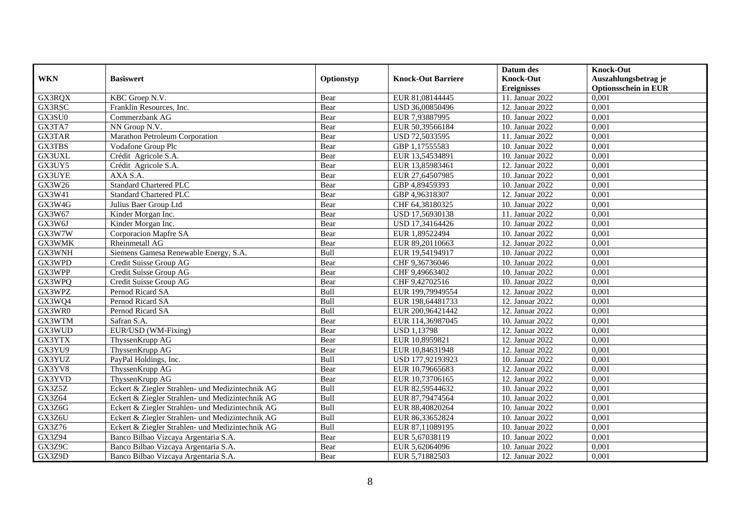|               |                                                  |            |                           | Datum des          | <b>Knock-Out</b>            |
|---------------|--------------------------------------------------|------------|---------------------------|--------------------|-----------------------------|
| <b>WKN</b>    | <b>Basiswert</b>                                 | Optionstyp | <b>Knock-Out Barriere</b> | <b>Knock-Out</b>   | Auszahlungsbetrag je        |
|               |                                                  |            |                           | <b>Ereignisses</b> | <b>Optionsschein in EUR</b> |
| GX3RQX        | KBC Groep N.V.                                   | Bear       | EUR 81,08144445           | 11. Januar 2022    | 0,001                       |
| GX3RSC        | Franklin Resources, Inc.                         | Bear       | USD 36,00850496           | 12. Januar 2022    | 0,001                       |
| GX3SU0        | Commerzbank AG                                   | Bear       | EUR 7,93887995            | 10. Januar 2022    | 0,001                       |
| GX3TA7        | NN Group N.V.                                    | Bear       | EUR 50,39566184           | 10. Januar 2022    | 0,001                       |
| <b>GX3TAR</b> | Marathon Petroleum Corporation                   | Bear       | USD 72,5033595            | 11. Januar 2022    | 0,001                       |
| GX3TBS        | Vodafone Group Plc                               | Bear       | GBP 1,17555583            | 10. Januar 2022    | 0,001                       |
| GX3UXL        | Crédit Agricole S.A.                             | Bear       | EUR 13,54534891           | 10. Januar 2022    | 0,001                       |
| GX3UY5        | Crédit Agricole S.A.                             | Bear       | EUR 13,85983461           | 12. Januar 2022    | 0,001                       |
| <b>GX3UYE</b> | AXA S.A.                                         | Bear       | EUR 27,64507985           | 10. Januar 2022    | 0,001                       |
| GX3W26        | <b>Standard Chartered PLC</b>                    | Bear       | GBP 4,89459393            | 10. Januar 2022    | 0,001                       |
| GX3W41        | <b>Standard Chartered PLC</b>                    | Bear       | GBP 4,96318307            | 12. Januar 2022    | 0,001                       |
| GX3W4G        | Julius Baer Group Ltd                            | Bear       | CHF 64,38180325           | 10. Januar 2022    | 0,001                       |
| GX3W67        | Kinder Morgan Inc.                               | Bear       | USD 17,56930138           | 11. Januar 2022    | 0,001                       |
| GX3W6J        | Kinder Morgan Inc.                               | Bear       | USD 17,34164426           | 10. Januar 2022    | 0,001                       |
| GX3W7W        | Corporacion Mapfre SA                            | Bear       | EUR 1,89522494            | 10. Januar 2022    | 0,001                       |
| GX3WMK        | Rheinmetall AG                                   | Bear       | EUR 89,20110663           | 12. Januar 2022    | 0,001                       |
| GX3WNH        | Siemens Gamesa Renewable Energy, S.A.            | Bull       | EUR 19,54194917           | 10. Januar 2022    | 0,001                       |
| GX3WPD        | Credit Suisse Group AG                           | Bear       | CHF 9.36736046            | 10. Januar 2022    | 0,001                       |
| GX3WPP        | Credit Suisse Group AG                           | Bear       | CHF 9,49663402            | 10. Januar 2022    | 0,001                       |
| GX3WPQ        | Credit Suisse Group AG                           | Bear       | CHF 9,42702516            | 10. Januar 2022    | 0,001                       |
| GX3WPZ        | Pernod Ricard SA                                 | Bull       | EUR 199,79949554          | 12. Januar 2022    | 0,001                       |
| GX3WQ4        | Pernod Ricard SA                                 | Bull       | EUR 198,64481733          | 12. Januar 2022    | 0,001                       |
| GX3WR0        | Pernod Ricard SA                                 | Bull       | EUR 200,96421442          | 12. Januar 2022    | 0,001                       |
| GX3WTM        | Safran S.A.                                      | Bear       | EUR 114,36987045          | 10. Januar 2022    | 0,001                       |
| GX3WUD        | EUR/USD (WM-Fixing)                              | Bear       | <b>USD 1,13798</b>        | 12. Januar 2022    | 0,001                       |
| GX3YTX        | ThyssenKrupp AG                                  | Bear       | EUR 10,8959821            | 12. Januar 2022    | 0,001                       |
| GX3YU9        | ThyssenKrupp AG                                  | Bear       | EUR 10,84631948           | 12. Januar 2022    | 0,001                       |
| GX3YUZ        | PayPal Holdings, Inc.                            | Bull       | USD 177,92193923          | 10. Januar 2022    | 0,001                       |
| GX3YV8        | ThyssenKrupp AG                                  | Bear       | EUR 10,79665683           | 12. Januar 2022    | 0,001                       |
| GX3YVD        | ThyssenKrupp AG                                  | Bear       | EUR 10,73706165           | 12. Januar 2022    | 0,001                       |
| GX3Z5Z        | Eckert & Ziegler Strahlen- und Medizintechnik AG | Bull       | EUR 82,59544632           | 10. Januar 2022    | 0,001                       |
| GX3Z64        | Eckert & Ziegler Strahlen- und Medizintechnik AG | Bull       | EUR 87,79474564           | 10. Januar 2022    | 0,001                       |
| GX3Z6G        | Eckert & Ziegler Strahlen- und Medizintechnik AG | Bull       | EUR 88,40820264           | 10. Januar 2022    | 0,001                       |
| GX3Z6U        | Eckert & Ziegler Strahlen- und Medizintechnik AG | Bull       | EUR 86,33652824           | 10. Januar 2022    | 0,001                       |
| GX3Z76        | Eckert & Ziegler Strahlen- und Medizintechnik AG | Bull       | EUR 87,11089195           | 10. Januar 2022    | 0,001                       |
| <b>GX3Z94</b> | Banco Bilbao Vizcaya Argentaria S.A.             | Bear       | EUR 5,67038119            | 10. Januar 2022    | 0,001                       |
| GX3Z9C        | Banco Bilbao Vizcaya Argentaria S.A.             | Bear       | EUR 5,62064096            | 10. Januar 2022    | 0,001                       |
| GX3Z9D        | Banco Bilbao Vizcaya Argentaria S.A.             | Bear       | EUR 5,71882503            | 12. Januar 2022    | 0,001                       |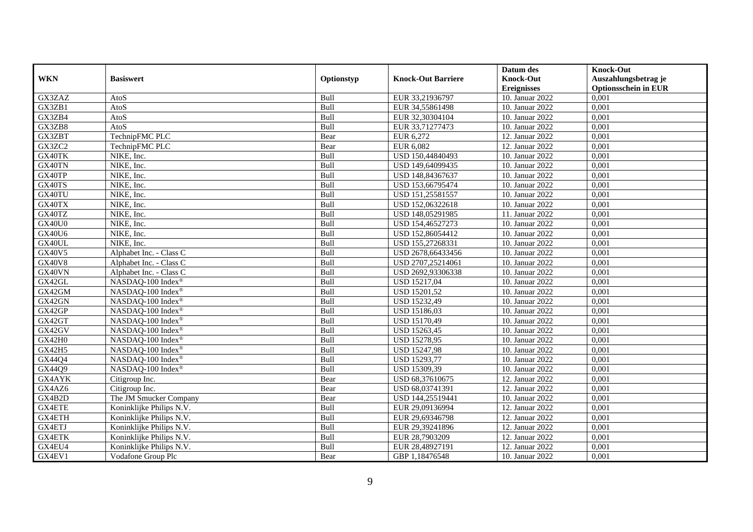|               |                               |            |                           | Datum des          | <b>Knock-Out</b>            |
|---------------|-------------------------------|------------|---------------------------|--------------------|-----------------------------|
| <b>WKN</b>    | <b>Basiswert</b>              | Optionstyp | <b>Knock-Out Barriere</b> | <b>Knock-Out</b>   | Auszahlungsbetrag je        |
|               |                               |            |                           | <b>Ereignisses</b> | <b>Optionsschein in EUR</b> |
| GX3ZAZ        | AtoS                          | Bull       | EUR 33,21936797           | 10. Januar 2022    | 0,001                       |
| GX3ZB1        | AtoS                          | Bull       | EUR 34,55861498           | 10. Januar 2022    | 0,001                       |
| GX3ZB4        | AtoS                          | Bull       | EUR 32,30304104           | 10. Januar 2022    | 0,001                       |
| GX3ZB8        | AtoS                          | Bull       | EUR 33,71277473           | 10. Januar 2022    | 0,001                       |
| GX3ZBT        | TechnipFMC PLC                | Bear       | EUR 6,272                 | 12. Januar 2022    | 0,001                       |
| GX3ZC2        | TechnipFMC PLC                | Bear       | EUR 6,082                 | 12. Januar 2022    | 0,001                       |
| GX40TK        | NIKE, Inc.                    | Bull       | USD 150,44840493          | 10. Januar 2022    | 0,001                       |
| GX40TN        | NIKE, Inc.                    | Bull       | USD 149,64099435          | 10. Januar 2022    | 0,001                       |
| GX40TP        | NIKE, Inc.                    | Bull       | USD 148,84367637          | 10. Januar 2022    | 0,001                       |
| GX40TS        | NIKE, Inc.                    | Bull       | USD 153,66795474          | 10. Januar 2022    | 0,001                       |
| GX40TU        | NIKE, Inc.                    | Bull       | USD 151,25581557          | 10. Januar 2022    | 0,001                       |
| GX40TX        | NIKE, Inc.                    | Bull       | USD 152,06322618          | 10. Januar 2022    | 0,001                       |
| GX40TZ        | NIKE, Inc.                    | Bull       | USD 148,05291985          | 11. Januar 2022    | 0,001                       |
| <b>GX40U0</b> | NIKE, Inc.                    | Bull       | USD 154,46527273          | 10. Januar 2022    | 0.001                       |
| <b>GX40U6</b> | NIKE, Inc.                    | Bull       | USD 152,86054412          | 10. Januar 2022    | 0,001                       |
| GX40UL        | NIKE, Inc.                    | Bull       | USD 155,27268331          | 10. Januar 2022    | 0,001                       |
| GX40V5        | Alphabet Inc. - Class C       | Bull       | USD 2678,66433456         | 10. Januar 2022    | 0,001                       |
| <b>GX40V8</b> | Alphabet Inc. - Class C       | Bull       | USD 2707,25214061         | 10. Januar 2022    | 0,001                       |
| GX40VN        | Alphabet Inc. - Class C       | Bull       | USD 2692,93306338         | 10. Januar 2022    | 0,001                       |
| GX42GL        | NASDAQ-100 Index <sup>®</sup> | Bull       | USD 15217,04              | 10. Januar 2022    | 0,001                       |
| GX42GM        | NASDAQ-100 Index®             | Bull       | USD 15201,52              | 10. Januar 2022    | 0,001                       |
| GX42GN        | NASDAQ-100 Index®             | Bull       | <b>USD 15232,49</b>       | 10. Januar 2022    | 0,001                       |
| GX42GP        | NASDAQ-100 Index®             | Bull       | USD 15186,03              | 10. Januar 2022    | 0,001                       |
| GX42GT        | NASDAQ-100 Index®             | Bull       | USD 15170,49              | 10. Januar 2022    | 0,001                       |
| GX42GV        | NASDAQ-100 Index®             | Bull       | USD 15263,45              | 10. Januar 2022    | 0,001                       |
| GX42H0        | NASDAQ-100 Index®             | Bull       | USD 15278,95              | 10. Januar 2022    | 0,001                       |
| GX42H5        | NASDAQ-100 Index®             | Bull       | <b>USD 15247,98</b>       | 10. Januar 2022    | 0,001                       |
| GX44Q4        | NASDAQ-100 Index®             | Bull       | USD 15293,77              | 10. Januar 2022    | 0,001                       |
| GX44Q9        | NASDAQ-100 Index®             | Bull       | USD 15309,39              | 10. Januar 2022    | 0,001                       |
| GX4AYK        | Citigroup Inc.                | Bear       | USD 68,37610675           | 12. Januar 2022    | 0,001                       |
| GX4AZ6        | Citigroup Inc.                | Bear       | USD 68,03741391           | 12. Januar 2022    | 0,001                       |
| GX4B2D        | The JM Smucker Company        | Bear       | USD 144,25519441          | 10. Januar 2022    | 0,001                       |
| <b>GX4ETE</b> | Koninklijke Philips N.V.      | Bull       | EUR 29,09136994           | 12. Januar 2022    | 0,001                       |
| GX4ETH        | Koninklijke Philips N.V.      | Bull       | EUR 29,69346798           | 12. Januar 2022    | 0,001                       |
| GX4ETJ        | Koninklijke Philips N.V.      | Bull       | EUR 29,39241896           | 12. Januar 2022    | 0,001                       |
| GX4ETK        | Koninklijke Philips N.V.      | Bull       | EUR 28,7903209            | 12. Januar 2022    | 0,001                       |
| GX4EU4        | Koninklijke Philips N.V.      | Bull       | EUR 28,48927191           | 12. Januar 2022    | 0,001                       |
| GX4EV1        | Vodafone Group Plc            | Bear       | GBP 1,18476548            | 10. Januar 2022    | 0,001                       |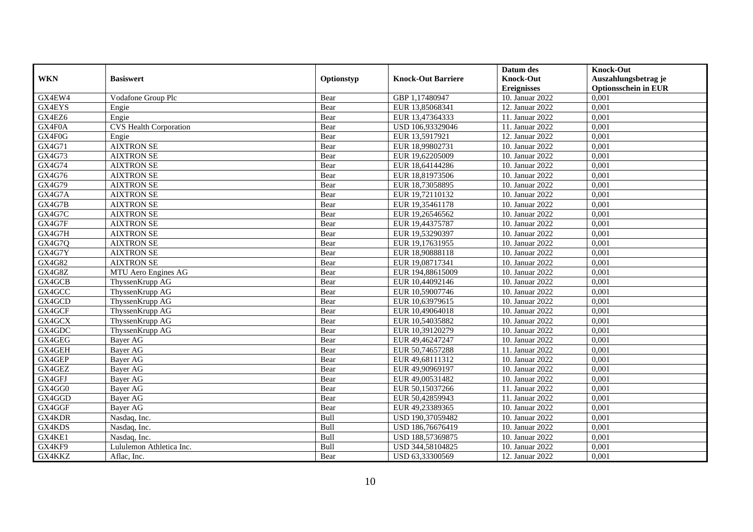|            |                               |            |                           | Datum des          | <b>Knock-Out</b>            |
|------------|-------------------------------|------------|---------------------------|--------------------|-----------------------------|
| <b>WKN</b> | <b>Basiswert</b>              | Optionstyp | <b>Knock-Out Barriere</b> | <b>Knock-Out</b>   | Auszahlungsbetrag je        |
|            |                               |            |                           | <b>Ereignisses</b> | <b>Optionsschein in EUR</b> |
| GX4EW4     | Vodafone Group Plc            | Bear       | GBP 1,17480947            | 10. Januar 2022    | 0,001                       |
| GX4EYS     | Engie                         | Bear       | EUR 13,85068341           | 12. Januar 2022    | 0,001                       |
| GX4EZ6     | Engie                         | Bear       | EUR 13,47364333           | 11. Januar 2022    | 0,001                       |
| GX4F0A     | <b>CVS Health Corporation</b> | Bear       | USD 106,93329046          | 11. Januar 2022    | 0,001                       |
| GX4F0G     | Engie                         | Bear       | EUR 13,5917921            | 12. Januar 2022    | 0,001                       |
| GX4G71     | <b>AIXTRON SE</b>             | Bear       | EUR 18,99802731           | 10. Januar 2022    | 0,001                       |
| GX4G73     | <b>AIXTRON SE</b>             | Bear       | EUR 19,62205009           | 10. Januar 2022    | 0,001                       |
| GX4G74     | <b>AIXTRON SE</b>             | Bear       | EUR 18,64144286           | 10. Januar 2022    | 0,001                       |
| GX4G76     | <b>AIXTRON SE</b>             | Bear       | EUR 18,81973506           | 10. Januar 2022    | 0,001                       |
| GX4G79     | <b>AIXTRON SE</b>             | Bear       | EUR 18,73058895           | 10. Januar 2022    | 0,001                       |
| GX4G7A     | <b>AIXTRON SE</b>             | Bear       | EUR 19,72110132           | 10. Januar 2022    | 0,001                       |
| GX4G7B     | <b>AIXTRON SE</b>             | Bear       | EUR 19,35461178           | 10. Januar 2022    | 0,001                       |
| GX4G7C     | <b>AIXTRON SE</b>             | Bear       | EUR 19,26546562           | 10. Januar 2022    | 0,001                       |
| GX4G7F     | <b>AIXTRON SE</b>             | Bear       | EUR 19,44375787           | 10. Januar 2022    | 0.001                       |
| GX4G7H     | <b>AIXTRON SE</b>             | Bear       | EUR 19,53290397           | 10. Januar 2022    | 0,001                       |
| GX4G7Q     | <b>AIXTRON SE</b>             | Bear       | EUR 19,17631955           | 10. Januar 2022    | 0,001                       |
| GX4G7Y     | <b>AIXTRON SE</b>             | Bear       | EUR 18,90888118           | 10. Januar 2022    | 0,001                       |
| GX4G82     | <b>AIXTRON SE</b>             | Bear       | EUR 19,08717341           | 10. Januar 2022    | 0,001                       |
| GX4G8Z     | MTU Aero Engines AG           | Bear       | EUR 194,88615009          | 10. Januar 2022    | 0,001                       |
| GX4GCB     | ThyssenKrupp AG               | Bear       | EUR 10,44092146           | 10. Januar 2022    | 0,001                       |
| GX4GCC     | ThyssenKrupp AG               | Bear       | EUR 10,59007746           | 10. Januar 2022    | 0,001                       |
| GX4GCD     | ThyssenKrupp AG               | Bear       | EUR 10,63979615           | 10. Januar 2022    | 0,001                       |
| GX4GCF     | ThyssenKrupp AG               | Bear       | EUR 10,49064018           | 10. Januar 2022    | 0,001                       |
| GX4GCX     | ThyssenKrupp AG               | Bear       | EUR 10,54035882           | 10. Januar 2022    | 0,001                       |
| GX4GDC     | ThyssenKrupp AG               | Bear       | EUR 10,39120279           | 10. Januar 2022    | 0,001                       |
| GX4GEG     | Bayer AG                      | Bear       | EUR 49,46247247           | 10. Januar 2022    | 0,001                       |
| GX4GEH     | Bayer AG                      | Bear       | EUR 50,74657288           | 11. Januar 2022    | 0,001                       |
| GX4GEP     | <b>Bayer AG</b>               | Bear       | EUR 49,68111312           | 10. Januar 2022    | 0,001                       |
| GX4GEZ     | Bayer AG                      | Bear       | EUR 49,90969197           | 10. Januar 2022    | 0,001                       |
| GX4GFJ     | Bayer AG                      | Bear       | EUR 49,00531482           | 10. Januar 2022    | 0,001                       |
| GX4GG0     | <b>Bayer AG</b>               | Bear       | EUR 50,15037266           | 11. Januar 2022    | 0,001                       |
| GX4GGD     | <b>Bayer AG</b>               | Bear       | EUR 50,42859943           | 11. Januar 2022    | 0,001                       |
| GX4GGF     | <b>Bayer AG</b>               | Bear       | EUR 49,23389365           | 10. Januar 2022    | 0,001                       |
| GX4KDR     | Nasdaq, Inc.                  | Bull       | USD 190,37059482          | 10. Januar 2022    | 0,001                       |
| GX4KDS     | Nasdaq, Inc.                  | Bull       | USD 186,76676419          | 10. Januar 2022    | 0,001                       |
| GX4KE1     | Nasdaq, Inc.                  | Bull       | USD 188,57369875          | 10. Januar 2022    | 0,001                       |
| GX4KF9     | Lululemon Athletica Inc.      | Bull       | USD 344,58104825          | 10. Januar 2022    | 0,001                       |
| GX4KKZ     | Aflac, Inc.                   | Bear       | USD 63,33300569           | 12. Januar 2022    | 0,001                       |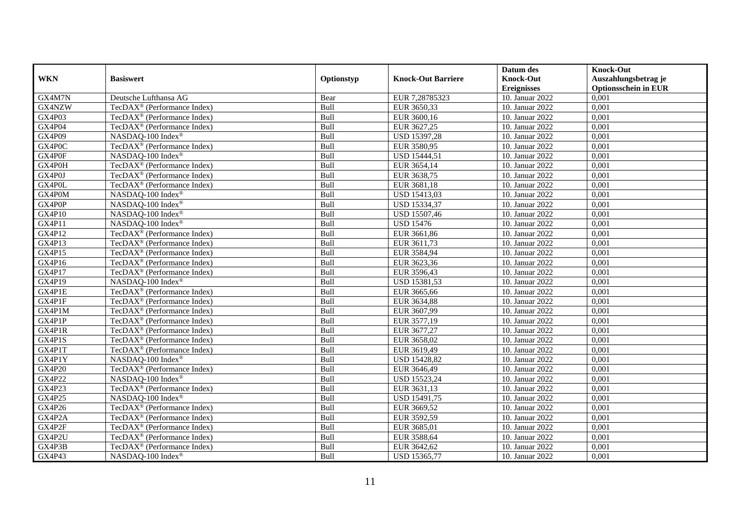|               |                                              |            |                           | Datum des          | <b>Knock-Out</b>            |
|---------------|----------------------------------------------|------------|---------------------------|--------------------|-----------------------------|
| <b>WKN</b>    | <b>Basiswert</b>                             | Optionstyp | <b>Knock-Out Barriere</b> | <b>Knock-Out</b>   | Auszahlungsbetrag je        |
|               |                                              |            |                           | <b>Ereignisses</b> | <b>Optionsschein in EUR</b> |
| GX4M7N        | Deutsche Lufthansa AG                        | Bear       | EUR 7,28785323            | 10. Januar 2022    | 0,001                       |
| GX4NZW        | TecDAX <sup>®</sup> (Performance Index)      | Bull       | EUR 3650,33               | 10. Januar 2022    | 0,001                       |
| GX4P03        | TecDAX <sup>®</sup> (Performance Index)      | Bull       | EUR 3600,16               | 10. Januar 2022    | 0,001                       |
| GX4P04        | TecDAX <sup>®</sup> (Performance Index)      | Bull       | EUR 3627,25               | 10. Januar 2022    | 0,001                       |
| GX4P09        | NASDAQ-100 Index®                            | Bull       | USD 15397,28              | 10. Januar 2022    | 0,001                       |
| GX4P0C        | TecDAX <sup>®</sup> (Performance Index)      | Bull       | EUR 3580,95               | 10. Januar 2022    | 0,001                       |
| GX4P0F        | NASDAQ-100 Index®                            | Bull       | <b>USD 15444,51</b>       | 10. Januar 2022    | 0,001                       |
| GX4P0H        | TecDAX <sup>®</sup> (Performance Index)      | Bull       | EUR 3654,14               | 10. Januar 2022    | 0,001                       |
| GX4P0J        | TecDAX <sup>®</sup> (Performance Index)      | Bull       | EUR 3638,75               | 10. Januar 2022    | 0,001                       |
| GX4P0L        | TecDAX <sup>®</sup> (Performance Index)      | Bull       | EUR 3681,18               | 10. Januar 2022    | 0,001                       |
| GX4P0M        | NASDAQ-100 Index®                            | Bull       | <b>USD 15413,03</b>       | 10. Januar 2022    | 0,001                       |
| GX4P0P        | NASDAQ-100 Index®                            | Bull       | <b>USD 15334,37</b>       | 10. Januar 2022    | 0,001                       |
| GX4P10        | NASDAQ-100 Index®                            | Bull       | USD 15507,46              | 10. Januar 2022    | 0,001                       |
| GX4P11        | NASDAQ-100 Index®                            | Bull       | <b>USD 15476</b>          | 10. Januar 2022    | 0,001                       |
| GX4P12        | TecDAX <sup>®</sup> (Performance Index)      | Bull       | EUR 3661,86               | 10. Januar 2022    | 0,001                       |
| GX4P13        | TecDAX <sup>®</sup> (Performance Index)      | Bull       | EUR 3611,73               | 10. Januar 2022    | 0,001                       |
| GX4P15        | TecDAX <sup>®</sup> (Performance Index)      | Bull       | EUR 3584,94               | 10. Januar 2022    | 0,001                       |
| GX4P16        | $TecDAX^{\otimes}$ (Performance Index)       | Bull       | EUR 3623,36               | 10. Januar 2022    | 0,001                       |
| GX4P17        | TecDAX <sup>®</sup> (Performance Index)      | Bull       | EUR 3596,43               | 10. Januar 2022    | 0,001                       |
| GX4P19        | NASDAQ-100 Index®                            | Bull       | USD 15381,53              | 10. Januar 2022    | 0,001                       |
| GX4P1E        | TecDAX <sup>®</sup> (Performance Index)      | Bull       | EUR 3665,66               | 10. Januar 2022    | 0,001                       |
| GX4P1F        | $TecDAX^{\circledast}$ (Performance Index)   | Bull       | EUR 3634,88               | 10. Januar 2022    | 0,001                       |
| GX4P1M        | TecDA $X^{\circledcirc}$ (Performance Index) | Bull       | EUR 3607,99               | 10. Januar 2022    | 0,001                       |
| GX4P1P        | TecDAX <sup>®</sup> (Performance Index)      | Bull       | EUR 3577,19               | 10. Januar 2022    | 0,001                       |
| GX4P1R        | TecDA $X^{\circledcirc}$ (Performance Index) | Bull       | EUR 3677,27               | 10. Januar 2022    | 0,001                       |
| GX4P1S        | TecDAX <sup>®</sup> (Performance Index)      | Bull       | EUR 3658,02               | 10. Januar 2022    | 0,001                       |
| GX4P1T        | TecDAX <sup>®</sup> (Performance Index)      | Bull       | EUR 3619,49               | 10. Januar 2022    | 0,001                       |
| GX4P1Y        | NASDAQ-100 Index®                            | Bull       | <b>USD 15428,82</b>       | 10. Januar 2022    | 0,001                       |
| <b>GX4P20</b> | TecDAX <sup>®</sup> (Performance Index)      | Bull       | EUR 3646,49               | 10. Januar 2022    | 0,001                       |
| <b>GX4P22</b> | NASDAQ-100 Index®                            | Bull       | USD 15523,24              | 10. Januar 2022    | 0,001                       |
| GX4P23        | TecDAX <sup>®</sup> (Performance Index)      | Bull       | EUR 3631,13               | 10. Januar 2022    | 0,001                       |
| <b>GX4P25</b> | NASDAQ-100 Index®                            | Bull       | USD 15491,75              | 10. Januar 2022    | 0,001                       |
| GX4P26        | TecDAX <sup>®</sup> (Performance Index)      | Bull       | EUR 3669,52               | 10. Januar 2022    | 0,001                       |
| GX4P2A        | TecDAX <sup>®</sup> (Performance Index)      | Bull       | EUR 3592,59               | 10. Januar 2022    | 0,001                       |
| GX4P2F        | TecDAX <sup>®</sup> (Performance Index)      | Bull       | EUR 3685,01               | 10. Januar 2022    | 0,001                       |
| GX4P2U        | TecDAX <sup>®</sup> (Performance Index)      | Bull       | EUR 3588,64               | 10. Januar 2022    | 0,001                       |
| GX4P3B        | TecDAX <sup>®</sup> (Performance Index)      | Bull       | EUR 3642,62               | 10. Januar 2022    | 0,001                       |
| GX4P43        | NASDAQ-100 Index®                            | Bull       | USD 15365,77              | 10. Januar 2022    | 0,001                       |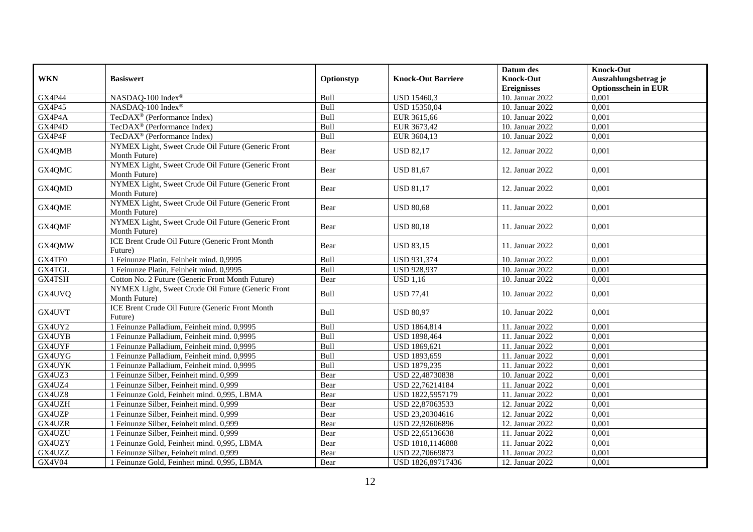|               |                                                                     |            |                           | Datum des          | <b>Knock-Out</b>            |
|---------------|---------------------------------------------------------------------|------------|---------------------------|--------------------|-----------------------------|
| <b>WKN</b>    | <b>Basiswert</b>                                                    | Optionstyp | <b>Knock-Out Barriere</b> | <b>Knock-Out</b>   | Auszahlungsbetrag je        |
|               |                                                                     |            |                           | <b>Ereignisses</b> | <b>Optionsschein in EUR</b> |
| <b>GX4P44</b> | NASDAQ-100 Index®                                                   | Bull       | USD 15460,3               | 10. Januar 2022    | 0,001                       |
| GX4P45        | NASDAQ-100 Index®                                                   | Bull       | <b>USD 15350.04</b>       | 10. Januar 2022    | 0,001                       |
| GX4P4A        | TecDAX <sup>®</sup> (Performance Index)                             | Bull       | EUR 3615,66               | 10. Januar 2022    | 0,001                       |
| GX4P4D        | TecDAX <sup>®</sup> (Performance Index)                             | Bull       | EUR 3673,42               | 10. Januar 2022    | 0,001                       |
| GX4P4F        | TecDAX <sup>®</sup> (Performance Index)                             | Bull       | EUR 3604,13               | 10. Januar 2022    | 0,001                       |
| GX4QMB        | NYMEX Light, Sweet Crude Oil Future (Generic Front<br>Month Future) | Bear       | <b>USD 82,17</b>          | 12. Januar 2022    | 0,001                       |
| GX4QMC        | NYMEX Light, Sweet Crude Oil Future (Generic Front<br>Month Future) | Bear       | <b>USD 81,67</b>          | 12. Januar 2022    | 0,001                       |
| GX4QMD        | NYMEX Light, Sweet Crude Oil Future (Generic Front<br>Month Future) | Bear       | <b>USD 81,17</b>          | 12. Januar 2022    | 0,001                       |
| GX4QME        | NYMEX Light, Sweet Crude Oil Future (Generic Front<br>Month Future) | Bear       | <b>USD 80.68</b>          | 11. Januar 2022    | 0,001                       |
| GX4QMF        | NYMEX Light, Sweet Crude Oil Future (Generic Front<br>Month Future) | Bear       | <b>USD 80.18</b>          | 11. Januar 2022    | 0,001                       |
| GX4QMW        | ICE Brent Crude Oil Future (Generic Front Month<br>Future)          | Bear       | <b>USD 83,15</b>          | 11. Januar 2022    | 0,001                       |
| GX4TF0        | 1 Feinunze Platin, Feinheit mind. 0,9995                            | Bull       | USD 931,374               | 10. Januar 2022    | 0,001                       |
| GX4TGL        | 1 Feinunze Platin, Feinheit mind. 0,9995                            | Bull       | <b>USD 928,937</b>        | 10. Januar 2022    | 0,001                       |
| GX4TSH        | Cotton No. 2 Future (Generic Front Month Future)                    | Bear       | <b>USD 1,16</b>           | 10. Januar 2022    | 0,001                       |
| GX4UVQ        | NYMEX Light, Sweet Crude Oil Future (Generic Front<br>Month Future) | Bull       | <b>USD 77,41</b>          | 10. Januar 2022    | 0,001                       |
| GX4UVT        | ICE Brent Crude Oil Future (Generic Front Month<br>Future)          | Bull       | <b>USD 80,97</b>          | 10. Januar 2022    | 0.001                       |
| GX4UY2        | 1 Feinunze Palladium, Feinheit mind. 0,9995                         | Bull       | USD 1864,814              | 11. Januar 2022    | 0,001                       |
| GX4UYB        | 1 Feinunze Palladium, Feinheit mind. 0,9995                         | Bull       | USD 1898,464              | 11. Januar 2022    | 0,001                       |
| GX4UYF        | 1 Feinunze Palladium, Feinheit mind. 0,9995                         | Bull       | USD 1869,621              | 11. Januar 2022    | 0,001                       |
| GX4UYG        | 1 Feinunze Palladium, Feinheit mind. 0,9995                         | Bull       | USD 1893,659              | 11. Januar 2022    | 0,001                       |
| GX4UYK        | 1 Feinunze Palladium, Feinheit mind. 0,9995                         | Bull       | USD 1879,235              | 11. Januar 2022    | 0,001                       |
| GX4UZ3        | 1 Feinunze Silber, Feinheit mind. 0,999                             | Bear       | USD 22,48730838           | 10. Januar 2022    | 0,001                       |
| GX4UZ4        | 1 Feinunze Silber, Feinheit mind. 0,999                             | Bear       | USD 22,76214184           | 11. Januar 2022    | 0,001                       |
| GX4UZ8        | 1 Feinunze Gold, Feinheit mind. 0,995, LBMA                         | Bear       | USD 1822,5957179          | 11. Januar 2022    | 0,001                       |
| GX4UZH        | 1 Feinunze Silber, Feinheit mind. 0,999                             | Bear       | USD 22,87063533           | 12. Januar 2022    | 0,001                       |
| GX4UZP        | 1 Feinunze Silber, Feinheit mind. 0,999                             | Bear       | USD 23,20304616           | 12. Januar 2022    | 0,001                       |
| GX4UZR        | 1 Feinunze Silber, Feinheit mind. 0,999                             | Bear       | USD 22,92606896           | 12. Januar 2022    | 0,001                       |
| GX4UZU        | 1 Feinunze Silber, Feinheit mind. 0,999                             | Bear       | USD 22,65136638           | 11. Januar 2022    | 0,001                       |
| GX4UZY        | 1 Feinunze Gold, Feinheit mind. 0,995, LBMA                         | Bear       | USD 1818,1146888          | 11. Januar 2022    | 0,001                       |
| GX4UZZ        | 1 Feinunze Silber, Feinheit mind. 0,999                             | Bear       | USD 22,70669873           | 11. Januar 2022    | 0,001                       |
| GX4V04        | 1 Feinunze Gold, Feinheit mind. 0,995, LBMA                         | Bear       | USD 1826,89717436         | 12. Januar 2022    | 0,001                       |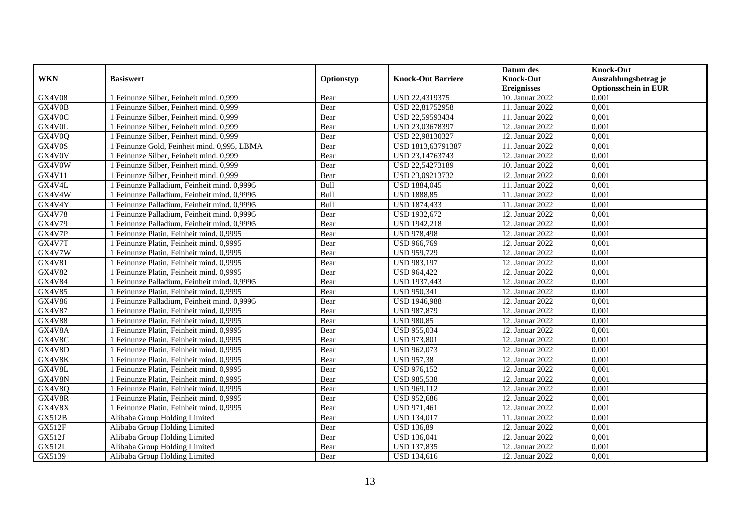|               |                                             |            |                           | Datum des          | <b>Knock-Out</b>            |
|---------------|---------------------------------------------|------------|---------------------------|--------------------|-----------------------------|
| <b>WKN</b>    | <b>Basiswert</b>                            | Optionstyp | <b>Knock-Out Barriere</b> | <b>Knock-Out</b>   | Auszahlungsbetrag je        |
|               |                                             |            |                           | <b>Ereignisses</b> | <b>Optionsschein in EUR</b> |
| <b>GX4V08</b> | 1 Feinunze Silber, Feinheit mind. 0,999     | Bear       | USD 22,4319375            | 10. Januar 2022    | 0,001                       |
| GX4V0B        | 1 Feinunze Silber, Feinheit mind. 0,999     | Bear       | USD 22,81752958           | 11. Januar 2022    | 0,001                       |
| GX4V0C        | 1 Feinunze Silber, Feinheit mind. 0,999     | Bear       | USD 22,59593434           | 11. Januar 2022    | 0,001                       |
| GX4V0L        | 1 Feinunze Silber, Feinheit mind. 0,999     | Bear       | USD 23,03678397           | 12. Januar 2022    | 0.001                       |
| GX4V0Q        | 1 Feinunze Silber, Feinheit mind. 0,999     | Bear       | USD 22,98130327           | 12. Januar 2022    | 0,001                       |
| GX4V0S        | 1 Feinunze Gold, Feinheit mind. 0,995, LBMA | Bear       | USD 1813,63791387         | 11. Januar 2022    | 0,001                       |
| GX4V0V        | 1 Feinunze Silber, Feinheit mind. 0.999     | Bear       | USD 23,14763743           | 12. Januar 2022    | 0,001                       |
| GX4V0W        | 1 Feinunze Silber, Feinheit mind. 0,999     | Bear       | USD 22,54273189           | 10. Januar 2022    | 0,001                       |
| GX4V11        | 1 Feinunze Silber, Feinheit mind. 0,999     | Bear       | USD 23,09213732           | 12. Januar 2022    | 0,001                       |
| GX4V4L        | 1 Feinunze Palladium, Feinheit mind. 0,9995 | Bull       | USD 1884,045              | 11. Januar 2022    | 0,001                       |
| GX4V4W        | 1 Feinunze Palladium, Feinheit mind. 0,9995 | Bull       | <b>USD 1888,85</b>        | 11. Januar 2022    | 0,001                       |
| GX4V4Y        | 1 Feinunze Palladium, Feinheit mind. 0,9995 | Bull       | <b>USD 1874,433</b>       | 11. Januar 2022    | 0,001                       |
| <b>GX4V78</b> | 1 Feinunze Palladium, Feinheit mind. 0,9995 | Bear       | <b>USD 1932,672</b>       | 12. Januar 2022    | 0,001                       |
| GX4V79        | 1 Feinunze Palladium, Feinheit mind. 0,9995 | Bear       | USD 1942,218              | 12. Januar 2022    | 0,001                       |
| GX4V7P        | 1 Feinunze Platin, Feinheit mind. 0,9995    | Bear       | <b>USD 978,498</b>        | 12. Januar 2022    | 0,001                       |
| GX4V7T        | 1 Feinunze Platin, Feinheit mind. 0,9995    | Bear       | USD 966,769               | 12. Januar 2022    | 0,001                       |
| GX4V7W        | 1 Feinunze Platin, Feinheit mind. 0,9995    | Bear       | <b>USD 959,729</b>        | 12. Januar 2022    | 0,001                       |
| <b>GX4V81</b> | 1 Feinunze Platin, Feinheit mind. 0,9995    | Bear       | <b>USD 983,197</b>        | 12. Januar 2022    | 0.001                       |
| GX4V82        | 1 Feinunze Platin, Feinheit mind. 0,9995    | Bear       | <b>USD 964,422</b>        | 12. Januar 2022    | 0,001                       |
| <b>GX4V84</b> | 1 Feinunze Palladium, Feinheit mind. 0,9995 | Bear       | USD 1937,443              | 12. Januar 2022    | 0,001                       |
| GX4V85        | 1 Feinunze Platin, Feinheit mind. 0,9995    | Bear       | <b>USD 950,341</b>        | 12. Januar 2022    | 0,001                       |
| GX4V86        | 1 Feinunze Palladium, Feinheit mind. 0,9995 | Bear       | USD 1946,988              | 12. Januar 2022    | 0,001                       |
| <b>GX4V87</b> | 1 Feinunze Platin, Feinheit mind. 0,9995    | Bear       | USD 987,879               | 12. Januar 2022    | 0,001                       |
| <b>GX4V88</b> | 1 Feinunze Platin, Feinheit mind. 0,9995    | Bear       | <b>USD 980,85</b>         | 12. Januar 2022    | 0,001                       |
| GX4V8A        | 1 Feinunze Platin, Feinheit mind, 0.9995    | Bear       | <b>USD 955,034</b>        | 12. Januar 2022    | 0,001                       |
| GX4V8C        | 1 Feinunze Platin, Feinheit mind. 0,9995    | Bear       | <b>USD 973,801</b>        | 12. Januar 2022    | 0,001                       |
| GX4V8D        | 1 Feinunze Platin, Feinheit mind. 0,9995    | Bear       | USD 962,073               | 12. Januar 2022    | 0,001                       |
| GX4V8K        | 1 Feinunze Platin, Feinheit mind. 0,9995    | Bear       | <b>USD 957,38</b>         | 12. Januar 2022    | 0,001                       |
| GX4V8L        | 1 Feinunze Platin, Feinheit mind. 0,9995    | Bear       | <b>USD 976,152</b>        | 12. Januar 2022    | 0,001                       |
| GX4V8N        | 1 Feinunze Platin, Feinheit mind. 0,9995    | Bear       | <b>USD 985,538</b>        | 12. Januar 2022    | 0,001                       |
| GX4V8Q        | 1 Feinunze Platin, Feinheit mind. 0,9995    | Bear       | USD 969,112               | 12. Januar 2022    | 0,001                       |
| GX4V8R        | 1 Feinunze Platin, Feinheit mind, 0.9995    | Bear       | <b>USD 952,686</b>        | 12. Januar 2022    | 0.001                       |
| GX4V8X        | 1 Feinunze Platin, Feinheit mind. 0,9995    | Bear       | USD 971,461               | 12. Januar 2022    | 0,001                       |
| <b>GX512B</b> | Alibaba Group Holding Limited               | Bear       | <b>USD 134,017</b>        | 11. Januar 2022    | 0,001                       |
| <b>GX512F</b> | Alibaba Group Holding Limited               | Bear       | <b>USD 136,89</b>         | 12. Januar 2022    | 0,001                       |
| GX512J        | Alibaba Group Holding Limited               | Bear       | <b>USD 136,041</b>        | 12. Januar 2022    | 0,001                       |
| GX512L        | Alibaba Group Holding Limited               | Bear       | <b>USD 137,835</b>        | 12. Januar 2022    | 0,001                       |
| GX5139        | Alibaba Group Holding Limited               | Bear       | USD 134,616               | 12. Januar 2022    | 0,001                       |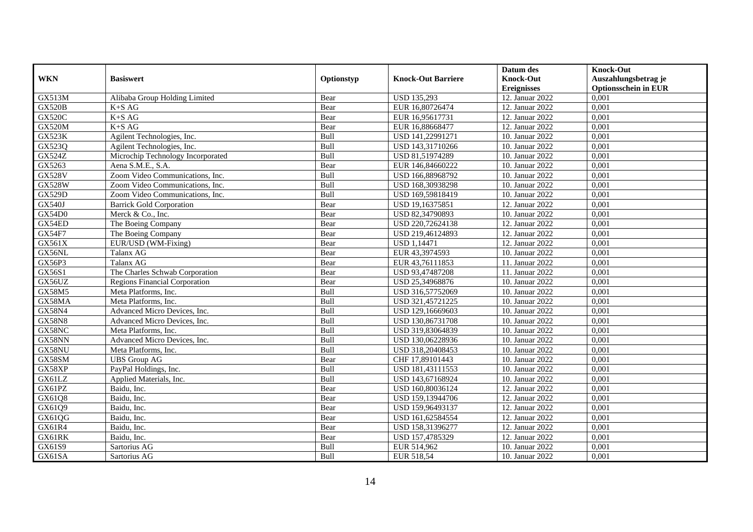|               |                                      |            |                           | Datum des          | <b>Knock-Out</b>            |
|---------------|--------------------------------------|------------|---------------------------|--------------------|-----------------------------|
| <b>WKN</b>    | <b>Basiswert</b>                     | Optionstyp | <b>Knock-Out Barriere</b> | <b>Knock-Out</b>   | Auszahlungsbetrag je        |
|               |                                      |            |                           | <b>Ereignisses</b> | <b>Optionsschein in EUR</b> |
| GX513M        | Alibaba Group Holding Limited        | Bear       | <b>USD 135,293</b>        | 12. Januar 2022    | 0,001                       |
| <b>GX520B</b> | $K+SAG$                              | Bear       | EUR 16,80726474           | 12. Januar 2022    | 0,001                       |
| <b>GX520C</b> | $K+SAG$                              | Bear       | EUR 16,95617731           | 12. Januar 2022    | 0,001                       |
| <b>GX520M</b> | $K+SAG$                              | Bear       | EUR 16,88668477           | 12. Januar 2022    | 0,001                       |
| <b>GX523K</b> | Agilent Technologies, Inc.           | Bull       | USD 141,22991271          | 10. Januar 2022    | 0,001                       |
| GX523Q        | Agilent Technologies, Inc.           | Bull       | USD 143,31710266          | 10. Januar 2022    | 0,001                       |
| <b>GX524Z</b> | Microchip Technology Incorporated    | Bull       | USD 81,51974289           | 10. Januar 2022    | 0,001                       |
| GX5263        | Aena S.M.E., S.A.                    | Bear       | EUR 146,84660222          | 10. Januar 2022    | 0,001                       |
| <b>GX528V</b> | Zoom Video Communications, Inc.      | Bull       | USD 166,88968792          | 10. Januar 2022    | 0,001                       |
| <b>GX528W</b> | Zoom Video Communications, Inc.      | Bull       | USD 168,30938298          | 10. Januar 2022    | 0,001                       |
| <b>GX529D</b> | Zoom Video Communications, Inc.      | Bull       | USD 169,59818419          | 10. Januar 2022    | 0,001                       |
| <b>GX540J</b> | <b>Barrick Gold Corporation</b>      | Bear       | USD 19,16375851           | 12. Januar 2022    | 0,001                       |
| GX54D0        | Merck & Co., Inc.                    | Bear       | USD 82,34790893           | 10. Januar 2022    | 0,001                       |
| GX54ED        | The Boeing Company                   | Bear       | USD 220,72624138          | 12. Januar 2022    | 0,001                       |
| <b>GX54F7</b> | The Boeing Company                   | Bear       | USD 219,46124893          | 12. Januar 2022    | 0,001                       |
| GX561X        | EUR/USD (WM-Fixing)                  | Bear       | <b>USD 1,14471</b>        | 12. Januar 2022    | 0,001                       |
| GX56NL        | Talanx AG                            | Bear       | EUR 43,3974593            | 10. Januar 2022    | 0,001                       |
| GX56P3        | Talanx AG                            | Bear       | EUR 43,76111853           | 11. Januar 2022    | 0.001                       |
| GX56S1        | The Charles Schwab Corporation       | Bear       | USD 93,47487208           | 11. Januar 2022    | 0,001                       |
| GX56UZ        | <b>Regions Financial Corporation</b> | Bear       | USD 25,34968876           | 10. Januar 2022    | 0,001                       |
| <b>GX58M5</b> | Meta Platforms, Inc.                 | Bull       | USD 316,57752069          | 10. Januar 2022    | 0,001                       |
| GX58MA        | Meta Platforms, Inc.                 | Bull       | USD 321,45721225          | 10. Januar 2022    | 0,001                       |
| <b>GX58N4</b> | Advanced Micro Devices, Inc.         | Bull       | USD 129,16669603          | 10. Januar 2022    | 0,001                       |
| <b>GX58N8</b> | Advanced Micro Devices, Inc.         | Bull       | USD 130,86731708          | 10. Januar 2022    | 0,001                       |
| GX58NC        | Meta Platforms, Inc.                 | Bull       | USD 319,83064839          | 10. Januar 2022    | 0,001                       |
| GX58NN        | Advanced Micro Devices, Inc.         | Bull       | USD 130,06228936          | 10. Januar 2022    | 0,001                       |
| GX58NU        | Meta Platforms, Inc.                 | Bull       | USD 318,20408453          | 10. Januar 2022    | 0,001                       |
| GX58SM        | <b>UBS</b> Group AG                  | Bear       | CHF 17,89101443           | 10. Januar 2022    | 0,001                       |
| GX58XP        | PayPal Holdings, Inc.                | Bull       | USD 181,43111553          | 10. Januar 2022    | 0,001                       |
| GX61LZ        | Applied Materials, Inc.              | Bull       | USD 143,67168924          | 10. Januar 2022    | 0,001                       |
| GX61PZ        | Baidu, Inc.                          | Bear       | USD 160,80036124          | 12. Januar 2022    | 0,001                       |
| GX61Q8        | Baidu, Inc.                          | Bear       | USD 159,13944706          | 12. Januar 2022    | 0,001                       |
| GX61Q9        | Baidu, Inc.                          | Bear       | USD 159,96493137          | 12. Januar 2022    | 0,001                       |
| GX61QG        | Baidu, Inc.                          | Bear       | USD 161,62584554          | 12. Januar 2022    | 0,001                       |
| GX61R4        | Baidu, Inc.                          | Bear       | USD 158,31396277          | 12. Januar 2022    | 0,001                       |
| GX61RK        | Baidu, Inc.                          | Bear       | USD 157,4785329           | 12. Januar 2022    | 0,001                       |
| GX61S9        | Sartorius AG                         | Bull       | EUR 514,962               | 10. Januar 2022    | 0,001                       |
| GX61SA        | Sartorius AG                         | Bull       | EUR 518,54                | 10. Januar 2022    | 0,001                       |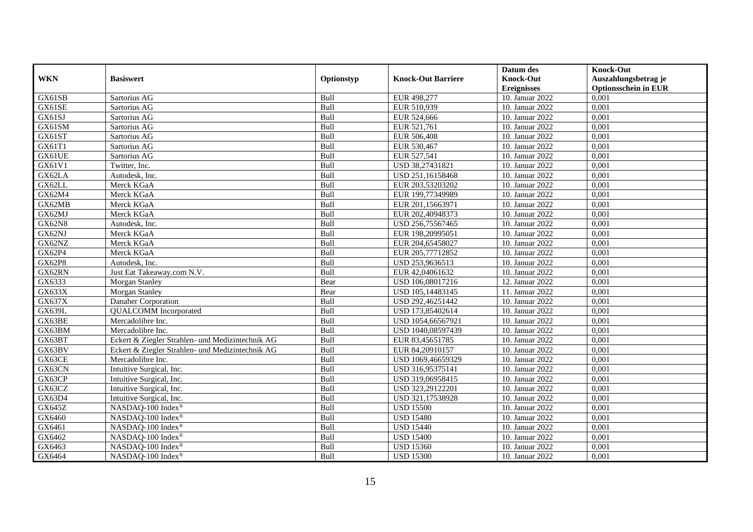|                     |                                                  |            |                           | Datum des          | <b>Knock-Out</b>            |
|---------------------|--------------------------------------------------|------------|---------------------------|--------------------|-----------------------------|
| <b>WKN</b>          | <b>Basiswert</b>                                 | Optionstyp | <b>Knock-Out Barriere</b> | <b>Knock-Out</b>   | Auszahlungsbetrag je        |
|                     |                                                  |            |                           | <b>Ereignisses</b> | <b>Optionsschein in EUR</b> |
| GX61SB              | Sartorius AG                                     | Bull       | EUR 498,277               | 10. Januar 2022    | 0,001                       |
| GX61SE              | Sartorius AG                                     | Bull       | EUR 510,939               | 10. Januar 2022    | 0,001                       |
| GX61SJ              | Sartorius AG                                     | Bull       | EUR 524,666               | 10. Januar 2022    | 0,001                       |
| GX61SM              | Sartorius AG                                     | Bull       | EUR 521,761               | 10. Januar 2022    | 0,001                       |
| GX61ST              | Sartorius AG                                     | Bull       | EUR 506,408               | 10. Januar 2022    | 0,001                       |
| GX61T1              | Sartorius AG                                     | Bull       | EUR 530,467               | 10. Januar 2022    | 0,001                       |
| GX61UE              | Sartorius AG                                     | Bull       | EUR 527,541               | 10. Januar 2022    | 0,001                       |
| GX61V1              | Twitter, Inc.                                    | Bull       | USD 38,27431821           | 10. Januar 2022    | 0,001                       |
| GX62LA              | Autodesk, Inc.                                   | Bull       | USD 251,16158468          | 10. Januar 2022    | 0,001                       |
| GX62LL              | Merck KGaA                                       | Bull       | EUR 203,53203202          | 10. Januar 2022    | 0,001                       |
| GX62M4              | Merck KGaA                                       | Bull       | EUR 199,77349989          | 10. Januar 2022    | 0,001                       |
| GX62MB              | Merck KGaA                                       | Bull       | EUR 201,15663971          | 10. Januar 2022    | 0,001                       |
| GX62MJ              | Merck KGaA                                       | Bull       | EUR 202,40948373          | 10. Januar 2022    | 0,001                       |
| <b>GX62N8</b>       | Autodesk. Inc.                                   | Bull       | USD 256,75567465          | 10. Januar 2022    | 0.001                       |
| GX62NJ              | Merck KGaA                                       | Bull       | EUR 198,20995051          | 10. Januar 2022    | 0,001                       |
| GX62NZ              | Merck KGaA                                       | Bull       | EUR 204,65458027          | 10. Januar 2022    | 0,001                       |
| GX62P4              | Merck KGaA                                       | Bull       | EUR 205,77712852          | 10. Januar 2022    | 0,001                       |
| <b>GX62P8</b>       | Autodesk, Inc.                                   | Bull       | USD 253,9636513           | 10. Januar 2022    | 0,001                       |
| GX62RN              | Just Eat Takeaway.com N.V.                       | Bull       | EUR 42,04061632           | 10. Januar 2022    | 0,001                       |
| GX6333              | <b>Morgan Stanley</b>                            | Bear       | USD 106,08017216          | 12. Januar 2022    | 0,001                       |
| GX633X              | Morgan Stanley                                   | Bear       | USD 105,14483145          | 11. Januar 2022    | 0,001                       |
| $G\overline{X637X}$ | Danaher Corporation                              | Bull       | USD 292,46251442          | 10. Januar 2022    | 0,001                       |
| <b>GX639L</b>       | <b>QUALCOMM</b> Incorporated                     | Bull       | USD 173,85402614          | 10. Januar 2022    | 0,001                       |
| GX63BE              | Mercadolibre Inc.                                | Bull       | USD 1054,66567921         | 10. Januar 2022    | 0,001                       |
| GX63BM              | Mercadolibre Inc.                                | Bull       | USD 1040,08597439         | 10. Januar 2022    | 0,001                       |
| GX63BT              | Eckert & Ziegler Strahlen- und Medizintechnik AG | Bull       | EUR 83,45651785           | 10. Januar 2022    | 0,001                       |
| GX63BV              | Eckert & Ziegler Strahlen- und Medizintechnik AG | Bull       | EUR 84,20910157           | 10. Januar 2022    | 0,001                       |
| GX63CE              | Mercadolibre Inc.                                | Bull       | USD 1069,46659329         | 10. Januar 2022    | 0,001                       |
| GX63CN              | Intuitive Surgical, Inc.                         | Bull       | USD 316,95375141          | 10. Januar 2022    | 0,001                       |
| GX63CP              | Intuitive Surgical, Inc.                         | Bull       | USD 319,06958415          | 10. Januar 2022    | 0,001                       |
| GX63CZ              | Intuitive Surgical, Inc.                         | Bull       | USD 323,29122201          | 10. Januar 2022    | 0,001                       |
| GX63D4              | Intuitive Surgical, Inc.                         | Bull       | USD 321,17538928          | 10. Januar 2022    | 0,001                       |
| GX645Z              | NASDAQ-100 Index®                                | Bull       | <b>USD 15500</b>          | 10. Januar 2022    | 0,001                       |
| GX6460              | NASDAQ-100 Index®                                | Bull       | <b>USD 15480</b>          | 10. Januar 2022    | 0,001                       |
| GX6461              | NASDAQ-100 Index®                                | Bull       | <b>USD 15440</b>          | 10. Januar 2022    | 0,001                       |
| GX6462              | NASDAQ-100 Index®                                | Bull       | <b>USD 15400</b>          | 10. Januar 2022    | 0,001                       |
| GX6463              | NASDAQ-100 Index®                                | Bull       | <b>USD 15360</b>          | 10. Januar 2022    | 0,001                       |
| GX6464              | NASDAQ-100 Index®                                | Bull       | <b>USD 15300</b>          | 10. Januar 2022    | 0,001                       |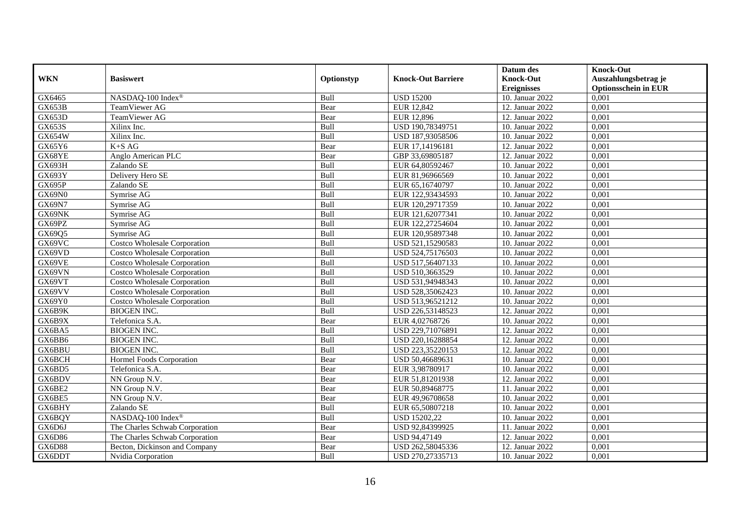|               |                                     |            |                           | Datum des          | <b>Knock-Out</b>            |
|---------------|-------------------------------------|------------|---------------------------|--------------------|-----------------------------|
| <b>WKN</b>    | <b>Basiswert</b>                    | Optionstyp | <b>Knock-Out Barriere</b> | <b>Knock-Out</b>   | Auszahlungsbetrag je        |
|               |                                     |            |                           | <b>Ereignisses</b> | <b>Optionsschein in EUR</b> |
| GX6465        | NASDAQ-100 Index®                   | Bull       | <b>USD 15200</b>          | 10. Januar 2022    | 0,001                       |
| GX653B        | TeamViewer AG                       | Bear       | EUR 12,842                | 12. Januar 2022    | 0,001                       |
| GX653D        | TeamViewer AG                       | Bear       | EUR 12,896                | 12. Januar 2022    | 0,001                       |
| GX653S        | Xilinx Inc.                         | Bull       | USD 190,78349751          | 10. Januar 2022    | 0,001                       |
| GX654W        | $\overline{X}$ ilinx Inc.           | Bull       | USD 187,93058506          | 10. Januar 2022    | 0,001                       |
| GX65Y6        | $K+SAG$                             | Bear       | EUR 17,14196181           | 12. Januar 2022    | 0,001                       |
| GX68YE        | Anglo American PLC                  | Bear       | GBP 33,69805187           | 12. Januar 2022    | 0,001                       |
| GX693H        | Zalando SE                          | Bull       | EUR 64,80592467           | 10. Januar 2022    | 0,001                       |
| GX693Y        | Delivery Hero SE                    | Bull       | EUR 81,96966569           | 10. Januar 2022    | 0,001                       |
| GX695P        | Zalando SE                          | Bull       | EUR 65,16740797           | 10. Januar 2022    | 0,001                       |
| GX69N0        | Symrise AG                          | Bull       | EUR 122,93434593          | 10. Januar 2022    | 0,001                       |
| GX69N7        | Symrise AG                          | Bull       | EUR 120,29717359          | 10. Januar 2022    | 0,001                       |
| GX69NK        | Symrise AG                          | Bull       | EUR 121,62077341          | 10. Januar 2022    | 0,001                       |
| GX69PZ        | Symrise AG                          | Bull       | EUR 122,27254604          | 10. Januar 2022    | 0,001                       |
| GX69Q5        | Symrise AG                          | Bull       | EUR 120,95897348          | 10. Januar 2022    | 0,001                       |
| GX69VC        | <b>Costco Wholesale Corporation</b> | Bull       | USD 521,15290583          | 10. Januar 2022    | 0,001                       |
| GX69VD        | <b>Costco Wholesale Corporation</b> | Bull       | USD 524,75176503          | 10. Januar 2022    | 0,001                       |
| GX69VE        | Costco Wholesale Corporation        | Bull       | USD 517,56407133          | 10. Januar 2022    | 0,001                       |
| GX69VN        | Costco Wholesale Corporation        | Bull       | USD 510,3663529           | 10. Januar 2022    | 0,001                       |
| GX69VT        | <b>Costco Wholesale Corporation</b> | Bull       | USD 531,94948343          | 10. Januar 2022    | 0,001                       |
| GX69VV        | <b>Costco Wholesale Corporation</b> | Bull       | USD 528,35062423          | 10. Januar 2022    | 0,001                       |
| GX69Y0        | <b>Costco Wholesale Corporation</b> | Bull       | USD 513,96521212          | 10. Januar 2022    | 0,001                       |
| GX6B9K        | <b>BIOGEN INC.</b>                  | Bull       | USD 226,53148523          | 12. Januar 2022    | 0,001                       |
| GX6B9X        | Telefonica S.A.                     | Bear       | EUR 4,02768726            | 10. Januar 2022    | 0,001                       |
| GX6BA5        | <b>BIOGEN INC.</b>                  | Bull       | USD 229,71076891          | 12. Januar 2022    | 0,001                       |
| GX6BB6        | <b>BIOGEN INC.</b>                  | Bull       | USD 220,16288854          | 12. Januar 2022    | 0,001                       |
| GX6BBU        | <b>BIOGEN INC.</b>                  | Bull       | USD 223,35220153          | 12. Januar 2022    | 0,001                       |
| GX6BCH        | Hormel Foods Corporation            | Bear       | USD 50,46689631           | 10. Januar 2022    | 0,001                       |
| GX6BD5        | Telefonica S.A.                     | Bear       | EUR 3,98780917            | 10. Januar 2022    | 0,001                       |
| GX6BDV        | NN Group N.V.                       | Bear       | EUR 51,81201938           | 12. Januar 2022    | 0,001                       |
| GX6BE2        | NN Group N.V.                       | Bear       | EUR 50,89468775           | 11. Januar 2022    | 0,001                       |
| GX6BE5        | NN Group N.V.                       | Bear       | EUR 49,96708658           | 10. Januar 2022    | 0,001                       |
| GX6BHY        | Zalando SE                          | Bull       | EUR 65,50807218           | 10. Januar 2022    | 0,001                       |
| GX6BQY        | NASDAQ-100 Index®                   | Bull       | <b>USD 15202,22</b>       | 10. Januar 2022    | 0,001                       |
| GX6D6J        | The Charles Schwab Corporation      | Bear       | USD 92,84399925           | 11. Januar 2022    | 0,001                       |
| GX6D86        | The Charles Schwab Corporation      | Bear       | USD 94,47149              | 12. Januar 2022    | 0,001                       |
| <b>GX6D88</b> | Becton, Dickinson and Company       | Bear       | USD 262,58045336          | 12. Januar 2022    | 0,001                       |
| GX6DDT        | Nvidia Corporation                  | Bull       | USD 270,27335713          | 10. Januar 2022    | 0,001                       |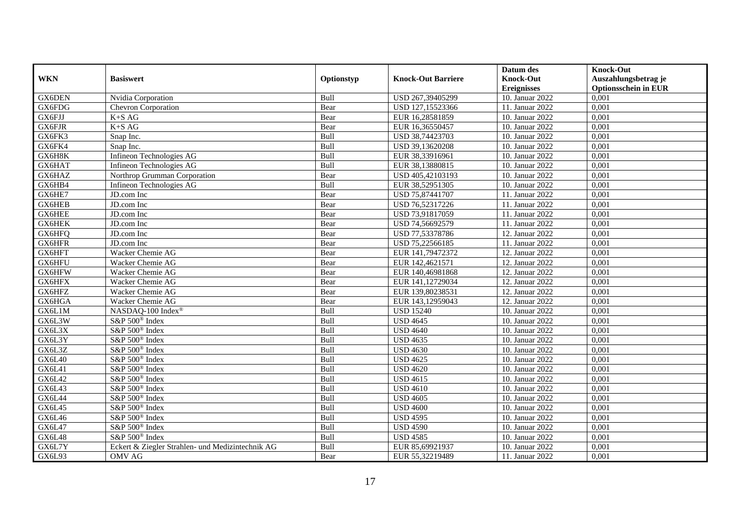|            |                                                  |            |                           | Datum des          | <b>Knock-Out</b>            |
|------------|--------------------------------------------------|------------|---------------------------|--------------------|-----------------------------|
| <b>WKN</b> | <b>Basiswert</b>                                 | Optionstyp | <b>Knock-Out Barriere</b> | <b>Knock-Out</b>   | Auszahlungsbetrag je        |
|            |                                                  |            |                           | <b>Ereignisses</b> | <b>Optionsschein in EUR</b> |
| GX6DEN     | Nvidia Corporation                               | Bull       | USD 267,39405299          | 10. Januar 2022    | 0,001                       |
| GX6FDG     | Chevron Corporation                              | Bear       | USD 127,15523366          | 11. Januar 2022    | 0,001                       |
| GX6FJJ     | $K+SAG$                                          | Bear       | EUR 16,28581859           | 10. Januar 2022    | 0,001                       |
| GX6FJR     | $K+SAG$                                          | Bear       | EUR 16,36550457           | 10. Januar 2022    | 0,001                       |
| GX6FK3     | Snap Inc.                                        | Bull       | USD 38,74423703           | 10. Januar 2022    | 0,001                       |
| GX6FK4     | Snap Inc.                                        | Bull       | USD 39,13620208           | 10. Januar 2022    | 0,001                       |
| GX6H8K     | Infineon Technologies AG                         | Bull       | EUR 38,33916961           | 10. Januar 2022    | 0,001                       |
| GX6HAT     | Infineon Technologies AG                         | Bull       | EUR 38,13880815           | 10. Januar 2022    | 0,001                       |
| GX6HAZ     | Northrop Grumman Corporation                     | Bear       | USD 405,42103193          | 10. Januar 2022    | 0,001                       |
| GX6HB4     | Infineon Technologies AG                         | Bull       | EUR 38,52951305           | 10. Januar 2022    | 0,001                       |
| GX6HE7     | JD.com Inc                                       | Bear       | USD 75,87441707           | 11. Januar 2022    | 0,001                       |
| GX6HEB     | JD.com Inc                                       | Bear       | USD 76,52317226           | 11. Januar 2022    | 0,001                       |
| GX6HEE     | JD.com Inc                                       | Bear       | USD 73,91817059           | 11. Januar 2022    | 0,001                       |
| GX6HEK     | JD.com Inc.                                      | Bear       | USD 74,56692579           | 11. Januar 2022    | 0.001                       |
| GX6HFQ     | JD.com Inc                                       | Bear       | USD 77,53378786           | 12. Januar 2022    | 0,001                       |
| GX6HFR     | JD.com Inc                                       | Bear       | USD 75,22566185           | 11. Januar 2022    | 0,001                       |
| GX6HFT     | Wacker Chemie AG                                 | Bear       | EUR 141,79472372          | 12. Januar 2022    | 0,001                       |
| GX6HFU     | Wacker Chemie AG                                 | Bear       | EUR 142,4621571           | 12. Januar 2022    | 0,001                       |
| GX6HFW     | Wacker Chemie AG                                 | Bear       | EUR 140,46981868          | 12. Januar 2022    | 0,001                       |
| GX6HFX     | Wacker Chemie AG                                 | Bear       | EUR 141,12729034          | 12. Januar 2022    | 0,001                       |
| GX6HFZ     | Wacker Chemie AG                                 | Bear       | EUR 139,80238531          | 12. Januar 2022    | 0,001                       |
| GX6HGA     | Wacker Chemie AG                                 | Bear       | EUR 143,12959043          | 12. Januar 2022    | 0,001                       |
| GX6L1M     | NASDAQ-100 Index®                                | Bull       | <b>USD 15240</b>          | 10. Januar 2022    | 0,001                       |
| GX6L3W     | S&P 500 <sup>®</sup> Index                       | Bull       | <b>USD 4645</b>           | 10. Januar 2022    | 0,001                       |
| GX6L3X     | S&P 500 <sup>®</sup> Index                       | Bull       | <b>USD 4640</b>           | 10. Januar 2022    | 0,001                       |
| GX6L3Y     | S&P 500 <sup>®</sup> Index                       | Bull       | <b>USD 4635</b>           | 10. Januar 2022    | 0,001                       |
| GX6L3Z     | S&P 500 <sup>®</sup> Index                       | Bull       | <b>USD 4630</b>           | 10. Januar 2022    | 0,001                       |
| GX6L40     | $S\&P 500^{\circ}$ Index                         | Bull       | <b>USD 4625</b>           | 10. Januar 2022    | 0,001                       |
| GX6L41     | S&P 500 <sup>®</sup> Index                       | Bull       | <b>USD 4620</b>           | 10. Januar 2022    | 0,001                       |
| GX6L42     | S&P 500 <sup>®</sup> Index                       | Bull       | <b>USD 4615</b>           | 10. Januar 2022    | 0,001                       |
| GX6L43     | S&P 500 <sup>®</sup> Index                       | Bull       | <b>USD 4610</b>           | 10. Januar 2022    | 0,001                       |
| GX6L44     | S&P 500 <sup>®</sup> Index                       | Bull       | <b>USD 4605</b>           | 10. Januar 2022    | 0,001                       |
| GX6L45     | S&P 500 <sup>®</sup> Index                       | Bull       | <b>USD 4600</b>           | 10. Januar 2022    | 0,001                       |
| GX6L46     | S&P 500 <sup>®</sup> Index                       | Bull       | <b>USD 4595</b>           | 10. Januar 2022    | 0,001                       |
| GX6L47     | S&P 500 <sup>®</sup> Index                       | Bull       | <b>USD 4590</b>           | 10. Januar 2022    | 0,001                       |
| GX6L48     | S&P 500® Index                                   | Bull       | <b>USD 4585</b>           | 10. Januar 2022    | 0,001                       |
| GX6L7Y     | Eckert & Ziegler Strahlen- und Medizintechnik AG | Bull       | EUR 85,69921937           | 10. Januar 2022    | 0,001                       |
| GX6L93     | OMV AG                                           | Bear       | EUR 55,32219489           | 11. Januar 2022    | 0,001                       |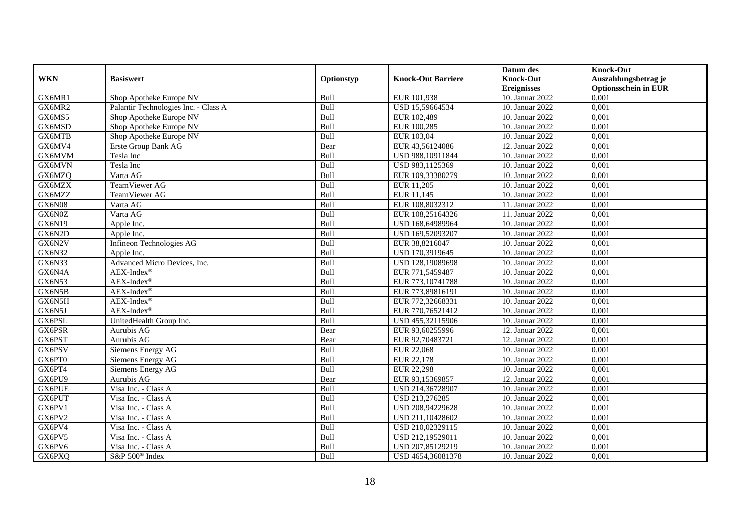|               |                                      |            |                           | Datum des          | <b>Knock-Out</b>            |
|---------------|--------------------------------------|------------|---------------------------|--------------------|-----------------------------|
| <b>WKN</b>    | <b>Basiswert</b>                     | Optionstyp | <b>Knock-Out Barriere</b> | <b>Knock-Out</b>   | Auszahlungsbetrag je        |
|               |                                      |            |                           | <b>Ereignisses</b> | <b>Optionsschein in EUR</b> |
| GX6MR1        | Shop Apotheke Europe NV              | Bull       | EUR 101,938               | 10. Januar 2022    | 0,001                       |
| GX6MR2        | Palantir Technologies Inc. - Class A | Bull       | USD 15,59664534           | 10. Januar 2022    | 0,001                       |
| GX6MS5        | Shop Apotheke Europe NV              | Bull       | EUR 102,489               | 10. Januar 2022    | 0,001                       |
| GX6MSD        | Shop Apotheke Europe NV              | Bull       | EUR 100,285               | 10. Januar 2022    | 0,001                       |
| GX6MTB        | Shop Apotheke Europe NV              | Bull       | EUR 103,04                | 10. Januar 2022    | 0,001                       |
| GX6MV4        | Erste Group Bank AG                  | Bear       | EUR 43,56124086           | 12. Januar 2022    | 0,001                       |
| GX6MVM        | Tesla Inc                            | Bull       | USD 988,10911844          | 10. Januar 2022    | 0.001                       |
| GX6MVN        | Tesla Inc                            | Bull       | USD 983,1125369           | 10. Januar 2022    | 0,001                       |
| GX6MZQ        | Varta AG                             | Bull       | EUR 109,33380279          | 10. Januar 2022    | 0,001                       |
| GX6MZX        | TeamViewer AG                        | Bull       | EUR 11,205                | 10. Januar 2022    | 0,001                       |
| GX6MZZ        | TeamViewer AG                        | Bull       | EUR 11,145                | 10. Januar 2022    | 0,001                       |
| <b>GX6N08</b> | Varta AG                             | Bull       | EUR 108,8032312           | 11. Januar 2022    | 0,001                       |
| GX6N0Z        | Varta AG                             | Bull       | EUR 108,25164326          | 11. Januar 2022    | 0,001                       |
| GX6N19        | Apple Inc.                           | Bull       | USD 168,64989964          | 10. Januar 2022    | 0,001                       |
| GX6N2D        | Apple Inc.                           | Bull       | USD 169,52093207          | 10. Januar 2022    | 0,001                       |
| GX6N2V        | Infineon Technologies AG             | Bull       | EUR 38,8216047            | 10. Januar 2022    | 0,001                       |
| <b>GX6N32</b> | Apple Inc.                           | Bull       | USD 170,3919645           | 10. Januar 2022    | 0,001                       |
| <b>GX6N33</b> | Advanced Micro Devices, Inc.         | Bull       | USD 128,19089698          | 10. Januar 2022    | 0.001                       |
| GX6N4A        | $AEX-Index^{\circledR}$              | Bull       | EUR 771,5459487           | 10. Januar 2022    | 0,001                       |
| <b>GX6N53</b> | $AEX-Index^{\circledR}$              | Bull       | EUR 773,10741788          | 10. Januar 2022    | 0,001                       |
| GX6N5B        | $AEX-Index^{\circledR}$              | Bull       | EUR 773,89816191          | 10. Januar 2022    | 0,001                       |
| GX6N5H        | $AEX$ -Index <sup>®</sup>            | Bull       | EUR 772,32668331          | 10. Januar 2022    | 0,001                       |
| GX6N5J        | $AEX-Index^{\circledR}$              | Bull       | EUR 770,76521412          | 10. Januar 2022    | 0,001                       |
| GX6PSL        | UnitedHealth Group Inc.              | Bull       | USD 455,32115906          | 10. Januar 2022    | 0,001                       |
| GX6PSR        | Aurubis AG                           | Bear       | EUR 93,60255996           | 12. Januar 2022    | 0,001                       |
| GX6PST        | Aurubis AG                           | Bear       | EUR 92,70483721           | 12. Januar 2022    | 0,001                       |
| GX6PSV        | Siemens Energy AG                    | Bull       | <b>EUR 22,068</b>         | 10. Januar 2022    | 0,001                       |
| GX6PT0        | Siemens Energy AG                    | Bull       | EUR 22,178                | 10. Januar 2022    | 0,001                       |
| GX6PT4        | Siemens Energy AG                    | Bull       | <b>EUR 22,298</b>         | 10. Januar 2022    | 0,001                       |
| GX6PU9        | Aurubis AG                           | Bear       | EUR 93,15369857           | 12. Januar 2022    | 0,001                       |
| GX6PUE        | Visa Inc. - Class A                  | Bull       | USD 214,36728907          | 10. Januar 2022    | 0,001                       |
| GX6PUT        | Visa Inc. - Class A                  | Bull       | USD 213,276285            | 10. Januar 2022    | 0,001                       |
| GX6PV1        | Visa Inc. - Class A                  | Bull       | USD 208,94229628          | 10. Januar 2022    | 0,001                       |
| GX6PV2        | Visa Inc. - Class A                  | Bull       | USD 211,10428602          | 10. Januar 2022    | 0,001                       |
| GX6PV4        | Visa Inc. - Class A                  | Bull       | USD 210,02329115          | 10. Januar 2022    | 0,001                       |
| GX6PV5        | Visa Inc. - Class A                  | Bull       | USD 212,19529011          | 10. Januar 2022    | 0,001                       |
| GX6PV6        | Visa Inc. - Class A                  | Bull       | USD 207,85129219          | 10. Januar 2022    | 0,001                       |
| GX6PXQ        | S&P 500 <sup>®</sup> Index           | Bull       | USD 4654,36081378         | 10. Januar 2022    | 0,001                       |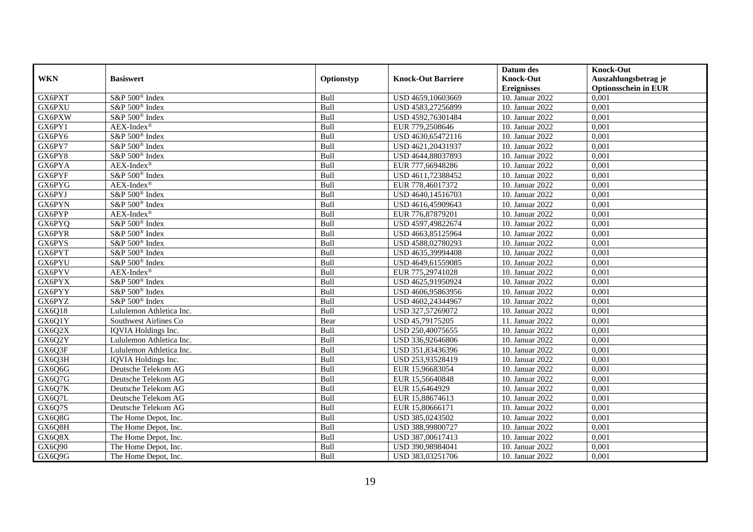|            |                            |            |                           | Datum des          | <b>Knock-Out</b>            |
|------------|----------------------------|------------|---------------------------|--------------------|-----------------------------|
| <b>WKN</b> | <b>Basiswert</b>           | Optionstyp | <b>Knock-Out Barriere</b> | <b>Knock-Out</b>   | Auszahlungsbetrag je        |
|            |                            |            |                           | <b>Ereignisses</b> | <b>Optionsschein in EUR</b> |
| GX6PXT     | S&P 500 <sup>®</sup> Index | Bull       | USD 4659,10603669         | 10. Januar 2022    | 0,001                       |
| GX6PXU     | S&P 500 <sup>®</sup> Index | Bull       | USD 4583,27256899         | 10. Januar 2022    | 0,001                       |
| GX6PXW     | S&P 500 <sup>®</sup> Index | Bull       | USD 4592,76301484         | 10. Januar 2022    | 0,001                       |
| GX6PY1     | $AEX-Index^{\circledR}$    | Bull       | EUR 779,2508646           | 10. Januar 2022    | 0,001                       |
| GX6PY6     | S&P 500 <sup>®</sup> Index | Bull       | USD 4630,65472116         | 10. Januar 2022    | 0,001                       |
| GX6PY7     | S&P 500 <sup>®</sup> Index | Bull       | USD 4621,20431937         | 10. Januar 2022    | 0,001                       |
| GX6PY8     | S&P 500 <sup>®</sup> Index | Bull       | USD 4644,88037893         | 10. Januar 2022    | 0,001                       |
| GX6PYA     | $AEX-Index^{\circledR}$    | Bull       | EUR 777,66948286          | 10. Januar 2022    | 0,001                       |
| GX6PYF     | S&P 500® Index             | Bull       | USD 4611,72388452         | 10. Januar 2022    | 0,001                       |
| GX6PYG     | AEX-Index®                 | Bull       | EUR 778,46017372          | 10. Januar 2022    | 0,001                       |
| GX6PYJ     | S&P 500 <sup>®</sup> Index | Bull       | USD 4640,14516703         | 10. Januar 2022    | 0,001                       |
| GX6PYN     | S&P 500 <sup>®</sup> Index | Bull       | USD 4616,45909643         | 10. Januar 2022    | 0,001                       |
| GX6PYP     | $AEX-Index^{\circledR}$    | Bull       | EUR 776,87879201          | 10. Januar 2022    | 0,001                       |
| GX6PYQ     | S&P 500 <sup>®</sup> Index | Bull       | USD 4597,49822674         | 10. Januar 2022    | 0.001                       |
| GX6PYR     | S&P 500 <sup>®</sup> Index | Bull       | USD 4663,85125964         | 10. Januar 2022    | 0,001                       |
| GX6PYS     | S&P 500 <sup>®</sup> Index | Bull       | USD 4588,02780293         | 10. Januar 2022    | 0,001                       |
| GX6PYT     | S&P 500 <sup>®</sup> Index | Bull       | USD 4635,39994408         | 10. Januar 2022    | 0,001                       |
| GX6PYU     | S&P 500 <sup>®</sup> Index | Bull       | USD 4649,61559085         | 10. Januar 2022    | 0,001                       |
| GX6PYV     | $AEX-Index^{\circledR}$    | Bull       | EUR 775,29741028          | 10. Januar 2022    | 0,001                       |
| GX6PYX     | S&P 500 <sup>®</sup> Index | Bull       | USD 4625,91950924         | 10. Januar 2022    | 0,001                       |
| GX6PYY     | S&P 500 <sup>®</sup> Index | Bull       | USD 4606,95863956         | 10. Januar 2022    | 0,001                       |
| GX6PYZ     | S&P 500 <sup>®</sup> Index | Bull       | USD 4602,24344967         | 10. Januar 2022    | 0,001                       |
| GX6Q18     | Lululemon Athletica Inc.   | Bull       | USD 327,57269072          | 10. Januar 2022    | 0,001                       |
| GX6Q1Y     | Southwest Airlines Co      | Bear       | USD 45,79175205           | 11. Januar 2022    | 0,001                       |
| GX6Q2X     | IQVIA Holdings Inc.        | Bull       | USD 250,40075655          | 10. Januar 2022    | 0,001                       |
| GX6Q2Y     | Lululemon Athletica Inc.   | Bull       | USD 336,92646806          | 10. Januar 2022    | 0,001                       |
| GX6Q3F     | Lululemon Athletica Inc.   | Bull       | USD 351,83436396          | 10. Januar 2022    | 0,001                       |
| GX6Q3H     | IQVIA Holdings Inc.        | Bull       | USD 253,93528419          | 10. Januar 2022    | 0,001                       |
| GX6Q6G     | Deutsche Telekom AG        | Bull       | EUR 15,96683054           | 10. Januar 2022    | 0,001                       |
| GX6Q7G     | Deutsche Telekom AG        | Bull       | EUR 15,56640848           | 10. Januar 2022    | 0,001                       |
| GX6Q7K     | Deutsche Telekom AG        | Bull       | EUR 15,6464929            | 10. Januar 2022    | 0,001                       |
| GX6Q7L     | Deutsche Telekom AG        | Bull       | EUR 15,88674613           | 10. Januar 2022    | 0,001                       |
| GX6Q7S     | Deutsche Telekom AG        | Bull       | EUR 15,80666171           | 10. Januar 2022    | 0,001                       |
| GX6Q8G     | The Home Depot, Inc.       | Bull       | USD 385,0243502           | 10. Januar 2022    | 0,001                       |
| GX6Q8H     | The Home Depot, Inc.       | Bull       | USD 388,99800727          | 10. Januar 2022    | 0,001                       |
| GX6Q8X     | The Home Depot, Inc.       | Bull       | USD 387,00617413          | 10. Januar 2022    | 0,001                       |
| GX6Q90     | The Home Depot, Inc.       | Bull       | USD 390,98984041          | 10. Januar 2022    | 0,001                       |
| GX6Q9G     | The Home Depot, Inc.       | Bull       | USD 383,03251706          | 10. Januar 2022    | 0,001                       |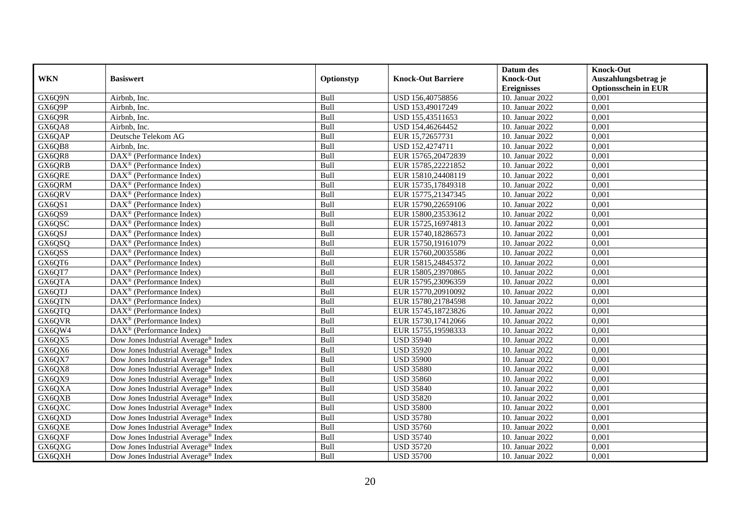|            |                                                   |            |                           | Datum des          | <b>Knock-Out</b>            |
|------------|---------------------------------------------------|------------|---------------------------|--------------------|-----------------------------|
| <b>WKN</b> | <b>Basiswert</b>                                  | Optionstyp | <b>Knock-Out Barriere</b> | <b>Knock-Out</b>   | Auszahlungsbetrag je        |
|            |                                                   |            |                           | <b>Ereignisses</b> | <b>Optionsschein in EUR</b> |
| GX6Q9N     | Airbnb, Inc.                                      | Bull       | USD 156,40758856          | 10. Januar 2022    | 0,001                       |
| GX6Q9P     | Airbnb, Inc.                                      | Bull       | USD 153,49017249          | 10. Januar 2022    | 0,001                       |
| GX6Q9R     | Airbnb, Inc.                                      | Bull       | USD 155,43511653          | 10. Januar 2022    | 0,001                       |
| GX6QA8     | Airbnb, Inc.                                      | Bull       | USD 154,46264452          | 10. Januar 2022    | 0,001                       |
| GX6QAP     | Deutsche Telekom AG                               | Bull       | EUR 15,72657731           | 10. Januar 2022    | 0,001                       |
| GX6QB8     | Airbnb. Inc.                                      | Bull       | USD 152,4274711           | 10. Januar 2022    | 0,001                       |
| GX6QR8     | $DAX^{\circledR}$ (Performance Index)             | Bull       | EUR 15765,20472839        | 10. Januar 2022    | 0,001                       |
| GX6QRB     | $DAX^{\circledast}$ (Performance Index)           | Bull       | EUR 15785,22221852        | 10. Januar 2022    | 0,001                       |
| GX6QRE     | $DAX^{\circledast}$ (Performance Index)           | Bull       | EUR 15810,24408119        | 10. Januar 2022    | 0,001                       |
| GX6QRM     | $DAX^{\circledR}$ (Performance Index)             | Bull       | EUR 15735,17849318        | 10. Januar 2022    | 0,001                       |
| GX6QRV     | $\text{DAX}^{\textcircled{}}$ (Performance Index) | Bull       | EUR 15775,21347345        | 10. Januar 2022    | 0,001                       |
| GX6QS1     | $\text{DAX}^{\circledast}$ (Performance Index)    | Bull       | EUR 15790,22659106        | 10. Januar 2022    | 0,001                       |
| GX6QS9     | $DAX^{\circledast}$ (Performance Index)           | Bull       | EUR 15800,23533612        | 10. Januar 2022    | 0,001                       |
| GX6QSC     | DAX <sup>®</sup> (Performance Index)              | Bull       | EUR 15725,16974813        | 10. Januar 2022    | 0.001                       |
| GX6QSJ     | DAX <sup>®</sup> (Performance Index)              | Bull       | EUR 15740,18286573        | 10. Januar 2022    | 0,001                       |
| GX6QSQ     | DAX <sup>®</sup> (Performance Index)              | Bull       | EUR 15750,19161079        | 10. Januar 2022    | 0,001                       |
| GX6QSS     | DAX <sup>®</sup> (Performance Index)              | Bull       | EUR 15760,20035586        | 10. Januar 2022    | 0,001                       |
| GX6QT6     | $DAX^{\circledast}$ (Performance Index)           | Bull       | EUR 15815,24845372        | 10. Januar 2022    | 0,001                       |
| GX6QT7     | $DAX^{\circledast}$ (Performance Index)           | Bull       | EUR 15805,23970865        | 10. Januar 2022    | 0,001                       |
| GX6QTA     | $DAX^{\circledast}$ (Performance Index)           | Bull       | EUR 15795,23096359        | 10. Januar 2022    | 0,001                       |
| GX6QTJ     | $DAX^{\circledast}$ (Performance Index)           | Bull       | EUR 15770,20910092        | 10. Januar 2022    | 0,001                       |
| GX6QTN     | $DAX^{\circledcirc}$ (Performance Index)          | Bull       | EUR 15780,21784598        | 10. Januar 2022    | 0,001                       |
| GX6QTQ     | $\text{DAX}^{\otimes}$ (Performance Index)        | Bull       | EUR 15745,18723826        | 10. Januar 2022    | 0,001                       |
| GX6QVR     | DAX <sup>®</sup> (Performance Index)              | Bull       | EUR 15730,17412066        | 10. Januar 2022    | 0,001                       |
| GX6QW4     | $DAX^{\circledcirc}$ (Performance Index)          | Bull       | EUR 15755,19598333        | 10. Januar 2022    | 0,001                       |
| GX6QX5     | Dow Jones Industrial Average® Index               | Bull       | <b>USD 35940</b>          | 10. Januar 2022    | 0,001                       |
| GX6QX6     | Dow Jones Industrial Average® Index               | Bull       | <b>USD 35920</b>          | 10. Januar 2022    | 0,001                       |
| GX6QX7     | Dow Jones Industrial Average <sup>®</sup> Index   | Bull       | <b>USD 35900</b>          | 10. Januar 2022    | 0,001                       |
| GX6QX8     | Dow Jones Industrial Average® Index               | Bull       | <b>USD 35880</b>          | 10. Januar 2022    | 0,001                       |
| GX6QX9     | Dow Jones Industrial Average <sup>®</sup> Index   | Bull       | <b>USD 35860</b>          | 10. Januar 2022    | 0,001                       |
| GX6QXA     | Dow Jones Industrial Average <sup>®</sup> Index   | Bull       | <b>USD 35840</b>          | 10. Januar 2022    | 0,001                       |
| GX6QXB     | Dow Jones Industrial Average <sup>®</sup> Index   | Bull       | <b>USD 35820</b>          | 10. Januar 2022    | 0,001                       |
| GX6QXC     | Dow Jones Industrial Average <sup>®</sup> Index   | Bull       | <b>USD 35800</b>          | 10. Januar 2022    | 0,001                       |
| GX6QXD     | Dow Jones Industrial Average® Index               | Bull       | <b>USD 35780</b>          | 10. Januar 2022    | 0,001                       |
| GX6QXE     | Dow Jones Industrial Average <sup>®</sup> Index   | Bull       | <b>USD 35760</b>          | 10. Januar 2022    | 0,001                       |
| GX6QXF     | Dow Jones Industrial Average <sup>®</sup> Index   | Bull       | <b>USD 35740</b>          | 10. Januar 2022    | 0,001                       |
| GX6QXG     | Dow Jones Industrial Average® Index               | Bull       | <b>USD 35720</b>          | 10. Januar 2022    | 0,001                       |
| GX6QXH     | Dow Jones Industrial Average® Index               | Bull       | <b>USD 35700</b>          | 10. Januar 2022    | 0,001                       |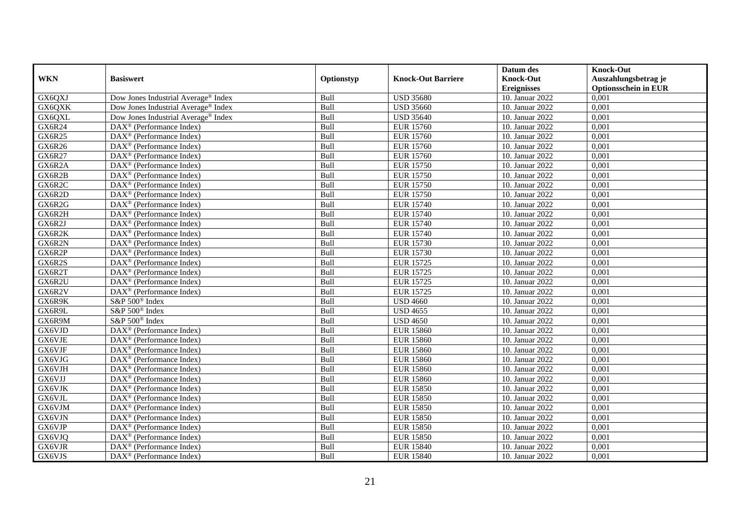|               |                                                       |            |                           | Datum des          | <b>Knock-Out</b>            |
|---------------|-------------------------------------------------------|------------|---------------------------|--------------------|-----------------------------|
| <b>WKN</b>    | <b>Basiswert</b>                                      | Optionstyp | <b>Knock-Out Barriere</b> | <b>Knock-Out</b>   | Auszahlungsbetrag je        |
|               |                                                       |            |                           | <b>Ereignisses</b> | <b>Optionsschein in EUR</b> |
| GX6QXJ        | Dow Jones Industrial Average® Index                   | Bull       | <b>USD 35680</b>          | 10. Januar 2022    | 0,001                       |
| GX6QXK        | Dow Jones Industrial Average® Index                   | Bull       | <b>USD 35660</b>          | 10. Januar 2022    | 0,001                       |
| GX6QXL        | Dow Jones Industrial Average <sup>®</sup> Index       | Bull       | <b>USD 35640</b>          | 10. Januar 2022    | 0,001                       |
| GX6R24        | $\text{DAX}^{\circledast}$ (Performance Index)        | Bull       | <b>EUR 15760</b>          | 10. Januar 2022    | 0,001                       |
| GX6R25        | DAX <sup>®</sup> (Performance Index)                  | Bull       | <b>EUR 15760</b>          | 10. Januar 2022    | 0,001                       |
| <b>GX6R26</b> | $DAX^{\circledR}$ (Performance Index)                 | Bull       | <b>EUR 15760</b>          | 10. Januar 2022    | 0,001                       |
| <b>GX6R27</b> | $DAX^{\circledR}$ (Performance Index)                 | Bull       | <b>EUR 15760</b>          | 10. Januar 2022    | 0,001                       |
| GX6R2A        | DAX <sup>®</sup> (Performance Index)                  | Bull       | <b>EUR 15750</b>          | 10. Januar 2022    | 0,001                       |
| GX6R2B        | $DAX^{\circledast}$ (Performance Index)               | Bull       | <b>EUR 15750</b>          | 10. Januar 2022    | 0,001                       |
| GX6R2C        | DAX <sup>®</sup> (Performance Index)                  | Bull       | <b>EUR 15750</b>          | 10. Januar 2022    | 0,001                       |
| GX6R2D        | $\overline{\text{DAX}^{\otimes}}$ (Performance Index) | Bull       | <b>EUR 15750</b>          | 10. Januar 2022    | 0,001                       |
| GX6R2G        | DAX <sup>®</sup> (Performance Index)                  | Bull       | <b>EUR 15740</b>          | 10. Januar 2022    | 0,001                       |
| GX6R2H        | $\text{DAX}^{\otimes}$ (Performance Index)            | Bull       | <b>EUR 15740</b>          | 10. Januar 2022    | 0,001                       |
| GX6R2J        | DAX <sup>®</sup> (Performance Index)                  | Bull       | <b>EUR 15740</b>          | 10. Januar 2022    | 0,001                       |
| GX6R2K        | DAX <sup>®</sup> (Performance Index)                  | Bull       | <b>EUR 15740</b>          | 10. Januar 2022    | 0,001                       |
| GX6R2N        | DAX <sup>®</sup> (Performance Index)                  | Bull       | <b>EUR 15730</b>          | 10. Januar 2022    | 0,001                       |
| GX6R2P        | DAX <sup>®</sup> (Performance Index)                  | Bull       | <b>EUR 15730</b>          | 10. Januar 2022    | 0,001                       |
| GX6R2S        | $DAX^{\circledast}$ (Performance Index)               | Bull       | <b>EUR 15725</b>          | 10. Januar 2022    | 0,001                       |
| GX6R2T        | $DAX^{\circledast}$ (Performance Index)               | Bull       | <b>EUR 15725</b>          | 10. Januar 2022    | 0,001                       |
| GX6R2U        | $\text{DAX}^{\otimes}$ (Performance Index)            | Bull       | <b>EUR 15725</b>          | 10. Januar 2022    | 0,001                       |
| GX6R2V        | $DAX^{\circledast}$ (Performance Index)               | Bull       | <b>EUR 15725</b>          | 10. Januar 2022    | 0,001                       |
| GX6R9K        | S&P 500 <sup>®</sup> Index                            | Bull       | <b>USD 4660</b>           | 10. Januar 2022    | 0,001                       |
| GX6R9L        | S&P 500 <sup>®</sup> Index                            | Bull       | <b>USD</b> 4655           | 10. Januar 2022    | 0,001                       |
| GX6R9M        | $S\&P 500^{\circ}$ Index                              | Bull       | <b>USD 4650</b>           | 10. Januar 2022    | 0,001                       |
| GX6VJD        | $\text{DAX}^{\otimes}$ (Performance Index)            | Bull       | <b>EUR 15860</b>          | 10. Januar 2022    | 0,001                       |
| GX6VJE        | $DAX^{\circledast}$ (Performance Index)               | Bull       | <b>EUR 15860</b>          | 10. Januar 2022    | 0,001                       |
| GX6VJF        | $\overline{\text{DAX}^{\otimes}}$ (Performance Index) | Bull       | <b>EUR 15860</b>          | 10. Januar 2022    | 0,001                       |
| GX6VJG        | DAX <sup>®</sup> (Performance Index)                  | Bull       | <b>EUR 15860</b>          | 10. Januar 2022    | 0,001                       |
| GX6VJH        | $DAX^{\circledast}$ (Performance Index)               | Bull       | <b>EUR 15860</b>          | 10. Januar 2022    | 0,001                       |
| GX6VJJ        | $\text{DAX}^{\textcircled{}}$ (Performance Index)     | Bull       | <b>EUR 15860</b>          | 10. Januar 2022    | 0,001                       |
| GX6VJK        | $DAX^{\circledR}$ (Performance Index)                 | Bull       | <b>EUR 15850</b>          | 10. Januar 2022    | 0,001                       |
| GX6VJL        | DAX <sup>®</sup> (Performance Index)                  | Bull       | <b>EUR 15850</b>          | 10. Januar 2022    | 0,001                       |
| GX6VJM        | $DAX^{\circledR}$ (Performance Index)                 | Bull       | <b>EUR 15850</b>          | 10. Januar 2022    | 0,001                       |
| GX6VJN        | $\overline{\text{DAX}^{\otimes}}$ (Performance Index) | Bull       | <b>EUR 15850</b>          | 10. Januar 2022    | 0,001                       |
| GX6VJP        | $\text{DAX}^{\circledast}$ (Performance Index)        | Bull       | <b>EUR 15850</b>          | 10. Januar 2022    | 0,001                       |
| GX6VJQ        | $\text{DAX}^{\otimes}$ (Performance Index)            | Bull       | <b>EUR 15850</b>          | 10. Januar 2022    | 0,001                       |
| GX6VJR        | $DAX^{\circledast}$ (Performance Index)               | Bull       | <b>EUR 15840</b>          | 10. Januar 2022    | 0,001                       |
| GX6VJS        | $\text{DAX}^{\circledast}$ (Performance Index)        | Bull       | <b>EUR 15840</b>          | 10. Januar 2022    | 0,001                       |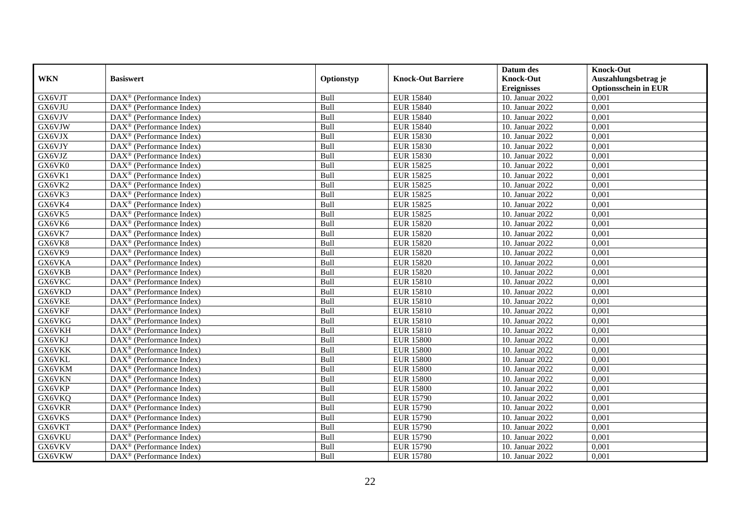|               |                                                       |            |                           | Datum des          | <b>Knock-Out</b>            |
|---------------|-------------------------------------------------------|------------|---------------------------|--------------------|-----------------------------|
| <b>WKN</b>    | <b>Basiswert</b>                                      | Optionstyp | <b>Knock-Out Barriere</b> | <b>Knock-Out</b>   | Auszahlungsbetrag je        |
|               |                                                       |            |                           | <b>Ereignisses</b> | <b>Optionsschein in EUR</b> |
| GX6VJT        | DAX <sup>®</sup> (Performance Index)                  | Bull       | <b>EUR 15840</b>          | 10. Januar 2022    | 0,001                       |
| GX6VJU        | $DAX^{\circledast}$ (Performance Index)               | Bull       | <b>EUR 15840</b>          | 10. Januar 2022    | 0,001                       |
| GX6VJV        | $DAX^{\circledcirc}$ (Performance Index)              | Bull       | <b>EUR 15840</b>          | 10. Januar 2022    | 0,001                       |
| GX6VJW        | $\text{DAX}^{\otimes}$ (Performance Index)            | Bull       | <b>EUR 15840</b>          | 10. Januar 2022    | 0,001                       |
| GX6VJX        | DAX <sup>®</sup> (Performance Index)                  | Bull       | <b>EUR 15830</b>          | 10. Januar 2022    | 0,001                       |
| GX6VJY        | $DAX^{\circledR}$ (Performance Index)                 | Bull       | <b>EUR 15830</b>          | 10. Januar 2022    | 0,001                       |
| GX6VJZ        | $DAX^{\circledR}$ (Performance Index)                 | Bull       | <b>EUR 15830</b>          | 10. Januar 2022    | 0,001                       |
| GX6VK0        | DAX <sup>®</sup> (Performance Index)                  | Bull       | <b>EUR 15825</b>          | 10. Januar 2022    | 0,001                       |
| GX6VK1        | $DAX^{\circledast}$ (Performance Index)               | Bull       | <b>EUR 15825</b>          | 10. Januar 2022    | 0,001                       |
| GX6VK2        | DAX <sup>®</sup> (Performance Index)                  | Bull       | <b>EUR 15825</b>          | 10. Januar 2022    | 0,001                       |
| GX6VK3        | $\overline{\text{DAX}^{\otimes}}$ (Performance Index) | Bull       | <b>EUR 15825</b>          | 10. Januar 2022    | 0,001                       |
| GX6VK4        | $\text{DAX}^{\circledast}$ (Performance Index)        | Bull       | <b>EUR 15825</b>          | 10. Januar 2022    | 0,001                       |
| GX6VK5        | $\text{DAX}^{\otimes}$ (Performance Index)            | Bull       | <b>EUR 15825</b>          | 10. Januar 2022    | 0,001                       |
| GX6VK6        | DAX <sup>®</sup> (Performance Index)                  | Bull       | <b>EUR 15820</b>          | 10. Januar 2022    | 0.001                       |
| GX6VK7        | DAX <sup>®</sup> (Performance Index)                  | Bull       | <b>EUR 15820</b>          | 10. Januar 2022    | 0,001                       |
| GX6VK8        | DAX <sup>®</sup> (Performance Index)                  | Bull       | <b>EUR 15820</b>          | 10. Januar 2022    | 0,001                       |
| GX6VK9        | DAX <sup>®</sup> (Performance Index)                  | Bull       | <b>EUR 15820</b>          | 10. Januar 2022    | 0,001                       |
| GX6VKA        | $DAX^{\circledast}$ (Performance Index)               | Bull       | <b>EUR 15820</b>          | 10. Januar 2022    | 0,001                       |
| GX6VKB        | $DAX^{\circledast}$ (Performance Index)               | Bull       | <b>EUR 15820</b>          | 10. Januar 2022    | 0,001                       |
| GX6VKC        | $\text{DAX}^{\otimes}$ (Performance Index)            | Bull       | <b>EUR 15810</b>          | 10. Januar 2022    | 0,001                       |
| GX6VKD        | $\text{DAX}^{\otimes}$ (Performance Index)            | Bull       | <b>EUR 15810</b>          | 10. Januar 2022    | 0,001                       |
| GX6VKE        | $DAX^{\circledcirc}$ (Performance Index)              | Bull       | <b>EUR 15810</b>          | 10. Januar 2022    | 0,001                       |
| GX6VKF        | $DAX^{\circledR}$ (Performance Index)                 | Bull       | <b>EUR 15810</b>          | 10. Januar 2022    | 0,001                       |
| GX6VKG        | DAX <sup>®</sup> (Performance Index)                  | Bull       | <b>EUR 15810</b>          | 10. Januar 2022    | 0,001                       |
| GX6VKH        | $DAX^{\circledcirc}$ (Performance Index)              | Bull       | <b>EUR 15810</b>          | 10. Januar 2022    | 0,001                       |
| GX6VKJ        | $DAX^{\circledast}$ (Performance Index)               | Bull       | <b>EUR 15800</b>          | 10. Januar 2022    | 0,001                       |
| GX6VKK        | $\overline{\text{DAX}^{\otimes}}$ (Performance Index) | Bull       | <b>EUR 15800</b>          | 10. Januar 2022    | 0,001                       |
| GX6VKL        | DAX <sup>®</sup> (Performance Index)                  | Bull       | <b>EUR 15800</b>          | 10. Januar 2022    | 0,001                       |
| GX6VKM        | $DAX^{\circledast}$ (Performance Index)               | Bull       | <b>EUR 15800</b>          | 10. Januar 2022    | 0,001                       |
| GX6VKN        | $DAX^{\circledast}$ (Performance Index)               | Bull       | <b>EUR 15800</b>          | 10. Januar 2022    | 0,001                       |
| GX6VKP        | $DAX^{\circledR}$ (Performance Index)                 | Bull       | <b>EUR 15800</b>          | 10. Januar 2022    | 0,001                       |
| GX6VKQ        | DAX <sup>®</sup> (Performance Index)                  | Bull       | <b>EUR 15790</b>          | 10. Januar 2022    | 0,001                       |
| <b>GX6VKR</b> | $DAX^{\circledR}$ (Performance Index)                 | Bull       | <b>EUR 15790</b>          | 10. Januar 2022    | 0,001                       |
| GX6VKS        | DAX <sup>®</sup> (Performance Index)                  | Bull       | <b>EUR 15790</b>          | 10. Januar 2022    | 0,001                       |
| GX6VKT        | $\text{DAX}^{\otimes}$ (Performance Index)            | Bull       | <b>EUR 15790</b>          | 10. Januar 2022    | 0,001                       |
| GX6VKU        | $DAX^{\circledast}$ (Performance Index)               | Bull       | <b>EUR 15790</b>          | 10. Januar 2022    | 0,001                       |
| GX6VKV        | $DAX^{\circledast}$ (Performance Index)               | Bull       | <b>EUR 15790</b>          | 10. Januar 2022    | 0,001                       |
| GX6VKW        | $\text{DAX}^{\textcircled{}}$ (Performance Index)     | Bull       | <b>EUR 15780</b>          | 10. Januar 2022    | 0,001                       |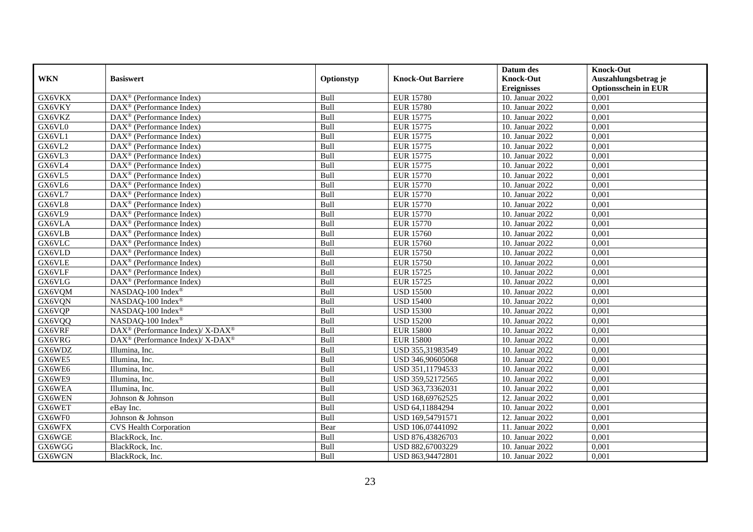|               |                                                          |            |                           | Datum des          | <b>Knock-Out</b>            |
|---------------|----------------------------------------------------------|------------|---------------------------|--------------------|-----------------------------|
| <b>WKN</b>    | <b>Basiswert</b>                                         | Optionstyp | <b>Knock-Out Barriere</b> | <b>Knock-Out</b>   | Auszahlungsbetrag je        |
|               |                                                          |            |                           | <b>Ereignisses</b> | <b>Optionsschein in EUR</b> |
| GX6VKX        | DAX <sup>®</sup> (Performance Index)                     | Bull       | <b>EUR 15780</b>          | 10. Januar 2022    | 0,001                       |
| GX6VKY        | $DAX^{\circledast}$ (Performance Index)                  | Bull       | <b>EUR 15780</b>          | 10. Januar 2022    | 0,001                       |
| GX6VKZ        | $DAX^{\circledcirc}$ (Performance Index)                 | Bull       | <b>EUR 15775</b>          | 10. Januar 2022    | 0,001                       |
| GX6VL0        | $\text{DAX}^{\otimes}$ (Performance Index)               | Bull       | <b>EUR 15775</b>          | 10. Januar 2022    | 0,001                       |
| GX6VL1        | DAX <sup>®</sup> (Performance Index)                     | Bull       | <b>EUR 15775</b>          | 10. Januar 2022    | 0,001                       |
| GX6VL2        | $DAX^{\circledR}$ (Performance Index)                    | Bull       | <b>EUR 15775</b>          | 10. Januar 2022    | 0,001                       |
| GX6VL3        | $DAX^{\circledR}$ (Performance Index)                    | Bull       | <b>EUR 15775</b>          | 10. Januar 2022    | 0,001                       |
| GX6VL4        | DAX <sup>®</sup> (Performance Index)                     | Bull       | <b>EUR 15775</b>          | 10. Januar 2022    | 0,001                       |
| GX6VL5        | $DAX^{\circledast}$ (Performance Index)                  | Bull       | <b>EUR 15770</b>          | 10. Januar 2022    | 0,001                       |
| GX6VL6        | $DAX^{\circledR}$ (Performance Index)                    | Bull       | <b>EUR 15770</b>          | 10. Januar 2022    | 0,001                       |
| GX6VL7        | $\overline{\text{DAX}^{\otimes}}$ (Performance Index)    | Bull       | <b>EUR 15770</b>          | 10. Januar 2022    | 0,001                       |
| GX6VL8        | $\text{DAX}^{\circledast}$ (Performance Index)           | Bull       | <b>EUR 15770</b>          | 10. Januar 2022    | 0,001                       |
| GX6VL9        | $\text{DAX}^{\otimes}$ (Performance Index)               | Bull       | <b>EUR 15770</b>          | 10. Januar 2022    | 0,001                       |
| GX6VLA        | DAX <sup>®</sup> (Performance Index)                     | Bull       | <b>EUR 15770</b>          | 10. Januar 2022    | 0.001                       |
| GX6VLB        | $DAX^{\circledR}$ (Performance Index)                    | Bull       | <b>EUR 15760</b>          | 10. Januar 2022    | 0,001                       |
| <b>GX6VLC</b> | $\overline{\text{DAX}^{\otimes}}$ (Performance Index)    | Bull       | <b>EUR 15760</b>          | 10. Januar 2022    | 0,001                       |
| GX6VLD        | DAX <sup>®</sup> (Performance Index)                     | Bull       | <b>EUR 15750</b>          | 10. Januar 2022    | 0,001                       |
| GX6VLE        | DAX <sup>®</sup> (Performance Index)                     | Bull       | <b>EUR 15750</b>          | 10. Januar 2022    | 0,001                       |
| GX6VLF        | $DAX^{\circledast}$ (Performance Index)                  | Bull       | <b>EUR 15725</b>          | 10. Januar 2022    | 0,001                       |
| GX6VLG        | $DAX^{\circledast}$ (Performance Index)                  | Bull       | <b>EUR 15725</b>          | 10. Januar 2022    | 0,001                       |
| GX6VQM        | NASDAQ-100 Index®                                        | Bull       | <b>USD 15500</b>          | 10. Januar 2022    | 0,001                       |
| GX6VQN        | NASDAQ-100 Index®                                        | Bull       | <b>USD 15400</b>          | 10. Januar 2022    | 0,001                       |
| GX6VQP        | NASDAQ-100 Index®                                        | Bull       | <b>USD</b> 15300          | 10. Januar 2022    | 0,001                       |
| GX6VQQ        | NASDAQ-100 Index®                                        | Bull       | <b>USD 15200</b>          | 10. Januar 2022    | 0,001                       |
| GX6VRF        | DAX <sup>®</sup> (Performance Index)/ X-DAX <sup>®</sup> | Bull       | <b>EUR 15800</b>          | 10. Januar 2022    | 0,001                       |
| GX6VRG        | DAX <sup>®</sup> (Performance Index)/ X-DAX <sup>®</sup> | Bull       | <b>EUR 15800</b>          | 10. Januar 2022    | 0,001                       |
| GX6WDZ        | Illumina, Inc.                                           | Bull       | USD 355,31983549          | 10. Januar 2022    | 0,001                       |
| GX6WE5        | Illumina, Inc.                                           | Bull       | USD 346,90605068          | 10. Januar 2022    | 0,001                       |
| GX6WE6        | Illumina, Inc.                                           | Bull       | USD 351,11794533          | 10. Januar 2022    | 0,001                       |
| GX6WE9        | Illumina, Inc.                                           | Bull       | USD 359,52172565          | 10. Januar 2022    | 0,001                       |
| GX6WEA        | Illumina, Inc.                                           | Bull       | USD 363,73362031          | 10. Januar 2022    | 0,001                       |
| GX6WEN        | Johnson & Johnson                                        | Bull       | USD 168,69762525          | 12. Januar 2022    | 0,001                       |
| GX6WET        | eBay Inc.                                                | Bull       | USD 64,11884294           | 10. Januar 2022    | 0,001                       |
| GX6WF0        | Johnson & Johnson                                        | Bull       | USD 169,54791571          | 12. Januar 2022    | 0,001                       |
| GX6WFX        | <b>CVS Health Corporation</b>                            | Bear       | USD 106,07441092          | 11. Januar 2022    | 0,001                       |
| GX6WGE        | BlackRock, Inc.                                          | Bull       | USD 876,43826703          | 10. Januar 2022    | 0,001                       |
| GX6WGG        | BlackRock, Inc.                                          | Bull       | USD 882,67003229          | 10. Januar 2022    | 0,001                       |
| GX6WGN        | BlackRock, Inc.                                          | Bull       | USD 863,94472801          | 10. Januar 2022    | 0,001                       |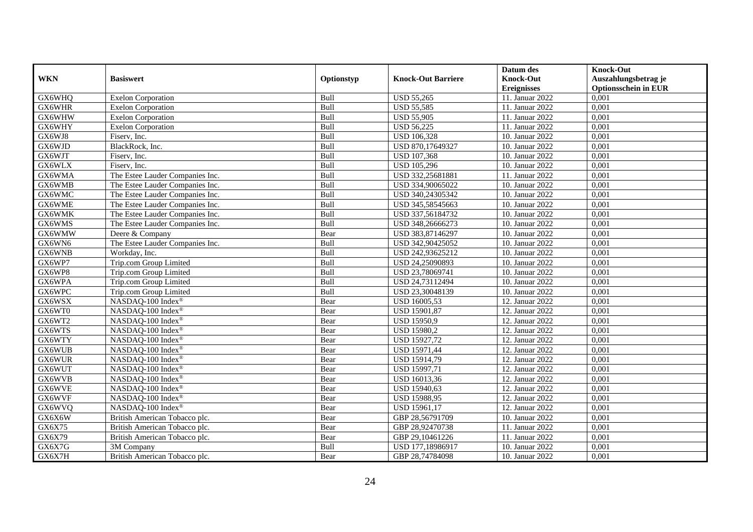|            |                                 |            |                           | Datum des          | <b>Knock-Out</b>            |
|------------|---------------------------------|------------|---------------------------|--------------------|-----------------------------|
| <b>WKN</b> | <b>Basiswert</b>                | Optionstyp | <b>Knock-Out Barriere</b> | <b>Knock-Out</b>   | Auszahlungsbetrag je        |
|            |                                 |            |                           | <b>Ereignisses</b> | <b>Optionsschein in EUR</b> |
| GX6WHQ     | <b>Exelon Corporation</b>       | Bull       | <b>USD 55,265</b>         | 11. Januar 2022    | 0,001                       |
| GX6WHR     | <b>Exelon Corporation</b>       | Bull       | <b>USD 55,585</b>         | 11. Januar 2022    | 0,001                       |
| GX6WHW     | <b>Exelon Corporation</b>       | Bull       | <b>USD 55,905</b>         | 11. Januar 2022    | 0,001                       |
| GX6WHY     | <b>Exelon Corporation</b>       | Bull       | <b>USD 56,225</b>         | 11. Januar 2022    | 0,001                       |
| GX6WJ8     | Fiserv, Inc.                    | Bull       | <b>USD 106,328</b>        | 10. Januar 2022    | 0,001                       |
| GX6WJD     | BlackRock, Inc.                 | Bull       | USD 870,17649327          | 10. Januar 2022    | 0,001                       |
| GX6WJT     | Fiserv, Inc.                    | Bull       | <b>USD 107,368</b>        | 10. Januar 2022    | 0,001                       |
| GX6WLX     | Fiserv, Inc.                    | Bull       | <b>USD 105,296</b>        | 10. Januar 2022    | 0,001                       |
| GX6WMA     | The Estee Lauder Companies Inc. | Bull       | USD 332,25681881          | 11. Januar 2022    | 0,001                       |
| GX6WMB     | The Estee Lauder Companies Inc. | Bull       | USD 334,90065022          | 10. Januar 2022    | 0,001                       |
| GX6WMC     | The Estee Lauder Companies Inc. | Bull       | USD 340,24305342          | 10. Januar 2022    | 0,001                       |
| GX6WME     | The Estee Lauder Companies Inc. | Bull       | USD 345,58545663          | 10. Januar 2022    | 0,001                       |
| GX6WMK     | The Estee Lauder Companies Inc. | Bull       | USD 337,56184732          | 10. Januar 2022    | 0,001                       |
| GX6WMS     | The Estee Lauder Companies Inc. | Bull       | USD 348,26666273          | 10. Januar 2022    | 0,001                       |
| GX6WMW     | Deere & Company                 | Bear       | USD 383,87146297          | 10. Januar 2022    | 0,001                       |
| GX6WN6     | The Estee Lauder Companies Inc. | Bull       | USD 342,90425052          | 10. Januar 2022    | 0,001                       |
| GX6WNB     | Workday, Inc.                   | Bull       | USD 242,93625212          | 10. Januar 2022    | 0,001                       |
| GX6WP7     | Trip.com Group Limited          | Bull       | USD 24,25090893           | 10. Januar 2022    | 0,001                       |
| GX6WP8     | Trip.com Group Limited          | Bull       | USD 23,78069741           | 10. Januar 2022    | 0,001                       |
| GX6WPA     | Trip.com Group Limited          | Bull       | USD 24,73112494           | 10. Januar 2022    | 0,001                       |
| GX6WPC     | Trip.com Group Limited          | Bull       | USD 23,30048139           | 10. Januar 2022    | 0,001                       |
| GX6WSX     | NASDAQ-100 Index®               | Bear       | USD 16005,53              | 12. Januar 2022    | 0,001                       |
| GX6WT0     | NASDAQ-100 Index®               | Bear       | USD 15901,87              | 12. Januar 2022    | 0,001                       |
| GX6WT2     | NASDAQ-100 Index®               | Bear       | USD 15950,9               | 12. Januar 2022    | 0,001                       |
| GX6WTS     | NASDAQ-100 Index®               | Bear       | <b>USD 15980,2</b>        | 12. Januar 2022    | 0,001                       |
| GX6WTY     | NASDAQ-100 Index®               | Bear       | USD 15927,72              | 12. Januar 2022    | 0,001                       |
| GX6WUB     | NASDAQ-100 Index®               | Bear       | USD 15971,44              | 12. Januar 2022    | 0,001                       |
| GX6WUR     | NASDAQ-100 Index®               | Bear       | USD 15914,79              | 12. Januar 2022    | 0,001                       |
| GX6WUT     | NASDAQ-100 Index®               | Bear       | <b>USD 15997,71</b>       | 12. Januar 2022    | 0,001                       |
| GX6WVB     | NASDAQ-100 Index®               | Bear       | USD 16013,36              | 12. Januar 2022    | 0,001                       |
| GX6WVE     | NASDAQ-100 Index®               | Bear       | USD 15940,63              | 12. Januar 2022    | 0,001                       |
| GX6WVF     | NASDAQ-100 Index®               | Bear       | USD 15988,95              | 12. Januar 2022    | 0,001                       |
| GX6WVQ     | NASDAQ-100 Index®               | Bear       | USD 15961,17              | 12. Januar 2022    | 0,001                       |
| GX6X6W     | British American Tobacco plc.   | Bear       | GBP 28,56791709           | 10. Januar 2022    | 0,001                       |
| GX6X75     | British American Tobacco plc.   | Bear       | GBP 28,92470738           | 11. Januar 2022    | 0,001                       |
| GX6X79     | British American Tobacco plc.   | Bear       | GBP 29,10461226           | 11. Januar 2022    | 0,001                       |
| GX6X7G     | 3M Company                      | Bull       | USD 177,18986917          | 10. Januar 2022    | 0,001                       |
| GX6X7H     | British American Tobacco plc.   | Bear       | GBP 28,74784098           | 10. Januar 2022    | 0,001                       |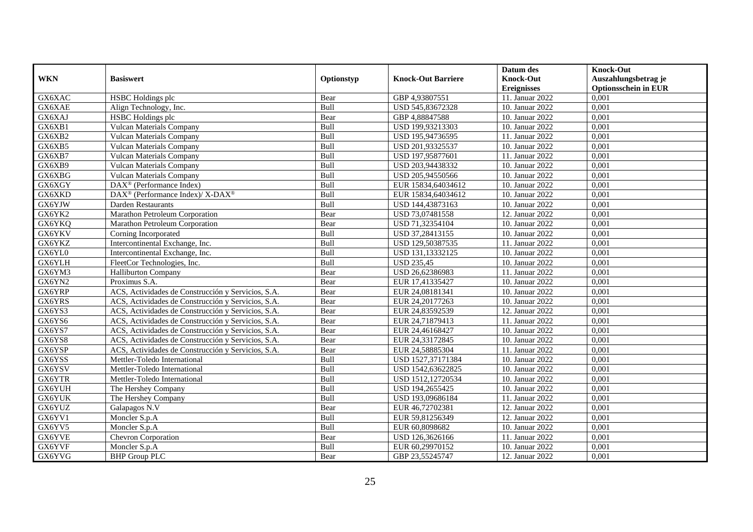|            |                                                          |            |                           | Datum des          | <b>Knock-Out</b>            |
|------------|----------------------------------------------------------|------------|---------------------------|--------------------|-----------------------------|
| <b>WKN</b> | <b>Basiswert</b>                                         | Optionstyp | <b>Knock-Out Barriere</b> | <b>Knock-Out</b>   | Auszahlungsbetrag je        |
|            |                                                          |            |                           | <b>Ereignisses</b> | <b>Optionsschein in EUR</b> |
| GX6XAC     | HSBC Holdings plc                                        | Bear       | GBP 4,93807551            | 11. Januar 2022    | 0,001                       |
| GX6XAE     | Align Technology, Inc.                                   | Bull       | USD 545,83672328          | 10. Januar 2022    | 0,001                       |
| GX6XAJ     | HSBC Holdings plc                                        | Bear       | GBP 4,88847588            | 10. Januar 2022    | 0,001                       |
| GX6XB1     | Vulcan Materials Company                                 | Bull       | USD 199,93213303          | 10. Januar 2022    | 0,001                       |
| GX6XB2     | <b>Vulcan Materials Company</b>                          | Bull       | USD 195,94736595          | 11. Januar 2022    | 0,001                       |
| GX6XB5     | <b>Vulcan Materials Company</b>                          | Bull       | USD 201,93325537          | 10. Januar 2022    | 0,001                       |
| GX6XB7     | <b>Vulcan Materials Company</b>                          | Bull       | USD 197,95877601          | 11. Januar 2022    | 0,001                       |
| GX6XB9     | <b>Vulcan Materials Company</b>                          | Bull       | USD 203,94438332          | 10. Januar 2022    | 0,001                       |
| GX6XBG     | <b>Vulcan Materials Company</b>                          | Bull       | USD 205,94550566          | 10. Januar 2022    | 0,001                       |
| GX6XGY     | $DAX^{\circledast}$ (Performance Index)                  | Bull       | EUR 15834,64034612        | 10. Januar 2022    | 0,001                       |
| GX6XKD     | DAX <sup>®</sup> (Performance Index)/ X-DAX <sup>®</sup> | Bull       | EUR 15834,64034612        | 10. Januar 2022    | 0,001                       |
| GX6YJW     | <b>Darden Restaurants</b>                                | Bull       | USD 144,43873163          | 10. Januar 2022    | 0,001                       |
| GX6YK2     | Marathon Petroleum Corporation                           | Bear       | USD 73,07481558           | 12. Januar 2022    | 0,001                       |
| GX6YKQ     | Marathon Petroleum Corporation                           | Bear       | USD 71,32354104           | 10. Januar 2022    | 0,001                       |
| GX6YKV     | Corning Incorporated                                     | Bull       | USD 37,28413155           | 10. Januar 2022    | 0,001                       |
| GX6YKZ     | Intercontinental Exchange, Inc.                          | Bull       | USD 129,50387535          | 11. Januar 2022    | 0,001                       |
| GX6YL0     | Intercontinental Exchange, Inc.                          | Bull       | USD 131,13332125          | 10. Januar 2022    | 0,001                       |
| GX6YLH     | FleetCor Technologies, Inc.                              | Bull       | <b>USD 235.45</b>         | 10. Januar 2022    | 0,001                       |
| GX6YM3     | <b>Halliburton Company</b>                               | Bear       | USD 26,62386983           | 11. Januar 2022    | 0,001                       |
| GX6YN2     | Proximus S.A.                                            | Bear       | EUR 17,41335427           | 10. Januar 2022    | 0,001                       |
| GX6YRP     | ACS, Actividades de Construcción y Servicios, S.A.       | Bear       | EUR 24,08181341           | 10. Januar 2022    | 0,001                       |
| GX6YRS     | ACS, Actividades de Construcción y Servicios, S.A.       | Bear       | EUR 24,20177263           | 10. Januar 2022    | 0,001                       |
| GX6YS3     | ACS, Actividades de Construcción y Servicios, S.A.       | Bear       | EUR 24,83592539           | 12. Januar 2022    | 0,001                       |
| GX6YS6     | ACS, Actividades de Construcción y Servicios, S.A.       | Bear       | EUR 24,71879413           | 11. Januar 2022    | 0,001                       |
| GX6YS7     | ACS, Actividades de Construcción y Servicios, S.A.       | Bear       | EUR 24,46168427           | 10. Januar 2022    | 0.001                       |
| GX6YS8     | ACS, Actividades de Construcción y Servicios, S.A.       | Bear       | EUR 24,33172845           | 10. Januar 2022    | 0,001                       |
| GX6YSP     | ACS, Actividades de Construcción y Servicios, S.A.       | Bear       | EUR 24,58885304           | 11. Januar 2022    | 0,001                       |
| GX6YSS     | Mettler-Toledo International                             | Bull       | USD 1527,37171384         | 10. Januar 2022    | 0,001                       |
| GX6YSV     | Mettler-Toledo International                             | Bull       | USD 1542,63622825         | 10. Januar 2022    | 0,001                       |
| GX6YTR     | Mettler-Toledo International                             | Bull       | USD 1512,12720534         | 10. Januar 2022    | 0,001                       |
| GX6YUH     | The Hershey Company                                      | Bull       | USD 194,2655425           | 10. Januar 2022    | 0,001                       |
| GX6YUK     | The Hershey Company                                      | Bull       | USD 193,09686184          | 11. Januar 2022    | 0,001                       |
| GX6YUZ     | Galapagos N.V                                            | Bear       | EUR 46,72702381           | 12. Januar 2022    | 0,001                       |
| GX6YV1     | Moncler S.p.A                                            | Bull       | EUR 59,81256349           | 12. Januar 2022    | 0,001                       |
| GX6YV5     | Moncler S.p.A                                            | Bull       | EUR 60,8098682            | 10. Januar 2022    | 0,001                       |
| GX6YVE     | <b>Chevron Corporation</b>                               | Bear       | USD 126,3626166           | 11. Januar 2022    | 0,001                       |
| GX6YVF     | Moncler S.p.A                                            | Bull       | EUR 60,29970152           | 10. Januar 2022    | 0,001                       |
| GX6YVG     | <b>BHP</b> Group PLC                                     | Bear       | GBP 23,55245747           | 12. Januar 2022    | 0,001                       |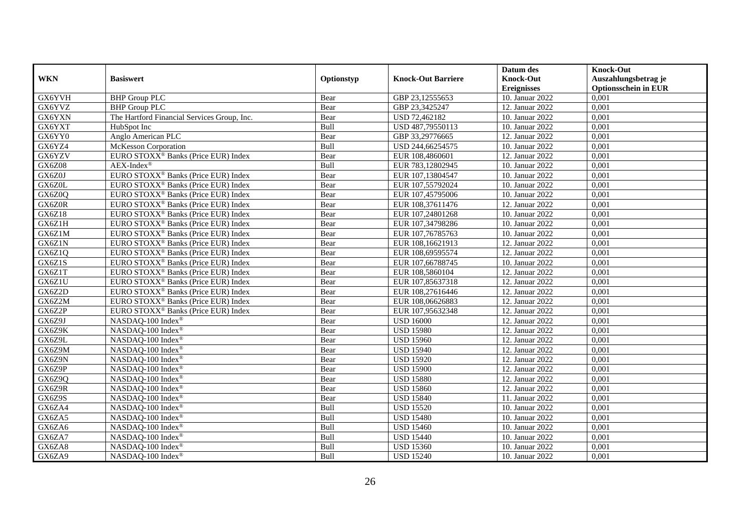|               |                                                 |            |                           | Datum des          | <b>Knock-Out</b>            |
|---------------|-------------------------------------------------|------------|---------------------------|--------------------|-----------------------------|
| <b>WKN</b>    | <b>Basiswert</b>                                | Optionstyp | <b>Knock-Out Barriere</b> | <b>Knock-Out</b>   | Auszahlungsbetrag je        |
|               |                                                 |            |                           | <b>Ereignisses</b> | <b>Optionsschein in EUR</b> |
| GX6YVH        | <b>BHP</b> Group PLC                            | Bear       | GBP 23,12555653           | 10. Januar 2022    | 0,001                       |
| GX6YVZ        | <b>BHP</b> Group PLC                            | Bear       | GBP 23,3425247            | 12. Januar 2022    | 0,001                       |
| GX6YXN        | The Hartford Financial Services Group, Inc.     | Bear       | USD 72,462182             | 10. Januar 2022    | 0,001                       |
| GX6YXT        | HubSpot Inc                                     | Bull       | USD 487,79550113          | 10. Januar 2022    | 0,001                       |
| GX6YY0        | Anglo American PLC                              | Bear       | GBP 33,29776665           | 12. Januar 2022    | 0,001                       |
| GX6YZ4        | McKesson Corporation                            | Bull       | USD 244,66254575          | 10. Januar 2022    | 0,001                       |
| GX6YZV        | EURO STOXX <sup>®</sup> Banks (Price EUR) Index | Bear       | EUR 108,4860601           | 12. Januar 2022    | 0,001                       |
| <b>GX6Z08</b> | $AEX-Index^{\circledR}$                         | Bull       | EUR 783,12802945          | 10. Januar 2022    | 0,001                       |
| GX6Z0J        | EURO STOXX <sup>®</sup> Banks (Price EUR) Index | Bear       | EUR 107,13804547          | 10. Januar 2022    | 0,001                       |
| GX6Z0L        | EURO STOXX <sup>®</sup> Banks (Price EUR) Index | Bear       | EUR 107,55792024          | 10. Januar 2022    | 0,001                       |
| <b>GX6Z0O</b> | EURO STOXX <sup>®</sup> Banks (Price EUR) Index | Bear       | EUR 107,45795006          | 10. Januar 2022    | 0,001                       |
| GX6Z0R        | EURO STOXX <sup>®</sup> Banks (Price EUR) Index | Bear       | EUR 108,37611476          | 12. Januar 2022    | 0,001                       |
| <b>GX6Z18</b> | EURO STOXX <sup>®</sup> Banks (Price EUR) Index | Bear       | EUR 107,24801268          | 10. Januar 2022    | 0,001                       |
| GX6Z1H        | EURO STOXX <sup>®</sup> Banks (Price EUR) Index | Bear       | EUR 107,34798286          | 10. Januar 2022    | 0,001                       |
| GX6Z1M        | EURO STOXX <sup>®</sup> Banks (Price EUR) Index | Bear       | EUR 107,76785763          | 10. Januar 2022    | 0,001                       |
| GX6Z1N        | EURO STOXX <sup>®</sup> Banks (Price EUR) Index | Bear       | EUR 108,16621913          | 12. Januar 2022    | 0,001                       |
| GX6Z1Q        | EURO STOXX <sup>®</sup> Banks (Price EUR) Index | Bear       | EUR 108,69595574          | 12. Januar 2022    | 0,001                       |
| GX6Z1S        | EURO STOXX <sup>®</sup> Banks (Price EUR) Index | Bear       | EUR 107,66788745          | 10. Januar 2022    | 0,001                       |
| GX6Z1T        | EURO STOXX <sup>®</sup> Banks (Price EUR) Index | Bear       | EUR 108,5860104           | 12. Januar 2022    | 0,001                       |
| GX6Z1U        | EURO STOXX <sup>®</sup> Banks (Price EUR) Index | Bear       | EUR 107,85637318          | 12. Januar 2022    | 0,001                       |
| GX6Z2D        | EURO STOXX <sup>®</sup> Banks (Price EUR) Index | Bear       | EUR 108,27616446          | 12. Januar 2022    | 0,001                       |
| GX6Z2M        | EURO STOXX <sup>®</sup> Banks (Price EUR) Index | Bear       | EUR 108,06626883          | 12. Januar 2022    | 0,001                       |
| GX6Z2P        | EURO STOXX <sup>®</sup> Banks (Price EUR) Index | Bear       | EUR 107,95632348          | 12. Januar 2022    | 0,001                       |
| GX6Z9J        | NASDAQ-100 Index®                               | Bear       | <b>USD 16000</b>          | 12. Januar 2022    | 0,001                       |
| GX6Z9K        | NASDAO-100 Index <sup>®</sup>                   | Bear       | <b>USD 15980</b>          | 12. Januar 2022    | 0,001                       |
| GX6Z9L        | NASDAQ-100 Index®                               | Bear       | <b>USD 15960</b>          | 12. Januar 2022    | 0,001                       |
| GX6Z9M        | NASDAQ-100 Index®                               | Bear       | <b>USD 15940</b>          | 12. Januar 2022    | 0,001                       |
| GX6Z9N        | NASDAQ-100 Index®                               | Bear       | <b>USD 15920</b>          | 12. Januar 2022    | 0,001                       |
| GX6Z9P        | NASDAQ-100 Index®                               | Bear       | <b>USD 15900</b>          | 12. Januar 2022    | 0,001                       |
| GX6Z9Q        | NASDAQ-100 Index®                               | Bear       | <b>USD 15880</b>          | 12. Januar 2022    | 0,001                       |
| GX6Z9R        | NASDAQ-100 Index®                               | Bear       | <b>USD 15860</b>          | 12. Januar 2022    | 0,001                       |
| GX6Z9S        | NASDAQ-100 Index®                               | Bear       | <b>USD 15840</b>          | 11. Januar 2022    | 0,001                       |
| GX6ZA4        | NASDAQ-100 Index®                               | Bull       | <b>USD 15520</b>          | 10. Januar 2022    | 0,001                       |
| GX6ZA5        | NASDAQ-100 Index®                               | Bull       | <b>USD 15480</b>          | 10. Januar 2022    | 0,001                       |
| GX6ZA6        | NASDAQ-100 Index®                               | Bull       | <b>USD 15460</b>          | 10. Januar 2022    | 0,001                       |
| GX6ZA7        | NASDAQ-100 Index®                               | Bull       | <b>USD 15440</b>          | 10. Januar 2022    | 0,001                       |
| GX6ZA8        | NASDAQ-100 Index®                               | Bull       | <b>USD 15360</b>          | 10. Januar 2022    | 0,001                       |
| GX6ZA9        | NASDAQ-100 Index®                               | Bull       | <b>USD 15240</b>          | 10. Januar 2022    | 0,001                       |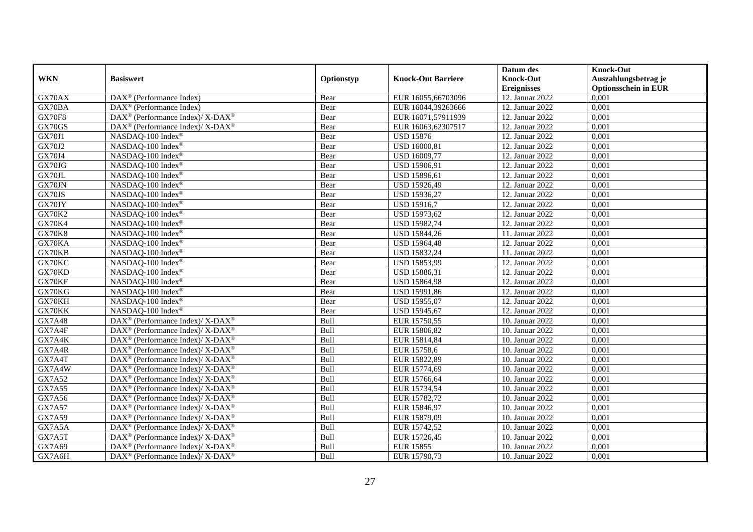|               |                                                              |            |                           | Datum des          | <b>Knock-Out</b>            |
|---------------|--------------------------------------------------------------|------------|---------------------------|--------------------|-----------------------------|
| <b>WKN</b>    | <b>Basiswert</b>                                             | Optionstyp | <b>Knock-Out Barriere</b> | <b>Knock-Out</b>   | Auszahlungsbetrag je        |
|               |                                                              |            |                           | <b>Ereignisses</b> | <b>Optionsschein in EUR</b> |
| GX70AX        | DAX <sup>®</sup> (Performance Index)                         | Bear       | EUR 16055,66703096        | 12. Januar 2022    | 0,001                       |
| GX70BA        | $\text{DAX}^{\circledast}$ (Performance Index)               | Bear       | EUR 16044,39263666        | 12. Januar 2022    | 0,001                       |
| <b>GX70F8</b> | DAX <sup>®</sup> (Performance Index)/ X-DAX <sup>®</sup>     | Bear       | EUR 16071,57911939        | 12. Januar 2022    | 0,001                       |
| GX70GS        | DAX <sup>®</sup> (Performance Index)/ X-DAX <sup>®</sup>     | Bear       | EUR 16063,62307517        | 12. Januar 2022    | 0,001                       |
| <b>GX70J1</b> | NASDAQ-100 Index®                                            | Bear       | <b>USD 15876</b>          | 12. Januar 2022    | 0,001                       |
| <b>GX70J2</b> | NASDAQ-100 Index®                                            | Bear       | USD 16000,81              | 12. Januar 2022    | 0,001                       |
| <b>GX70J4</b> | NASDAQ-100 Index®                                            | Bear       | USD 16009,77              | 12. Januar 2022    | 0,001                       |
| GX70JG        | NASDAQ-100 Index®                                            | Bear       | USD 15906,91              | 12. Januar 2022    | 0,001                       |
| GX70JL        | NASDAQ-100 Index®                                            | Bear       | USD 15896,61              | 12. Januar 2022    | 0,001                       |
| GX70JN        | NASDAQ-100 Index®                                            | Bear       | USD 15926,49              | 12. Januar 2022    | 0,001                       |
| GX70JS        | NASDAQ-100 Index <sup>®</sup>                                | Bear       | USD 15936,27              | 12. Januar 2022    | 0,001                       |
| GX70JY        | NASDAQ-100 Index®                                            | Bear       | <b>USD 15916,7</b>        | 12. Januar 2022    | 0,001                       |
| <b>GX70K2</b> | NASDAQ-100 Index®                                            | Bear       | USD 15973,62              | 12. Januar 2022    | 0,001                       |
| <b>GX70K4</b> | NASDAQ-100 Index®                                            | Bear       | USD 15982,74              | 12. Januar 2022    | 0,001                       |
| <b>GX70K8</b> | NASDAQ-100 Index®                                            | Bear       | USD 15844,26              | 11. Januar 2022    | 0,001                       |
| GX70KA        | NASDAQ-100 Index®                                            | Bear       | <b>USD 15964,48</b>       | 12. Januar 2022    | 0,001                       |
| GX70KB        | NASDAQ-100 Index®                                            | Bear       | USD 15832,24              | 11. Januar 2022    | 0,001                       |
| GX70KC        | NASDAQ-100 Index <sup>®</sup>                                | Bear       | USD 15853,99              | 12. Januar 2022    | 0,001                       |
| GX70KD        | NASDAQ-100 Index <sup>®</sup>                                | Bear       | USD 15886,31              | 12. Januar 2022    | 0,001                       |
| GX70KF        | NASDAQ-100 Index®                                            | Bear       | <b>USD 15864,98</b>       | 12. Januar 2022    | 0,001                       |
| GX70KG        | NASDAQ-100 Index®                                            | Bear       | USD 15991,86              | 12. Januar 2022    | 0,001                       |
| GX70KH        | NASDAQ-100 Index®                                            | Bear       | USD 15955,07              | 12. Januar 2022    | 0,001                       |
| GX70KK        | NASDAQ-100 Index®                                            | Bear       | USD 15945,67              | 12. Januar 2022    | 0,001                       |
| <b>GX7A48</b> | DAX <sup>®</sup> (Performance Index)/ X-DAX <sup>®</sup>     | Bull       | EUR 15750,55              | 10. Januar 2022    | 0,001                       |
| GX7A4F        | $DAX^{\circledcirc}$ (Performance Index)/ X-DAX <sup>®</sup> | Bull       | EUR 15806,82              | 10. Januar 2022    | 0,001                       |
| GX7A4K        | $DAX^{\circledast}$ (Performance Index)/ X-DAX <sup>®</sup>  | Bull       | EUR 15814,84              | 10. Januar 2022    | 0,001                       |
| GX7A4R        | DAX <sup>®</sup> (Performance Index)/ X-DAX <sup>®</sup>     | Bull       | EUR 15758,6               | 10. Januar 2022    | 0,001                       |
| GX7A4T        | DAX <sup>®</sup> (Performance Index)/ X-DAX <sup>®</sup>     | Bull       | EUR 15822,89              | 10. Januar 2022    | 0,001                       |
| GX7A4W        | DAX <sup>®</sup> (Performance Index)/ X-DAX <sup>®</sup>     | Bull       | EUR 15774,69              | 10. Januar 2022    | 0,001                       |
| GX7A52        | $DAX^{\circledast}$ (Performance Index)/ X-DAX <sup>®</sup>  | Bull       | EUR 15766,64              | 10. Januar 2022    | 0,001                       |
| GX7A55        | $DAX^{\circledast}$ (Performance Index)/ X-DAX <sup>®</sup>  | Bull       | EUR 15734,54              | 10. Januar 2022    | 0,001                       |
| GX7A56        | DAX <sup>®</sup> (Performance Index)/ X-DAX <sup>®</sup>     | Bull       | EUR 15782,72              | 10. Januar 2022    | 0.001                       |
| <b>GX7A57</b> | $DAX^{\circledast}$ (Performance Index)/ X-DAX <sup>®</sup>  | Bull       | EUR 15846,97              | 10. Januar 2022    | 0,001                       |
| GX7A59        | DAX <sup>®</sup> (Performance Index)/ X-DAX <sup>®</sup>     | Bull       | EUR 15879,09              | 10. Januar 2022    | 0,001                       |
| GX7A5A        | DAX <sup>®</sup> (Performance Index)/ X-DAX <sup>®</sup>     | Bull       | EUR 15742,52              | 10. Januar 2022    | 0,001                       |
| GX7A5T        | $DAX^{\circledast}$ (Performance Index)/ X-DAX <sup>®</sup>  | Bull       | EUR 15726,45              | 10. Januar 2022    | 0,001                       |
| GX7A69        | $DAX^{\circledast}$ (Performance Index)/ X-DAX <sup>®</sup>  | Bull       | <b>EUR 15855</b>          | 10. Januar 2022    | 0,001                       |
| GX7A6H        | $DAX^{\circledast}$ (Performance Index)/ X-DAX <sup>®</sup>  | Bull       | EUR 15790,73              | 10. Januar 2022    | 0,001                       |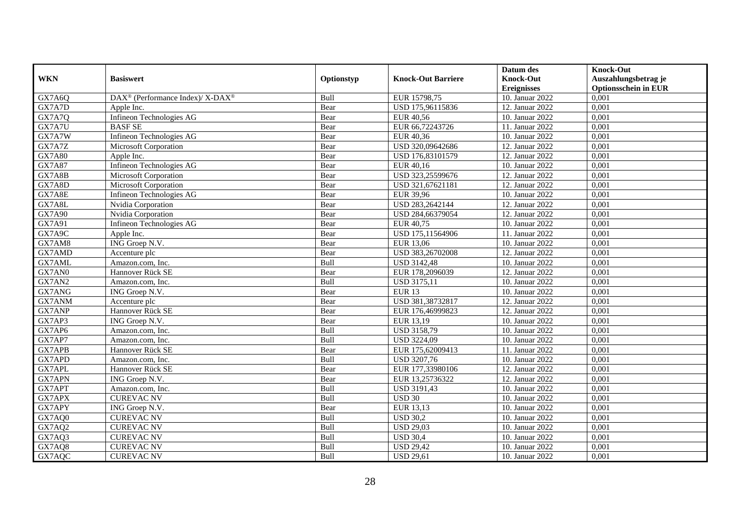|               |                                                          |            |                           | Datum des          | <b>Knock-Out</b>            |
|---------------|----------------------------------------------------------|------------|---------------------------|--------------------|-----------------------------|
| <b>WKN</b>    | <b>Basiswert</b>                                         | Optionstyp | <b>Knock-Out Barriere</b> | <b>Knock-Out</b>   | Auszahlungsbetrag je        |
|               |                                                          |            |                           | <b>Ereignisses</b> | <b>Optionsschein in EUR</b> |
| GX7A6Q        | DAX <sup>®</sup> (Performance Index)/ X-DAX <sup>®</sup> | Bull       | EUR 15798,75              | 10. Januar 2022    | 0,001                       |
| GX7A7D        | Apple Inc.                                               | Bear       | USD 175,96115836          | 12. Januar 2022    | 0,001                       |
| GX7A7Q        | Infineon Technologies AG                                 | Bear       | <b>EUR 40,56</b>          | 10. Januar 2022    | 0,001                       |
| GX7A7U        | <b>BASF SE</b>                                           | Bear       | EUR 66,72243726           | 11. Januar 2022    | 0,001                       |
| GX7A7W        | Infineon Technologies AG                                 | Bear       | EUR 40,36                 | 10. Januar 2022    | 0,001                       |
| GX7A7Z        | Microsoft Corporation                                    | Bear       | USD 320,09642686          | 12. Januar 2022    | 0,001                       |
| <b>GX7A80</b> | Apple Inc.                                               | Bear       | USD 176,83101579          | 12. Januar 2022    | 0,001                       |
| GX7A87        | Infineon Technologies AG                                 | Bear       | EUR 40,16                 | 10. Januar 2022    | 0,001                       |
| GX7A8B        | Microsoft Corporation                                    | Bear       | USD 323,25599676          | 12. Januar 2022    | 0,001                       |
| GX7A8D        | Microsoft Corporation                                    | Bear       | USD 321,67621181          | 12. Januar 2022    | 0,001                       |
| GX7A8E        | Infineon Technologies AG                                 | Bear       | <b>EUR 39,96</b>          | 10. Januar 2022    | 0,001                       |
| GX7A8L        | Nvidia Corporation                                       | Bear       | USD 283,2642144           | 12. Januar 2022    | 0,001                       |
| <b>GX7A90</b> | Nvidia Corporation                                       | Bear       | USD 284,66379054          | 12. Januar 2022    | 0,001                       |
| GX7A91        | Infineon Technologies AG                                 | Bear       | EUR 40,75                 | 10. Januar 2022    | 0,001                       |
| GX7A9C        | Apple Inc.                                               | Bear       | USD 175,11564906          | 11. Januar 2022    | 0,001                       |
| GX7AM8        | ING Groep N.V.                                           | Bear       | <b>EUR 13,06</b>          | 10. Januar 2022    | 0,001                       |
| GX7AMD        | Accenture plc                                            | Bear       | USD 383,26702008          | 12. Januar 2022    | 0,001                       |
| GX7AML        | Amazon.com, Inc.                                         | Bull       | <b>USD 3142,48</b>        | 10. Januar 2022    | 0,001                       |
| GX7AN0        | Hannover Rück SE                                         | Bear       | EUR 178,2096039           | 12. Januar 2022    | 0,001                       |
| GX7AN2        | Amazon.com, Inc.                                         | Bull       | <b>USD 3175,11</b>        | 10. Januar 2022    | 0,001                       |
| GX7ANG        | ING Groep N.V.                                           | Bear       | <b>EUR 13</b>             | 10. Januar 2022    | 0,001                       |
| GX7ANM        | Accenture plc                                            | Bear       | USD 381,38732817          | 12. Januar 2022    | 0,001                       |
| GX7ANP        | Hannover Rück SE                                         | Bear       | EUR 176,46999823          | 12. Januar 2022    | 0,001                       |
| GX7AP3        | ING Groep N.V.                                           | Bear       | EUR 13,19                 | 10. Januar 2022    | 0,001                       |
| GX7AP6        | Amazon.com, Inc.                                         | Bull       | <b>USD 3158,79</b>        | 10. Januar 2022    | 0,001                       |
| GX7AP7        | Amazon.com, Inc.                                         | Bull       | <b>USD 3224,09</b>        | 10. Januar 2022    | 0,001                       |
| GX7APB        | Hannover Rück SE                                         | Bear       | EUR 175,62009413          | 11. Januar 2022    | 0,001                       |
| GX7APD        | Amazon.com, Inc.                                         | Bull       | USD 3207,76               | 10. Januar 2022    | 0,001                       |
| <b>GX7APL</b> | Hannover Rück SE                                         | Bear       | EUR 177,33980106          | 12. Januar 2022    | 0,001                       |
| GX7APN        | ING Groep N.V.                                           | Bear       | EUR 13,25736322           | 12. Januar 2022    | 0,001                       |
| GX7APT        | Amazon.com, Inc.                                         | Bull       | <b>USD 3191,43</b>        | 10. Januar 2022    | 0,001                       |
| GX7APX        | <b>CUREVAC NV</b>                                        | Bull       | <b>USD 30</b>             | 10. Januar 2022    | 0,001                       |
| GX7APY        | ING Groep N.V.                                           | Bear       | EUR 13,13                 | 10. Januar 2022    | 0,001                       |
| GX7AQ0        | <b>CUREVAC NV</b>                                        | Bull       | <b>USD 30,2</b>           | 10. Januar 2022    | 0,001                       |
| GX7AQ2        | <b>CUREVAC NV</b>                                        | Bull       | <b>USD 29,03</b>          | 10. Januar 2022    | 0,001                       |
| GX7AQ3        | <b>CUREVAC NV</b>                                        | Bull       | <b>USD 30,4</b>           | 10. Januar 2022    | 0,001                       |
| GX7AQ8        | <b>CUREVAC NV</b>                                        | Bull       | <b>USD 29,42</b>          | 10. Januar 2022    | 0,001                       |
| GX7AQC        | <b>CUREVAC NV</b>                                        | Bull       | <b>USD 29,61</b>          | 10. Januar 2022    | 0,001                       |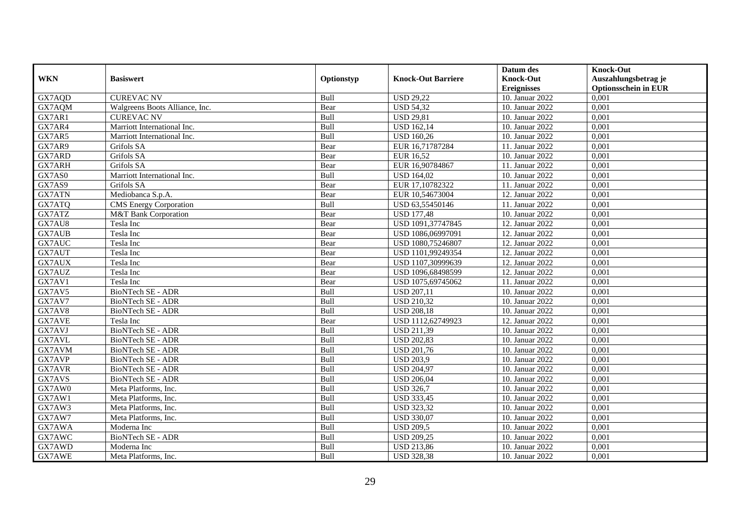|               |                                |            |                           | Datum des          | <b>Knock-Out</b>            |
|---------------|--------------------------------|------------|---------------------------|--------------------|-----------------------------|
| <b>WKN</b>    | <b>Basiswert</b>               | Optionstyp | <b>Knock-Out Barriere</b> | <b>Knock-Out</b>   | Auszahlungsbetrag je        |
|               |                                |            |                           | <b>Ereignisses</b> | <b>Optionsschein in EUR</b> |
| GX7AQD        | <b>CUREVAC NV</b>              | Bull       | <b>USD 29,22</b>          | 10. Januar 2022    | 0,001                       |
| GX7AQM        | Walgreens Boots Alliance, Inc. | Bear       | <b>USD 54,32</b>          | 10. Januar 2022    | 0,001                       |
| GX7AR1        | <b>CUREVAC NV</b>              | Bull       | <b>USD 29,81</b>          | 10. Januar 2022    | 0,001                       |
| GX7AR4        | Marriott International Inc.    | Bull       | <b>USD 162,14</b>         | 10. Januar 2022    | 0,001                       |
| GX7AR5        | Marriott International Inc.    | Bull       | <b>USD 160,26</b>         | 10. Januar 2022    | 0,001                       |
| GX7AR9        | Grifols SA                     | Bear       | EUR 16,71787284           | 11. Januar 2022    | 0,001                       |
| GX7ARD        | Grifols SA                     | Bear       | <b>EUR 16,52</b>          | 10. Januar 2022    | 0,001                       |
| GX7ARH        | Grifols SA                     | Bear       | EUR 16,90784867           | 11. Januar 2022    | 0,001                       |
| GX7AS0        | Marriott International Inc.    | Bull       | <b>USD 164,02</b>         | 10. Januar 2022    | 0,001                       |
| GX7AS9        | Grifols SA                     | Bear       | EUR 17,10782322           | 11. Januar 2022    | 0,001                       |
| GX7ATN        | Mediobanca S.p.A.              | Bear       | EUR 10,54673004           | 12. Januar 2022    | 0,001                       |
| GX7ATQ        | <b>CMS</b> Energy Corporation  | Bull       | USD 63,55450146           | 11. Januar 2022    | 0,001                       |
| GX7ATZ        | M&T Bank Corporation           | Bear       | <b>USD 177,48</b>         | 10. Januar 2022    | 0,001                       |
| GX7AU8        | Tesla Inc                      | Bear       | USD 1091,37747845         | 12. Januar 2022    | 0,001                       |
| <b>GX7AUB</b> | Tesla Inc                      | Bear       | USD 1086,06997091         | 12. Januar 2022    | 0,001                       |
| GX7AUC        | Tesla Inc                      | Bear       | USD 1080,75246807         | 12. Januar 2022    | 0,001                       |
| GX7AUT        | Tesla Inc                      | Bear       | USD 1101,99249354         | 12. Januar 2022    | 0,001                       |
| GX7AUX        | Tesla Inc                      | Bear       | USD 1107,30999639         | 12. Januar 2022    | 0,001                       |
| GX7AUZ        | Tesla Inc                      | Bear       | USD 1096,68498599         | 12. Januar 2022    | 0,001                       |
| GX7AV1        | Tesla Inc                      | Bear       | USD 1075,69745062         | 11. Januar 2022    | 0,001                       |
| GX7AV5        | BioNTech SE - ADR              | Bull       | <b>USD 207,11</b>         | 10. Januar 2022    | 0,001                       |
| GX7AV7        | BioNTech SE - ADR              | Bull       | <b>USD 210,32</b>         | 10. Januar 2022    | 0,001                       |
| GX7AV8        | BioNTech SE - ADR              | Bull       | <b>USD 208,18</b>         | 10. Januar 2022    | 0,001                       |
| GX7AVE        | Tesla Inc                      | Bear       | USD 1112,62749923         | 12. Januar 2022    | 0,001                       |
| GX7AVJ        | BioNTech SE - ADR              | Bull       | <b>USD 211,39</b>         | 10. Januar 2022    | 0,001                       |
| GX7AVL        | <b>BioNTech SE - ADR</b>       | Bull       | <b>USD 202,83</b>         | 10. Januar 2022    | 0,001                       |
| GX7AVM        | BioNTech SE - ADR              | Bull       | <b>USD 201,76</b>         | 10. Januar 2022    | 0,001                       |
| GX7AVP        | BioNTech SE - ADR              | Bull       | <b>USD 203,9</b>          | 10. Januar 2022    | 0,001                       |
| <b>GX7AVR</b> | BioNTech SE - ADR              | Bull       | <b>USD 204,97</b>         | 10. Januar 2022    | 0,001                       |
| GX7AVS        | BioNTech SE - ADR              | Bull       | <b>USD 206,04</b>         | 10. Januar 2022    | 0,001                       |
| GX7AW0        | Meta Platforms, Inc.           | Bull       | <b>USD 326,7</b>          | 10. Januar 2022    | 0,001                       |
| GX7AW1        | Meta Platforms, Inc.           | Bull       | <b>USD 333,45</b>         | 10. Januar 2022    | 0,001                       |
| GX7AW3        | Meta Platforms, Inc.           | Bull       | <b>USD 323,32</b>         | 10. Januar 2022    | 0,001                       |
| GX7AW7        | Meta Platforms, Inc.           | Bull       | <b>USD 330,07</b>         | 10. Januar 2022    | 0,001                       |
| GX7AWA        | Moderna Inc                    | Bull       | <b>USD 209,5</b>          | 10. Januar 2022    | 0,001                       |
| GX7AWC        | BioNTech SE - ADR              | Bull       | <b>USD 209,25</b>         | 10. Januar 2022    | 0,001                       |
| GX7AWD        | Moderna Inc                    | Bull       | <b>USD 213,86</b>         | 10. Januar 2022    | 0,001                       |
| GX7AWE        | Meta Platforms, Inc.           | Bull       | <b>USD 328,38</b>         | 10. Januar 2022    | 0,001                       |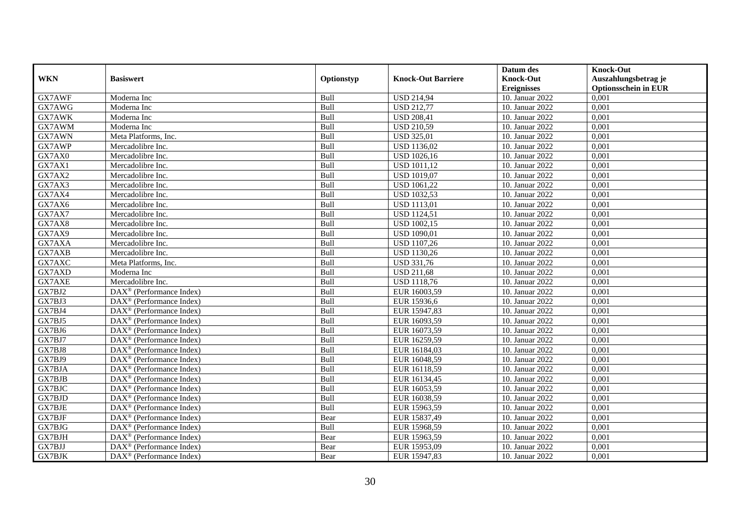|                     |                                                       |            |                           | Datum des          | <b>Knock-Out</b>            |
|---------------------|-------------------------------------------------------|------------|---------------------------|--------------------|-----------------------------|
| <b>WKN</b>          | <b>Basiswert</b>                                      | Optionstyp | <b>Knock-Out Barriere</b> | <b>Knock-Out</b>   | Auszahlungsbetrag je        |
|                     |                                                       |            |                           | <b>Ereignisses</b> | <b>Optionsschein in EUR</b> |
| GX7AWF              | Moderna Inc                                           | Bull       | <b>USD 214,94</b>         | 10. Januar 2022    | 0,001                       |
| GX7AWG              | Moderna Inc                                           | Bull       | <b>USD 212,77</b>         | 10. Januar 2022    | 0,001                       |
| GX7AWK              | Moderna Inc                                           | Bull       | <b>USD 208,41</b>         | 10. Januar 2022    | 0,001                       |
| GX7AWM              | Moderna Inc                                           | Bull       | <b>USD 210,59</b>         | 10. Januar 2022    | 0,001                       |
| GX7AWN              | Meta Platforms, Inc.                                  | Bull       | <b>USD 325,01</b>         | 10. Januar 2022    | 0,001                       |
| GX7AWP              | Mercadolibre Inc.                                     | Bull       | <b>USD 1136,02</b>        | 10. Januar 2022    | 0,001                       |
| GX7AX0              | Mercadolibre Inc.                                     | Bull       | <b>USD 1026,16</b>        | 10. Januar 2022    | 0,001                       |
| GX7AX1              | Mercadolibre Inc.                                     | Bull       | <b>USD 1011,12</b>        | 10. Januar 2022    | 0,001                       |
| GX7AX2              | Mercadolibre Inc.                                     | Bull       | <b>USD 1019,07</b>        | 10. Januar 2022    | 0,001                       |
| GX7AX3              | Mercadolibre Inc.                                     | Bull       | <b>USD 1061,22</b>        | 10. Januar 2022    | 0,001                       |
| GX7AX4              | Mercadolibre Inc.                                     | Bull       | <b>USD 1032,53</b>        | 10. Januar 2022    | 0,001                       |
| GX7AX6              | Mercadolibre Inc.                                     | Bull       | <b>USD 1113,01</b>        | 10. Januar 2022    | 0,001                       |
| GX7AX7              | Mercadolibre Inc.                                     | Bull       | <b>USD 1124,51</b>        | 10. Januar 2022    | 0,001                       |
| GX7AX8              | Mercadolibre Inc.                                     | Bull       | <b>USD 1002,15</b>        | 10. Januar 2022    | 0,001                       |
| GX7AX9              | Mercadolibre Inc.                                     | Bull       | <b>USD 1090,01</b>        | 10. Januar 2022    | 0,001                       |
| GX7AXA              | Mercadolibre Inc.                                     | Bull       | <b>USD 1107,26</b>        | 10. Januar 2022    | 0,001                       |
| GX7AXB              | Mercadolibre Inc.                                     | Bull       | <b>USD 1130,26</b>        | 10. Januar 2022    | 0,001                       |
| GX7AXC              | Meta Platforms, Inc.                                  | Bull       | <b>USD 331,76</b>         | 10. Januar 2022    | 0,001                       |
| GX7AXD              | Moderna Inc                                           | Bull       | <b>USD 211,68</b>         | 10. Januar 2022    | 0,001                       |
| GX7AXE              | Mercadolibre Inc.                                     | Bull       | <b>USD 1118,76</b>        | 10. Januar 2022    | 0,001                       |
| GX7BJ2              | DAX <sup>®</sup> (Performance Index)                  | Bull       | EUR 16003,59              | 10. Januar 2022    | 0,001                       |
| $G\overline{X7BJ3}$ | $\text{DAX}^{\textcircled{}}$ (Performance Index)     | Bull       | EUR 15936,6               | 10. Januar 2022    | 0,001                       |
| GX7BJ4              | $DAX^{\circledast}$ (Performance Index)               | Bull       | EUR 15947,83              | 10. Januar 2022    | 0,001                       |
| GX7BJ5              | DAX <sup>®</sup> (Performance Index)                  | Bull       | EUR 16093,59              | 10. Januar 2022    | 0,001                       |
| GX7BJ6              | $DAX^{\circledR}$ (Performance Index)                 | Bull       | EUR 16073,59              | 10. Januar 2022    | 0,001                       |
| GX7BJ7              | $DAX^{\circledast}$ (Performance Index)               | Bull       | EUR 16259,59              | 10. Januar 2022    | 0,001                       |
| GX7BJ8              | DAX <sup>®</sup> (Performance Index)                  | Bull       | EUR 16184,03              | 10. Januar 2022    | 0,001                       |
| GX7BJ9              | $DAX^{\circledcirc}$ (Performance Index)              | Bull       | EUR 16048,59              | 10. Januar 2022    | 0,001                       |
| GX7BJA              | $DAX^{\circledR}$ (Performance Index)                 | Bull       | EUR 16118,59              | 10. Januar 2022    | 0,001                       |
| <b>GX7BJB</b>       | $\text{DAX}^{\textcircled{}}$ (Performance Index)     | Bull       | EUR 16134,45              | 10. Januar 2022    | 0,001                       |
| GX7BJC              | $DAX^{\circledR}$ (Performance Index)                 | Bull       | EUR 16053,59              | 10. Januar 2022    | 0,001                       |
| GX7BJD              | DAX <sup>®</sup> (Performance Index)                  | Bull       | EUR 16038,59              | 10. Januar 2022    | 0,001                       |
| <b>GX7BJE</b>       | $\overline{\text{DAX}^{\otimes}}$ (Performance Index) | Bull       | EUR 15963,59              | 10. Januar 2022    | 0,001                       |
| <b>GX7BJF</b>       | $\text{DAX}^{\textcircled{}}$ (Performance Index)     | Bear       | EUR 15837,49              | 10. Januar 2022    | 0,001                       |
| GX7BJG              | $\text{DAX}^{\circledast}$ (Performance Index)        | Bull       | EUR 15968,59              | 10. Januar 2022    | 0,001                       |
| GX7BJH              | $DAX^{\circledast}$ (Performance Index)               | Bear       | EUR 15963,59              | 10. Januar 2022    | 0,001                       |
| GX7BJJ              | $DAX^{\circledast}$ (Performance Index)               | Bear       | EUR 15953,09              | 10. Januar 2022    | 0,001                       |
| GX7BJK              | $\text{DAX}^{\circledast}$ (Performance Index)        | Bear       | EUR 15947,83              | 10. Januar 2022    | 0,001                       |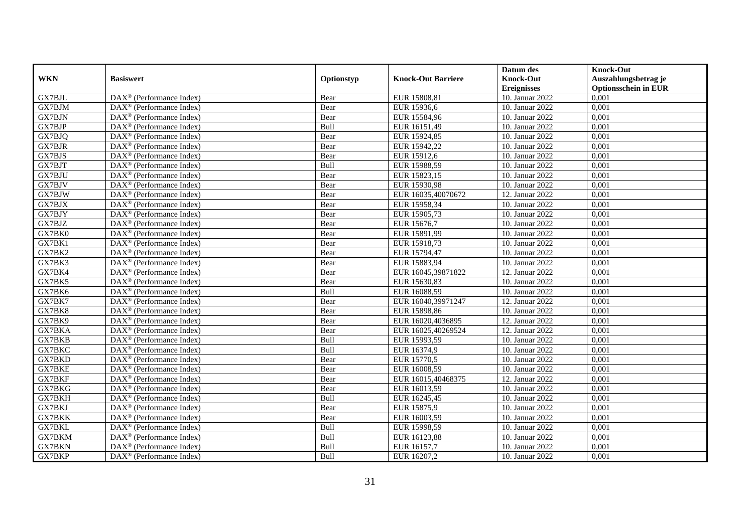|               |                                                         |            |                           | Datum des          | <b>Knock-Out</b>            |
|---------------|---------------------------------------------------------|------------|---------------------------|--------------------|-----------------------------|
| <b>WKN</b>    | <b>Basiswert</b>                                        | Optionstyp | <b>Knock-Out Barriere</b> | <b>Knock-Out</b>   | Auszahlungsbetrag je        |
|               |                                                         |            |                           | <b>Ereignisses</b> | <b>Optionsschein in EUR</b> |
| GX7BJL        | DAX <sup>®</sup> (Performance Index)                    | Bear       | EUR 15808,81              | 10. Januar 2022    | 0,001                       |
| GX7BJM        | $DAX^{\circledast}$ (Performance Index)                 | Bear       | EUR 15936,6               | 10. Januar 2022    | 0,001                       |
| GX7BJN        | $DAX^{\circledcirc}$ (Performance Index)                | Bear       | EUR 15584,96              | 10. Januar 2022    | 0,001                       |
| GX7BJP        | $DAX^{\circledast}$ (Performance Index)                 | Bull       | EUR 16151,49              | 10. Januar 2022    | 0,001                       |
| GX7BJQ        | $\text{DAX}^{\circledast}$ (Performance Index)          | Bear       | EUR 15924,85              | 10. Januar 2022    | 0,001                       |
| <b>GX7BJR</b> | $DAX^{\circledR}$ (Performance Index)                   | Bear       | EUR 15942,22              | 10. Januar 2022    | 0,001                       |
| <b>GX7BJS</b> | $DAX^{\circledR}$ (Performance Index)                   | Bear       | EUR 15912,6               | 10. Januar 2022    | 0,001                       |
| GX7BJT        | DAX <sup>®</sup> (Performance Index)                    | Bull       | EUR 15988,59              | 10. Januar 2022    | 0,001                       |
| GX7BJU        | $DAX^{\circledast}$ (Performance Index)                 | Bear       | EUR 15823,15              | 10. Januar 2022    | 0,001                       |
| GX7BJV        | $\overline{\text{DAX}^{\otimes}}$ (Performance Index)   | Bear       | EUR 15930,98              | 10. Januar 2022    | 0,001                       |
| GX7BJW        | $\overline{\text{DAX}^{\otimes}}$ (Performance Index)   | Bear       | EUR 16035,40070672        | 12. Januar 2022    | 0,001                       |
| GX7BJX        | DAX <sup>®</sup> (Performance Index)                    | Bear       | EUR 15958,34              | 10. Januar 2022    | 0,001                       |
| GX7BJY        | $DAX^{\circledast}$ (Performance Index)                 | Bear       | EUR 15905,73              | 10. Januar 2022    | 0,001                       |
| GX7BJZ        | DAX <sup>®</sup> (Performance Index)                    | Bear       | EUR 15676.7               | 10. Januar 2022    | 0.001                       |
| GX7BK0        | DAX <sup>®</sup> (Performance Index)                    | Bear       | EUR 15891,99              | 10. Januar 2022    | 0,001                       |
| GX7BK1        | $\overline{\text{DAX}}^{\textcirc}$ (Performance Index) | Bear       | EUR 15918,73              | 10. Januar 2022    | 0,001                       |
| GX7BK2        | DAX <sup>®</sup> (Performance Index)                    | Bear       | EUR 15794,47              | 10. Januar 2022    | 0,001                       |
| GX7BK3        | $\text{DAX}^{\otimes}$ (Performance Index)              | Bear       | EUR 15883,94              | 10. Januar 2022    | 0,001                       |
| GX7BK4        | DAX <sup>®</sup> (Performance Index)                    | Bear       | EUR 16045,39871822        | 12. Januar 2022    | 0,001                       |
| GX7BK5        | $\text{DAX}^{\otimes}$ (Performance Index)              | Bear       | EUR 15630,83              | 10. Januar 2022    | 0,001                       |
| GX7BK6        | $\text{DAX}^{\otimes}$ (Performance Index)              | Bull       | EUR 16088,59              | 10. Januar 2022    | 0,001                       |
| GX7BK7        | $DAX^{\circledcirc}$ (Performance Index)                | Bear       | EUR 16040,39971247        | 12. Januar 2022    | 0,001                       |
| GX7BK8        | $DAX^{\circledR}$ (Performance Index)                   | Bear       | EUR 15898,86              | 10. Januar 2022    | 0,001                       |
| GX7BK9        | DAX <sup>®</sup> (Performance Index)                    | Bear       | EUR 16020,4036895         | 12. Januar 2022    | 0,001                       |
| GX7BKA        | $DAX^{\circledcirc}$ (Performance Index)                | Bear       | EUR 16025,40269524        | 12. Januar 2022    | 0,001                       |
| GX7BKB        | $DAX^{\circledast}$ (Performance Index)                 | Bull       | EUR 15993,59              | 10. Januar 2022    | 0,001                       |
| GX7BKC        | $\overline{\text{DAX}^{\otimes}}$ (Performance Index)   | Bull       | EUR 16374,9               | 10. Januar 2022    | 0,001                       |
| GX7BKD        | DAX <sup>®</sup> (Performance Index)                    | Bear       | EUR 15770,5               | 10. Januar 2022    | 0,001                       |
| <b>GX7BKE</b> | $DAX^{\circledast}$ (Performance Index)                 | Bear       | EUR 16008,59              | 10. Januar 2022    | 0,001                       |
| GX7BKF        | $DAX^{\circledast}$ (Performance Index)                 | Bear       | EUR 16015,40468375        | 12. Januar 2022    | 0,001                       |
| GX7BKG        | $DAX^{\circledR}$ (Performance Index)                   | Bear       | EUR 16013,59              | 10. Januar 2022    | 0,001                       |
| GX7BKH        | DAX <sup>®</sup> (Performance Index)                    | Bull       | EUR 16245,45              | 10. Januar 2022    | 0,001                       |
| GX7BKJ        | $DAX^{\circledR}$ (Performance Index)                   | Bear       | EUR 15875,9               | 10. Januar 2022    | 0,001                       |
| <b>GX7BKK</b> | DAX <sup>®</sup> (Performance Index)                    | Bear       | EUR 16003,59              | 10. Januar 2022    | 0,001                       |
| <b>GX7BKL</b> | $\text{DAX}^{\circledast}$ (Performance Index)          | Bull       | EUR 15998,59              | 10. Januar 2022    | 0,001                       |
| GX7BKM        | $\text{DAX}^{\otimes}$ (Performance Index)              | Bull       | EUR 16123,88              | 10. Januar 2022    | 0,001                       |
| <b>GX7BKN</b> | $\text{DAX}^{\otimes}$ (Performance Index)              | Bull       | EUR 16157,7               | 10. Januar 2022    | 0,001                       |
| GX7BKP        | $\text{DAX}^{\circledast}$ (Performance Index)          | Bull       | EUR 16207,2               | 10. Januar 2022    | 0,001                       |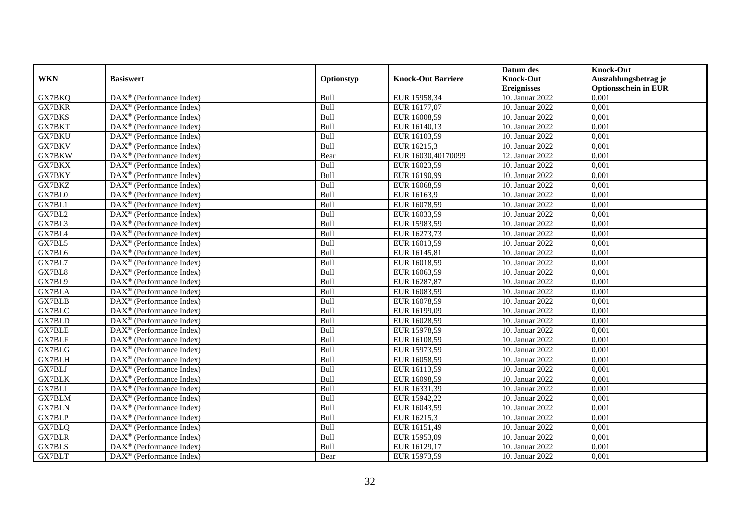|               |                                                       |            |                           | Datum des          | <b>Knock-Out</b>            |
|---------------|-------------------------------------------------------|------------|---------------------------|--------------------|-----------------------------|
| <b>WKN</b>    | <b>Basiswert</b>                                      | Optionstyp | <b>Knock-Out Barriere</b> | <b>Knock-Out</b>   | Auszahlungsbetrag je        |
|               |                                                       |            |                           | <b>Ereignisses</b> | <b>Optionsschein in EUR</b> |
| GX7BKQ        | DAX <sup>®</sup> (Performance Index)                  | Bull       | EUR 15958,34              | 10. Januar 2022    | 0,001                       |
| <b>GX7BKR</b> | $DAX^{\circledast}$ (Performance Index)               | Bull       | EUR 16177,07              | 10. Januar 2022    | 0,001                       |
| GX7BKS        | $DAX^{\circledcirc}$ (Performance Index)              | Bull       | EUR 16008,59              | 10. Januar 2022    | 0,001                       |
| GX7BKT        | $\text{DAX}^{\otimes}$ (Performance Index)            | Bull       | EUR 16140,13              | 10. Januar 2022    | 0,001                       |
| <b>GX7BKU</b> | DAX <sup>®</sup> (Performance Index)                  | Bull       | EUR 16103,59              | 10. Januar 2022    | 0,001                       |
| GX7BKV        | $DAX^{\circledR}$ (Performance Index)                 | Bull       | EUR 16215,3               | 10. Januar 2022    | 0,001                       |
| <b>GX7BKW</b> | $DAX^{\circledR}$ (Performance Index)                 | Bear       | EUR 16030,40170099        | 12. Januar 2022    | 0,001                       |
| GX7BKX        | DAX <sup>®</sup> (Performance Index)                  | Bull       | EUR 16023,59              | 10. Januar 2022    | 0,001                       |
| GX7BKY        | DAX <sup>®</sup> (Performance Index)                  | Bull       | EUR 16190,99              | 10. Januar 2022    | 0,001                       |
| GX7BKZ        | DAX <sup>®</sup> (Performance Index)                  | Bull       | EUR 16068,59              | 10. Januar 2022    | 0,001                       |
| GX7BL0        | $\overline{\text{DAX}^{\otimes}}$ (Performance Index) | Bull       | EUR 16163,9               | 10. Januar 2022    | 0,001                       |
| GX7BL1        | DAX <sup>®</sup> (Performance Index)                  | Bull       | EUR 16078,59              | 10. Januar 2022    | 0,001                       |
| GX7BL2        | $\text{DAX}^{\otimes}$ (Performance Index)            | Bull       | EUR 16033,59              | 10. Januar 2022    | 0,001                       |
| GX7BL3        | DAX <sup>®</sup> (Performance Index)                  | Bull       | EUR 15983,59              | 10. Januar 2022    | 0,001                       |
| GX7BL4        | $DAX^{\circledR}$ (Performance Index)                 | Bull       | EUR 16273,73              | 10. Januar 2022    | 0,001                       |
| GX7BL5        | DAX <sup>®</sup> (Performance Index)                  | Bull       | EUR 16013,59              | 10. Januar 2022    | 0,001                       |
| GX7BL6        | DAX <sup>®</sup> (Performance Index)                  | Bull       | EUR 16145,81              | 10. Januar 2022    | 0,001                       |
| GX7BL7        | DAX <sup>®</sup> (Performance Index)                  | Bull       | EUR 16018,59              | 10. Januar 2022    | 0,001                       |
| GX7BL8        | $DAX^{\circledast}$ (Performance Index)               | Bull       | EUR 16063,59              | 10. Januar 2022    | 0,001                       |
| GX7BL9        | $DAX^{\circledast}$ (Performance Index)               | Bull       | EUR 16287,87              | 10. Januar 2022    | 0,001                       |
| <b>GX7BLA</b> | $DAX^{\circledast}$ (Performance Index)               | Bull       | EUR 16083,59              | 10. Januar 2022    | 0,001                       |
| GX7BLB        | $DAX^{\circledcirc}$ (Performance Index)              | Bull       | EUR 16078,59              | 10. Januar 2022    | 0,001                       |
| <b>GX7BLC</b> | $DAX^{\circledR}$ (Performance Index)                 | Bull       | EUR 16199,09              | 10. Januar 2022    | 0,001                       |
| <b>GX7BLD</b> | DAX <sup>®</sup> (Performance Index)                  | Bull       | EUR 16028,59              | 10. Januar 2022    | 0,001                       |
| <b>GX7BLE</b> | $DAX^{\circledR}$ (Performance Index)                 | Bull       | EUR 15978,59              | 10. Januar 2022    | 0,001                       |
| GX7BLF        | $DAX^{\circledast}$ (Performance Index)               | Bull       | EUR 16108,59              | 10. Januar 2022    | 0,001                       |
| GX7BLG        | DAX <sup>®</sup> (Performance Index)                  | Bull       | EUR 15973,59              | 10. Januar 2022    | 0,001                       |
| <b>GX7BLH</b> | DAX <sup>®</sup> (Performance Index)                  | Bull       | EUR 16058,59              | 10. Januar 2022    | 0,001                       |
| GX7BLJ        | $DAX^{\circledast}$ (Performance Index)               | Bull       | EUR 16113,59              | 10. Januar 2022    | 0,001                       |
| <b>GX7BLK</b> | $DAX^{\circledast}$ (Performance Index)               | Bull       | EUR 16098,59              | 10. Januar 2022    | 0,001                       |
| <b>GX7BLL</b> | $DAX^{\circledR}$ (Performance Index)                 | Bull       | EUR 16331,39              | 10. Januar 2022    | 0,001                       |
| <b>GX7BLM</b> | DAX <sup>®</sup> (Performance Index)                  | Bull       | EUR 15942,22              | 10. Januar 2022    | 0,001                       |
| <b>GX7BLN</b> | $DAX^{\circledR}$ (Performance Index)                 | Bull       | EUR 16043,59              | 10. Januar 2022    | 0,001                       |
| <b>GX7BLP</b> | $\overline{\text{DAX}^{\otimes}}$ (Performance Index) | Bull       | EUR 16215,3               | 10. Januar 2022    | 0,001                       |
| GX7BLQ        | $\text{DAX}^{\otimes}$ (Performance Index)            | Bull       | EUR 16151,49              | 10. Januar 2022    | 0,001                       |
| <b>GX7BLR</b> | DAX <sup>®</sup> (Performance Index)                  | Bull       | EUR 15953,09              | 10. Januar 2022    | 0,001                       |
| GX7BLS        | $\text{DAX}^{\otimes}$ (Performance Index)            | Bull       | EUR 16129,17              | 10. Januar 2022    | 0,001                       |
| GX7BLT        | $\text{DAX}^{\circledast}$ (Performance Index)        | Bear       | EUR 15973,59              | 10. Januar 2022    | 0,001                       |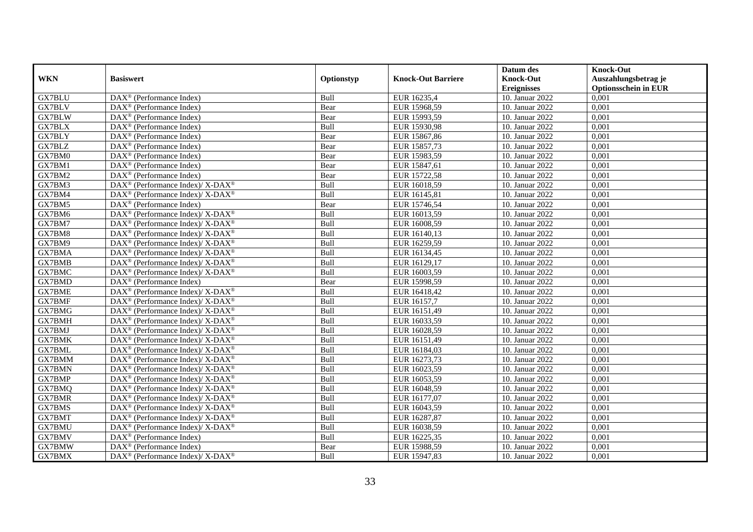|               |                                                              |            |                           | Datum des          | <b>Knock-Out</b>            |
|---------------|--------------------------------------------------------------|------------|---------------------------|--------------------|-----------------------------|
| <b>WKN</b>    | <b>Basiswert</b>                                             | Optionstyp | <b>Knock-Out Barriere</b> | <b>Knock-Out</b>   | Auszahlungsbetrag je        |
|               |                                                              |            |                           | <b>Ereignisses</b> | <b>Optionsschein in EUR</b> |
| <b>GX7BLU</b> | DAX <sup>®</sup> (Performance Index)                         | Bull       | EUR 16235,4               | 10. Januar 2022    | 0,001                       |
| GX7BLV        | $\text{DAX}^{\otimes}$ (Performance Index)                   | Bear       | EUR 15968,59              | 10. Januar 2022    | 0,001                       |
| GX7BLW        | $DAX^{\circledR}$ (Performance Index)                        | Bear       | EUR 15993,59              | 10. Januar 2022    | 0,001                       |
| GX7BLX        | $\text{DAX}^{\otimes}$ (Performance Index)                   | Bull       | EUR 15930,98              | 10. Januar 2022    | 0,001                       |
| GX7BLY        | DAX <sup>®</sup> (Performance Index)                         | Bear       | EUR 15867,86              | 10. Januar 2022    | 0,001                       |
| GX7BLZ        | $DAX^{\circledR}$ (Performance Index)                        | Bear       | EUR 15857,73              | 10. Januar 2022    | 0,001                       |
| GX7BM0        | $DAX^{\circledR}$ (Performance Index)                        | Bear       | EUR 15983,59              | 10. Januar 2022    | 0,001                       |
| GX7BM1        | $\text{DAX}^{\otimes}$ (Performance Index)                   | Bear       | EUR 15847,61              | 10. Januar 2022    | 0,001                       |
| GX7BM2        | $\text{DAX}^{\otimes}$ (Performance Index)                   | Bear       | EUR 15722,58              | 10. Januar 2022    | 0,001                       |
| GX7BM3        | DAX <sup>®</sup> (Performance Index)/ X-DAX <sup>®</sup>     | Bull       | EUR 16018,59              | 10. Januar 2022    | 0,001                       |
| GX7BM4        | $DAX^{\circledast}$ (Performance Index)/ X-DAX <sup>®</sup>  | Bull       | EUR 16145,81              | 10. Januar 2022    | 0,001                       |
| GX7BM5        | $\overline{\text{DAX}^{\otimes}}$ (Performance Index)        | Bear       | EUR 15746,54              | 10. Januar 2022    | 0,001                       |
| GX7BM6        | $DAX^{\circledast}$ (Performance Index)/ X-DAX <sup>®</sup>  | Bull       | EUR 16013,59              | 10. Januar 2022    | 0,001                       |
| GX7BM7        | DAX <sup>®</sup> (Performance Index)/ X-DAX <sup>®</sup>     | Bull       | EUR 16008,59              | 10. Januar 2022    | 0,001                       |
| GX7BM8        | $DAX^{\circledast}$ (Performance Index)/ X-DAX <sup>®</sup>  | Bull       | EUR 16140,13              | 10. Januar 2022    | 0,001                       |
| GX7BM9        | DAX <sup>®</sup> (Performance Index)/ X-DAX <sup>®</sup>     | Bull       | EUR 16259,59              | 10. Januar 2022    | 0,001                       |
| GX7BMA        | $DAX^{\circledast}$ (Performance Index)/ X-DAX <sup>®</sup>  | Bull       | EUR 16134,45              | 10. Januar 2022    | 0,001                       |
| <b>GX7BMB</b> | $DAX^{\circledcirc}$ (Performance Index)/ X-DAX <sup>®</sup> | Bull       | EUR 16129,17              | 10. Januar 2022    | 0,001                       |
| GX7BMC        | $DAX^{\circledast}$ (Performance Index)/ X-DAX <sup>®</sup>  | Bull       | EUR 16003,59              | 10. Januar 2022    | 0,001                       |
| GX7BMD        | $DAX^{\circledast}$ (Performance Index)                      | Bear       | EUR 15998,59              | 10. Januar 2022    | 0,001                       |
| <b>GX7BME</b> | DAX <sup>®</sup> (Performance Index)/ X-DAX <sup>®</sup>     | Bull       | EUR 16418,42              | 10. Januar 2022    | 0,001                       |
| GX7BMF        | $DAX^{\circledast}$ (Performance Index)/ X-DAX <sup>®</sup>  | Bull       | EUR 16157,7               | 10. Januar 2022    | $0,\overline{001}$          |
| GX7BMG        | DAX <sup>®</sup> (Performance Index)/ X-DAX <sup>®</sup>     | Bull       | EUR 16151,49              | 10. Januar 2022    | 0,001                       |
| GX7BMH        | DAX <sup>®</sup> (Performance Index)/ X-DAX <sup>®</sup>     | Bull       | EUR 16033,59              | 10. Januar 2022    | 0,001                       |
| GX7BMJ        | $DAX^{\circledcirc}$ (Performance Index)/ X-DAX <sup>®</sup> | Bull       | EUR 16028,59              | 10. Januar 2022    | 0,001                       |
| <b>GX7BMK</b> | $DAX^{\circledast}$ (Performance Index)/ X-DAX <sup>®</sup>  | Bull       | EUR 16151,49              | 10. Januar 2022    | 0,001                       |
| <b>GX7BML</b> | DAX <sup>®</sup> (Performance Index)/ X-DAX <sup>®</sup>     | Bull       | EUR 16184,03              | 10. Januar 2022    | 0,001                       |
| GX7BMM        | DAX <sup>®</sup> (Performance Index)/ X-DAX <sup>®</sup>     | Bull       | EUR 16273,73              | 10. Januar 2022    | 0,001                       |
| <b>GX7BMN</b> | $DAX^{\circledast}$ (Performance Index)/ X-DAX <sup>®</sup>  | Bull       | EUR 16023,59              | 10. Januar 2022    | 0,001                       |
| GX7BMP        | $DAX^{\circledast}$ (Performance Index)/ X-DAX <sup>®</sup>  | Bull       | EUR 16053,59              | 10. Januar 2022    | 0,001                       |
| GX7BMQ        | $DAX^{\circledast}$ (Performance Index)/ X-DAX <sup>®</sup>  | Bull       | EUR 16048,59              | 10. Januar 2022    | 0,001                       |
| <b>GX7BMR</b> | DAX <sup>®</sup> (Performance Index)/ X-DAX <sup>®</sup>     | Bull       | EUR 16177,07              | 10. Januar 2022    | 0,001                       |
| GX7BMS        | $DAX^{\circledast}$ (Performance Index)/ X-DAX <sup>®</sup>  | Bull       | EUR 16043,59              | 10. Januar 2022    | 0,001                       |
| GX7BMT        | DAX <sup>®</sup> (Performance Index)/ X-DAX <sup>®</sup>     | Bull       | EUR 16287,87              | 10. Januar 2022    | 0,001                       |
| GX7BMU        | DAX <sup>®</sup> (Performance Index)/ X-DAX <sup>®</sup>     | Bull       | EUR 16038,59              | 10. Januar 2022    | 0,001                       |
| GX7BMV        | $\text{DAX}^{\otimes}$ (Performance Index)                   | Bull       | EUR 16225,35              | 10. Januar 2022    | 0,001                       |
| GX7BMW        | $DAX^{\circledast}$ (Performance Index)                      | Bear       | EUR 15988,59              | 10. Januar 2022    | 0,001                       |
| GX7BMX        | $DAX^{\circledast}$ (Performance Index)/ X-DAX <sup>®</sup>  | Bull       | EUR 15947,83              | 10. Januar 2022    | 0,001                       |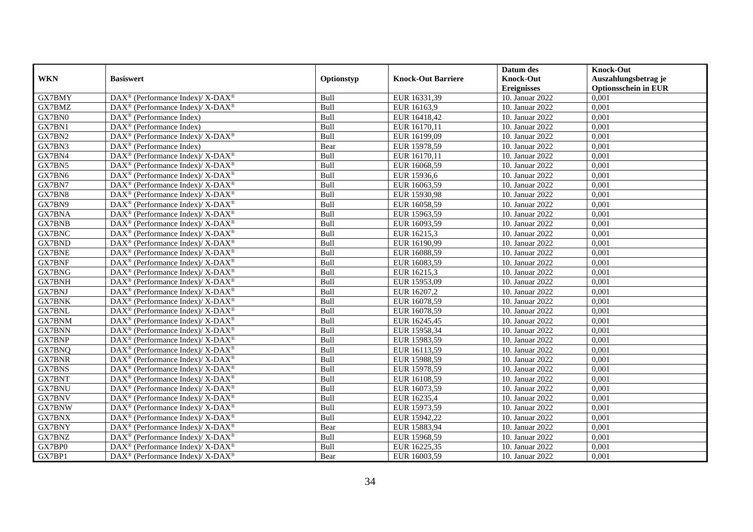|               |                                                                           |            |                           | Datum des          | <b>Knock-Out</b>            |
|---------------|---------------------------------------------------------------------------|------------|---------------------------|--------------------|-----------------------------|
| <b>WKN</b>    | <b>Basiswert</b>                                                          | Optionstyp | <b>Knock-Out Barriere</b> | <b>Knock-Out</b>   | Auszahlungsbetrag je        |
|               |                                                                           |            |                           | <b>Ereignisses</b> | <b>Optionsschein in EUR</b> |
| GX7BMY        | DAX <sup>®</sup> (Performance Index)/ X-DAX <sup>®</sup>                  | Bull       | EUR 16331,39              | 10. Januar 2022    | 0,001                       |
| GX7BMZ        | $DAX^{\circledast}$ (Performance Index)/ X-DAX <sup>®</sup>               | Bull       | EUR 16163,9               | 10. Januar 2022    | 0,001                       |
| GX7BN0        | $DAX^{\circledR}$ (Performance Index)                                     | Bull       | EUR 16418,42              | 10. Januar 2022    | 0,001                       |
| GX7BN1        | $\text{DAX}^{\otimes}$ (Performance Index)                                | Bull       | EUR 16170,11              | 10. Januar 2022    | 0,001                       |
| GX7BN2        | $DAX^{\circledast}$ (Performance Index)/ $\overline{X-DAX^{\circledast}}$ | Bull       | EUR 16199,09              | 10. Januar 2022    | 0,001                       |
| GX7BN3        | $DAX^{\circledR}$ (Performance Index)                                     | Bear       | EUR 15978,59              | 10. Januar 2022    | 0,001                       |
| GX7BN4        | DAX <sup>®</sup> (Performance Index)/ X-DAX <sup>®</sup>                  | Bull       | EUR 16170,11              | 10. Januar 2022    | 0,001                       |
| GX7BN5        | $DAX^{\circledast}$ (Performance Index)/ X-DAX <sup>®</sup>               | Bull       | EUR 16068,59              | 10. Januar 2022    | 0,001                       |
| GX7BN6        | $DAX^{\circledast}$ (Performance Index)/ X-DAX <sup>®</sup>               | Bull       | EUR 15936,6               | 10. Januar 2022    | 0,001                       |
| GX7BN7        | DAX <sup>®</sup> (Performance Index)/ X-DAX <sup>®</sup>                  | Bull       | EUR 16063,59              | 10. Januar 2022    | 0,001                       |
| GX7BN8        | DAX <sup>®</sup> (Performance Index)/ X-DAX <sup>®</sup>                  | Bull       | EUR 15930,98              | 10. Januar 2022    | 0,001                       |
| GX7BN9        | DAX <sup>®</sup> (Performance Index)/ X-DAX <sup>®</sup>                  | Bull       | EUR 16058,59              | 10. Januar 2022    | 0,001                       |
| GX7BNA        | $DAX^{\circledast}$ (Performance Index)/ X-DAX <sup>®</sup>               | Bull       | EUR 15963,59              | 10. Januar 2022    | 0,001                       |
| <b>GX7BNB</b> | $DAX^{\circledast}$ (Performance Index)/ X-DAX <sup>®</sup>               | Bull       | EUR 16093,59              | 10. Januar 2022    | 0,001                       |
| GX7BNC        | DAX <sup>®</sup> (Performance Index)/ X-DAX <sup>®</sup>                  | Bull       | EUR 16215,3               | 10. Januar 2022    | 0,001                       |
| <b>GX7BND</b> | DAX <sup>®</sup> (Performance Index)/ X-DAX <sup>®</sup>                  | Bull       | EUR 16190,99              | 10. Januar 2022    | 0,001                       |
| <b>GX7BNE</b> | $DAX^{\circledast}$ (Performance Index)/ X-DAX <sup>®</sup>               | Bull       | EUR 16088,59              | 10. Januar 2022    | 0,001                       |
| <b>GX7BNF</b> | $DAX^{\circledcirc}$ (Performance Index)/ X-DAX <sup>®</sup>              | Bull       | EUR 16083,59              | 10. Januar 2022    | 0,001                       |
| GX7BNG        | $DAX^{\circledast}$ (Performance Index)/ X-DAX <sup>®</sup>               | Bull       | EUR 16215,3               | 10. Januar 2022    | 0,001                       |
| <b>GX7BNH</b> | DAX <sup>®</sup> (Performance Index)/ X-DAX <sup>®</sup>                  | Bull       | EUR 15953,09              | 10. Januar 2022    | 0,001                       |
| GX7BNJ        | $DAX^{\circledast}$ (Performance Index)/ X-DAX <sup>®</sup>               | Bull       | EUR 16207,2               | 10. Januar 2022    | 0,001                       |
| <b>GX7BNK</b> | $DAX^{\circledast}$ (Performance Index)/ X-DAX <sup>®</sup>               | Bull       | EUR 16078,59              | 10. Januar 2022    | $0,\overline{001}$          |
| <b>GX7BNL</b> | DAX <sup>®</sup> (Performance Index)/ X-DAX <sup>®</sup>                  | Bull       | EUR 16078,59              | 10. Januar 2022    | 0,001                       |
| GX7BNM        | $DAX^{\circledast}$ (Performance Index)/ X-DAX <sup>®</sup>               | Bull       | EUR 16245,45              | 10. Januar 2022    | 0,001                       |
| <b>GX7BNN</b> | $DAX^{\circledcirc}$ (Performance Index)/ X-DAX <sup>®</sup>              | Bull       | EUR 15958,34              | 10. Januar 2022    | 0,001                       |
| <b>GX7BNP</b> | $DAX^{\circledast}$ (Performance Index)/ X-DAX <sup>®</sup>               | Bull       | EUR 15983,59              | 10. Januar 2022    | 0,001                       |
| GX7BNQ        | DAX <sup>®</sup> (Performance Index)/ X-DAX <sup>®</sup>                  | Bull       | EUR 16113,59              | 10. Januar 2022    | 0,001                       |
| <b>GX7BNR</b> | DAX <sup>®</sup> (Performance Index)/ X-DAX <sup>®</sup>                  | Bull       | EUR 15988,59              | 10. Januar 2022    | 0,001                       |
| <b>GX7BNS</b> | $DAX^{\circledast}$ (Performance Index)/ X-DAX <sup>®</sup>               | Bull       | EUR 15978,59              | 10. Januar 2022    | 0,001                       |
| GX7BNT        | $DAX^{\circledast}$ (Performance Index)/ X-DAX <sup>®</sup>               | Bull       | EUR 16108,59              | 10. Januar 2022    | 0,001                       |
| <b>GX7BNU</b> | $DAX^{\circledast}$ (Performance Index)/ X-DAX <sup>®</sup>               | Bull       | EUR 16073,59              | 10. Januar 2022    | 0,001                       |
| <b>GX7BNV</b> | $DAX^{\circledast}$ (Performance Index)/ X-DAX <sup>®</sup>               | Bull       | EUR 16235,4               | 10. Januar 2022    | 0,001                       |
| <b>GX7BNW</b> | $DAX^{\circledast}$ (Performance Index)/ X-DAX <sup>®</sup>               | Bull       | EUR 15973,59              | 10. Januar 2022    | 0,001                       |
| GX7BNX        | DAX <sup>®</sup> (Performance Index)/ X-DAX <sup>®</sup>                  | Bull       | EUR 15942,22              | 10. Januar 2022    | 0,001                       |
| GX7BNY        | DAX <sup>®</sup> (Performance Index)/ X-DAX <sup>®</sup>                  | Bear       | EUR 15883,94              | 10. Januar 2022    | 0,001                       |
| GX7BNZ        | $\text{DAX}^{\circledast}$ (Performance Index)/ X-DAX <sup>®</sup>        | Bull       | EUR 15968,59              | 10. Januar 2022    | 0,001                       |
| GX7BP0        | DAX <sup>®</sup> (Performance Index)/ X-DAX <sup>®</sup>                  | Bull       | EUR 16225,35              | 10. Januar 2022    | 0,001                       |
| GX7BP1        | DAX <sup>®</sup> (Performance Index)/ X-DAX <sup>®</sup>                  | Bear       | EUR 16003,59              | 10. Januar 2022    | 0,001                       |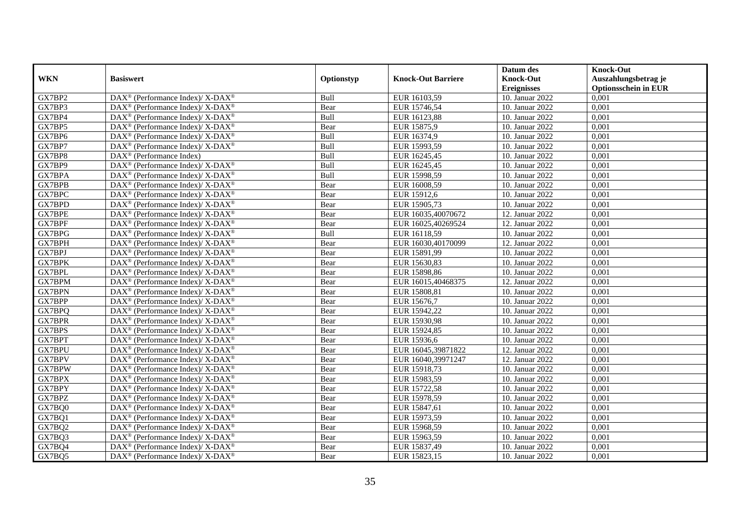|               |                                                                    |            |                           | Datum des          | <b>Knock-Out</b>            |
|---------------|--------------------------------------------------------------------|------------|---------------------------|--------------------|-----------------------------|
| <b>WKN</b>    | <b>Basiswert</b>                                                   | Optionstyp | <b>Knock-Out Barriere</b> | <b>Knock-Out</b>   | Auszahlungsbetrag je        |
|               |                                                                    |            |                           | <b>Ereignisses</b> | <b>Optionsschein in EUR</b> |
| GX7BP2        | DAX <sup>®</sup> (Performance Index)/ X-DAX <sup>®</sup>           | Bull       | EUR 16103,59              | 10. Januar 2022    | 0,001                       |
| GX7BP3        | $DAX^{\circledast}$ (Performance Index)/ X-DAX <sup>®</sup>        | Bear       | EUR 15746,54              | 10. Januar 2022    | 0,001                       |
| GX7BP4        | $DAX^{\circledast}$ (Performance Index)/ X-DAX <sup>®</sup>        | Bull       | EUR 16123,88              | 10. Januar 2022    | 0,001                       |
| GX7BP5        | $DAX^{\circledast}$ (Performance Index)/ X-DAX <sup>®</sup>        | Bear       | EUR 15875,9               | 10. Januar 2022    | 0,001                       |
| GX7BP6        | $DAX^{\circledast}$ (Performance Index)/ X-DAX <sup>®</sup>        | Bull       | EUR 16374,9               | 10. Januar 2022    | 0,001                       |
| GX7BP7        | DAX <sup>®</sup> (Performance Index)/ X-DAX <sup>®</sup>           | Bull       | EUR 15993,59              | 10. Januar 2022    | 0,001                       |
| GX7BP8        | $DAX^{\circledR}$ (Performance Index)                              | Bull       | EUR 16245,45              | 10. Januar 2022    | 0,001                       |
| GX7BP9        | DAX <sup>®</sup> (Performance Index)/ X-DAX <sup>®</sup>           | Bull       | EUR 16245,45              | 10. Januar 2022    | 0,001                       |
| GX7BPA        | $DAX^{\circledast}$ (Performance Index)/ X-DAX <sup>®</sup>        | Bull       | EUR 15998,59              | 10. Januar 2022    | 0,001                       |
| GX7BPB        | $DAX^{\circledast}$ (Performance Index)/ X-DAX <sup>®</sup>        | Bear       | EUR 16008,59              | 10. Januar 2022    | 0,001                       |
| GX7BPC        | $DAX^{\circledcirc}$ (Performance Index)/ X-DAX <sup>®</sup>       | Bear       | EUR 15912,6               | 10. Januar 2022    | 0,001                       |
| GX7BPD        | DAX <sup>®</sup> (Performance Index)/ X-DAX <sup>®</sup>           | Bear       | EUR 15905,73              | 10. Januar 2022    | 0,001                       |
| <b>GX7BPE</b> | $DAX^{\circledast}$ (Performance Index)/ X-DAX <sup>®</sup>        | Bear       | EUR 16035,40070672        | 12. Januar 2022    | 0,001                       |
| GX7BPF        | $DAX^{\circledast}$ (Performance Index)/ X-DAX <sup>®</sup>        | Bear       | EUR 16025,40269524        | 12. Januar 2022    | 0,001                       |
| GX7BPG        | DAX <sup>®</sup> (Performance Index)/ X-DAX <sup>®</sup>           | Bull       | EUR 16118,59              | 10. Januar 2022    | 0,001                       |
| GX7BPH        | DAX <sup>®</sup> (Performance Index)/ X-DAX <sup>®</sup>           | Bear       | EUR 16030,40170099        | 12. Januar 2022    | 0,001                       |
| GX7BPJ        | $DAX^{\circledast}$ (Performance Index)/ X-DAX <sup>®</sup>        | Bear       | EUR 15891,99              | 10. Januar 2022    | 0,001                       |
| GX7BPK        | $DAX^{\circledcirc}$ (Performance Index)/ X-DAX <sup>®</sup>       | Bear       | EUR 15630,83              | 10. Januar 2022    | 0,001                       |
| GX7BPL        | $DAX^{\circledast}$ (Performance Index)/ X-DAX <sup>®</sup>        | Bear       | EUR 15898,86              | 10. Januar 2022    | 0,001                       |
| GX7BPM        | DAX <sup>®</sup> (Performance Index)/ X-DAX <sup>®</sup>           | Bear       | EUR 16015,40468375        | 12. Januar 2022    | 0,001                       |
| <b>GX7BPN</b> | $DAX^{\circledast}$ (Performance Index)/ X-DAX <sup>®</sup>        | Bear       | EUR 15808,81              | 10. Januar 2022    | 0,001                       |
| GX7BPP        | $DAX^{\circledast}$ (Performance Index)/ X-DAX <sup>®</sup>        | Bear       | EUR 15676,7               | 10. Januar 2022    | 0,001                       |
| GX7BPQ        | DAX <sup>®</sup> (Performance Index)/ X-DAX <sup>®</sup>           | Bear       | EUR 15942,22              | 10. Januar 2022    | 0,001                       |
| <b>GX7BPR</b> | $DAX^{\circledast}$ (Performance Index)/ X-DAX <sup>®</sup>        | Bear       | EUR 15930,98              | 10. Januar 2022    | 0,001                       |
| GX7BPS        | $DAX^{\circledcirc}$ (Performance Index)/ X-DAX <sup>®</sup>       | Bear       | EUR 15924,85              | 10. Januar 2022    | 0,001                       |
| GX7BPT        | $DAX^{\circledast}$ (Performance Index)/ X-DAX <sup>®</sup>        | Bear       | EUR 15936,6               | 10. Januar 2022    | 0,001                       |
| GX7BPU        | DAX <sup>®</sup> (Performance Index)/ X-DAX <sup>®</sup>           | Bear       | EUR 16045,39871822        | 12. Januar 2022    | 0,001                       |
| GX7BPV        | DAX <sup>®</sup> (Performance Index)/ X-DAX <sup>®</sup>           | Bear       | EUR 16040,39971247        | 12. Januar 2022    | 0,001                       |
| GX7BPW        | $DAX^{\circledast}$ (Performance Index)/ X-DAX <sup>®</sup>        | Bear       | EUR 15918,73              | 10. Januar 2022    | 0,001                       |
| GX7BPX        | $DAX^{\circledast}$ (Performance Index)/ X-DAX <sup>®</sup>        | Bear       | EUR 15983,59              | 10. Januar 2022    | 0,001                       |
| GX7BPY        | $DAX^{\circledast}$ (Performance Index)/ X-DAX <sup>®</sup>        | Bear       | EUR 15722,58              | 10. Januar 2022    | 0,001                       |
| GX7BPZ        | $DAX^{\circledast}$ (Performance Index)/ X-DAX <sup>®</sup>        | Bear       | EUR 15978,59              | 10. Januar 2022    | 0,001                       |
| GX7BQ0        | $DAX^{\circledast}$ (Performance Index)/ X-DAX <sup>®</sup>        | Bear       | EUR 15847,61              | 10. Januar 2022    | 0,001                       |
| GX7BQ1        | DAX <sup>®</sup> (Performance Index)/ X-DAX <sup>®</sup>           | Bear       | EUR 15973,59              | 10. Januar 2022    | 0,001                       |
| GX7BQ2        | $DAX^{\circledast}$ (Performance Index)/ X-DAX <sup>®</sup>        | Bear       | EUR 15968,59              | 10. Januar 2022    | 0,001                       |
| GX7BQ3        | $\text{DAX}^{\circledast}$ (Performance Index)/ X-DAX <sup>®</sup> | Bear       | EUR 15963,59              | 10. Januar 2022    | 0,001                       |
| GX7BQ4        | DAX <sup>®</sup> (Performance Index)/ X-DAX <sup>®</sup>           | Bear       | EUR 15837,49              | 10. Januar 2022    | 0,001                       |
| GX7BQ5        | DAX <sup>®</sup> (Performance Index)/ X-DAX <sup>®</sup>           | Bear       | EUR 15823,15              | 10. Januar 2022    | 0,001                       |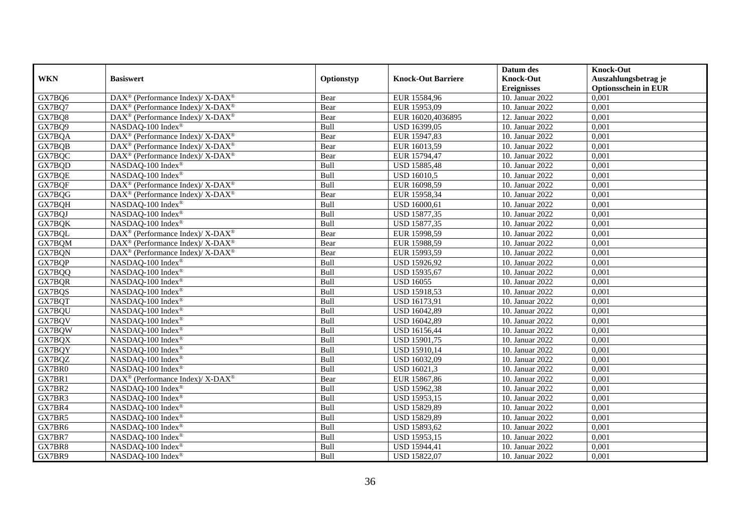|            |                                                                           |            |                           | Datum des          | <b>Knock-Out</b>            |
|------------|---------------------------------------------------------------------------|------------|---------------------------|--------------------|-----------------------------|
| <b>WKN</b> | <b>Basiswert</b>                                                          | Optionstyp | <b>Knock-Out Barriere</b> | <b>Knock-Out</b>   | Auszahlungsbetrag je        |
|            |                                                                           |            |                           | <b>Ereignisses</b> | <b>Optionsschein in EUR</b> |
| GX7BQ6     | DAX <sup>®</sup> (Performance Index)/ X-DAX <sup>®</sup>                  | Bear       | EUR 15584,96              | 10. Januar 2022    | 0,001                       |
| GX7BQ7     | DAX <sup>®</sup> (Performance Index)/ X-DAX <sup>®</sup>                  | Bear       | EUR 15953,09              | 10. Januar 2022    | 0,001                       |
| GX7BQ8     | $DAX^{\circledcirc}$ (Performance Index)/ X-DAX <sup>®</sup>              | Bear       | EUR 16020,4036895         | 12. Januar 2022    | 0,001                       |
| GX7BQ9     | NASDAQ-100 Index®                                                         | Bull       | USD 16399,05              | 10. Januar 2022    | 0,001                       |
| GX7BQA     | DAX <sup>®</sup> (Performance Index)/ X-DAX <sup>®</sup>                  | Bear       | EUR 15947,83              | 10. Januar 2022    | 0,001                       |
| GX7BQB     | DAX <sup>®</sup> (Performance Index)/ X-DAX <sup>®</sup>                  | Bear       | EUR 16013,59              | 10. Januar 2022    | 0,001                       |
| GX7BQC     | $DAX^{\circledast}$ (Performance Index)/ X-DAX <sup>®</sup>               | Bear       | EUR 15794,47              | 10. Januar 2022    | 0,001                       |
| GX7BQD     | NASDAQ-100 Index®                                                         | Bull       | USD 15885,48              | 10. Januar 2022    | 0,001                       |
| GX7BQE     | NASDAQ-100 Index®                                                         | Bull       | <b>USD 16010,5</b>        | 10. Januar 2022    | 0,001                       |
| GX7BQF     | $DAX^{\circledast}$ (Performance Index)/ $\overline{X-DAX^{\circledast}}$ | Bull       | EUR 16098,59              | 10. Januar 2022    | 0,001                       |
| GX7BQG     | DAX <sup>®</sup> (Performance Index)/ X-DAX <sup>®</sup>                  | Bear       | EUR 15958,34              | 10. Januar 2022    | 0,001                       |
| GX7BQH     | NASDAQ-100 Index®                                                         | Bull       | USD 16000,61              | 10. Januar 2022    | 0,001                       |
| GX7BQJ     | NASDAQ-100 Index®                                                         | Bull       | <b>USD 15877,35</b>       | 10. Januar 2022    | 0,001                       |
| GX7BQK     | NASDAQ-100 Index®                                                         | Bull       | USD 15877,35              | 10. Januar 2022    | 0,001                       |
| GX7BQL     | DAX <sup>®</sup> (Performance Index)/ X-DAX <sup>®</sup>                  | Bear       | EUR 15998,59              | 10. Januar 2022    | 0,001                       |
| GX7BQM     | DAX <sup>®</sup> (Performance Index)/ X-DAX <sup>®</sup>                  | Bear       | EUR 15988,59              | 10. Januar 2022    | 0,001                       |
| GX7BQN     | $DAX^{\circledast}$ (Performance Index)/ X-DAX <sup>®</sup>               | Bear       | EUR 15993,59              | 10. Januar 2022    | 0,001                       |
| GX7BQP     | NASDAQ-100 Index®                                                         | Bull       | USD 15926,92              | 10. Januar 2022    | 0.001                       |
| GX7BQQ     | NASDAQ-100 Index®                                                         | Bull       | USD 15935,67              | 10. Januar 2022    | 0,001                       |
| GX7BQR     | NASDAQ-100 Index®                                                         | Bull       | <b>USD 16055</b>          | 10. Januar 2022    | 0,001                       |
| GX7BQS     | NASDAQ-100 Index®                                                         | Bull       | USD 15918,53              | 10. Januar 2022    | 0,001                       |
| GX7BQT     | NASDAQ-100 Index®                                                         | Bull       | <b>USD 16173,91</b>       | 10. Januar 2022    | 0,001                       |
| GX7BQU     | NASDAQ-100 Index®                                                         | Bull       | USD 16042,89              | 10. Januar 2022    | 0,001                       |
| GX7BQV     | NASDAQ-100 Index®                                                         | Bull       | USD 16042,89              | 10. Januar 2022    | 0,001                       |
| GX7BQW     | NASDAQ-100 Index®                                                         | Bull       | USD 16156,44              | 10. Januar 2022    | 0,001                       |
| GX7BQX     | NASDAQ-100 Index®                                                         | Bull       | USD 15901,75              | 10. Januar 2022    | 0,001                       |
| GX7BQY     | NASDAQ-100 Index®                                                         | Bull       | USD 15910,14              | 10. Januar 2022    | 0,001                       |
| GX7BQZ     | NASDAQ-100 Index®                                                         | Bull       | USD 16032,09              | 10. Januar 2022    | 0,001                       |
| GX7BR0     | NASDAQ-100 Index®                                                         | Bull       | USD 16021,3               | 10. Januar 2022    | 0,001                       |
| GX7BR1     | DAX <sup>®</sup> (Performance Index)/ X-DAX <sup>®</sup>                  | Bear       | EUR 15867,86              | 10. Januar 2022    | 0,001                       |
| GX7BR2     | NASDAQ-100 Index®                                                         | Bull       | USD 15962,38              | 10. Januar 2022    | 0,001                       |
| GX7BR3     | NASDAQ-100 Index®                                                         | Bull       | USD 15953,15              | 10. Januar 2022    | 0,001                       |
| GX7BR4     | NASDAQ-100 Index®                                                         | Bull       | USD 15829,89              | 10. Januar 2022    | 0,001                       |
| GX7BR5     | NASDAQ-100 Index®                                                         | Bull       | USD 15829,89              | 10. Januar 2022    | 0,001                       |
| GX7BR6     | NASDAQ-100 Index®                                                         | Bull       | USD 15893,62              | 10. Januar 2022    | 0,001                       |
| GX7BR7     | NASDAQ-100 Index®                                                         | Bull       | USD 15953,15              | 10. Januar 2022    | 0,001                       |
| GX7BR8     | NASDAQ-100 Index®                                                         | Bull       | USD 15944,41              | 10. Januar 2022    | 0,001                       |
| GX7BR9     | NASDAQ-100 Index®                                                         | Bull       | USD 15822,07              | 10. Januar 2022    | 0,001                       |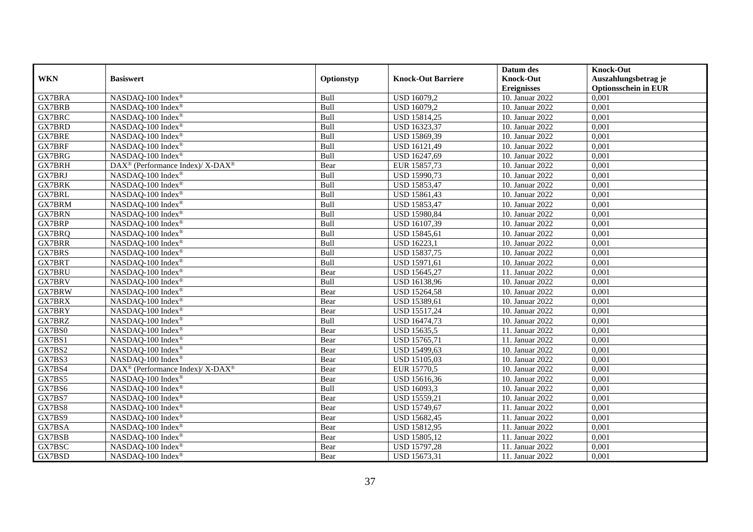|               |                                                          |            |                           | Datum des          | <b>Knock-Out</b>            |
|---------------|----------------------------------------------------------|------------|---------------------------|--------------------|-----------------------------|
| <b>WKN</b>    | <b>Basiswert</b>                                         | Optionstyp | <b>Knock-Out Barriere</b> | <b>Knock-Out</b>   | Auszahlungsbetrag je        |
|               |                                                          |            |                           | <b>Ereignisses</b> | <b>Optionsschein in EUR</b> |
| <b>GX7BRA</b> | NASDAQ-100 Index®                                        | Bull       | USD 16079,2               | 10. Januar 2022    | 0,001                       |
| <b>GX7BRB</b> | NASDAQ-100 Index®                                        | Bull       | <b>USD 16079,2</b>        | 10. Januar 2022    | 0,001                       |
| GX7BRC        | NASDAQ-100 Index®                                        | Bull       | USD 15814,25              | 10. Januar 2022    | 0,001                       |
| GX7BRD        | NASDAQ-100 Index®                                        | Bull       | USD 16323,37              | 10. Januar 2022    | 0,001                       |
| <b>GX7BRE</b> | NASDAQ-100 Index®                                        | Bull       | USD 15869,39              | 10. Januar 2022    | 0,001                       |
| <b>GX7BRF</b> | NASDAQ-100 Index®                                        | Bull       | USD 16121,49              | 10. Januar 2022    | 0,001                       |
| GX7BRG        | NASDAQ-100 Index <sup>®</sup>                            | Bull       | USD 16247,69              | 10. Januar 2022    | 0,001                       |
| GX7BRH        | DAX <sup>®</sup> (Performance Index)/ X-DAX <sup>®</sup> | Bear       | EUR 15857,73              | 10. Januar 2022    | 0,001                       |
| GX7BRJ        | NASDAQ-100 Index®                                        | Bull       | USD 15990,73              | 10. Januar 2022    | 0,001                       |
| <b>GX7BRK</b> | NASDAQ-100 Index®                                        | Bull       | USD 15853,47              | 10. Januar 2022    | 0,001                       |
| <b>GX7BRL</b> | NASDAQ-100 Index®                                        | Bull       | USD 15861,43              | 10. Januar 2022    | 0,001                       |
| <b>GX7BRM</b> | NASDAQ-100 Index®                                        | Bull       | USD 15853,47              | 10. Januar 2022    | 0,001                       |
| <b>GX7BRN</b> | NASDAQ-100 Index®                                        | Bull       | USD 15980,84              | 10. Januar 2022    | 0,001                       |
| <b>GX7BRP</b> | NASDAQ-100 Index®                                        | Bull       | USD 16107,39              | 10. Januar 2022    | 0,001                       |
| GX7BRQ        | NASDAQ-100 Index®                                        | Bull       | USD 15845,61              | 10. Januar 2022    | 0,001                       |
| <b>GX7BRR</b> | NASDAQ-100 Index®                                        | Bull       | USD 16223,1               | 10. Januar 2022    | 0,001                       |
| <b>GX7BRS</b> | NASDAQ-100 Index®                                        | Bull       | USD 15837,75              | 10. Januar 2022    | 0,001                       |
| GX7BRT        | NASDAQ-100 Index®                                        | Bull       | USD 15971,61              | 10. Januar 2022    | 0.001                       |
| <b>GX7BRU</b> | NASDAQ-100 Index®                                        | Bear       | USD 15645,27              | 11. Januar 2022    | 0,001                       |
| <b>GX7BRV</b> | NASDAQ-100 Index®                                        | Bull       | USD 16138,96              | 10. Januar 2022    | 0,001                       |
| <b>GX7BRW</b> | NASDAQ-100 Index®                                        | Bear       | <b>USD 15264,58</b>       | 10. Januar 2022    | 0,001                       |
| <b>GX7BRX</b> | NASDAQ-100 Index®                                        | Bear       | USD 15389,61              | 10. Januar 2022    | 0,001                       |
| GX7BRY        | NASDAQ-100 Index®                                        | Bear       | USD 15517,24              | 10. Januar 2022    | 0,001                       |
| GX7BRZ        | NASDAQ-100 Index®                                        | Bull       | USD 16474,73              | 10. Januar 2022    | 0,001                       |
| GX7BS0        | NASDAQ-100 Index®                                        | Bear       | USD 15635,5               | 11. Januar 2022    | 0,001                       |
| GX7BS1        | NASDAQ-100 Index®                                        | Bear       | USD 15765,71              | 11. Januar 2022    | 0.001                       |
| GX7BS2        | NASDAQ-100 Index®                                        | Bear       | USD 15499,63              | 10. Januar 2022    | 0,001                       |
| GX7BS3        | NASDAO-100 Index®                                        | Bear       | USD 15105,03              | 10. Januar 2022    | 0,001                       |
| GX7BS4        | DAX <sup>®</sup> (Performance Index)/ X-DAX <sup>®</sup> | Bear       | EUR 15770,5               | 10. Januar 2022    | 0,001                       |
| GX7BS5        | NASDAQ-100 Index®                                        | Bear       | USD 15616,36              | 10. Januar 2022    | 0,001                       |
| GX7BS6        | NASDAQ-100 Index®                                        | Bull       | USD 16093,3               | 10. Januar 2022    | 0,001                       |
| GX7BS7        | NASDAQ-100 Index®                                        | Bear       | <b>USD 15559,21</b>       | 10. Januar 2022    | 0,001                       |
| GX7BS8        | NASDAQ-100 Index®                                        | Bear       | USD 15749,67              | 11. Januar 2022    | 0,001                       |
| GX7BS9        | NASDAQ-100 Index®                                        | Bear       | <b>USD 15682,45</b>       | 11. Januar 2022    | 0,001                       |
| GX7BSA        | NASDAQ-100 Index®                                        | Bear       | USD 15812,95              | 11. Januar 2022    | 0,001                       |
| GX7BSB        | NASDAQ-100 Index®                                        | Bear       | USD 15805,12              | 11. Januar 2022    | 0,001                       |
| GX7BSC        | NASDAQ-100 Index®                                        | Bear       | <b>USD 15797,28</b>       | 11. Januar 2022    | 0,001                       |
| GX7BSD        | NASDAQ-100 Index <sup>®</sup>                            | Bear       | USD 15673,31              | 11. Januar 2022    | 0,001                       |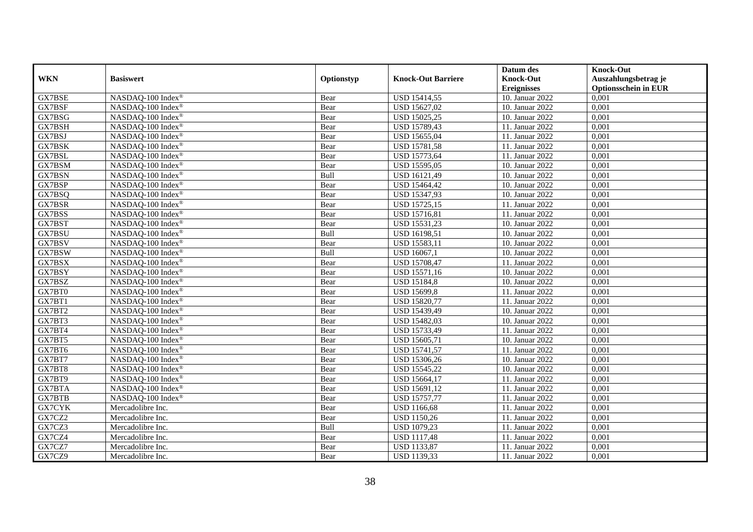|               |                   |            |                           | Datum des          | <b>Knock-Out</b>            |
|---------------|-------------------|------------|---------------------------|--------------------|-----------------------------|
| <b>WKN</b>    | <b>Basiswert</b>  | Optionstyp | <b>Knock-Out Barriere</b> | <b>Knock-Out</b>   | Auszahlungsbetrag je        |
|               |                   |            |                           | <b>Ereignisses</b> | <b>Optionsschein in EUR</b> |
| GX7BSE        | NASDAQ-100 Index® | Bear       | <b>USD 15414,55</b>       | 10. Januar 2022    | 0,001                       |
| GX7BSF        | NASDAQ-100 Index® | Bear       | USD 15627,02              | 10. Januar 2022    | 0,001                       |
| GX7BSG        | NASDAQ-100 Index® | Bear       | <b>USD 15025,25</b>       | 10. Januar 2022    | 0,001                       |
| GX7BSH        | NASDAQ-100 Index® | Bear       | USD 15789,43              | 11. Januar 2022    | 0,001                       |
| GX7BSJ        | NASDAQ-100 Index® | Bear       | USD 15655,04              | 11. Januar 2022    | 0,001                       |
| GX7BSK        | NASDAQ-100 Index® | Bear       | <b>USD 15781,58</b>       | 11. Januar 2022    | 0,001                       |
| GX7BSL        | NASDAQ-100 Index® | Bear       | USD 15773,64              | 11. Januar 2022    | 0,001                       |
| GX7BSM        | NASDAQ-100 Index® | Bear       | USD 15595,05              | 10. Januar 2022    | 0,001                       |
| GX7BSN        | NASDAQ-100 Index® | Bull       | USD 16121,49              | 10. Januar 2022    | 0,001                       |
| GX7BSP        | NASDAQ-100 Index® | Bear       | USD 15464,42              | 10. Januar 2022    | 0,001                       |
| GX7BSQ        | NASDAQ-100 Index® | Bear       | <b>USD 15347,93</b>       | 10. Januar 2022    | 0,001                       |
| GX7BSR        | NASDAQ-100 Index® | Bear       | <b>USD 15725,15</b>       | 11. Januar 2022    | 0,001                       |
| GX7BSS        | NASDAQ-100 Index® | Bear       | <b>USD 15716,81</b>       | 11. Januar 2022    | 0,001                       |
| GX7BST        | NASDAQ-100 Index® | Bear       | USD 15531,23              | 10. Januar 2022    | 0,001                       |
| GX7BSU        | NASDAQ-100 Index® | Bull       | USD 16198,51              | 10. Januar 2022    | 0,001                       |
| GX7BSV        | NASDAQ-100 Index® | Bear       | USD 15583,11              | 10. Januar 2022    | 0,001                       |
| GX7BSW        | NASDAQ-100 Index® | Bull       | USD 16067,1               | 10. Januar 2022    | 0,001                       |
| GX7BSX        | NASDAQ-100 Index® | Bear       | <b>USD 15708,47</b>       | 11. Januar 2022    | 0,001                       |
| GX7BSY        | NASDAQ-100 Index® | Bear       | <b>USD 15571,16</b>       | 10. Januar 2022    | 0,001                       |
| GX7BSZ        | NASDAQ-100 Index® | Bear       | <b>USD 15184,8</b>        | 10. Januar 2022    | 0,001                       |
| GX7BT0        | NASDAQ-100 Index® | Bear       | <b>USD 15699,8</b>        | 11. Januar 2022    | 0,001                       |
| GX7BT1        | NASDAQ-100 Index® | Bear       | <b>USD 15820,77</b>       | 11. Januar 2022    | 0,001                       |
| GX7BT2        | NASDAQ-100 Index® | Bear       | USD 15439,49              | 10. Januar 2022    | 0,001                       |
| GX7BT3        | NASDAQ-100 Index® | Bear       | <b>USD 15482,03</b>       | 10. Januar 2022    | 0,001                       |
| GX7BT4        | NASDAQ-100 Index® | Bear       | USD 15733,49              | 11. Januar 2022    | 0,001                       |
| GX7BT5        | NASDAQ-100 Index® | Bear       | USD 15605,71              | 10. Januar 2022    | 0,001                       |
| GX7BT6        | NASDAQ-100 Index® | Bear       | <b>USD 15741,57</b>       | 11. Januar 2022    | 0,001                       |
| GX7BT7        | NASDAQ-100 Index® | Bear       | USD 15306,26              | 10. Januar 2022    | 0,001                       |
| GX7BT8        | NASDAQ-100 Index® | Bear       | USD 15545,22              | 10. Januar 2022    | 0,001                       |
| GX7BT9        | NASDAQ-100 Index® | Bear       | USD 15664,17              | 11. Januar 2022    | 0,001                       |
| GX7BTA        | NASDAQ-100 Index® | Bear       | USD 15691,12              | 11. Januar 2022    | 0,001                       |
| <b>GX7BTB</b> | NASDAQ-100 Index® | Bear       | <b>USD 15757,77</b>       | 11. Januar 2022    | 0,001                       |
| <b>GX7CYK</b> | Mercadolibre Inc. | Bear       | <b>USD 1166,68</b>        | 11. Januar 2022    | 0,001                       |
| GX7CZ2        | Mercadolibre Inc. | Bear       | <b>USD 1150,26</b>        | 11. Januar 2022    | 0,001                       |
| GX7CZ3        | Mercadolibre Inc. | Bull       | <b>USD 1079,23</b>        | 11. Januar 2022    | 0,001                       |
| GX7CZ4        | Mercadolibre Inc. | Bear       | <b>USD 1117,48</b>        | 11. Januar 2022    | 0,001                       |
| GX7CZ7        | Mercadolibre Inc. | Bear       | <b>USD 1133,87</b>        | 11. Januar 2022    | 0,001                       |
| GX7CZ9        | Mercadolibre Inc. | Bear       | USD 1139,33               | 11. Januar 2022    | 0,001                       |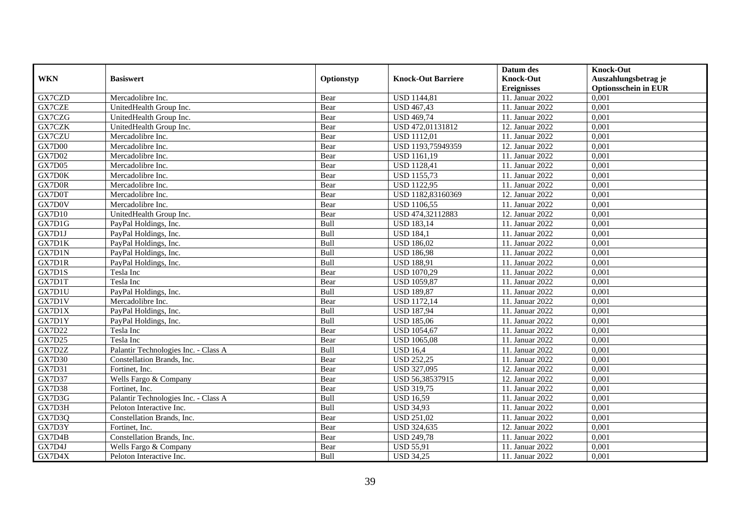|               |                                      |            |                           | Datum des          | <b>Knock-Out</b>            |
|---------------|--------------------------------------|------------|---------------------------|--------------------|-----------------------------|
| <b>WKN</b>    | <b>Basiswert</b>                     | Optionstyp | <b>Knock-Out Barriere</b> | <b>Knock-Out</b>   | Auszahlungsbetrag je        |
|               |                                      |            |                           | <b>Ereignisses</b> | <b>Optionsschein in EUR</b> |
| GX7CZD        | Mercadolibre Inc.                    | Bear       | <b>USD</b> 1144,81        | 11. Januar 2022    | 0,001                       |
| GX7CZE        | UnitedHealth Group Inc.              | Bear       | <b>USD 467,43</b>         | 11. Januar 2022    | 0,001                       |
| GX7CZG        | UnitedHealth Group Inc.              | Bear       | <b>USD 469,74</b>         | 11. Januar 2022    | 0,001                       |
| GX7CZK        | UnitedHealth Group Inc.              | Bear       | USD 472,01131812          | 12. Januar 2022    | 0,001                       |
| GX7CZU        | Mercadolibre Inc.                    | Bear       | <b>USD 1112,01</b>        | 11. Januar 2022    | 0,001                       |
| GX7D00        | Mercadolibre Inc.                    | Bear       | USD 1193,75949359         | 12. Januar 2022    | 0,001                       |
| <b>GX7D02</b> | Mercadolibre Inc.                    | Bear       | <b>USD 1161,19</b>        | 11. Januar 2022    | 0,001                       |
| GX7D05        | Mercadolibre Inc.                    | Bear       | <b>USD 1128,41</b>        | 11. Januar 2022    | 0,001                       |
| GX7D0K        | Mercadolibre Inc.                    | Bear       | <b>USD 1155,73</b>        | 11. Januar 2022    | 0,001                       |
| GX7D0R        | Mercadolibre Inc.                    | Bear       | <b>USD 1122,95</b>        | 11. Januar 2022    | 0,001                       |
| GX7D0T        | Mercadolibre Inc.                    | Bear       | USD 1182,83160369         | 12. Januar 2022    | 0,001                       |
| GX7D0V        | Mercadolibre Inc.                    | Bear       | <b>USD</b> 1106,55        | 11. Januar 2022    | 0,001                       |
| GX7D10        | UnitedHealth Group Inc.              | Bear       | USD 474,32112883          | 12. Januar 2022    | 0,001                       |
| GX7D1G        | PayPal Holdings, Inc.                | Bull       | <b>USD 183,14</b>         | 11. Januar 2022    | 0,001                       |
| GX7D1J        | PayPal Holdings, Inc.                | Bull       | <b>USD 184,1</b>          | 11. Januar 2022    | 0,001                       |
| GX7D1K        | PayPal Holdings, Inc.                | Bull       | <b>USD 186,02</b>         | 11. Januar 2022    | 0,001                       |
| GX7D1N        | PayPal Holdings, Inc.                | Bull       | <b>USD 186,98</b>         | 11. Januar 2022    | 0,001                       |
| GX7D1R        | PayPal Holdings, Inc.                | Bull       | <b>USD 188,91</b>         | 11. Januar 2022    | 0,001                       |
| GX7D1S        | Tesla Inc                            | Bear       | <b>USD 1070,29</b>        | 11. Januar 2022    | 0,001                       |
| GX7D1T        | Tesla Inc                            | Bear       | <b>USD 1059,87</b>        | 11. Januar 2022    | 0,001                       |
| GX7D1U        | PayPal Holdings, Inc.                | Bull       | <b>USD 189,87</b>         | 11. Januar 2022    | 0,001                       |
| GX7D1V        | Mercadolibre Inc.                    | Bear       | <b>USD 1172,14</b>        | 11. Januar 2022    | 0,001                       |
| GX7D1X        | PayPal Holdings, Inc.                | Bull       | <b>USD 187,94</b>         | 11. Januar 2022    | 0,001                       |
| GX7D1Y        | PayPal Holdings, Inc.                | Bull       | <b>USD 185,06</b>         | 11. Januar 2022    | 0,001                       |
| <b>GX7D22</b> | Tesla Inc                            | Bear       | <b>USD 1054,67</b>        | 11. Januar 2022    | 0.001                       |
| GX7D25        | Tesla Inc                            | Bear       | <b>USD 1065,08</b>        | 11. Januar 2022    | 0,001                       |
| GX7D2Z        | Palantir Technologies Inc. - Class A | Bull       | <b>USD 16.4</b>           | 11. Januar 2022    | 0,001                       |
| <b>GX7D30</b> | Constellation Brands, Inc.           | Bear       | <b>USD 252,25</b>         | 11. Januar 2022    | 0,001                       |
| GX7D31        | Fortinet, Inc.                       | Bear       | USD 327,095               | 12. Januar 2022    | 0,001                       |
| <b>GX7D37</b> | Wells Fargo & Company                | Bear       | USD 56,38537915           | 12. Januar 2022    | 0,001                       |
| <b>GX7D38</b> | Fortinet, Inc.                       | Bear       | <b>USD 319,75</b>         | 11. Januar 2022    | 0,001                       |
| GX7D3G        | Palantir Technologies Inc. - Class A | Bull       | <b>USD 16,59</b>          | 11. Januar 2022    | 0,001                       |
| GX7D3H        | Peloton Interactive Inc.             | Bull       | <b>USD 34,93</b>          | 11. Januar 2022    | 0,001                       |
| GX7D3Q        | Constellation Brands, Inc.           | Bear       | <b>USD 251,02</b>         | 11. Januar 2022    | 0,001                       |
| GX7D3Y        | Fortinet. Inc.                       | Bear       | USD 324,635               | 12. Januar 2022    | 0,001                       |
| GX7D4B        | Constellation Brands, Inc.           | Bear       | <b>USD 249,78</b>         | 11. Januar 2022    | 0,001                       |
| GX7D4J        | Wells Fargo & Company                | Bear       | <b>USD 55,91</b>          | 11. Januar 2022    | 0,001                       |
| GX7D4X        | Peloton Interactive Inc.             | Bull       | <b>USD 34,25</b>          | 11. Januar 2022    | 0,001                       |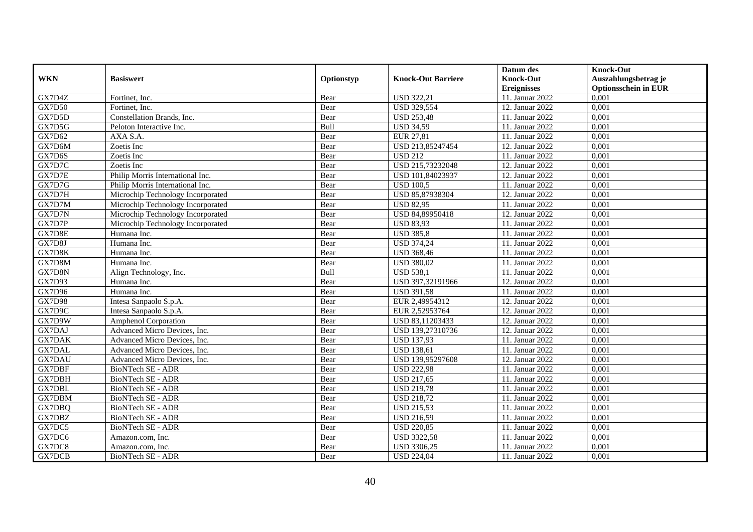|               |                                   |            |                           | Datum des          | <b>Knock-Out</b>            |
|---------------|-----------------------------------|------------|---------------------------|--------------------|-----------------------------|
| <b>WKN</b>    | <b>Basiswert</b>                  | Optionstyp | <b>Knock-Out Barriere</b> | <b>Knock-Out</b>   | Auszahlungsbetrag je        |
|               |                                   |            |                           | <b>Ereignisses</b> | <b>Optionsschein in EUR</b> |
| GX7D4Z        | Fortinet, Inc.                    | Bear       | <b>USD 322,21</b>         | 11. Januar 2022    | 0,001                       |
| <b>GX7D50</b> | Fortinet, Inc.                    | Bear       | <b>USD 329,554</b>        | 12. Januar 2022    | 0,001                       |
| GX7D5D        | Constellation Brands, Inc.        | Bear       | <b>USD 253,48</b>         | 11. Januar 2022    | 0,001                       |
| GX7D5G        | Peloton Interactive Inc.          | Bull       | <b>USD 34,59</b>          | 11. Januar 2022    | 0,001                       |
| GX7D62        | AXA S.A.                          | Bear       | EUR 27,81                 | 11. Januar 2022    | 0,001                       |
| GX7D6M        | Zoetis Inc                        | Bear       | USD 213,85247454          | 12. Januar 2022    | 0,001                       |
| GX7D6S        | Zoetis Inc                        | Bear       | <b>USD 212</b>            | 11. Januar 2022    | 0,001                       |
| GX7D7C        | Zoetis Inc                        | Bear       | USD 215,73232048          | 12. Januar 2022    | 0,001                       |
| GX7D7E        | Philip Morris International Inc.  | Bear       | USD 101,84023937          | 12. Januar 2022    | 0,001                       |
| GX7D7G        | Philip Morris International Inc.  | Bear       | <b>USD 100.5</b>          | 11. Januar 2022    | 0,001                       |
| GX7D7H        | Microchip Technology Incorporated | Bear       | USD 85,87938304           | 12. Januar 2022    | 0,001                       |
| GX7D7M        | Microchip Technology Incorporated | Bear       | <b>USD 82,95</b>          | 11. Januar 2022    | 0,001                       |
| GX7D7N        | Microchip Technology Incorporated | Bear       | USD 84,89950418           | 12. Januar 2022    | 0,001                       |
| GX7D7P        | Microchip Technology Incorporated | Bear       | <b>USD 83,93</b>          | 11. Januar 2022    | 0.001                       |
| GX7D8E        | Humana Inc.                       | Bear       | <b>USD 385,8</b>          | 11. Januar 2022    | 0,001                       |
| GX7D8J        | Humana Inc.                       | Bear       | <b>USD 374,24</b>         | 11. Januar 2022    | 0,001                       |
| GX7D8K        | Humana Inc.                       | Bear       | <b>USD 368,46</b>         | 11. Januar 2022    | 0,001                       |
| GX7D8M        | Humana Inc.                       | Bear       | <b>USD 380,02</b>         | 11. Januar 2022    | 0,001                       |
| GX7D8N        | Align Technology, Inc.            | Bull       | <b>USD 538,1</b>          | 11. Januar 2022    | 0,001                       |
| GX7D93        | Humana Inc.                       | Bear       | USD 397,32191966          | 12. Januar 2022    | 0,001                       |
| <b>GX7D96</b> | Humana Inc.                       | Bear       | <b>USD 391,58</b>         | 11. Januar 2022    | 0,001                       |
| GX7D98        | Intesa Sanpaolo S.p.A.            | Bear       | EUR 2,49954312            | 12. Januar 2022    | 0,001                       |
| GX7D9C        | Intesa Sanpaolo S.p.A.            | Bear       | EUR 2,52953764            | 12. Januar 2022    | 0,001                       |
| GX7D9W        | <b>Amphenol Corporation</b>       | Bear       | USD 83,11203433           | 12. Januar 2022    | 0,001                       |
| <b>GX7DAJ</b> | Advanced Micro Devices, Inc.      | Bear       | USD 139,27310736          | 12. Januar 2022    | 0,001                       |
| <b>GX7DAK</b> | Advanced Micro Devices, Inc.      | Bear       | <b>USD 137,93</b>         | 11. Januar 2022    | 0,001                       |
| <b>GX7DAL</b> | Advanced Micro Devices, Inc.      | Bear       | <b>USD 138,61</b>         | 11. Januar 2022    | 0,001                       |
| <b>GX7DAU</b> | Advanced Micro Devices, Inc.      | Bear       | USD 139,95297608          | 12. Januar 2022    | 0,001                       |
| GX7DBF        | BioNTech SE - ADR                 | Bear       | <b>USD 222,98</b>         | 11. Januar 2022    | 0,001                       |
| GX7DBH        | BioNTech SE - ADR                 | Bear       | <b>USD 217,65</b>         | 11. Januar 2022    | 0,001                       |
| <b>GX7DBL</b> | BioNTech SE - ADR                 | Bear       | <b>USD 219,78</b>         | 11. Januar 2022    | 0,001                       |
| GX7DBM        | BioNTech SE - ADR                 | Bear       | <b>USD 218,72</b>         | 11. Januar 2022    | 0,001                       |
| GX7DBQ        | BioNTech SE - ADR                 | Bear       | <b>USD 215,53</b>         | 11. Januar 2022    | 0,001                       |
| GX7DBZ        | BioNTech SE - ADR                 | Bear       | <b>USD 216,59</b>         | 11. Januar 2022    | 0,001                       |
| GX7DC5        | BioNTech SE - ADR                 | Bear       | <b>USD 220,85</b>         | 11. Januar 2022    | 0,001                       |
| GX7DC6        | Amazon.com, Inc.                  | Bear       | <b>USD 3322,58</b>        | 11. Januar 2022    | 0,001                       |
| GX7DC8        | Amazon.com, Inc.                  | Bear       | USD 3306,25               | 11. Januar 2022    | 0,001                       |
| GX7DCB        | BioNTech SE - ADR                 | Bear       | <b>USD 224,04</b>         | 11. Januar 2022    | 0,001                       |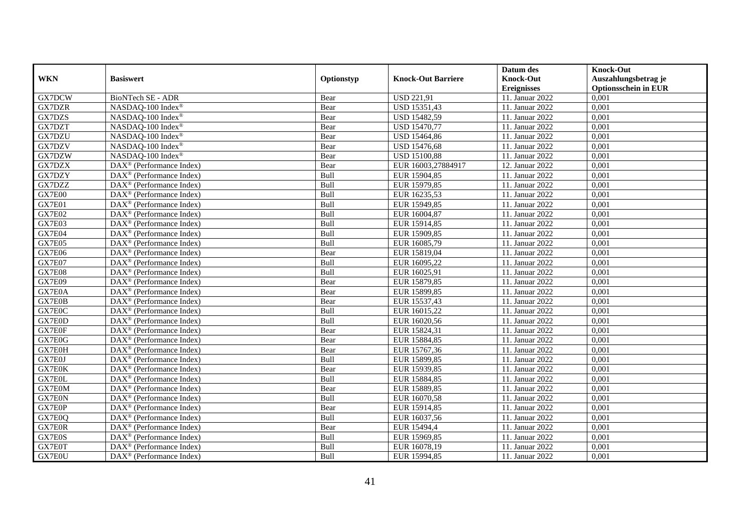|               |                                                         |            |                           | Datum des          | <b>Knock-Out</b>            |
|---------------|---------------------------------------------------------|------------|---------------------------|--------------------|-----------------------------|
| <b>WKN</b>    | <b>Basiswert</b>                                        | Optionstyp | <b>Knock-Out Barriere</b> | <b>Knock-Out</b>   | Auszahlungsbetrag je        |
|               |                                                         |            |                           | <b>Ereignisses</b> | <b>Optionsschein in EUR</b> |
| GX7DCW        | BioNTech SE - ADR                                       | Bear       | <b>USD 221,91</b>         | 11. Januar 2022    | 0,001                       |
| <b>GX7DZR</b> | NASDAQ-100 Index®                                       | Bear       | USD 15351,43              | 11. Januar 2022    | 0,001                       |
| GX7DZS        | NASDAQ-100 Index®                                       | Bear       | <b>USD 15482,59</b>       | 11. Januar 2022    | 0,001                       |
| GX7DZT        | NASDAQ-100 Index®                                       | Bear       | <b>USD 15470,77</b>       | 11. Januar 2022    | 0,001                       |
| GX7DZU        | NASDAQ-100 Index®                                       | Bear       | <b>USD 15464,86</b>       | 11. Januar 2022    | 0,001                       |
| GX7DZV        | NASDAQ-100 Index®                                       | Bear       | <b>USD 15476,68</b>       | 11. Januar 2022    | 0,001                       |
| GX7DZW        | NASDAQ-100 Index®                                       | Bear       | <b>USD 15100,88</b>       | 11. Januar 2022    | 0,001                       |
| GX7DZX        | $\text{DAX}^{\otimes}$ (Performance Index)              | Bear       | EUR 16003,27884917        | 12. Januar 2022    | 0,001                       |
| GX7DZY        | $\text{DAX}^{\otimes}$ (Performance Index)              | Bull       | EUR 15904,85              | 11. Januar 2022    | 0,001                       |
| GX7DZZ        | $\text{DAX}^{\otimes}$ (Performance Index)              | Bull       | EUR 15979,85              | 11. Januar 2022    | 0,001                       |
| GX7E00        | $DAX^{\circledcirc}$ (Performance Index)                | Bull       | EUR 16235,53              | 11. Januar 2022    | 0,001                       |
| GX7E01        | $\overline{\text{DAX}^{\otimes}}$ (Performance Index)   | Bull       | EUR 15949,85              | 11. Januar 2022    | 0,001                       |
| GX7E02        | $\text{DAX}^{\otimes}$ (Performance Index)              | Bull       | EUR 16004,87              | 11. Januar 2022    | 0,001                       |
| GX7E03        | $DAX^{\circledR}$ (Performance Index)                   | Bull       | EUR 15914,85              | 11. Januar 2022    | 0,001                       |
| GX7E04        | $\text{DAX}^{\otimes}$ (Performance Index)              | Bull       | EUR 15909,85              | 11. Januar 2022    | 0,001                       |
| GX7E05        | $\text{DAX}^{\textcircled{}}$ (Performance Index)       | Bull       | EUR 16085,79              | 11. Januar 2022    | 0,001                       |
| GX7E06        | DAX <sup>®</sup> (Performance Index)                    | Bear       | EUR 15819,04              | 11. Januar 2022    | 0,001                       |
| GX7E07        | $DAX^{\circledcirc}$ (Performance Index)                | Bull       | EUR 16095,22              | 11. Januar 2022    | 0,001                       |
| GX7E08        | $\text{DAX}^{\otimes}$ (Performance Index)              | Bull       | EUR 16025,91              | 11. Januar 2022    | 0,001                       |
| GX7E09        | DAX <sup>®</sup> (Performance Index)                    | Bear       | EUR 15879,85              | 11. Januar 2022    | 0,001                       |
| GX7E0A        | DAX <sup>®</sup> (Performance Index)                    | Bear       | EUR 15899,85              | 11. Januar 2022    | 0,001                       |
| GX7E0B        | $\overline{\text{DAX}^{\otimes}}$ (Performance Index)   | Bear       | EUR 15537,43              | 11. Januar 2022    | 0,001                       |
| GX7E0C        | DAX <sup>®</sup> (Performance Index)                    | Bull       | EUR 16015,22              | 11. Januar 2022    | 0,001                       |
| GX7E0D        | DAX <sup>®</sup> (Performance Index)                    | Bull       | EUR 16020,56              | 11. Januar 2022    | 0,001                       |
| GX7E0F        | DAX <sup>®</sup> (Performance Index)                    | Bear       | EUR 15824,31              | 11. Januar 2022    | 0,001                       |
| GX7E0G        | DAX <sup>®</sup> (Performance Index)                    | Bear       | EUR 15884,85              | 11. Januar 2022    | 0,001                       |
| GX7E0H        | DAX <sup>®</sup> (Performance Index)                    | Bear       | EUR 15767,36              | 11. Januar 2022    | 0,001                       |
| GX7E0J        | $DAX^{\circledR}$ (Performance Index)                   | Bull       | EUR 15899,85              | 11. Januar 2022    | 0,001                       |
| GX7E0K        | $\overline{\text{DAX}^{\otimes}}$ (Performance Index)   | Bear       | EUR 15939,85              | 11. Januar 2022    | 0,001                       |
| GX7E0L        | $\text{DAX}^{\circledast}$ (Performance Index)          | Bull       | EUR 15884,85              | 11. Januar 2022    | 0,001                       |
| GX7E0M        | $\text{DAX}^{\otimes}$ (Performance Index)              | Bear       | EUR 15889,85              | 11. Januar 2022    | 0,001                       |
| GX7E0N        | $DAX^{\circledcirc}$ (Performance Index)                | Bull       | EUR 16070,58              | 11. Januar 2022    | 0,001                       |
| GX7E0P        | $DAX^{\circledR}$ (Performance Index)                   | Bear       | EUR 15914,85              | 11. Januar 2022    | 0,001                       |
| GX7E0Q        | $\overline{\text{DAX}}^{\textcirc}$ (Performance Index) | Bull       | EUR 16037,56              | 11. Januar 2022    | 0,001                       |
| GX7E0R        | DAX <sup>®</sup> (Performance Index)                    | Bear       | EUR 15494,4               | 11. Januar 2022    | 0,001                       |
| GX7E0S        | DAX <sup>®</sup> (Performance Index)                    | Bull       | EUR 15969,85              | 11. Januar 2022    | 0,001                       |
| GX7E0T        | $\text{DAX}^{\otimes}$ (Performance Index)              | Bull       | EUR 16078,19              | 11. Januar 2022    | 0,001                       |
| GX7E0U        | $\overline{\text{DAX}^{\otimes}}$ (Performance Index)   | Bull       | EUR 15994,85              | 11. Januar 2022    | 0,001                       |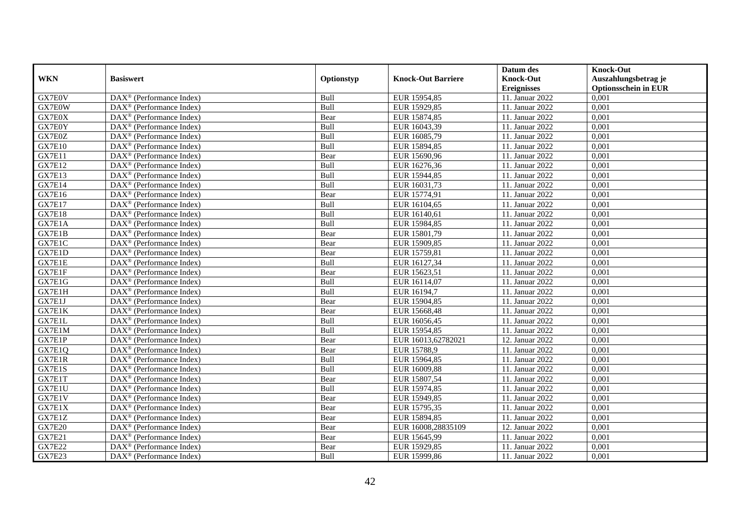|               |                                                         |            |                           | Datum des          | <b>Knock-Out</b>            |
|---------------|---------------------------------------------------------|------------|---------------------------|--------------------|-----------------------------|
| <b>WKN</b>    | <b>Basiswert</b>                                        | Optionstyp | <b>Knock-Out Barriere</b> | <b>Knock-Out</b>   | Auszahlungsbetrag je        |
|               |                                                         |            |                           | <b>Ereignisses</b> | <b>Optionsschein in EUR</b> |
| GX7E0V        | DAX <sup>®</sup> (Performance Index)                    | Bull       | EUR 15954,85              | 11. Januar 2022    | 0,001                       |
| GX7E0W        | $DAX^{\circledast}$ (Performance Index)                 | Bull       | EUR 15929,85              | 11. Januar 2022    | 0,001                       |
| GX7E0X        | $DAX^{\circledcirc}$ (Performance Index)                | Bear       | EUR 15874,85              | 11. Januar 2022    | 0,001                       |
| GX7E0Y        | $\text{DAX}^{\otimes}$ (Performance Index)              | Bull       | EUR 16043,39              | 11. Januar 2022    | 0,001                       |
| GX7E0Z        | $\text{DAX}^{\circledast}$ (Performance Index)          | Bull       | EUR 16085,79              | 11. Januar 2022    | 0,001                       |
| <b>GX7E10</b> | $DAX^{\circledR}$ (Performance Index)                   | Bull       | EUR 15894,85              | 11. Januar 2022    | 0,001                       |
| GX7E11        | $DAX^{\circledR}$ (Performance Index)                   | Bear       | EUR 15690,96              | 11. Januar 2022    | 0,001                       |
| <b>GX7E12</b> | DAX <sup>®</sup> (Performance Index)                    | Bull       | EUR 16276,36              | 11. Januar 2022    | 0,001                       |
| <b>GX7E13</b> | $\text{DAX}^{\otimes}$ (Performance Index)              | Bull       | EUR 15944,85              | 11. Januar 2022    | 0,001                       |
| <b>GX7E14</b> | $DAX^{\circledR}$ (Performance Index)                   | Bull       | EUR 16031,73              | 11. Januar 2022    | 0,001                       |
| <b>GX7E16</b> | $\overline{\text{DAX}^{\otimes}}$ (Performance Index)   | Bear       | EUR 15774,91              | 11. Januar 2022    | 0,001                       |
| <b>GX7E17</b> | DAX <sup>®</sup> (Performance Index)                    | Bull       | EUR 16104,65              | 11. Januar 2022    | 0,001                       |
| <b>GX7E18</b> | $\text{DAX}^{\otimes}$ (Performance Index)              | Bull       | EUR 16140,61              | 11. Januar 2022    | 0,001                       |
| GX7E1A        | DAX <sup>®</sup> (Performance Index)                    | Bull       | EUR 15984,85              | 11. Januar 2022    | 0.001                       |
| GX7E1B        | $DAX^{\circledR}$ (Performance Index)                   | Bear       | EUR 15801,79              | 11. Januar 2022    | 0,001                       |
| GX7E1C        | $\overline{\text{DAX}}^{\textcirc}$ (Performance Index) | Bear       | EUR 15909,85              | 11. Januar 2022    | 0,001                       |
| GX7E1D        | DAX <sup>®</sup> (Performance Index)                    | Bear       | EUR 15759,81              | 11. Januar 2022    | 0,001                       |
| GX7E1E        | DAX <sup>®</sup> (Performance Index)                    | Bull       | EUR 16127,34              | 11. Januar 2022    | 0,001                       |
| GX7E1F        | DAX <sup>®</sup> (Performance Index)                    | Bear       | EUR 15623,51              | 11. Januar 2022    | 0,001                       |
| GX7E1G        | $\text{DAX}^{\otimes}$ (Performance Index)              | Bull       | EUR 16114,07              | 11. Januar 2022    | 0,001                       |
| GX7E1H        | $\text{DAX}^{\otimes}$ (Performance Index)              | Bull       | EUR 16194,7               | 11. Januar 2022    | 0,001                       |
| GX7E1J        | $DAX^{\circledcirc}$ (Performance Index)                | Bear       | EUR 15904.85              | 11. Januar 2022    | 0,001                       |
| GX7E1K        | $DAX^{\circledR}$ (Performance Index)                   | Bear       | EUR 15668,48              | 11. Januar 2022    | 0,001                       |
| GX7E1L        | DAX <sup>®</sup> (Performance Index)                    | Bull       | EUR 16056,45              | 11. Januar 2022    | 0,001                       |
| GX7E1M        | $DAX^{\circledcirc}$ (Performance Index)                | Bull       | EUR 15954,85              | 11. Januar 2022    | 0,001                       |
| GX7E1P        | $DAX^{\circledast}$ (Performance Index)                 | Bear       | EUR 16013,62782021        | 12. Januar 2022    | 0,001                       |
| GX7E1Q        | $\overline{\text{DAX}^{\otimes}}$ (Performance Index)   | Bear       | EUR 15788,9               | 11. Januar 2022    | 0,001                       |
| GX7E1R        | DAX <sup>®</sup> (Performance Index)                    | Bull       | EUR 15964,85              | 11. Januar 2022    | 0,001                       |
| GX7E1S        | $\text{DAX}^{\otimes}$ (Performance Index)              | Bull       | EUR 16009,88              | 11. Januar 2022    | 0,001                       |
| GX7E1T        | $\text{DAX}^{\textcircled{}}$ (Performance Index)       | Bear       | EUR 15807,54              | 11. Januar 2022    | 0,001                       |
| GX7E1U        | $DAX^{\circledR}$ (Performance Index)                   | Bull       | EUR 15974,85              | 11. Januar 2022    | 0,001                       |
| GX7E1V        | DAX <sup>®</sup> (Performance Index)                    | Bear       | EUR 15949,85              | 11. Januar 2022    | 0,001                       |
| GX7E1X        | $DAX^{\circledR}$ (Performance Index)                   | Bear       | EUR 15795,35              | 11. Januar 2022    | 0,001                       |
| GX7E1Z        | $\overline{\text{DAX}}^{\textcirc}$ (Performance Index) | Bear       | EUR 15894,85              | 11. Januar 2022    | 0,001                       |
| <b>GX7E20</b> | $\text{DAX}^{\circledast}$ (Performance Index)          | Bear       | EUR 16008,28835109        | 12. Januar 2022    | 0,001                       |
| <b>GX7E21</b> | $\text{DAX}^{\otimes}$ (Performance Index)              | Bear       | EUR 15645,99              | 11. Januar 2022    | 0,001                       |
| <b>GX7E22</b> | $\text{DAX}^{\otimes}$ (Performance Index)              | Bear       | EUR 15929,85              | 11. Januar 2022    | 0,001                       |
| <b>GX7E23</b> | $\text{DAX}^{\circledast}$ (Performance Index)          | Bull       | EUR 15999,86              | 11. Januar 2022    | 0,001                       |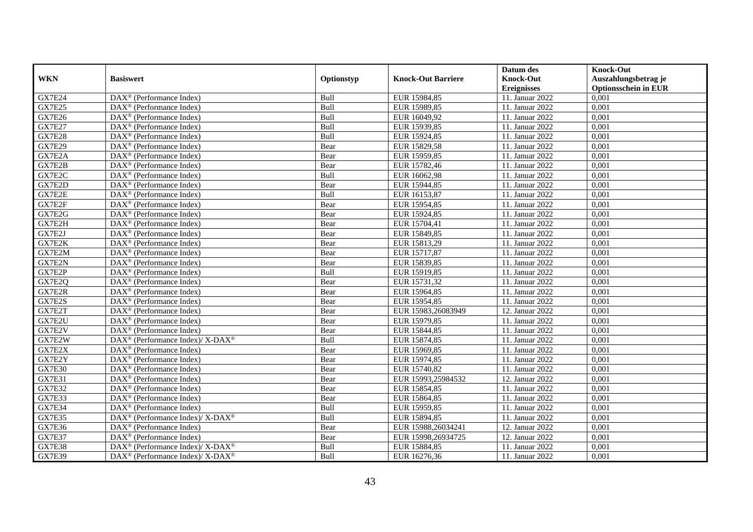|               |                                                             |            |                           | Datum des          | <b>Knock-Out</b>            |
|---------------|-------------------------------------------------------------|------------|---------------------------|--------------------|-----------------------------|
| <b>WKN</b>    | <b>Basiswert</b>                                            | Optionstyp | <b>Knock-Out Barriere</b> | <b>Knock-Out</b>   | Auszahlungsbetrag je        |
|               |                                                             |            |                           | <b>Ereignisses</b> | <b>Optionsschein in EUR</b> |
| <b>GX7E24</b> | $\overline{\text{DAX}}^{\textcirc}$ (Performance Index)     | Bull       | EUR 15984,85              | 11. Januar 2022    | 0,001                       |
| <b>GX7E25</b> | $DAX^{\circledcirc}$ (Performance Index)                    | Bull       | EUR 15989,85              | 11. Januar 2022    | 0,001                       |
| <b>GX7E26</b> | DAX <sup>®</sup> (Performance Index)                        | Bull       | EUR 16049,92              | 11. Januar 2022    | 0,001                       |
| <b>GX7E27</b> | $\text{DAX}^{\otimes}$ (Performance Index)                  | Bull       | EUR 15939,85              | 11. Januar 2022    | 0,001                       |
| <b>GX7E28</b> | DAX <sup>®</sup> (Performance Index)                        | Bull       | EUR 15924,85              | 11. Januar 2022    | 0,001                       |
| <b>GX7E29</b> | $\text{DAX}^{\textcircled{}}$ (Performance Index)           | Bear       | EUR 15829,58              | 11. Januar 2022    | 0,001                       |
| GX7E2A        | $\text{DAX}^{\otimes}$ (Performance Index)                  | Bear       | EUR 15959,85              | 11. Januar 2022    | 0,001                       |
| GX7E2B        | $DAX^{\circledR}$ (Performance Index)                       | Bear       | EUR 15782,46              | 11. Januar 2022    | 0,001                       |
| GX7E2C        | $DAX^{\circledR}$ (Performance Index)                       | Bull       | EUR 16062,98              | 11. Januar 2022    | 0,001                       |
| GX7E2D        | $DAX^{\circledR}$ (Performance Index)                       | Bear       | EUR 15944,85              | 11. Januar 2022    | 0,001                       |
| GX7E2E        | $\overline{\text{DAX}}^{\textcirc}$ (Performance Index)     | Bull       | EUR 16153,87              | 11. Januar 2022    | 0,001                       |
| GX7E2F        | $\overline{\text{DAX}^{\otimes}}$ (Performance Index)       | Bear       | EUR 15954,85              | 11. Januar 2022    | 0,001                       |
| GX7E2G        | $DAX^{\circledast}$ (Performance Index)                     | Bear       | EUR 15924,85              | 11. Januar 2022    | 0,001                       |
| GX7E2H        | DAX <sup>®</sup> (Performance Index)                        | Bear       | EUR 15704,41              | 11. Januar 2022    | 0,001                       |
| GX7E2J        | $\text{DAX}^{\otimes}$ (Performance Index)                  | Bear       | EUR 15849,85              | 11. Januar 2022    | 0,001                       |
| GX7E2K        | $DAX^{\circledast}$ (Performance Index)                     | Bear       | EUR 15813,29              | 11. Januar 2022    | 0,001                       |
| GX7E2M        | $DAX^{\circledast}$ (Performance Index)                     | Bear       | EUR 15717,87              | 11. Januar 2022    | 0,001                       |
| GX7E2N        | $DAX^{\circledcirc}$ (Performance Index)                    | Bear       | EUR 15839.85              | 11. Januar 2022    | 0,001                       |
| GX7E2P        | $\text{DAX}^{\otimes}$ (Performance Index)                  | Bull       | EUR 15919,85              | 11. Januar 2022    | 0,001                       |
| GX7E2Q        | $\overline{\text{DAX}}^{\textcirc}$ (Performance Index)     | Bear       | EUR 15731,32              | 11. Januar 2022    | 0,001                       |
| GX7E2R        | DAX <sup>®</sup> (Performance Index)                        | Bear       | EUR 15964,85              | 11. Januar 2022    | 0,001                       |
| GX7E2S        | $DAX^{\circledR}$ (Performance Index)                       | Bear       | EUR 15954,85              | 11. Januar 2022    | 0,001                       |
| GX7E2T        | $\text{DAX}^{\circledast}$ (Performance Index)              | Bear       | EUR 15983,26083949        | 12. Januar 2022    | 0,001                       |
| GX7E2U        | DAX <sup>®</sup> (Performance Index)                        | Bear       | EUR 15979,85              | 11. Januar 2022    | 0,001                       |
| GX7E2V        | $DAX^{\circledR}$ (Performance Index)                       | Bear       | EUR 15844,85              | 11. Januar 2022    | 0,001                       |
| GX7E2W        | DAX <sup>®</sup> (Performance Index)/ X-DAX <sup>®</sup>    | Bull       | EUR 15874,85              | 11. Januar 2022    | 0,001                       |
| GX7E2X        | $DAX^{\circledast}$ (Performance Index)                     | Bear       | EUR 15969,85              | 11. Januar 2022    | 0,001                       |
| GX7E2Y        | $DAX^{\circledcirc}$ (Performance Index)                    | Bear       | EUR 15974,85              | 11. Januar 2022    | 0,001                       |
| <b>GX7E30</b> | $DAX^{\circledR}$ (Performance Index)                       | Bear       | EUR 15740,82              | 11. Januar 2022    | 0,001                       |
| <b>GX7E31</b> | $\text{DAX}^{\textcircled{}}$ (Performance Index)           | Bear       | EUR 15993,25984532        | 12. Januar 2022    | 0,001                       |
| <b>GX7E32</b> | $DAX^{\circledR}$ (Performance Index)                       | Bear       | EUR 15854,85              | 11. Januar 2022    | 0,001                       |
| GX7E33        | $DAX^{\circledast}$ (Performance Index)                     | Bear       | EUR 15864,85              | 11. Januar 2022    | 0,001                       |
| <b>GX7E34</b> | $DAX^{\circledR}$ (Performance Index)                       | Bull       | EUR 15959,85              | 11. Januar 2022    | 0,001                       |
| <b>GX7E35</b> | DAX <sup>®</sup> (Performance Index)/ X-DAX <sup>®</sup>    | Bull       | EUR 15894,85              | 11. Januar 2022    | 0,001                       |
| <b>GX7E36</b> | $\text{DAX}^{\circledast}$ (Performance Index)              | Bear       | EUR 15988,26034241        | 12. Januar 2022    | 0,001                       |
| <b>GX7E37</b> | $DAX^{\circledast}$ (Performance Index)                     | Bear       | EUR 15998,26934725        | 12. Januar 2022    | 0,001                       |
| <b>GX7E38</b> | DAX <sup>®</sup> (Performance Index)/ X-DAX <sup>®</sup>    | Bull       | EUR 15884,85              | 11. Januar 2022    | 0,001                       |
| <b>GX7E39</b> | $DAX^{\circledast}$ (Performance Index)/ X-DAX <sup>®</sup> | Bull       | EUR 16276,36              | 11. Januar 2022    | 0,001                       |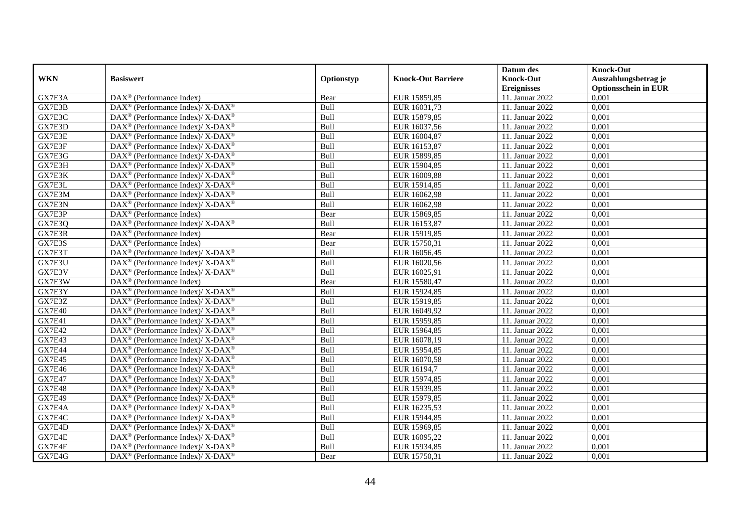|               |                                                                    |            |                           | Datum des          | <b>Knock-Out</b>            |
|---------------|--------------------------------------------------------------------|------------|---------------------------|--------------------|-----------------------------|
| <b>WKN</b>    | <b>Basiswert</b>                                                   | Optionstyp | <b>Knock-Out Barriere</b> | <b>Knock-Out</b>   | Auszahlungsbetrag je        |
|               |                                                                    |            |                           | <b>Ereignisses</b> | <b>Optionsschein in EUR</b> |
| GX7E3A        | DAX <sup>®</sup> (Performance Index)                               | Bear       | EUR 15859,85              | 11. Januar 2022    | 0,001                       |
| GX7E3B        | DAX <sup>®</sup> (Performance Index)/ X-DAX <sup>®</sup>           | Bull       | EUR 16031,73              | 11. Januar 2022    | 0,001                       |
| GX7E3C        | $DAX^{\circledast}$ (Performance Index)/ X-DAX <sup>®</sup>        | Bull       | EUR 15879,85              | 11. Januar 2022    | 0,001                       |
| GX7E3D        | $DAX^{\circledast}$ (Performance Index)/ X-DAX <sup>®</sup>        | Bull       | EUR 16037,56              | 11. Januar 2022    | 0,001                       |
| GX7E3E        | $DAX^{\circledast}$ (Performance Index)/ X-DAX <sup>®</sup>        | Bull       | EUR 16004,87              | 11. Januar 2022    | 0,001                       |
| GX7E3F        | DAX <sup>®</sup> (Performance Index)/ X-DAX <sup>®</sup>           | Bull       | EUR 16153,87              | 11. Januar 2022    | 0,001                       |
| GX7E3G        | $DAX^{\circledcirc}$ (Performance Index)/ X-DAX <sup>®</sup>       | Bull       | EUR 15899,85              | 11. Januar 2022    | 0,001                       |
| GX7E3H        | $DAX^{\circledast}$ (Performance Index)/ X-DAX <sup>®</sup>        | Bull       | EUR 15904,85              | 11. Januar 2022    | 0,001                       |
| GX7E3K        | $DAX^{\circledast}$ (Performance Index)/ X-DAX <sup>®</sup>        | Bull       | EUR 16009,88              | 11. Januar 2022    | 0,001                       |
| GX7E3L        | $DAX^{\circledast}$ (Performance Index)/ X-DAX <sup>®</sup>        | Bull       | EUR 15914,85              | 11. Januar 2022    | 0,001                       |
| GX7E3M        | DAX <sup>®</sup> (Performance Index)/ X-DAX <sup>®</sup>           | Bull       | EUR 16062,98              | 11. Januar 2022    | 0,001                       |
| GX7E3N        | DAX <sup>®</sup> (Performance Index)/ X-DAX <sup>®</sup>           | Bull       | EUR 16062,98              | 11. Januar 2022    | 0,001                       |
| GX7E3P        | $\text{DAX}^{\circledast}$ (Performance Index)                     | Bear       | EUR 15869,85              | 11. Januar 2022    | 0,001                       |
| GX7E3Q        | DAX <sup>®</sup> (Performance Index)/ X-DAX <sup>®</sup>           | Bull       | EUR 16153,87              | 11. Januar 2022    | 0,001                       |
| GX7E3R        | $\text{DAX}^{\otimes}$ (Performance Index)                         | Bear       | EUR 15919,85              | 11. Januar 2022    | 0,001                       |
| GX7E3S        | $\text{DAX}^{\otimes}$ (Performance Index)                         | Bear       | EUR 15750,31              | 11. Januar 2022    | 0,001                       |
| GX7E3T        | DAX <sup>®</sup> (Performance Index)/ X-DAX <sup>®</sup>           | Bull       | EUR 16056,45              | 11. Januar 2022    | 0,001                       |
| GX7E3U        | $DAX^{\circledcirc}$ (Performance Index)/ X-DAX <sup>®</sup>       | Bull       | EUR 16020,56              | 11. Januar 2022    | 0,001                       |
| GX7E3V        | $DAX^{\circledast}$ (Performance Index)/ X-DAX <sup>®</sup>        | Bull       | EUR 16025,91              | 11. Januar 2022    | 0,001                       |
| GX7E3W        | $DAX^{\circledast}$ (Performance Index)                            | Bear       | EUR 15580,47              | 11. Januar 2022    | 0,001                       |
| GX7E3Y        | DAX <sup>®</sup> (Performance Index)/ X-DAX <sup>®</sup>           | Bull       | EUR 15924,85              | 11. Januar 2022    | 0,001                       |
| GX7E3Z        | $DAX^{\circledast}$ (Performance Index)/ X-DAX <sup>®</sup>        | Bull       | EUR 15919,85              | 11. Januar 2022    | $0,\overline{001}$          |
| <b>GX7E40</b> | DAX <sup>®</sup> (Performance Index)/ X-DAX <sup>®</sup>           | Bull       | EUR 16049,92              | 11. Januar 2022    | 0,001                       |
| GX7E41        | $DAX^{\circledast}$ (Performance Index)/ X-DAX <sup>®</sup>        | Bull       | EUR 15959,85              | 11. Januar 2022    | 0,001                       |
| <b>GX7E42</b> | $DAX^{\circledcirc}$ (Performance Index)/ X-DAX <sup>®</sup>       | Bull       | EUR 15964,85              | 11. Januar 2022    | 0,001                       |
| <b>GX7E43</b> | $DAX^{\circledast}$ (Performance Index)/ X-DAX <sup>®</sup>        | Bull       | EUR 16078,19              | 11. Januar 2022    | 0,001                       |
| <b>GX7E44</b> | DAX <sup>®</sup> (Performance Index)/ X-DAX <sup>®</sup>           | Bull       | EUR 15954,85              | 11. Januar 2022    | 0,001                       |
| <b>GX7E45</b> | DAX <sup>®</sup> (Performance Index)/ X-DAX <sup>®</sup>           | Bull       | EUR 16070,58              | 11. Januar 2022    | 0,001                       |
| <b>GX7E46</b> | $DAX^{\circledast}$ (Performance Index)/ X-DAX <sup>®</sup>        | Bull       | EUR 16194,7               | 11. Januar 2022    | 0,001                       |
| <b>GX7E47</b> | $DAX^{\circledast}$ (Performance Index)/ X-DAX <sup>®</sup>        | Bull       | EUR 15974,85              | 11. Januar 2022    | 0,001                       |
| <b>GX7E48</b> | $DAX^{\circledast}$ (Performance Index)/ X-DAX <sup>®</sup>        | Bull       | EUR 15939,85              | 11. Januar 2022    | 0,001                       |
| <b>GX7E49</b> | $DAX^{\circledast}$ (Performance Index)/ X-DAX <sup>®</sup>        | Bull       | EUR 15979,85              | 11. Januar 2022    | 0,001                       |
| GX7E4A        | $DAX^{\circledast}$ (Performance Index)/ X-DAX <sup>®</sup>        | Bull       | EUR 16235,53              | 11. Januar 2022    | 0,001                       |
| GX7E4C        | DAX <sup>®</sup> (Performance Index)/ X-DAX <sup>®</sup>           | Bull       | EUR 15944,85              | 11. Januar 2022    | 0,001                       |
| GX7E4D        | DAX <sup>®</sup> (Performance Index)/ X-DAX <sup>®</sup>           | Bull       | EUR 15969,85              | 11. Januar 2022    | 0,001                       |
| GX7E4E        | $\text{DAX}^{\circledast}$ (Performance Index)/ X-DAX <sup>®</sup> | Bull       | EUR 16095,22              | 11. Januar 2022    | 0,001                       |
| GX7E4F        | DAX <sup>®</sup> (Performance Index)/ X-DAX <sup>®</sup>           | Bull       | EUR 15934,85              | 11. Januar 2022    | 0,001                       |
| GX7E4G        | $DAX^{\circledast}$ (Performance Index)/ X-DAX <sup>®</sup>        | Bear       | EUR 15750,31              | 11. Januar 2022    | 0,001                       |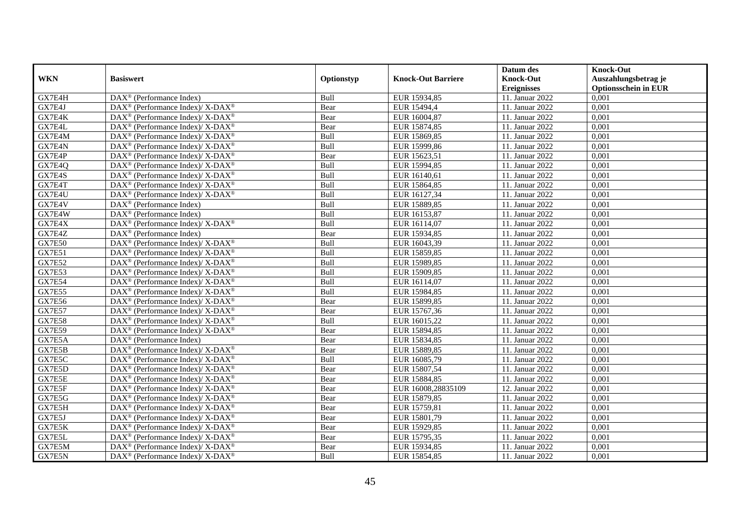|               |                                                                           |            |                           | Datum des          | <b>Knock-Out</b>            |
|---------------|---------------------------------------------------------------------------|------------|---------------------------|--------------------|-----------------------------|
| <b>WKN</b>    | <b>Basiswert</b>                                                          | Optionstyp | <b>Knock-Out Barriere</b> | <b>Knock-Out</b>   | Auszahlungsbetrag je        |
|               |                                                                           |            |                           | <b>Ereignisses</b> | <b>Optionsschein in EUR</b> |
| GX7E4H        | DAX <sup>®</sup> (Performance Index)                                      | Bull       | EUR 15934,85              | 11. Januar 2022    | 0,001                       |
| GX7E4J        | DAX <sup>®</sup> (Performance Index)/ X-DAX <sup>®</sup>                  | Bear       | EUR 15494,4               | 11. Januar 2022    | 0,001                       |
| GX7E4K        | $DAX^{\circledast}$ (Performance Index)/ X-DAX <sup>®</sup>               | Bear       | EUR 16004,87              | 11. Januar 2022    | 0,001                       |
| GX7E4L        | DAX <sup>®</sup> (Performance Index)/ X-DAX <sup>®</sup>                  | Bear       | EUR 15874,85              | 11. Januar 2022    | 0,001                       |
| GX7E4M        | DAX <sup>®</sup> (Performance Index)/ X-DAX <sup>®</sup>                  | Bull       | EUR 15869,85              | 11. Januar 2022    | 0,001                       |
| GX7E4N        | DAX <sup>®</sup> (Performance Index)/ X-DAX <sup>®</sup>                  | Bull       | EUR 15999,86              | 11. Januar 2022    | 0,001                       |
| GX7E4P        | $DAX^{\circledcirc}$ (Performance Index)/ X-DAX <sup>®</sup>              | Bear       | EUR 15623,51              | 11. Januar 2022    | 0,001                       |
| GX7E4Q        | $DAX^{\circledast}$ (Performance Index)/ X-DAX <sup>®</sup>               | Bull       | EUR 15994,85              | 11. Januar 2022    | 0,001                       |
| GX7E4S        | $DAX^{\circledast}$ (Performance Index)/ X-DAX <sup>®</sup>               | Bull       | EUR 16140,61              | 11. Januar 2022    | 0,001                       |
| GX7E4T        | $DAX^{\circledast}$ (Performance Index)/ X-DAX <sup>®</sup>               | Bull       | EUR 15864,85              | 11. Januar 2022    | 0,001                       |
| GX7E4U        | DAX <sup>®</sup> (Performance Index)/ $X$ -DAX <sup>®</sup>               | Bull       | EUR 16127,34              | 11. Januar 2022    | 0,001                       |
| GX7E4V        | $\overline{\text{DAX}}^{\textcirc}$ (Performance Index)                   | Bull       | EUR 15889,85              | 11. Januar 2022    | 0,001                       |
| GX7E4W        | $DAX^{\circledast}$ (Performance Index)                                   | Bull       | EUR 16153,87              | 11. Januar 2022    | 0,001                       |
| GX7E4X        | DAX <sup>®</sup> (Performance Index)/ X-DAX <sup>®</sup>                  | Bull       | EUR 16114,07              | 11. Januar 2022    | 0,001                       |
| GX7E4Z        | $DAX^{\circledast}$ (Performance Index)                                   | Bear       | EUR 15934,85              | 11. Januar 2022    | 0,001                       |
| <b>GX7E50</b> | DAX <sup>®</sup> (Performance Index)/ X-DAX <sup>®</sup>                  | Bull       | EUR 16043,39              | 11. Januar 2022    | 0,001                       |
| <b>GX7E51</b> | DAX <sup>®</sup> (Performance Index)/ X-DAX <sup>®</sup>                  | Bull       | EUR 15859,85              | 11. Januar 2022    | 0,001                       |
| <b>GX7E52</b> | $DAX^{\circledcirc}$ (Performance Index)/ X-DAX <sup>®</sup>              | Bull       | EUR 15989,85              | 11. Januar 2022    | 0,001                       |
| GX7E53        | $DAX^{\circledast}$ (Performance Index)/ X-DAX <sup>®</sup>               | Bull       | EUR 15909,85              | 11. Januar 2022    | 0,001                       |
| <b>GX7E54</b> | $DAX^{\circledast}$ (Performance Index)/ X-DAX <sup>®</sup>               | Bull       | EUR 16114,07              | 11. Januar 2022    | 0,001                       |
| <b>GX7E55</b> | $DAX^{\circledast}$ (Performance Index)/ X-DAX <sup>®</sup>               | Bull       | EUR 15984,85              | 11. Januar 2022    | 0,001                       |
| <b>GX7E56</b> | $DAX^{\circledast}$ (Performance Index)/ X-DAX <sup>®</sup>               | Bear       | EUR 15899,85              | 11. Januar 2022    | 0,001                       |
| <b>GX7E57</b> | DAX <sup>®</sup> (Performance Index)/ X-DAX <sup>®</sup>                  | Bear       | EUR 15767,36              | 11. Januar 2022    | 0,001                       |
| <b>GX7E58</b> | $DAX^{\circledast}$ (Performance Index)/ X-DAX <sup>®</sup>               | Bull       | EUR 16015,22              | 11. Januar 2022    | 0,001                       |
| <b>GX7E59</b> | DAX <sup>®</sup> (Performance Index)/ X-DAX <sup>®</sup>                  | Bear       | EUR 15894,85              | 11. Januar 2022    | 0,001                       |
| GX7E5A        | $DAX^{\circledast}$ (Performance Index)                                   | Bear       | EUR 15834,85              | 11. Januar 2022    | 0,001                       |
| GX7E5B        | $DAX^{\circledast}$ (Performance Index)/ $\overline{X-DAX^{\circledast}}$ | Bear       | EUR 15889,85              | 11. Januar 2022    | 0,001                       |
| GX7E5C        | DAX <sup>®</sup> (Performance Index)/ X-DAX <sup>®</sup>                  | Bull       | EUR 16085,79              | 11. Januar 2022    | 0,001                       |
| GX7E5D        | DAX <sup>®</sup> (Performance Index)/ X-DAX <sup>®</sup>                  | Bear       | EUR 15807,54              | 11. Januar 2022    | 0,001                       |
| GX7E5E        | $DAX^{\circledast}$ (Performance Index)/ X-DAX <sup>®</sup>               | Bear       | EUR 15884,85              | 11. Januar 2022    | 0,001                       |
| GX7E5F        | $DAX^{\circledast}$ (Performance Index)/ X-DAX <sup>®</sup>               | Bear       | EUR 16008,28835109        | 12. Januar 2022    | 0,001                       |
| GX7E5G        | $DAX^{\circledast}$ (Performance Index)/ X-DAX <sup>®</sup>               | Bear       | EUR 15879,85              | 11. Januar 2022    | 0,001                       |
| GX7E5H        | $DAX^{\circledast}$ (Performance Index)/ X-DAX <sup>®</sup>               | Bear       | EUR 15759,81              | 11. Januar 2022    | 0,001                       |
| GX7E5J        | DAX <sup>®</sup> (Performance Index)/ X-DAX <sup>®</sup>                  | Bear       | EUR 15801,79              | 11. Januar 2022    | 0,001                       |
| GX7E5K        | $DAX^{\circledast}$ (Performance Index)/ X-DAX <sup>®</sup>               | Bear       | EUR 15929,85              | 11. Januar 2022    | 0,001                       |
| GX7E5L        | $DAX^{\circledast}$ (Performance Index)/ X-DAX <sup>®</sup>               | Bear       | EUR 15795,35              | 11. Januar 2022    | 0,001                       |
| GX7E5M        | DAX <sup>®</sup> (Performance Index)/ X-DAX <sup>®</sup>                  | Bear       | EUR 15934,85              | 11. Januar 2022    | 0,001                       |
| GX7E5N        | $DAX^{\circledast}$ (Performance Index)/ X-DAX <sup>®</sup>               | Bull       | EUR 15854,85              | 11. Januar 2022    | 0,001                       |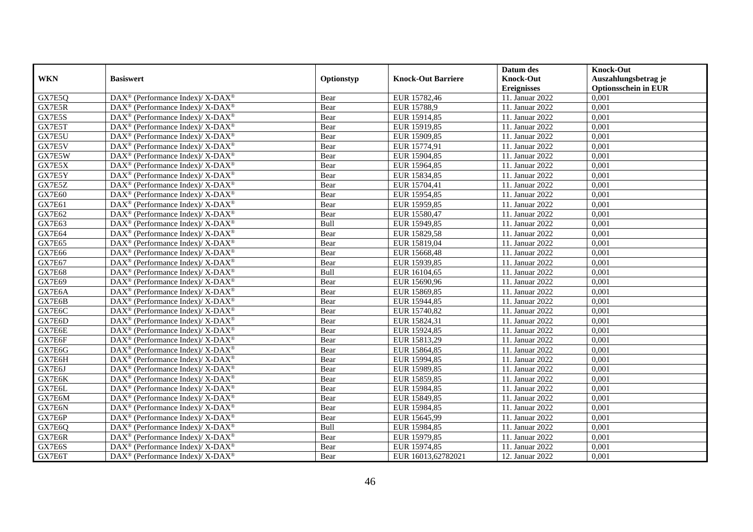|               |                                                                          |            |                           | Datum des          | <b>Knock-Out</b>            |
|---------------|--------------------------------------------------------------------------|------------|---------------------------|--------------------|-----------------------------|
| <b>WKN</b>    | <b>Basiswert</b>                                                         | Optionstyp | <b>Knock-Out Barriere</b> | <b>Knock-Out</b>   | Auszahlungsbetrag je        |
|               |                                                                          |            |                           | <b>Ereignisses</b> | <b>Optionsschein in EUR</b> |
| GX7E5Q        | DAX <sup>®</sup> (Performance Index)/ X-DAX <sup>®</sup>                 | Bear       | EUR 15782,46              | 11. Januar 2022    | 0,001                       |
| GX7E5R        | $DAX^{\circledast}$ (Performance Index)/ X-DAX <sup>®</sup>              | Bear       | EUR 15788,9               | 11. Januar 2022    | 0,001                       |
| GX7E5S        | DAX <sup>®</sup> (Performance Index)/ X-DAX <sup>®</sup>                 | Bear       | EUR 15914,85              | 11. Januar 2022    | 0,001                       |
| GX7E5T        | $DAX^{\circledast}$ (Performance Index)/ X-DAX <sup>®</sup>              | Bear       | EUR 15919,85              | 11. Januar 2022    | 0,001                       |
| GX7E5U        | DAX <sup>®</sup> (Performance Index)/ X-DAX <sup>®</sup>                 | Bear       | EUR 15909,85              | 11. Januar 2022    | 0,001                       |
| GX7E5V        | DAX <sup>®</sup> (Performance Index)/ X-DAX <sup>®</sup>                 | Bear       | EUR 15774,91              | 11. Januar 2022    | 0,001                       |
| GX7E5W        | $DAX^{\circledcirc}$ (Performance Index)/ X-DAX <sup>®</sup>             | Bear       | EUR 15904,85              | 11. Januar 2022    | 0,001                       |
| GX7E5X        | $DAX^{\circledast}$ (Performance Index)/ X-DAX <sup>®</sup>              | Bear       | EUR 15964,85              | 11. Januar 2022    | 0,001                       |
| GX7E5Y        | $DAX^{\circledast}$ (Performance Index)/ X-DAX <sup>®</sup>              | Bear       | EUR 15834,85              | 11. Januar 2022    | 0,001                       |
| GX7E5Z        | DAX <sup>®</sup> (Performance Index)/ X-DAX <sup>®</sup>                 | Bear       | EUR 15704,41              | 11. Januar 2022    | 0,001                       |
| <b>GX7E60</b> | DAX <sup>®</sup> (Performance Index)/ $X$ -DAX <sup>®</sup>              | Bear       | EUR 15954,85              | 11. Januar 2022    | 0,001                       |
| GX7E61        | DAX <sup>®</sup> (Performance Index)/ X-DAX <sup>®</sup>                 | Bear       | EUR 15959,85              | 11. Januar 2022    | 0,001                       |
| <b>GX7E62</b> | $DAX^{\circledast}$ (Performance Index)/ X-DAX <sup>®</sup>              | Bear       | EUR 15580,47              | 11. Januar 2022    | 0,001                       |
| GX7E63        | $DAX^{\circledast}$ (Performance Index)/ X-DAX <sup>®</sup>              | Bull       | EUR 15949,85              | 11. Januar 2022    | 0,001                       |
| <b>GX7E64</b> | DAX <sup>®</sup> (Performance Index)/ X-DAX <sup>®</sup>                 | Bear       | EUR 15829,58              | 11. Januar 2022    | 0,001                       |
| GX7E65        | DAX <sup>®</sup> (Performance Index)/ X-DAX <sup>®</sup>                 | Bear       | EUR 15819,04              | 11. Januar 2022    | 0,001                       |
| <b>GX7E66</b> | $DAX^{\circledast}$ (Performance Index)/ X-DAX <sup>®</sup>              | Bear       | EUR 15668,48              | 11. Januar 2022    | 0,001                       |
| <b>GX7E67</b> | $DAX^{\circledcirc}$ (Performance Index)/ X-DAX <sup>®</sup>             | Bear       | EUR 15939,85              | 11. Januar 2022    | 0,001                       |
| <b>GX7E68</b> | $DAX^{\circledast}$ (Performance Index)/ X-DAX <sup>®</sup>              | Bull       | EUR 16104,65              | 11. Januar 2022    | 0,001                       |
| <b>GX7E69</b> | $DAX^{\circledast}$ (Performance Index)/ X-DAX <sup>®</sup>              | Bear       | EUR 15690,96              | 11. Januar 2022    | 0,001                       |
| GX7E6A        | $DAX^{\circledast}$ (Performance Index)/ X-DAX <sup>®</sup>              | Bear       | EUR 15869,85              | 11. Januar 2022    | 0,001                       |
| GX7E6B        | $DAX^{\circledast}$ (Performance Index)/ X-DAX <sup>®</sup>              | Bear       | EUR 15944,85              | 11. Januar 2022    | 0,001                       |
| GX7E6C        | DAX <sup>®</sup> (Performance Index)/ X-DAX <sup>®</sup>                 | Bear       | EUR 15740,82              | 11. Januar 2022    | 0,001                       |
| GX7E6D        | $DAX^{\circledast}$ (Performance Index)/ X-DAX <sup>®</sup>              | Bear       | EUR 15824,31              | 11. Januar 2022    | 0,001                       |
| GX7E6E        | $\overline{\text{DAX}^{\otimes}}$ (Performance Index)/X-DAX <sup>®</sup> | Bear       | EUR 15924,85              | 11. Januar 2022    | 0,001                       |
| GX7E6F        | $DAX^{\circledast}$ (Performance Index)/ X-DAX <sup>®</sup>              | Bear       | EUR 15813,29              | 11. Januar 2022    | 0,001                       |
| GX7E6G        | DAX <sup>®</sup> (Performance Index)/ X-DAX <sup>®</sup>                 | Bear       | EUR 15864,85              | 11. Januar 2022    | 0,001                       |
| GX7E6H        | DAX <sup>®</sup> (Performance Index)/ X-DAX <sup>®</sup>                 | Bear       | EUR 15994,85              | 11. Januar 2022    | 0,001                       |
| GX7E6J        | $DAX^{\circledast}$ (Performance Index)/ X-DAX <sup>®</sup>              | Bear       | EUR 15989,85              | 11. Januar 2022    | 0,001                       |
| GX7E6K        | $DAX^{\circledast}$ (Performance Index)/ X-DAX <sup>®</sup>              | Bear       | EUR 15859,85              | 11. Januar 2022    | 0,001                       |
| GX7E6L        | $DAX^{\circledast}$ (Performance Index)/ X-DAX <sup>®</sup>              | Bear       | EUR 15984,85              | 11. Januar 2022    | 0,001                       |
| GX7E6M        | $DAX^{\circledast}$ (Performance Index)/ X-DAX <sup>®</sup>              | Bear       | EUR 15849,85              | 11. Januar 2022    | 0,001                       |
| GX7E6N        | $DAX^{\circledast}$ (Performance Index)/ X-DAX <sup>®</sup>              | Bear       | EUR 15984,85              | 11. Januar 2022    | 0,001                       |
| GX7E6P        | DAX <sup>®</sup> (Performance Index)/ X-DAX <sup>®</sup>                 | Bear       | EUR 15645,99              | 11. Januar 2022    | 0,001                       |
| GX7E6Q        | $DAX^{\circledast}$ (Performance Index)/ X-DAX <sup>®</sup>              | Bull       | EUR 15984,85              | 11. Januar 2022    | 0,001                       |
| GX7E6R        | $DAX^{\circledast}$ (Performance Index)/ X-DAX <sup>®</sup>              | Bear       | EUR 15979,85              | 11. Januar 2022    | 0,001                       |
| GX7E6S        | DAX <sup>®</sup> (Performance Index)/ X-DAX <sup>®</sup>                 | Bear       | EUR 15974,85              | 11. Januar 2022    | 0,001                       |
| GX7E6T        | DAX <sup>®</sup> (Performance Index)/ X-DAX <sup>®</sup>                 | Bear       | EUR 16013,62782021        | 12. Januar 2022    | 0,001                       |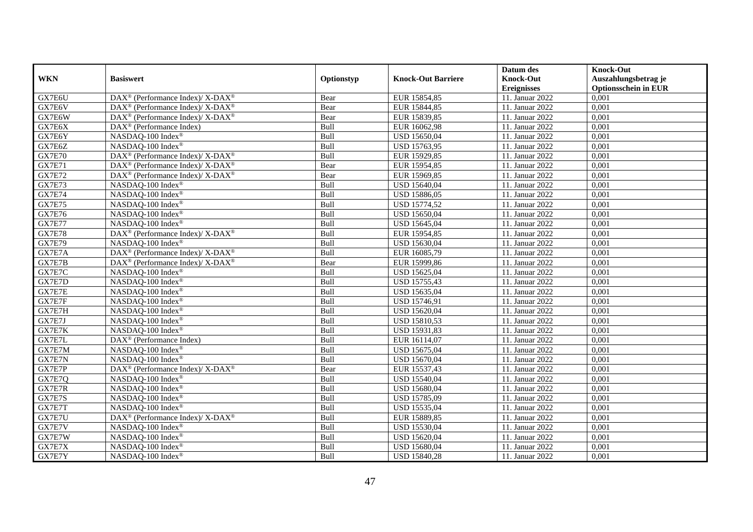|               |                                                             |            |                           | Datum des          | <b>Knock-Out</b>            |
|---------------|-------------------------------------------------------------|------------|---------------------------|--------------------|-----------------------------|
| <b>WKN</b>    | <b>Basiswert</b>                                            | Optionstyp | <b>Knock-Out Barriere</b> | <b>Knock-Out</b>   | Auszahlungsbetrag je        |
|               |                                                             |            |                           | <b>Ereignisses</b> | <b>Optionsschein in EUR</b> |
| GX7E6U        | DAX <sup>®</sup> (Performance Index)/ X-DAX <sup>®</sup>    | Bear       | EUR 15854,85              | 11. Januar 2022    | 0,001                       |
| GX7E6V        | DAX <sup>®</sup> (Performance Index)/ X-DAX <sup>®</sup>    | Bear       | EUR 15844,85              | 11. Januar 2022    | 0,001                       |
| GX7E6W        | $DAX^{\circledast}$ (Performance Index)/ X-DAX <sup>®</sup> | Bear       | EUR 15839,85              | 11. Januar 2022    | 0,001                       |
| GX7E6X        | $\text{DAX}^{\otimes}$ (Performance Index)                  | Bull       | EUR 16062,98              | 11. Januar 2022    | 0,001                       |
| GX7E6Y        | NASDAQ-100 Index®                                           | Bull       | USD 15650,04              | 11. Januar 2022    | 0,001                       |
| GX7E6Z        | NASDAQ-100 Index®                                           | Bull       | USD 15763,95              | 11. Januar 2022    | 0,001                       |
| <b>GX7E70</b> | DAX <sup>®</sup> (Performance Index)/ X-DAX <sup>®</sup>    | Bull       | EUR 15929,85              | 11. Januar 2022    | 0,001                       |
| <b>GX7E71</b> | $DAX^{\circledast}$ (Performance Index)/ X-DAX <sup>®</sup> | Bear       | EUR 15954,85              | 11. Januar 2022    | 0,001                       |
| <b>GX7E72</b> | DAX <sup>®</sup> (Performance Index)/ X-DAX <sup>®</sup>    | Bear       | EUR 15969,85              | 11. Januar 2022    | 0,001                       |
| <b>GX7E73</b> | NASDAQ-100 Index®                                           | Bull       | USD 15640,04              | 11. Januar 2022    | 0,001                       |
| <b>GX7E74</b> | NASDAQ-100 Index®                                           | Bull       | USD 15886,05              | 11. Januar 2022    | 0,001                       |
| <b>GX7E75</b> | NASDAQ-100 Index®                                           | Bull       | <b>USD 15774,52</b>       | 11. Januar 2022    | 0,001                       |
| GX7E76        | NASDAQ-100 Index®                                           | Bull       | USD 15650,04              | 11. Januar 2022    | 0,001                       |
| <b>GX7E77</b> | NASDAQ-100 Index®                                           | Bull       | USD 15645,04              | 11. Januar 2022    | 0,001                       |
| <b>GX7E78</b> | DAX <sup>®</sup> (Performance Index)/ X-DAX <sup>®</sup>    | Bull       | EUR 15954,85              | 11. Januar 2022    | 0,001                       |
| <b>GX7E79</b> | NASDAQ-100 Index®                                           | Bull       | USD 15630,04              | 11. Januar 2022    | 0,001                       |
| GX7E7A        | DAX <sup>®</sup> (Performance Index)/ X-DAX <sup>®</sup>    | Bull       | EUR 16085,79              | 11. Januar 2022    | 0,001                       |
| GX7E7B        | DAX <sup>®</sup> (Performance Index)/ X-DAX <sup>®</sup>    | Bear       | EUR 15999,86              | 11. Januar 2022    | 0,001                       |
| GX7E7C        | NASDAQ-100 Index®                                           | Bull       | USD 15625,04              | 11. Januar 2022    | 0,001                       |
| GX7E7D        | NASDAQ-100 Index®                                           | Bull       | USD 15755,43              | 11. Januar 2022    | 0,001                       |
| GX7E7E        | NASDAQ-100 Index®                                           | Bull       | USD 15635,04              | 11. Januar 2022    | 0,001                       |
| GX7E7F        | NASDAQ-100 Index®                                           | Bull       | <b>USD 15746,91</b>       | 11. Januar 2022    | 0,001                       |
| GX7E7H        | NASDAQ-100 Index®                                           | Bull       | USD 15620,04              | 11. Januar 2022    | 0,001                       |
| GX7E7J        | NASDAQ-100 Index®                                           | Bull       | USD 15810,53              | 11. Januar 2022    | 0,001                       |
| GX7E7K        | NASDAQ-100 Index®                                           | Bull       | USD 15931,83              | 11. Januar 2022    | 0,001                       |
| GX7E7L        | DAX <sup>®</sup> (Performance Index)                        | Bull       | EUR 16114,07              | 11. Januar 2022    | 0,001                       |
| GX7E7M        | NASDAQ-100 Index®                                           | Bull       | USD 15675,04              | 11. Januar 2022    | 0,001                       |
| GX7E7N        | NASDAQ-100 Index®                                           | Bull       | USD 15670,04              | 11. Januar 2022    | 0,001                       |
| GX7E7P        | DAX <sup>®</sup> (Performance Index)/ X-DAX <sup>®</sup>    | Bear       | EUR 15537,43              | 11. Januar 2022    | 0,001                       |
| GX7E7Q        | NASDAQ-100 Index®                                           | Bull       | USD 15540,04              | 11. Januar 2022    | 0,001                       |
| GX7E7R        | NASDAQ-100 Index®                                           | Bull       | USD 15680,04              | 11. Januar 2022    | 0,001                       |
| GX7E7S        | NASDAQ-100 Index®                                           | Bull       | USD 15785,09              | 11. Januar 2022    | 0,001                       |
| GX7E7T        | NASDAQ-100 Index®                                           | Bull       | USD 15535,04              | 11. Januar 2022    | 0,001                       |
| GX7E7U        | DAX <sup>®</sup> (Performance Index)/ X-DAX <sup>®</sup>    | Bull       | EUR 15889,85              | 11. Januar 2022    | 0,001                       |
| GX7E7V        | NASDAQ-100 Index®                                           | Bull       | USD 15530,04              | 11. Januar 2022    | 0,001                       |
| GX7E7W        | NASDAQ-100 Index®                                           | Bull       | USD 15620,04              | 11. Januar 2022    | 0,001                       |
| GX7E7X        | NASDAQ-100 Index®                                           | Bull       | USD 15680,04              | 11. Januar 2022    | 0,001                       |
| GX7E7Y        | NASDAQ-100 Index®                                           | Bull       | <b>USD 15840,28</b>       | 11. Januar 2022    | 0,001                       |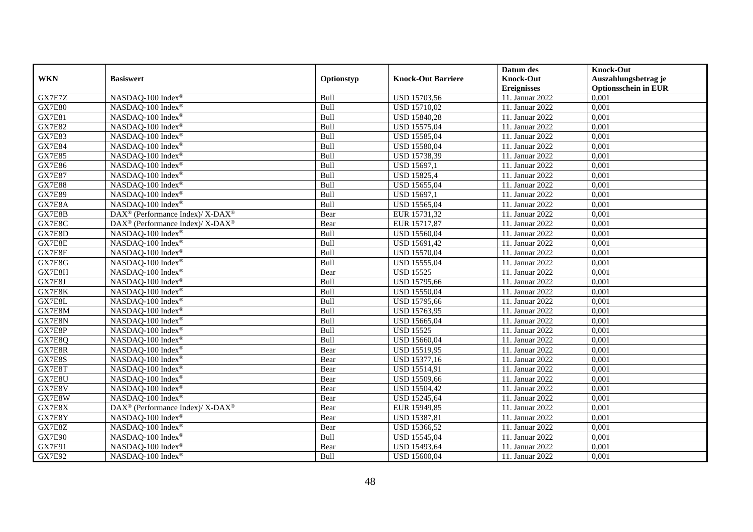|               |                                                                           |            |                           | Datum des          | <b>Knock-Out</b>            |
|---------------|---------------------------------------------------------------------------|------------|---------------------------|--------------------|-----------------------------|
| <b>WKN</b>    | <b>Basiswert</b>                                                          | Optionstyp | <b>Knock-Out Barriere</b> | <b>Knock-Out</b>   | Auszahlungsbetrag je        |
|               |                                                                           |            |                           | <b>Ereignisses</b> | <b>Optionsschein in EUR</b> |
| GX7E7Z        | NASDAQ-100 Index®                                                         | Bull       | USD 15703,56              | 11. Januar 2022    | 0,001                       |
| <b>GX7E80</b> | NASDAQ-100 Index®                                                         | Bull       | USD 15710,02              | 11. Januar 2022    | 0,001                       |
| <b>GX7E81</b> | NASDAQ-100 Index <sup>®</sup>                                             | Bull       | USD 15840,28              | 11. Januar 2022    | 0,001                       |
| <b>GX7E82</b> | NASDAQ-100 Index®                                                         | Bull       | USD 15575,04              | 11. Januar 2022    | 0,001                       |
| <b>GX7E83</b> | NASDAQ-100 Index®                                                         | Bull       | USD 15585,04              | 11. Januar 2022    | 0,001                       |
| <b>GX7E84</b> | NASDAQ-100 Index®                                                         | Bull       | USD 15580,04              | 11. Januar 2022    | 0,001                       |
| <b>GX7E85</b> | NASDAQ-100 Index®                                                         | Bull       | USD 15738,39              | 11. Januar 2022    | 0,001                       |
| <b>GX7E86</b> | NASDAQ-100 Index®                                                         | Bull       | USD 15697,1               | 11. Januar 2022    | 0,001                       |
| <b>GX7E87</b> | NASDAQ-100 Index®                                                         | Bull       | <b>USD 15825,4</b>        | 11. Januar 2022    | 0,001                       |
| <b>GX7E88</b> | NASDAQ-100 Index®                                                         | Bull       | USD 15655,04              | 11. Januar 2022    | 0,001                       |
| <b>GX7E89</b> | NASDAQ-100 Index®                                                         | Bull       | USD 15697,1               | 11. Januar 2022    | 0,001                       |
| GX7E8A        | NASDAQ-100 Index®                                                         | Bull       | USD 15565,04              | 11. Januar 2022    | 0,001                       |
| GX7E8B        | $DAX^{\circledast}$ (Performance Index)/ $\overline{X-DAX^{\circledast}}$ | Bear       | EUR 15731,32              | 11. Januar 2022    | 0,001                       |
| GX7E8C        | $DAX^{\circledcirc}$ (Performance Index)/ X-DAX <sup>®</sup>              | Bear       | EUR 15717,87              | 11. Januar 2022    | 0.001                       |
| GX7E8D        | NASDAQ-100 Index®                                                         | Bull       | USD 15560,04              | 11. Januar 2022    | 0,001                       |
| GX7E8E        | NASDAQ-100 Index®                                                         | Bull       | USD 15691,42              | 11. Januar 2022    | 0,001                       |
| GX7E8F        | NASDAQ-100 Index®                                                         | Bull       | USD 15570,04              | 11. Januar 2022    | 0,001                       |
| GX7E8G        | NASDAQ-100 Index®                                                         | Bull       | USD 15555,04              | 11. Januar 2022    | 0,001                       |
| GX7E8H        | NASDAQ-100 Index®                                                         | Bear       | <b>USD 15525</b>          | 11. Januar 2022    | 0,001                       |
| GX7E8J        | NASDAQ-100 Index <sup>®</sup>                                             | Bull       | USD 15795,66              | 11. Januar 2022    | 0,001                       |
| GX7E8K        | NASDAQ-100 Index®                                                         | Bull       | USD 15550,04              | 11. Januar 2022    | 0,001                       |
| GX7E8L        | NASDAQ-100 Index®                                                         | Bull       | USD 15795,66              | 11. Januar 2022    | 0,001                       |
| GX7E8M        | NASDAQ-100 Index®                                                         | Bull       | USD 15763,95              | 11. Januar 2022    | 0,001                       |
| GX7E8N        | NASDAQ-100 Index®                                                         | Bull       | USD 15665,04              | 11. Januar 2022    | 0,001                       |
| GX7E8P        | NASDAQ-100 Index®                                                         | Bull       | <b>USD 15525</b>          | 11. Januar 2022    | 0,001                       |
| GX7E8Q        | NASDAQ-100 Index®                                                         | Bull       | USD 15660,04              | 11. Januar 2022    | 0,001                       |
| GX7E8R        | NASDAQ-100 Index®                                                         | Bear       | USD 15519,95              | 11. Januar 2022    | 0,001                       |
| GX7E8S        | NASDAQ-100 Index®                                                         | Bear       | <b>USD 15377,16</b>       | 11. Januar 2022    | 0,001                       |
| GX7E8T        | NASDAQ-100 Index®                                                         | Bear       | USD 15514,91              | 11. Januar 2022    | 0,001                       |
| GX7E8U        | NASDAQ-100 Index <sup>®</sup>                                             | Bear       | USD 15509,66              | 11. Januar 2022    | 0,001                       |
| GX7E8V        | NASDAQ-100 Index <sup>®</sup>                                             | Bear       | USD 15504,42              | 11. Januar 2022    | 0,001                       |
| GX7E8W        | NASDAQ-100 Index®                                                         | Bear       | USD 15245,64              | 11. Januar 2022    | 0,001                       |
| GX7E8X        | DAX <sup>®</sup> (Performance Index)/X-DAX <sup>®</sup>                   | Bear       | EUR 15949,85              | 11. Januar 2022    | 0,001                       |
| GX7E8Y        | NASDAQ-100 Index®                                                         | Bear       | USD 15387,81              | 11. Januar 2022    | 0,001                       |
| GX7E8Z        | NASDAQ-100 Index®                                                         | Bear       | USD 15366,52              | 11. Januar 2022    | 0,001                       |
| GX7E90        | NASDAQ-100 Index®                                                         | Bull       | USD 15545,04              | 11. Januar 2022    | 0,001                       |
| <b>GX7E91</b> | NASDAQ-100 Index®                                                         | Bear       | USD 15493,64              | 11. Januar 2022    | 0,001                       |
| <b>GX7E92</b> | NASDAQ-100 Index®                                                         | Bull       | USD 15600,04              | 11. Januar 2022    | 0,001                       |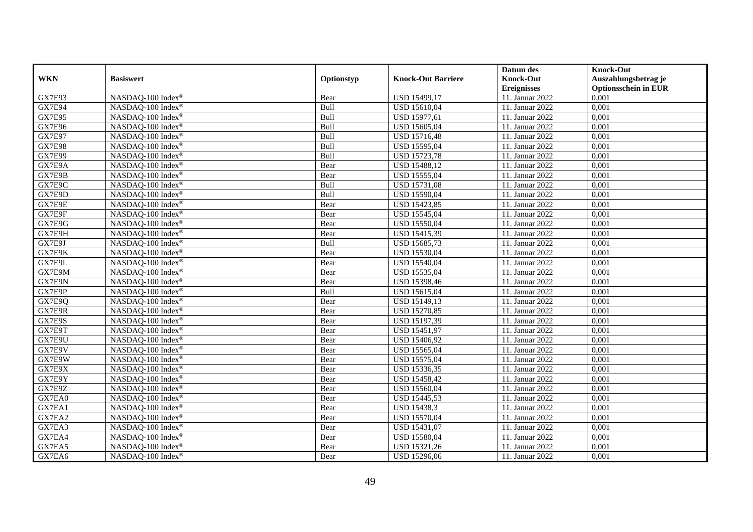|               |                               |            |                           | Datum des          | <b>Knock-Out</b>            |
|---------------|-------------------------------|------------|---------------------------|--------------------|-----------------------------|
| <b>WKN</b>    | <b>Basiswert</b>              | Optionstyp | <b>Knock-Out Barriere</b> | <b>Knock-Out</b>   | Auszahlungsbetrag je        |
|               |                               |            |                           | <b>Ereignisses</b> | <b>Optionsschein in EUR</b> |
| <b>GX7E93</b> | NASDAQ-100 Index®             | Bear       | USD 15499,17              | 11. Januar 2022    | 0,001                       |
| <b>GX7E94</b> | NASDAQ-100 Index®             | Bull       | USD 15610,04              | 11. Januar 2022    | 0,001                       |
| <b>GX7E95</b> | NASDAQ-100 Index®             | Bull       | USD 15977,61              | 11. Januar 2022    | 0,001                       |
| <b>GX7E96</b> | NASDAQ-100 Index®             | Bull       | USD 15605,04              | 11. Januar 2022    | 0,001                       |
| <b>GX7E97</b> | NASDAQ-100 Index®             | Bull       | <b>USD 15716,48</b>       | 11. Januar 2022    | 0,001                       |
| <b>GX7E98</b> | NASDAQ-100 Index®             | Bull       | USD 15595,04              | 11. Januar 2022    | 0,001                       |
| <b>GX7E99</b> | NASDAQ-100 Index®             | Bull       | <b>USD 15723,78</b>       | 11. Januar 2022    | 0,001                       |
| GX7E9A        | NASDAQ-100 Index®             | Bear       | USD 15488,12              | 11. Januar 2022    | 0,001                       |
| GX7E9B        | NASDAQ-100 Index®             | Bear       | USD 15555,04              | 11. Januar 2022    | 0,001                       |
| GX7E9C        | NASDAQ-100 Index®             | Bull       | <b>USD 15731,08</b>       | 11. Januar 2022    | 0,001                       |
| GX7E9D        | NASDAQ-100 Index®             | Bull       | USD 15590,04              | 11. Januar 2022    | 0,001                       |
| GX7E9E        | NASDAQ-100 Index®             | Bear       | USD 15423,85              | 11. Januar 2022    | 0,001                       |
| GX7E9F        | NASDAQ-100 Index®             | Bear       | USD 15545,04              | 11. Januar 2022    | 0,001                       |
| GX7E9G        | NASDAQ-100 Index®             | Bear       | USD 15550,04              | 11. Januar 2022    | 0.001                       |
| GX7E9H        | NASDAQ-100 Index®             | Bear       | USD 15415,39              | 11. Januar 2022    | 0,001                       |
| GX7E9J        | NASDAQ-100 Index®             | Bull       | USD 15685,73              | 11. Januar 2022    | 0,001                       |
| GX7E9K        | NASDAQ-100 Index®             | Bear       | USD 15530,04              | 11. Januar 2022    | 0,001                       |
| GX7E9L        | NASDAQ-100 Index®             | Bear       | USD 15540,04              | 11. Januar 2022    | 0,001                       |
| GX7E9M        | NASDAQ-100 Index®             | Bear       | USD 15535,04              | 11. Januar 2022    | 0,001                       |
| GX7E9N        | NASDAQ-100 Index <sup>®</sup> | Bear       | USD 15398,46              | 11. Januar 2022    | 0,001                       |
| GX7E9P        | NASDAQ-100 Index®             | Bull       | USD 15615,04              | 11. Januar 2022    | 0,001                       |
| GX7E9Q        | NASDAQ-100 Index®             | Bear       | USD 15149,13              | 11. Januar 2022    | 0,001                       |
| GX7E9R        | NASDAQ-100 Index®             | Bear       | <b>USD 15270,85</b>       | 11. Januar 2022    | 0,001                       |
| GX7E9S        | NASDAQ-100 Index®             | Bear       | USD 15197,39              | 11. Januar 2022    | 0,001                       |
| GX7E9T        | NASDAQ-100 Index®             | Bear       | USD 15451,97              | 11. Januar 2022    | 0,001                       |
| GX7E9U        | NASDAQ-100 Index®             | Bear       | USD 15406,92              | 11. Januar 2022    | 0,001                       |
| GX7E9V        | NASDAQ-100 Index®             | Bear       | USD 15565,04              | 11. Januar 2022    | 0,001                       |
| GX7E9W        | NASDAQ-100 Index®             | Bear       | USD 15575,04              | 11. Januar 2022    | 0,001                       |
| GX7E9X        | NASDAQ-100 Index®             | Bear       | USD 15336,35              | 11. Januar 2022    | 0,001                       |
| GX7E9Y        | NASDAQ-100 Index®             | Bear       | USD 15458,42              | 11. Januar 2022    | 0,001                       |
| GX7E9Z        | NASDAQ-100 Index®             | Bear       | USD 15560,04              | 11. Januar 2022    | 0,001                       |
| GX7EA0        | NASDAQ-100 Index®             | Bear       | USD 15445,53              | 11. Januar 2022    | 0,001                       |
| GX7EA1        | NASDAQ-100 Index®             | Bear       | <b>USD 15438,3</b>        | 11. Januar 2022    | 0,001                       |
| GX7EA2        | NASDAQ-100 Index®             | Bear       | USD 15570,04              | 11. Januar 2022    | 0,001                       |
| GX7EA3        | NASDAQ-100 Index®             | Bear       | USD 15431,07              | 11. Januar 2022    | 0,001                       |
| GX7EA4        | NASDAQ-100 Index®             | Bear       | USD 15580,04              | 11. Januar 2022    | 0,001                       |
| GX7EA5        | NASDAQ-100 Index <sup>®</sup> | Bear       | USD 15321,26              | 11. Januar 2022    | 0,001                       |
| GX7EA6        | NASDAQ-100 Index®             | Bear       | USD 15296,06              | 11. Januar 2022    | 0,001                       |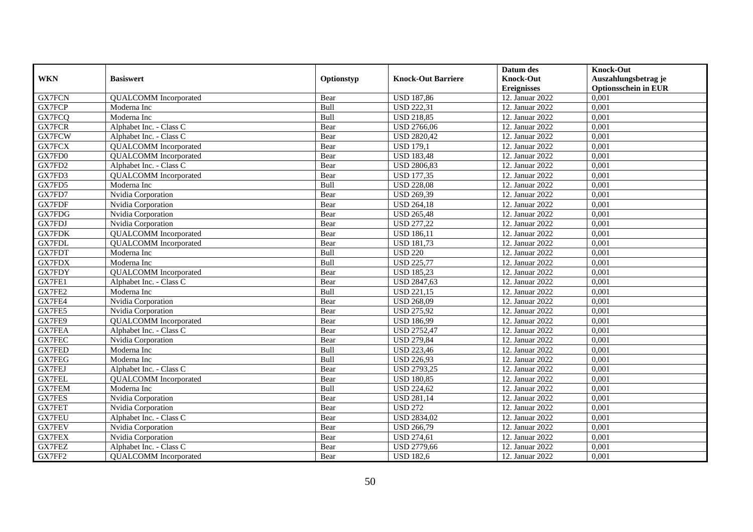|               |                              |             |                           | Datum des          | <b>Knock-Out</b>            |
|---------------|------------------------------|-------------|---------------------------|--------------------|-----------------------------|
| <b>WKN</b>    | <b>Basiswert</b>             | Optionstyp  | <b>Knock-Out Barriere</b> | <b>Knock-Out</b>   | Auszahlungsbetrag je        |
|               |                              |             |                           | <b>Ereignisses</b> | <b>Optionsschein in EUR</b> |
| <b>GX7FCN</b> | <b>QUALCOMM</b> Incorporated | Bear        | <b>USD 187,86</b>         | 12. Januar 2022    | 0,001                       |
| <b>GX7FCP</b> | Moderna Inc                  | Bull        | <b>USD 222,31</b>         | 12. Januar 2022    | 0,001                       |
| GX7FCQ        | Moderna Inc                  | Bull        | <b>USD 218,85</b>         | 12. Januar 2022    | 0,001                       |
| <b>GX7FCR</b> | Alphabet Inc. - Class C      | Bear        | <b>USD 2766,06</b>        | 12. Januar 2022    | 0,001                       |
| <b>GX7FCW</b> | Alphabet Inc. - Class C      | Bear        | <b>USD 2820,42</b>        | 12. Januar 2022    | 0,001                       |
| GX7FCX        | <b>QUALCOMM</b> Incorporated | Bear        | <b>USD 179,1</b>          | 12. Januar 2022    | 0,001                       |
| GX7FD0        | <b>QUALCOMM</b> Incorporated | Bear        | <b>USD 183,48</b>         | 12. Januar 2022    | 0,001                       |
| GX7FD2        | Alphabet Inc. - Class C      | Bear        | <b>USD 2806,83</b>        | 12. Januar 2022    | 0,001                       |
| GX7FD3        | <b>QUALCOMM</b> Incorporated | Bear        | <b>USD 177,35</b>         | 12. Januar 2022    | 0,001                       |
| GX7FD5        | Moderna Inc                  | Bull        | <b>USD 228,08</b>         | 12. Januar 2022    | 0,001                       |
| GX7FD7        | Nvidia Corporation           | Bear        | <b>USD 269,39</b>         | 12. Januar 2022    | 0,001                       |
| <b>GX7FDF</b> | Nvidia Corporation           | Bear        | <b>USD 264,18</b>         | 12. Januar 2022    | 0,001                       |
| GX7FDG        | Nvidia Corporation           | Bear        | <b>USD 265,48</b>         | 12. Januar 2022    | 0,001                       |
| GX7FDJ        | Nvidia Corporation           | Bear        | <b>USD 277,22</b>         | 12. Januar 2022    | 0,001                       |
| <b>GX7FDK</b> | <b>QUALCOMM</b> Incorporated | Bear        | <b>USD 186,11</b>         | 12. Januar 2022    | 0,001                       |
| GX7FDL        | <b>QUALCOMM</b> Incorporated | Bear        | <b>USD 181,73</b>         | 12. Januar 2022    | 0,001                       |
| GX7FDT        | Moderna Inc                  | Bull        | <b>USD 220</b>            | 12. Januar 2022    | 0,001                       |
| <b>GX7FDX</b> | Moderna Inc                  | <b>Bull</b> | <b>USD 225,77</b>         | 12. Januar 2022    | 0,001                       |
| <b>GX7FDY</b> | <b>QUALCOMM</b> Incorporated | Bear        | <b>USD 185,23</b>         | 12. Januar 2022    | 0,001                       |
| GX7FE1        | Alphabet Inc. - Class C      | Bear        | <b>USD 2847,63</b>        | 12. Januar 2022    | 0,001                       |
| GX7FE2        | Moderna Inc                  | Bull        | <b>USD 221,15</b>         | 12. Januar 2022    | 0,001                       |
| GX7FE4        | Nvidia Corporation           | Bear        | <b>USD 268,09</b>         | 12. Januar 2022    | 0,001                       |
| GX7FE5        | Nvidia Corporation           | Bear        | <b>USD 275,92</b>         | 12. Januar 2022    | 0,001                       |
| GX7FE9        | <b>QUALCOMM</b> Incorporated | Bear        | <b>USD 186,99</b>         | 12. Januar 2022    | 0,001                       |
| GX7FEA        | Alphabet Inc. - Class C      | Bear        | <b>USD 2752,47</b>        | 12. Januar 2022    | 0,001                       |
| GX7FEC        | Nvidia Corporation           | Bear        | <b>USD 279,84</b>         | 12. Januar 2022    | 0,001                       |
| <b>GX7FED</b> | Moderna Inc                  | Bull        | <b>USD 223,46</b>         | 12. Januar 2022    | 0,001                       |
| <b>GX7FEG</b> | Moderna Inc                  | Bull        | <b>USD 226,93</b>         | 12. Januar 2022    | 0,001                       |
| <b>GX7FEJ</b> | Alphabet Inc. - Class C      | Bear        | <b>USD 2793,25</b>        | 12. Januar 2022    | 0,001                       |
| <b>GX7FEL</b> | <b>QUALCOMM</b> Incorporated | Bear        | <b>USD 180,85</b>         | 12. Januar 2022    | 0,001                       |
| <b>GX7FEM</b> | Moderna Inc                  | Bull        | <b>USD 224,62</b>         | 12. Januar 2022    | 0,001                       |
| GX7FES        | Nvidia Corporation           | Bear        | <b>USD 281,14</b>         | 12. Januar 2022    | 0,001                       |
| <b>GX7FET</b> | Nvidia Corporation           | Bear        | <b>USD 272</b>            | 12. Januar 2022    | 0,001                       |
| <b>GX7FEU</b> | Alphabet Inc. - Class C      | Bear        | <b>USD 2834,02</b>        | 12. Januar 2022    | 0,001                       |
| <b>GX7FEV</b> | Nvidia Corporation           | Bear        | <b>USD 266,79</b>         | 12. Januar 2022    | 0,001                       |
| <b>GX7FEX</b> | Nvidia Corporation           | Bear        | <b>USD 274,61</b>         | 12. Januar 2022    | 0,001                       |
| GX7FEZ        | Alphabet Inc. - Class C      | Bear        | <b>USD 2779,66</b>        | 12. Januar 2022    | 0,001                       |
| GX7FF2        | <b>QUALCOMM</b> Incorporated | Bear        | <b>USD 182,6</b>          | 12. Januar 2022    | 0,001                       |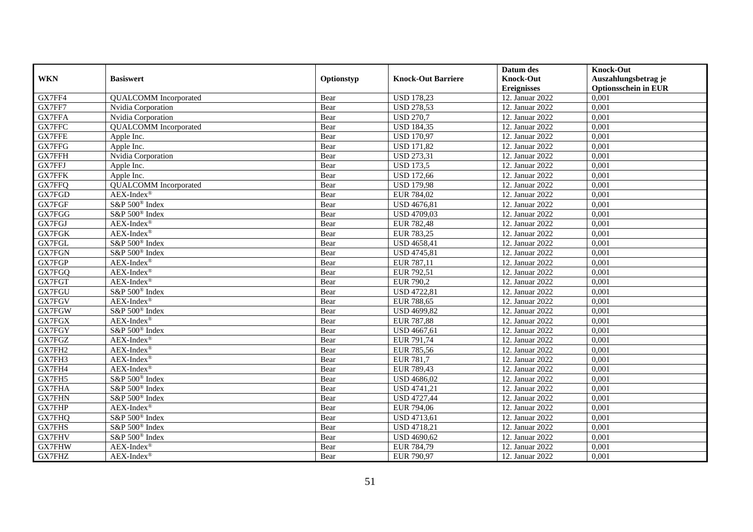|               |                              |            |                           | Datum des          | <b>Knock-Out</b>            |
|---------------|------------------------------|------------|---------------------------|--------------------|-----------------------------|
| <b>WKN</b>    | <b>Basiswert</b>             | Optionstyp | <b>Knock-Out Barriere</b> | <b>Knock-Out</b>   | Auszahlungsbetrag je        |
|               |                              |            |                           | <b>Ereignisses</b> | <b>Optionsschein in EUR</b> |
| GX7FF4        | <b>QUALCOMM</b> Incorporated | Bear       | <b>USD 178,23</b>         | 12. Januar 2022    | 0,001                       |
| GX7FF7        | Nvidia Corporation           | Bear       | <b>USD 278,53</b>         | 12. Januar 2022    | 0,001                       |
| <b>GX7FFA</b> | Nvidia Corporation           | Bear       | <b>USD 270,7</b>          | 12. Januar 2022    | 0,001                       |
| GX7FFC        | <b>QUALCOMM</b> Incorporated | Bear       | <b>USD 184,35</b>         | 12. Januar 2022    | 0,001                       |
| GX7FFE        | Apple Inc.                   | Bear       | <b>USD 170,97</b>         | 12. Januar 2022    | 0,001                       |
| <b>GX7FFG</b> | Apple Inc.                   | Bear       | <b>USD 171,82</b>         | 12. Januar 2022    | 0,001                       |
| <b>GX7FFH</b> | Nvidia Corporation           | Bear       | <b>USD 273,31</b>         | 12. Januar 2022    | 0,001                       |
| GX7FFJ        | Apple Inc.                   | Bear       | <b>USD 173,5</b>          | 12. Januar 2022    | 0,001                       |
| <b>GX7FFK</b> | Apple Inc.                   | Bear       | <b>USD 172,66</b>         | 12. Januar 2022    | 0,001                       |
| GX7FFQ        | <b>QUALCOMM</b> Incorporated | Bear       | <b>USD 179,98</b>         | 12. Januar 2022    | 0,001                       |
| GX7FGD        | $AEX-Index^{\circledR}$      | Bear       | EUR 784,02                | 12. Januar 2022    | 0,001                       |
| GX7FGF        | S&P 500 <sup>®</sup> Index   | Bear       | <b>USD 4676,81</b>        | 12. Januar 2022    | 0,001                       |
| GX7FGG        | S&P 500 <sup>®</sup> Index   | Bear       | <b>USD 4709,03</b>        | 12. Januar 2022    | 0,001                       |
| GX7FGJ        | $AEX-Index^{\circledR}$      | Bear       | <b>EUR 782,48</b>         | 12. Januar 2022    | 0.001                       |
| <b>GX7FGK</b> | AEX-Index®                   | Bear       | EUR 783,25                | 12. Januar 2022    | 0,001                       |
| GX7FGL        | S&P 500 <sup>®</sup> Index   | Bear       | <b>USD 4658,41</b>        | 12. Januar 2022    | 0,001                       |
| GX7FGN        | S&P 500 <sup>®</sup> Index   | Bear       | USD 4745,81               | 12. Januar 2022    | 0,001                       |
| GX7FGP        | $AEX-Index^{\circledR}$      | Bear       | EUR 787,11                | 12. Januar 2022    | 0,001                       |
| GX7FGQ        | $AEX-Index^{\circledR}$      | Bear       | EUR 792,51                | 12. Januar 2022    | 0,001                       |
| GX7FGT        | $AEX-Index^{\circledR}$      | Bear       | <b>EUR 790,2</b>          | 12. Januar 2022    | 0,001                       |
| GX7FGU        | S&P 500 <sup>®</sup> Index   | Bear       | <b>USD 4722,81</b>        | 12. Januar 2022    | 0,001                       |
| GX7FGV        | $AEX-Index^{\circledR}$      | Bear       | <b>EUR 788,65</b>         | 12. Januar 2022    | 0,001                       |
| <b>GX7FGW</b> | $S\&P 500^{\circ}$ Index     | Bear       | <b>USD 4699,82</b>        | 12. Januar 2022    | 0,001                       |
| GX7FGX        | $AEX-Index^{\circledR}$      | Bear       | <b>EUR 787,88</b>         | 12. Januar 2022    | 0,001                       |
| GX7FGY        | S&P 500 <sup>®</sup> Index   | Bear       | USD 4667,61               | 12. Januar 2022    | 0,001                       |
| GX7FGZ        | $AEX-Index^{\circledR}$      | Bear       | EUR 791,74                | 12. Januar 2022    | 0,001                       |
| GX7FH2        | $AEX-Index^{\circledR}$      | Bear       | EUR 785,56                | 12. Januar 2022    | 0,001                       |
| GX7FH3        | $AEX-Index^{\circledR}$      | Bear       | <b>EUR 781,7</b>          | 12. Januar 2022    | 0,001                       |
| GX7FH4        | $AEX-Index^{\circledR}$      | Bear       | EUR 789,43                | 12. Januar 2022    | 0,001                       |
| GX7FH5        | S&P 500 <sup>®</sup> Index   | Bear       | USD 4686,02               | 12. Januar 2022    | 0,001                       |
| <b>GX7FHA</b> | S&P 500 <sup>®</sup> Index   | Bear       | USD 4741,21               | 12. Januar 2022    | 0,001                       |
| <b>GX7FHN</b> | S&P 500 <sup>®</sup> Index   | Bear       | <b>USD 4727,44</b>        | 12. Januar 2022    | 0,001                       |
| <b>GX7FHP</b> | $AEX-Index^{\circledR}$      | Bear       | EUR 794,06                | 12. Januar 2022    | 0,001                       |
| GX7FHQ        | S&P 500 <sup>®</sup> Index   | Bear       | <b>USD 4713,61</b>        | 12. Januar 2022    | 0,001                       |
| <b>GX7FHS</b> | S&P 500 <sup>®</sup> Index   | Bear       | <b>USD 4718,21</b>        | 12. Januar 2022    | 0,001                       |
| GX7FHV        | S&P 500 <sup>®</sup> Index   | Bear       | <b>USD 4690,62</b>        | 12. Januar 2022    | 0,001                       |
| GX7FHW        | $AEX-Index^{\circledR}$      | Bear       | EUR 784,79                | 12. Januar 2022    | 0,001                       |
| GX7FHZ        | $AEX-Index^{\circledR}$      | Bear       | EUR 790,97                | 12. Januar 2022    | 0,001                       |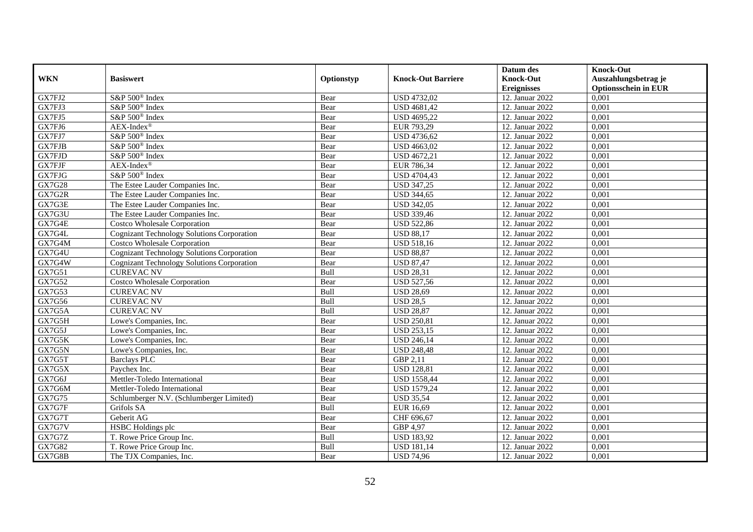|                         |                                                       |              |                                  | Datum des                              | <b>Knock-Out</b>                                    |
|-------------------------|-------------------------------------------------------|--------------|----------------------------------|----------------------------------------|-----------------------------------------------------|
| <b>WKN</b>              | <b>Basiswert</b>                                      | Optionstyp   | <b>Knock-Out Barriere</b>        | <b>Knock-Out</b><br><b>Ereignisses</b> | Auszahlungsbetrag je<br><b>Optionsschein in EUR</b> |
| GX7FJ2                  | S&P 500 <sup>®</sup> Index                            | Bear         | <b>USD 4732,02</b>               | 12. Januar 2022                        | 0,001                                               |
| GX7FJ3                  | S&P 500 <sup>®</sup> Index                            | Bear         | <b>USD 4681,42</b>               | 12. Januar 2022                        | 0,001                                               |
| GX7FJ5                  | S&P 500 <sup>®</sup> Index                            | Bear         | <b>USD 4695,22</b>               | 12. Januar 2022                        | 0,001                                               |
| GX7FJ6                  |                                                       |              |                                  |                                        |                                                     |
|                         | $AEX-Index^{\circledR}$<br>S&P 500 <sup>®</sup> Index | Bear         | EUR 793,29<br><b>USD 4736,62</b> | 12. Januar 2022<br>12. Januar 2022     | 0,001<br>0,001                                      |
| GX7FJ7<br><b>GX7FJB</b> | S&P 500 <sup>®</sup> Index                            | Bear<br>Bear | <b>USD 4663,02</b>               | 12. Januar 2022                        | 0,001                                               |
| GX7FJD                  | S&P 500 <sup>®</sup> Index                            | Bear         | <b>USD 4672,21</b>               | 12. Januar 2022                        | 0,001                                               |
| <b>GX7FJF</b>           | $AEX-Index^{\circledR}$                               |              | EUR 786,34                       | 12. Januar 2022                        | 0,001                                               |
|                         |                                                       | Bear         |                                  |                                        |                                                     |
| GX7FJG                  | S&P 500 <sup>®</sup> Index                            | Bear         | <b>USD 4704,43</b>               | 12. Januar 2022                        | 0,001                                               |
| GX7G28                  | The Estee Lauder Companies Inc.                       | Bear         | <b>USD 347,25</b>                | 12. Januar 2022                        | 0,001                                               |
| GX7G2R                  | The Estee Lauder Companies Inc.                       | Bear         | <b>USD 344,65</b>                | 12. Januar 2022                        | 0,001                                               |
| GX7G3E                  | The Estee Lauder Companies Inc.                       | Bear         | <b>USD 342,05</b>                | 12. Januar 2022                        | 0,001                                               |
| GX7G3U                  | The Estee Lauder Companies Inc.                       | Bear         | <b>USD 339,46</b>                | 12. Januar 2022                        | 0,001                                               |
| GX7G4E                  | <b>Costco Wholesale Corporation</b>                   | Bear         | <b>USD 522,86</b>                | 12. Januar 2022                        | 0,001                                               |
| GX7G4L                  | <b>Cognizant Technology Solutions Corporation</b>     | Bear         | <b>USD 88,17</b>                 | 12. Januar 2022                        | 0,001                                               |
| GX7G4M                  | Costco Wholesale Corporation                          | Bear         | <b>USD 518,16</b>                | 12. Januar 2022                        | 0,001                                               |
| GX7G4U                  | <b>Cognizant Technology Solutions Corporation</b>     | Bear         | <b>USD 88,87</b>                 | 12. Januar 2022                        | 0,001                                               |
| GX7G4W                  | <b>Cognizant Technology Solutions Corporation</b>     | Bear         | <b>USD 87,47</b>                 | 12. Januar 2022                        | 0,001                                               |
| GX7G51                  | <b>CUREVAC NV</b>                                     | Bull         | <b>USD 28,31</b>                 | 12. Januar 2022                        | 0,001                                               |
| GX7G52                  | <b>Costco Wholesale Corporation</b>                   | Bear         | <b>USD 527,56</b>                | 12. Januar 2022                        | 0,001                                               |
| GX7G53                  | <b>CUREVAC NV</b>                                     | Bull         | <b>USD 28,69</b>                 | 12. Januar 2022                        | 0,001                                               |
| GX7G56                  | <b>CUREVAC NV</b>                                     | Bull         | <b>USD 28,5</b>                  | 12. Januar 2022                        | 0,001                                               |
| GX7G5A                  | <b>CUREVAC NV</b>                                     | Bull         | <b>USD 28,87</b>                 | 12. Januar 2022                        | 0,001                                               |
| GX7G5H                  | Lowe's Companies, Inc.                                | Bear         | <b>USD 250,81</b>                | 12. Januar 2022                        | 0,001                                               |
| GX7G5J                  | Lowe's Companies, Inc.                                | Bear         | <b>USD 253,15</b>                | 12. Januar 2022                        | 0,001                                               |
| GX7G5K                  | Lowe's Companies, Inc.                                | Bear         | <b>USD 246,14</b>                | 12. Januar 2022                        | 0,001                                               |
| GX7G5N                  | Lowe's Companies, Inc.                                | Bear         | <b>USD 248,48</b>                | 12. Januar 2022                        | 0,001                                               |
| GX7G5T                  | <b>Barclays PLC</b>                                   | Bear         | GBP 2,11                         | 12. Januar 2022                        | 0,001                                               |
| GX7G5X                  | Paychex Inc.                                          | Bear         | <b>USD 128,81</b>                | 12. Januar 2022                        | 0,001                                               |
| GX7G6J                  | Mettler-Toledo International                          | Bear         | <b>USD 1558,44</b>               | 12. Januar 2022                        | 0.001                                               |
| GX7G6M                  | Mettler-Toledo International                          | Bear         | <b>USD 1579,24</b>               | 12. Januar 2022                        | 0,001                                               |
| GX7G75                  | Schlumberger N.V. (Schlumberger Limited)              | Bear         | <b>USD 35,54</b>                 | 12. Januar 2022                        | 0,001                                               |
| GX7G7F                  | Grifols SA                                            | Bull         | <b>EUR 16,69</b>                 | 12. Januar 2022                        | 0,001                                               |
| GX7G7T                  | Geberit AG                                            | Bear         | CHF 696,67                       | 12. Januar 2022                        | 0,001                                               |
| GX7G7V                  | HSBC Holdings plc                                     | Bear         | GBP 4,97                         | 12. Januar 2022                        | 0,001                                               |
| GX7G7Z                  | T. Rowe Price Group Inc.                              | Bull         | <b>USD 183,92</b>                | 12. Januar 2022                        | 0,001                                               |
| GX7G82                  | T. Rowe Price Group Inc.                              | Bull         | <b>USD 181,14</b>                | 12. Januar 2022                        | 0,001                                               |
| GX7G8B                  | The TJX Companies, Inc.                               | Bear         | <b>USD 74,96</b>                 | 12. Januar 2022                        | 0,001                                               |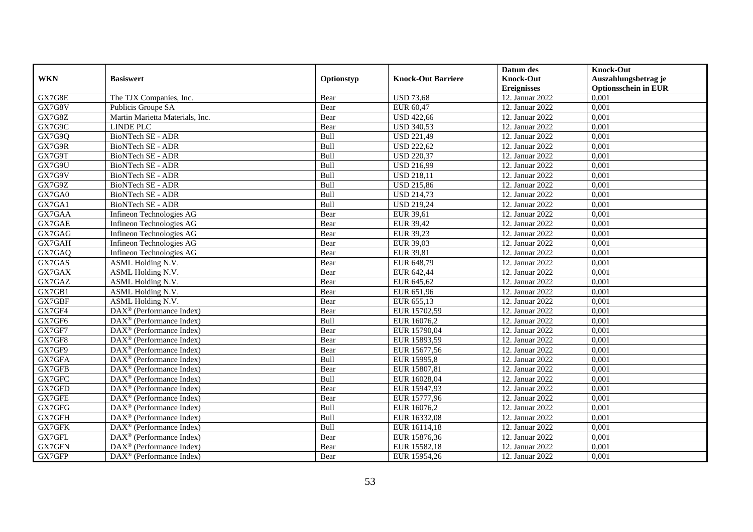|            |                                                       |            |                           | Datum des          | <b>Knock-Out</b>            |
|------------|-------------------------------------------------------|------------|---------------------------|--------------------|-----------------------------|
| <b>WKN</b> | <b>Basiswert</b>                                      | Optionstyp | <b>Knock-Out Barriere</b> | <b>Knock-Out</b>   | Auszahlungsbetrag je        |
|            |                                                       |            |                           | <b>Ereignisses</b> | <b>Optionsschein in EUR</b> |
| GX7G8E     | The TJX Companies, Inc.                               | Bear       | <b>USD 73,68</b>          | 12. Januar 2022    | 0,001                       |
| GX7G8V     | Publicis Groupe SA                                    | Bear       | EUR 60,47                 | 12. Januar 2022    | 0,001                       |
| GX7G8Z     | Martin Marietta Materials, Inc.                       | Bear       | <b>USD 422,66</b>         | 12. Januar 2022    | 0,001                       |
| GX7G9C     | LINDE PLC                                             | Bear       | <b>USD 340,53</b>         | 12. Januar 2022    | 0,001                       |
| GX7G9Q     | <b>BioNTech SE - ADR</b>                              | Bull       | <b>USD 221,49</b>         | 12. Januar 2022    | 0,001                       |
| GX7G9R     | BioNTech SE - ADR                                     | Bull       | <b>USD 222,62</b>         | 12. Januar 2022    | 0,001                       |
| GX7G9T     | BioNTech SE - ADR                                     | Bull       | <b>USD 220,37</b>         | 12. Januar 2022    | 0,001                       |
| GX7G9U     | BioNTech SE - ADR                                     | Bull       | <b>USD 216,99</b>         | 12. Januar 2022    | 0,001                       |
| GX7G9V     | BioNTech SE - ADR                                     | Bull       | <b>USD 218,11</b>         | 12. Januar 2022    | 0,001                       |
| GX7G9Z     | BioNTech SE - ADR                                     | Bull       | <b>USD 215,86</b>         | 12. Januar 2022    | 0,001                       |
| GX7GA0     | BioNTech SE - ADR                                     | Bull       | <b>USD 214,73</b>         | 12. Januar 2022    | 0,001                       |
| GX7GA1     | <b>BioNTech SE - ADR</b>                              | Bull       | <b>USD 219,24</b>         | 12. Januar 2022    | 0,001                       |
| GX7GAA     | Infineon Technologies AG                              | Bear       | EUR 39,61                 | 12. Januar 2022    | 0,001                       |
| GX7GAE     | Infineon Technologies AG                              | Bear       | <b>EUR 39,42</b>          | 12. Januar 2022    | 0,001                       |
| GX7GAG     | Infineon Technologies AG                              | Bear       | <b>EUR 39,23</b>          | 12. Januar 2022    | 0,001                       |
| GX7GAH     | Infineon Technologies AG                              | Bear       | EUR 39,03                 | 12. Januar 2022    | 0,001                       |
| GX7GAQ     | Infineon Technologies AG                              | Bear       | EUR 39,81                 | 12. Januar 2022    | 0,001                       |
| GX7GAS     | ASML Holding N.V.                                     | Bear       | EUR 648.79                | 12. Januar 2022    | 0,001                       |
| GX7GAX     | ASML Holding N.V.                                     | Bear       | EUR 642,44                | 12. Januar 2022    | 0,001                       |
| GX7GAZ     | ASML Holding N.V.                                     | Bear       | EUR 645,62                | 12. Januar 2022    | 0,001                       |
| GX7GB1     | ASML Holding N.V.                                     | Bear       | EUR 651,96                | 12. Januar 2022    | 0,001                       |
| GX7GBF     | ASML Holding N.V.                                     | Bear       | EUR 655,13                | 12. Januar 2022    | 0,001                       |
| GX7GF4     | $\text{DAX}^{\circledast}$ (Performance Index)        | Bear       | EUR 15702,59              | 12. Januar 2022    | 0,001                       |
| GX7GF6     | DAX <sup>®</sup> (Performance Index)                  | Bull       | EUR 16076,2               | 12. Januar 2022    | 0,001                       |
| GX7GF7     | $DAX^{\circledR}$ (Performance Index)                 | Bear       | EUR 15790,04              | 12. Januar 2022    | 0,001                       |
| GX7GF8     | $\text{DAX}^{\otimes}$ (Performance Index)            | Bear       | EUR 15893,59              | 12. Januar 2022    | 0,001                       |
| GX7GF9     | $\text{DAX}^{\textcircled{}}$ (Performance Index)     | Bear       | EUR 15677,56              | 12. Januar 2022    | 0,001                       |
| GX7GFA     | $DAX^{\circledcirc}$ (Performance Index)              | Bull       | EUR 15995,8               | 12. Januar 2022    | 0,001                       |
| GX7GFB     | $DAX^{\circledR}$ (Performance Index)                 | Bear       | EUR 15807,81              | 12. Januar 2022    | 0,001                       |
| GX7GFC     | $DAX^{\circledR}$ (Performance Index)                 | Bull       | EUR 16028,04              | 12. Januar 2022    | 0,001                       |
| GX7GFD     | $DAX^{\circledR}$ (Performance Index)                 | Bear       | EUR 15947,93              | 12. Januar 2022    | 0,001                       |
| GX7GFE     | $\text{DAX}^{\otimes}$ (Performance Index)            | Bear       | EUR 15777,96              | 12. Januar 2022    | 0,001                       |
| GX7GFG     | $\overline{\text{DAX}^{\otimes}}$ (Performance Index) | Bull       | EUR 16076,2               | 12. Januar 2022    | 0,001                       |
| GX7GFH     | $\text{DAX}^{\textcircled{}}$ (Performance Index)     | Bull       | EUR 16332,08              | 12. Januar 2022    | 0,001                       |
| GX7GFK     | $\text{DAX}^{\otimes}$ (Performance Index)            | Bull       | EUR 16114,18              | 12. Januar 2022    | 0,001                       |
| GX7GFL     | $\text{DAX}^{\otimes}$ (Performance Index)            | Bear       | EUR 15876,36              | 12. Januar 2022    | 0,001                       |
| GX7GFN     | $DAX^{\circledast}$ (Performance Index)               | Bear       | EUR 15582,18              | 12. Januar 2022    | 0,001                       |
| GX7GFP     | $\text{DAX}^{\circledast}$ (Performance Index)        | Bear       | EUR 15954,26              | 12. Januar 2022    | 0,001                       |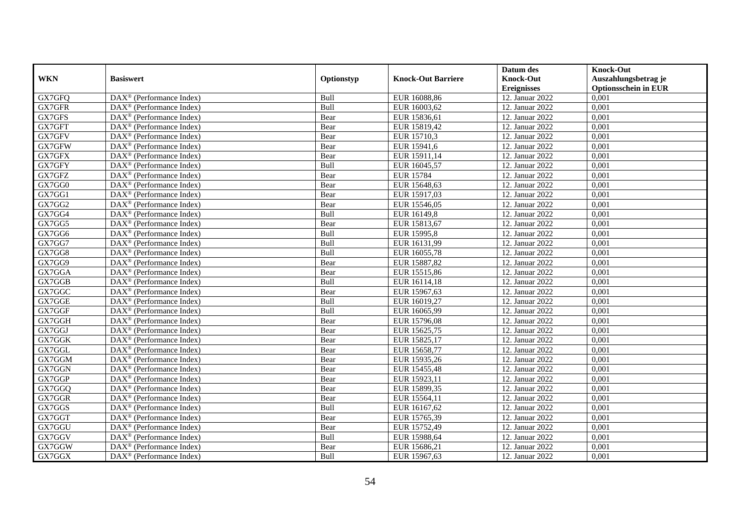|            |                                                         |            |                           | Datum des          | <b>Knock-Out</b>            |
|------------|---------------------------------------------------------|------------|---------------------------|--------------------|-----------------------------|
| <b>WKN</b> | <b>Basiswert</b>                                        | Optionstyp | <b>Knock-Out Barriere</b> | <b>Knock-Out</b>   | Auszahlungsbetrag je        |
|            |                                                         |            |                           | <b>Ereignisses</b> | <b>Optionsschein in EUR</b> |
| GX7GFQ     | DAX <sup>®</sup> (Performance Index)                    | Bull       | EUR 16088,86              | 12. Januar 2022    | 0,001                       |
| GX7GFR     | $\text{DAX}^{\otimes}$ (Performance Index)              | Bull       | EUR 16003,62              | 12. Januar 2022    | 0,001                       |
| GX7GFS     | $DAX^{\circledcirc}$ (Performance Index)                | Bear       | EUR 15836,61              | 12. Januar 2022    | 0,001                       |
| GX7GFT     | $DAX^{\circledcirc}$ (Performance Index)                | Bear       | EUR 15819,42              | 12. Januar 2022    | 0,001                       |
| GX7GFV     | DAX <sup>®</sup> (Performance Index)                    | Bear       | EUR 15710,3               | 12. Januar 2022    | 0,001                       |
| GX7GFW     | $DAX^{\circledR}$ (Performance Index)                   | Bear       | EUR 15941,6               | 12. Januar 2022    | 0,001                       |
| GX7GFX     | $DAX^{\circledR}$ (Performance Index)                   | Bear       | EUR 15911,14              | 12. Januar 2022    | 0,001                       |
| GX7GFY     | $\text{DAX}^{\otimes}$ (Performance Index)              | Bull       | EUR 16045,57              | 12. Januar 2022    | 0,001                       |
| GX7GFZ     | $\text{DAX}^{\otimes}$ (Performance Index)              | Bear       | <b>EUR 15784</b>          | 12. Januar 2022    | 0,001                       |
| GX7GG0     | $DAX^{\circledast}$ (Performance Index)                 | Bear       | EUR 15648,63              | 12. Januar 2022    | 0,001                       |
| GX7GG1     | $\overline{\text{DAX}}^{\textcirc}$ (Performance Index) | Bear       | EUR 15917,03              | 12. Januar 2022    | 0,001                       |
| GX7GG2     | $\overline{\text{DAX}^{\otimes}}$ (Performance Index)   | Bear       | EUR 15546,05              | 12. Januar 2022    | 0,001                       |
| GX7GG4     | $\text{DAX}^{\otimes}$ (Performance Index)              | Bull       | EUR 16149,8               | 12. Januar 2022    | 0,001                       |
| GX7GG5     | $DAX^{\circledR}$ (Performance Index)                   | Bear       | EUR 15813,67              | 12. Januar 2022    | 0,001                       |
| GX7GG6     | $\text{DAX}^{\otimes}$ (Performance Index)              | Bull       | EUR 15995,8               | 12. Januar 2022    | 0,001                       |
| GX7GG7     | $DAX^{\circledast}$ (Performance Index)                 | Bull       | EUR 16131,99              | 12. Januar 2022    | 0,001                       |
| GX7GG8     | DAX <sup>®</sup> (Performance Index)                    | Bull       | EUR 16055,78              | 12. Januar 2022    | 0,001                       |
| GX7GG9     | $DAX^{\circledcirc}$ (Performance Index)                | Bear       | EUR 15887,82              | 12. Januar 2022    | 0,001                       |
| GX7GGA     | $\text{DAX}^{\otimes}$ (Performance Index)              | Bear       | EUR 15515,86              | 12. Januar 2022    | 0,001                       |
| GX7GGB     | DAX <sup>®</sup> (Performance Index)                    | Bull       | EUR 16114,18              | 12. Januar 2022    | 0,001                       |
| GX7GGC     | DAX <sup>®</sup> (Performance Index)                    | Bear       | EUR 15967,63              | 12. Januar 2022    | 0,001                       |
| GX7GGE     | $\overline{\text{DAX}^{\otimes}}$ (Performance Index)   | Bull       | EUR 16019,27              | 12. Januar 2022    | 0,001                       |
| GX7GGF     | DAX <sup>®</sup> (Performance Index)                    | Bull       | EUR 16065,99              | 12. Januar 2022    | 0,001                       |
| GX7GGH     | DAX <sup>®</sup> (Performance Index)                    | Bear       | EUR 15796,08              | 12. Januar 2022    | 0,001                       |
| GX7GGJ     | DAX <sup>®</sup> (Performance Index)                    | Bear       | EUR 15625,75              | 12. Januar 2022    | 0,001                       |
| GX7GGK     | DAX <sup>®</sup> (Performance Index)                    | Bear       | EUR 15825,17              | 12. Januar 2022    | 0,001                       |
| GX7GGL     | DAX <sup>®</sup> (Performance Index)                    | Bear       | EUR 15658,77              | 12. Januar 2022    | 0,001                       |
| GX7GGM     | $DAX^{\circledR}$ (Performance Index)                   | Bear       | EUR 15935,26              | 12. Januar 2022    | 0,001                       |
| GX7GGN     | $\overline{\text{DAX}^{\otimes}}$ (Performance Index)   | Bear       | EUR 15455,48              | 12. Januar 2022    | 0,001                       |
| GX7GGP     | $DAX^{\circledast}$ (Performance Index)                 | Bear       | EUR 15923,11              | 12. Januar 2022    | 0,001                       |
| GX7GGQ     | $DAX^{\circledast}$ (Performance Index)                 | Bear       | EUR 15899,35              | 12. Januar 2022    | 0,001                       |
| GX7GGR     | $DAX^{\circledcirc}$ (Performance Index)                | Bear       | EUR 15564,11              | 12. Januar 2022    | 0,001                       |
| GX7GGS     | $DAX^{\circledR}$ (Performance Index)                   | Bull       | EUR 16167,62              | 12. Januar 2022    | 0,001                       |
| GX7GGT     | $\overline{\text{DAX}}^{\textcirc}$ (Performance Index) | Bear       | EUR 15765,39              | 12. Januar 2022    | 0,001                       |
| GX7GGU     | DAX <sup>®</sup> (Performance Index)                    | Bear       | EUR 15752,49              | 12. Januar 2022    | 0,001                       |
| GX7GGV     | $DAX^{\circledcirc}$ (Performance Index)                | Bull       | EUR 15988,64              | 12. Januar 2022    | 0,001                       |
| GX7GGW     | $DAX^{\circledast}$ (Performance Index)                 | Bear       | EUR 15686,21              | 12. Januar 2022    | 0,001                       |
| GX7GGX     | $\overline{\text{DAX}^{\otimes}}$ (Performance Index)   | Bull       | EUR 15967,63              | 12. Januar 2022    | 0,001                       |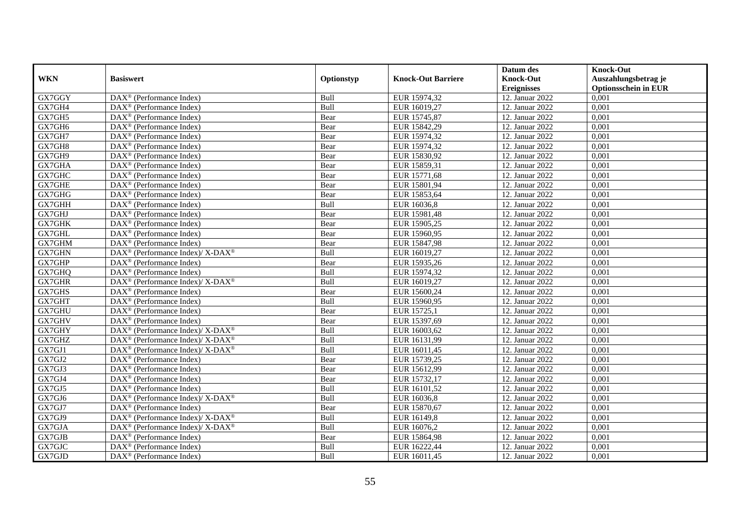|               |                                                             |            |                           | Datum des          | <b>Knock-Out</b>            |
|---------------|-------------------------------------------------------------|------------|---------------------------|--------------------|-----------------------------|
| <b>WKN</b>    | <b>Basiswert</b>                                            | Optionstyp | <b>Knock-Out Barriere</b> | <b>Knock-Out</b>   | Auszahlungsbetrag je        |
|               |                                                             |            |                           | <b>Ereignisses</b> | <b>Optionsschein in EUR</b> |
| GX7GGY        | $\overline{\text{DAX}}^{\textcirc}$ (Performance Index)     | Bull       | EUR 15974,32              | 12. Januar 2022    | 0,001                       |
| GX7GH4        | $DAX^{\circledcirc}$ (Performance Index)                    | Bull       | EUR 16019,27              | 12. Januar 2022    | 0,001                       |
| GX7GH5        | DAX <sup>®</sup> (Performance Index)                        | Bear       | EUR 15745,87              | 12. Januar 2022    | 0,001                       |
| GX7GH6        | $DAX^{\circledast}$ (Performance Index)                     | Bear       | EUR 15842,29              | 12. Januar 2022    | 0,001                       |
| GX7GH7        | DAX <sup>®</sup> (Performance Index)                        | Bear       | EUR 15974,32              | 12. Januar 2022    | 0,001                       |
| GX7GH8        | $DAX^{\circledast}$ (Performance Index)                     | Bear       | EUR 15974,32              | 12. Januar 2022    | 0,001                       |
| GX7GH9        | $DAX^{\circledast}$ (Performance Index)                     | Bear       | EUR 15830,92              | 12. Januar 2022    | 0,001                       |
| GX7GHA        | $DAX^{\circledR}$ (Performance Index)                       | Bear       | EUR 15859,31              | 12. Januar 2022    | 0,001                       |
| GX7GHC        | $DAX^{\circledR}$ (Performance Index)                       | Bear       | EUR 15771,68              | 12. Januar 2022    | 0,001                       |
| <b>GX7GHE</b> | $DAX^{\circledR}$ (Performance Index)                       | Bear       | EUR 15801,94              | 12. Januar 2022    | 0,001                       |
| GX7GHG        | $\overline{\text{DAX}}^{\textcirc}$ (Performance Index)     | Bear       | EUR 15853,64              | 12. Januar 2022    | 0,001                       |
| GX7GHH        | $\overline{\text{DAX}^{\otimes}}$ (Performance Index)       | Bull       | EUR 16036,8               | 12. Januar 2022    | 0,001                       |
| GX7GHJ        | $DAX^{\circledast}$ (Performance Index)                     | Bear       | EUR 15981,48              | 12. Januar 2022    | 0,001                       |
| GX7GHK        | DAX <sup>®</sup> (Performance Index)                        | Bear       | EUR 15905,25              | 12. Januar 2022    | 0,001                       |
| GX7GHL        | $DAX^{\circledast}$ (Performance Index)                     | Bear       | EUR 15960,95              | 12. Januar 2022    | 0,001                       |
| GX7GHM        | $DAX^{\circledast}$ (Performance Index)                     | Bear       | EUR 15847,98              | 12. Januar 2022    | 0,001                       |
| GX7GHN        | DAX <sup>®</sup> (Performance Index)/ X-DAX <sup>®</sup>    | Bull       | EUR 16019,27              | 12. Januar 2022    | 0,001                       |
| GX7GHP        | $DAX^{\circledcirc}$ (Performance Index)                    | Bear       | EUR 15935,26              | 12. Januar 2022    | 0,001                       |
| GX7GHQ        | $DAX^{\circledcirc}$ (Performance Index)                    | Bull       | EUR 15974,32              | 12. Januar 2022    | 0,001                       |
| GX7GHR        | DAX <sup>®</sup> (Performance Index)/ X-DAX <sup>®</sup>    | Bull       | EUR 16019,27              | 12. Januar 2022    | 0,001                       |
| GX7GHS        | DAX <sup>®</sup> (Performance Index)                        | Bear       | EUR 15600,24              | 12. Januar 2022    | 0,001                       |
| GX7GHT        | $\overline{\text{DAX}^{\otimes}}$ (Performance Index)       | Bull       | EUR 15960,95              | 12. Januar 2022    | 0,001                       |
| GX7GHU        | $\text{DAX}^{\circledast}$ (Performance Index)              | Bear       | EUR 15725,1               | 12. Januar 2022    | 0,001                       |
| GX7GHV        | DAX <sup>®</sup> (Performance Index)                        | Bear       | EUR 15397,69              | 12. Januar 2022    | 0,001                       |
| GX7GHY        | $DAX^{\circledast}$ (Performance Index)/ X-DAX <sup>®</sup> | Bull       | EUR 16003,62              | 12. Januar 2022    | 0,001                       |
| GX7GHZ        | DAX <sup>®</sup> (Performance Index)/ X-DAX <sup>®</sup>    | Bull       | EUR 16131,99              | 12. Januar 2022    | 0,001                       |
| GX7GJ1        | $DAX^{\circledast}$ (Performance Index)/ X-DAX <sup>®</sup> | Bull       | EUR 16011,45              | 12. Januar 2022    | 0,001                       |
| GX7GJ2        | $DAX^{\circledR}$ (Performance Index)                       | Bear       | EUR 15739,25              | 12. Januar 2022    | 0,001                       |
| GX7GJ3        | $DAX^{\circledR}$ (Performance Index)                       | Bear       | EUR 15612,99              | 12. Januar 2022    | 0,001                       |
| GX7GJ4        | $\text{DAX}^{\otimes}$ (Performance Index)                  | Bear       | EUR 15732,17              | 12. Januar 2022    | 0,001                       |
| GX7GJ5        | $DAX^{\circledR}$ (Performance Index)                       | Bull       | EUR 16101,52              | 12. Januar 2022    | 0,001                       |
| GX7GJ6        | DAX <sup>®</sup> (Performance Index)/ X-DAX <sup>®</sup>    | Bull       | EUR 16036,8               | 12. Januar 2022    | 0,001                       |
| GX7GJ7        | $DAX^{\circledR}$ (Performance Index)                       | Bear       | EUR 15870,67              | 12. Januar 2022    | 0,001                       |
| GX7GJ9        | DAX <sup>®</sup> (Performance Index)/ X-DAX <sup>®</sup>    | Bull       | EUR 16149,8               | 12. Januar 2022    | 0,001                       |
| GX7GJA        | $DAX^{\circledast}$ (Performance Index)/ X-DAX <sup>®</sup> | Bull       | EUR 16076,2               | 12. Januar 2022    | 0,001                       |
| GX7GJB        | $\text{DAX}^{\otimes}$ (Performance Index)                  | Bear       | EUR 15864,98              | 12. Januar 2022    | 0,001                       |
| GX7GJC        | $\text{DAX}^{\otimes}$ (Performance Index)                  | Bull       | EUR 16222,44              | 12. Januar 2022    | 0,001                       |
| GX7GJD        | $\text{DAX}^{\circledast}$ (Performance Index)              | Bull       | EUR 16011,45              | 12. Januar 2022    | 0,001                       |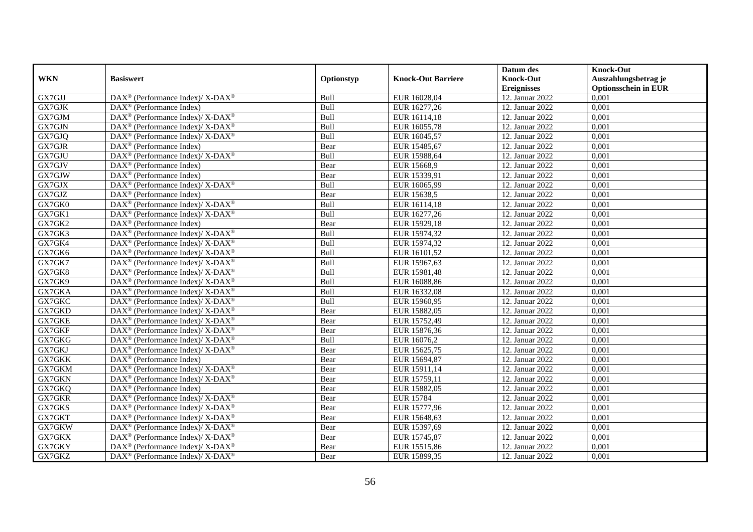|            |                                                                           |            |                           | Datum des          | <b>Knock-Out</b>            |
|------------|---------------------------------------------------------------------------|------------|---------------------------|--------------------|-----------------------------|
| <b>WKN</b> | <b>Basiswert</b>                                                          | Optionstyp | <b>Knock-Out Barriere</b> | <b>Knock-Out</b>   | Auszahlungsbetrag je        |
|            |                                                                           |            |                           | <b>Ereignisses</b> | <b>Optionsschein in EUR</b> |
| GX7GJJ     | DAX <sup>®</sup> (Performance Index)/ X-DAX <sup>®</sup>                  | Bull       | EUR 16028,04              | 12. Januar 2022    | 0,001                       |
| GX7GJK     | $DAX^{\circledast}$ (Performance Index)                                   | Bull       | EUR 16277,26              | 12. Januar 2022    | 0,001                       |
| GX7GJM     | $DAX^{\circledast}$ (Performance Index)/ X-DAX <sup>®</sup>               | Bull       | EUR 16114,18              | 12. Januar 2022    | 0,001                       |
| GX7GJN     | $DAX^{\circledast}$ (Performance Index)/ X-DAX <sup>®</sup>               | Bull       | EUR 16055,78              | 12. Januar 2022    | 0,001                       |
| GX7GJQ     | DAX <sup>®</sup> (Performance Index)/ X-DAX <sup>®</sup>                  | Bull       | EUR 16045,57              | 12. Januar 2022    | 0,001                       |
| GX7GJR     | $DAX^{\circledR}$ (Performance Index)                                     | Bear       | EUR 15485,67              | 12. Januar 2022    | 0,001                       |
| GX7GJU     | DAX <sup>®</sup> (Performance Index)/ X-DAX <sup>®</sup>                  | Bull       | EUR 15988,64              | 12. Januar 2022    | 0,001                       |
| GX7GJV     | $\text{DAX}^{\circledast}$ (Performance Index)                            | Bear       | EUR 15668,9               | 12. Januar 2022    | 0,001                       |
| GX7GJW     | $\text{DAX}^{\otimes}$ (Performance Index)                                | Bear       | EUR 15339,91              | 12. Januar 2022    | 0,001                       |
| GX7GJX     | DAX <sup>®</sup> (Performance Index)/ X-DAX <sup>®</sup>                  | Bull       | EUR 16065,99              | 12. Januar 2022    | 0,001                       |
| GX7GJZ     | $\overline{\text{DAX}}^{\textcirc}$ (Performance Index)                   | Bear       | EUR 15638,5               | 12. Januar 2022    | 0,001                       |
| GX7GK0     | DAX <sup>®</sup> (Performance Index)/ X-DAX <sup>®</sup>                  | Bull       | EUR 16114,18              | 12. Januar 2022    | 0,001                       |
| GX7GK1     | $DAX^{\circledast}$ (Performance Index)/ X-DAX <sup>®</sup>               | Bull       | EUR 16277,26              | 12. Januar 2022    | 0,001                       |
| GX7GK2     | $DAX^{\circledcirc}$ (Performance Index)                                  | Bear       | EUR 15929,18              | 12. Januar 2022    | 0,001                       |
| GX7GK3     | DAX <sup>®</sup> (Performance Index)/ X-DAX <sup>®</sup>                  | Bull       | EUR 15974,32              | 12. Januar 2022    | 0,001                       |
| GX7GK4     | DAX <sup>®</sup> (Performance Index)/ X-DAX <sup>®</sup>                  | Bull       | EUR 15974,32              | 12. Januar 2022    | 0,001                       |
| GX7GK6     | $DAX^{\circledast}$ (Performance Index)/ X-DAX <sup>®</sup>               | Bull       | EUR 16101,52              | 12. Januar 2022    | 0,001                       |
| GX7GK7     | $DAX^{\circledcirc}$ (Performance Index)/ X-DAX <sup>®</sup>              | Bull       | EUR 15967,63              | 12. Januar 2022    | 0,001                       |
| GX7GK8     | $DAX^{\circledast}$ (Performance Index)/ X-DAX <sup>®</sup>               | Bull       | EUR 15981,48              | 12. Januar 2022    | 0,001                       |
| GX7GK9     | $DAX^{\circledast}$ (Performance Index)/ X-DAX <sup>®</sup>               | Bull       | EUR 16088,86              | 12. Januar 2022    | 0,001                       |
| GX7GKA     | $DAX^{\circledast}$ (Performance Index)/ X-DAX <sup>®</sup>               | Bull       | EUR 16332,08              | 12. Januar 2022    | 0,001                       |
| GX7GKC     | $DAX^{\circledast}$ (Performance Index)/ X-DAX <sup>®</sup>               | Bull       | EUR 15960,95              | 12. Januar 2022    | 0,001                       |
| GX7GKD     | DAX <sup>®</sup> (Performance Index)/ X-DAX <sup>®</sup>                  | Bear       | EUR 15882,05              | 12. Januar 2022    | 0,001                       |
| GX7GKE     | $DAX^{\circledast}$ (Performance Index)/ X-DAX <sup>®</sup>               | Bear       | EUR 15752,49              | 12. Januar 2022    | 0,001                       |
| GX7GKF     | $DAX^{\circledcirc}$ (Performance Index)/ X-DAX <sup>®</sup>              | Bear       | EUR 15876,36              | 12. Januar 2022    | 0,001                       |
| GX7GKG     | $DAX^{\circledast}$ (Performance Index)/ X-DAX <sup>®</sup>               | Bull       | EUR 16076,2               | 12. Januar 2022    | 0,001                       |
| GX7GKJ     | DAX <sup>®</sup> (Performance Index)/ X-DAX <sup>®</sup>                  | Bear       | EUR 15625,75              | 12. Januar 2022    | 0,001                       |
| GX7GKK     | $DAX^{\circledR}$ (Performance Index)                                     | Bear       | EUR 15694,87              | 12. Januar 2022    | 0,001                       |
| GX7GKM     | DAX <sup>®</sup> (Performance Index)/ X-DAX <sup>®</sup>                  | Bear       | EUR 15911,14              | 12. Januar 2022    | 0,001                       |
| GX7GKN     | $DAX^{\circledast}$ (Performance Index)/ X-DAX <sup>®</sup>               | Bear       | EUR 15759,11              | 12. Januar 2022    | 0,001                       |
| GX7GKQ     | $DAX^{\circledast}$ (Performance Index)                                   | Bear       | EUR 15882,05              | 12. Januar 2022    | 0,001                       |
| GX7GKR     | $DAX^{\circledast}$ (Performance Index)/ $\overline{X-DAX^{\circledast}}$ | Bear       | <b>EUR 15784</b>          | 12. Januar 2022    | 0,001                       |
| GX7GKS     | $DAX^{\circledast}$ (Performance Index)/ X-DAX <sup>®</sup>               | Bear       | EUR 15777,96              | 12. Januar 2022    | 0,001                       |
| GX7GKT     | DAX <sup>®</sup> (Performance Index)/ X-DAX <sup>®</sup>                  | Bear       | EUR 15648,63              | 12. Januar 2022    | 0,001                       |
| GX7GKW     | DAX <sup>®</sup> (Performance Index)/ X-DAX <sup>®</sup>                  | Bear       | EUR 15397,69              | 12. Januar 2022    | 0,001                       |
| GX7GKX     | $DAX^{\circledast}$ (Performance Index)/ X-DAX <sup>®</sup>               | Bear       | EUR 15745,87              | 12. Januar 2022    | 0,001                       |
| GX7GKY     | DAX <sup>®</sup> (Performance Index)/ X-DAX <sup>®</sup>                  | Bear       | EUR 15515,86              | 12. Januar 2022    | 0,001                       |
| GX7GKZ     | $DAX^{\circledast}$ (Performance Index)/ X-DAX <sup>®</sup>               | Bear       | EUR 15899,35              | 12. Januar 2022    | 0,001                       |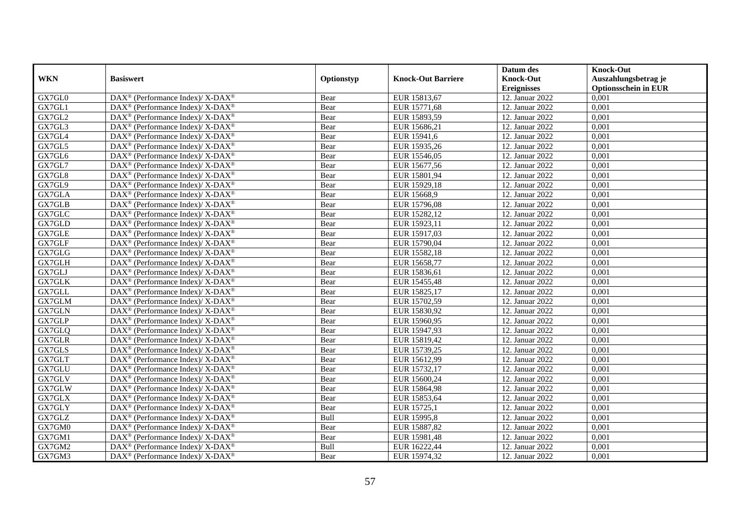|            |                                                                          |            |                           | Datum des          | <b>Knock-Out</b>            |
|------------|--------------------------------------------------------------------------|------------|---------------------------|--------------------|-----------------------------|
| <b>WKN</b> | <b>Basiswert</b>                                                         | Optionstyp | <b>Knock-Out Barriere</b> | <b>Knock-Out</b>   | Auszahlungsbetrag je        |
|            |                                                                          |            |                           | <b>Ereignisses</b> | <b>Optionsschein in EUR</b> |
| GX7GL0     | DAX <sup>®</sup> (Performance Index)/ X-DAX <sup>®</sup>                 | Bear       | EUR 15813,67              | 12. Januar 2022    | 0,001                       |
| GX7GL1     | $DAX^{\circledast}$ (Performance Index)/ X-DAX <sup>®</sup>              | Bear       | EUR 15771,68              | 12. Januar 2022    | 0,001                       |
| GX7GL2     | $DAX^{\circledast}$ (Performance Index)/ X-DAX <sup>®</sup>              | Bear       | EUR 15893,59              | 12. Januar 2022    | 0,001                       |
| GX7GL3     | $DAX^{\circledast}$ (Performance Index)/ X-DAX <sup>®</sup>              | Bear       | EUR 15686,21              | 12. Januar 2022    | 0,001                       |
| GX7GL4     | DAX <sup>®</sup> (Performance Index)/ X-DAX <sup>®</sup>                 | Bear       | EUR 15941,6               | 12. Januar 2022    | 0,001                       |
| GX7GL5     | DAX <sup>®</sup> (Performance Index)/ X-DAX <sup>®</sup>                 | Bear       | EUR 15935,26              | 12. Januar 2022    | 0,001                       |
| GX7GL6     | $DAX^{\circledcirc}$ (Performance Index)/ X-DAX <sup>®</sup>             | Bear       | EUR 15546,05              | 12. Januar 2022    | 0,001                       |
| GX7GL7     | $DAX^{\circledast}$ (Performance Index)/ X-DAX <sup>®</sup>              | Bear       | EUR 15677,56              | 12. Januar 2022    | 0,001                       |
| GX7GL8     | $DAX^{\circledast}$ (Performance Index)/ X-DAX <sup>®</sup>              | Bear       | EUR 15801,94              | 12. Januar 2022    | 0,001                       |
| GX7GL9     | DAX <sup>®</sup> (Performance Index)/ X-DAX <sup>®</sup>                 | Bear       | EUR 15929,18              | 12. Januar 2022    | 0,001                       |
| GX7GLA     | DAX <sup>®</sup> (Performance Index)/ X-DAX <sup>®</sup>                 | Bear       | EUR 15668,9               | 12. Januar 2022    | 0,001                       |
| GX7GLB     | DAX <sup>®</sup> (Performance Index)/ X-DAX <sup>®</sup>                 | Bear       | EUR 15796,08              | 12. Januar 2022    | 0,001                       |
| GX7GLC     | $DAX^{\circledast}$ (Performance Index)/ X-DAX <sup>®</sup>              | Bear       | EUR 15282,12              | 12. Januar 2022    | 0,001                       |
| GX7GLD     | $DAX^{\circledast}$ (Performance Index)/ X-DAX <sup>®</sup>              | Bear       | EUR 15923,11              | 12. Januar 2022    | 0,001                       |
| GX7GLE     | DAX <sup>®</sup> (Performance Index)/ X-DAX <sup>®</sup>                 | Bear       | EUR 15917,03              | 12. Januar 2022    | 0,001                       |
| GX7GLF     | DAX <sup>®</sup> (Performance Index)/ X-DAX <sup>®</sup>                 | Bear       | EUR 15790,04              | 12. Januar 2022    | 0,001                       |
| GX7GLG     | $DAX^{\circledast}$ (Performance Index)/ X-DAX <sup>®</sup>              | Bear       | EUR 15582,18              | 12. Januar 2022    | 0,001                       |
| GX7GLH     | $DAX^{\circledcirc}$ (Performance Index)/ X-DAX <sup>®</sup>             | Bear       | EUR 15658,77              | 12. Januar 2022    | 0,001                       |
| GX7GLJ     | $DAX^{\circledast}$ (Performance Index)/ X-DAX <sup>®</sup>              | Bear       | EUR 15836,61              | 12. Januar 2022    | 0,001                       |
| GX7GLK     | $DAX^{\circledast}$ (Performance Index)/ X-DAX <sup>®</sup>              | Bear       | EUR 15455,48              | 12. Januar 2022    | 0,001                       |
| GX7GLL     | DAX <sup>®</sup> (Performance Index)/ X-DAX <sup>®</sup>                 | Bear       | EUR 15825,17              | 12. Januar 2022    | 0,001                       |
| GX7GLM     | $DAX^{\circledast}$ (Performance Index)/ X-DAX <sup>®</sup>              | Bear       | EUR 15702,59              | 12. Januar 2022    | 0,001                       |
| GX7GLN     | DAX <sup>®</sup> (Performance Index)/ X-DAX <sup>®</sup>                 | Bear       | EUR 15830,92              | 12. Januar 2022    | 0,001                       |
| GX7GLP     | $DAX^{\circledast}$ (Performance Index)/ X-DAX <sup>®</sup>              | Bear       | EUR 15960,95              | 12. Januar 2022    | 0,001                       |
| GX7GLQ     | $\overline{\text{DAX}^{\otimes}}$ (Performance Index)/X-DAX <sup>®</sup> | Bear       | EUR 15947,93              | 12. Januar 2022    | 0,001                       |
| GX7GLR     | $DAX^{\circledast}$ (Performance Index)/ X-DAX <sup>®</sup>              | Bear       | EUR 15819,42              | 12. Januar 2022    | 0,001                       |
| GX7GLS     | DAX <sup>®</sup> (Performance Index)/ X-DAX <sup>®</sup>                 | Bear       | EUR 15739,25              | 12. Januar 2022    | 0,001                       |
| GX7GLT     | DAX <sup>®</sup> (Performance Index)/ X-DAX <sup>®</sup>                 | Bear       | EUR 15612,99              | 12. Januar 2022    | 0,001                       |
| GX7GLU     | DAX <sup>®</sup> (Performance Index)/ X-DAX <sup>®</sup>                 | Bear       | EUR 15732,17              | 12. Januar 2022    | 0,001                       |
| GX7GLV     | $DAX^{\circledast}$ (Performance Index)/ X-DAX <sup>®</sup>              | Bear       | EUR 15600,24              | 12. Januar 2022    | 0,001                       |
| GX7GLW     | $DAX^{\circledast}$ (Performance Index)/ X-DAX <sup>®</sup>              | Bear       | EUR 15864,98              | 12. Januar 2022    | 0,001                       |
| GX7GLX     | $DAX^{\circledast}$ (Performance Index)/ X-DAX <sup>®</sup>              | Bear       | EUR 15853,64              | 12. Januar 2022    | 0,001                       |
| GX7GLY     | $DAX^{\circledast}$ (Performance Index)/ X-DAX <sup>®</sup>              | Bear       | EUR 15725,1               | 12. Januar 2022    | 0,001                       |
| GX7GLZ     | DAX <sup>®</sup> (Performance Index)/ X-DAX <sup>®</sup>                 | Bull       | EUR 15995,8               | 12. Januar 2022    | 0,001                       |
| GX7GM0     | DAX <sup>®</sup> (Performance Index)/ X-DAX <sup>®</sup>                 | Bear       | EUR 15887,82              | 12. Januar 2022    | 0,001                       |
| GX7GM1     | $DAX^{\circledast}$ (Performance Index)/ X-DAX <sup>®</sup>              | Bear       | EUR 15981,48              | 12. Januar 2022    | 0,001                       |
| GX7GM2     | DAX <sup>®</sup> (Performance Index)/ X-DAX <sup>®</sup>                 | Bull       | EUR 16222,44              | 12. Januar 2022    | 0,001                       |
| GX7GM3     | DAX <sup>®</sup> (Performance Index)/ X-DAX <sup>®</sup>                 | Bear       | EUR 15974,32              | 12. Januar 2022    | 0,001                       |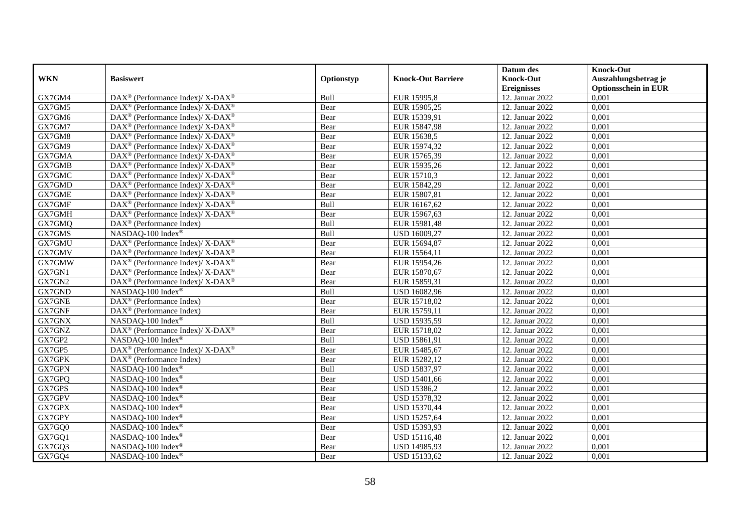|            |                                                              |            |                           | Datum des          | <b>Knock-Out</b>            |
|------------|--------------------------------------------------------------|------------|---------------------------|--------------------|-----------------------------|
| <b>WKN</b> | <b>Basiswert</b>                                             | Optionstyp | <b>Knock-Out Barriere</b> | <b>Knock-Out</b>   | Auszahlungsbetrag je        |
|            |                                                              |            |                           | <b>Ereignisses</b> | <b>Optionsschein in EUR</b> |
| GX7GM4     | DAX <sup>®</sup> (Performance Index)/ X-DAX <sup>®</sup>     | Bull       | EUR 15995,8               | 12. Januar 2022    | 0,001                       |
| GX7GM5     | DAX <sup>®</sup> (Performance Index)/ X-DAX <sup>®</sup>     | Bear       | EUR 15905,25              | 12. Januar 2022    | 0,001                       |
| GX7GM6     | $DAX^{\circledast}$ (Performance Index)/ X-DAX <sup>®</sup>  | Bear       | EUR 15339,91              | 12. Januar 2022    | 0,001                       |
| GX7GM7     | DAX <sup>®</sup> (Performance Index)/ X-DAX <sup>®</sup>     | Bear       | EUR 15847,98              | 12. Januar 2022    | 0,001                       |
| GX7GM8     | $DAX^{\circledast}$ (Performance Index)/ X-DAX <sup>®</sup>  | Bear       | EUR 15638,5               | 12. Januar 2022    | 0,001                       |
| GX7GM9     | $DAX^{\circledast}$ (Performance Index)/ X-DAX <sup>®</sup>  | Bear       | EUR 15974,32              | 12. Januar 2022    | 0,001                       |
| GX7GMA     | $DAX^{\circledast}$ (Performance Index)/ X-DAX <sup>®</sup>  | Bear       | EUR 15765,39              | 12. Januar 2022    | 0,001                       |
| GX7GMB     | DAX <sup>®</sup> (Performance Index)/ X-DAX <sup>®</sup>     | Bear       | EUR 15935,26              | 12. Januar 2022    | 0,001                       |
| GX7GMC     | DAX <sup>®</sup> (Performance Index)/ X-DAX <sup>®</sup>     | Bear       | EUR 15710,3               | 12. Januar 2022    | 0,001                       |
| GX7GMD     | DAX <sup>®</sup> (Performance Index)/ X-DAX <sup>®</sup>     | Bear       | EUR 15842,29              | 12. Januar 2022    | 0,001                       |
| GX7GME     | DAX <sup>®</sup> (Performance Index)/ X-DAX <sup>®</sup>     | Bear       | EUR 15807,81              | 12. Januar 2022    | 0,001                       |
| GX7GMF     | $DAX^{\circledast}$ (Performance Index)/ X-DAX <sup>®</sup>  | Bull       | EUR 16167,62              | 12. Januar 2022    | 0,001                       |
| GX7GMH     | DAX <sup>®</sup> (Performance Index)/ X-DAX <sup>®</sup>     | Bear       | EUR 15967,63              | 12. Januar 2022    | 0,001                       |
| GX7GMQ     | $DAX^{\circledcirc}$ (Performance Index)                     | Bull       | EUR 15981,48              | 12. Januar 2022    | 0,001                       |
| GX7GMS     | NASDAQ-100 Index®                                            | Bull       | USD 16009,27              | 12. Januar 2022    | 0,001                       |
| GX7GMU     | DAX <sup>®</sup> (Performance Index)/ X-DAX <sup>®</sup>     | Bear       | EUR 15694,87              | 12. Januar 2022    | 0,001                       |
| GX7GMV     | $DAX^{\circledast}$ (Performance Index)/ X-DAX <sup>®</sup>  | Bear       | EUR 15564,11              | 12. Januar 2022    | 0,001                       |
| GX7GMW     | $DAX^{\circledcirc}$ (Performance Index)/ X-DAX <sup>®</sup> | Bear       | EUR 15954,26              | 12. Januar 2022    | 0.001                       |
| GX7GN1     | DAX <sup>®</sup> (Performance Index)/ X-DAX <sup>®</sup>     | Bear       | EUR 15870,67              | 12. Januar 2022    | 0,001                       |
| GX7GN2     | DAX <sup>®</sup> (Performance Index)/ X-DAX <sup>®</sup>     | Bear       | EUR 15859,31              | 12. Januar 2022    | 0,001                       |
| GX7GND     | NASDAQ-100 Index®                                            | Bull       | USD 16082,96              | 12. Januar 2022    | 0,001                       |
| GX7GNE     | $\overline{\text{DAX}^{\otimes}}$ (Performance Index)        | Bear       | EUR 15718,02              | 12. Januar 2022    | 0,001                       |
| GX7GNF     | DAX <sup>®</sup> (Performance Index)                         | Bear       | EUR 15759,11              | 12. Januar 2022    | 0,001                       |
| GX7GNX     | NASDAQ-100 Index®                                            | Bull       | USD 15935,59              | 12. Januar 2022    | 0,001                       |
| GX7GNZ     | DAX <sup>®</sup> (Performance Index)/ X-DAX <sup>®</sup>     | Bear       | EUR 15718,02              | 12. Januar 2022    | 0,001                       |
| GX7GP2     | NASDAQ-100 Index®                                            | Bull       | USD 15861,91              | 12. Januar 2022    | 0,001                       |
| GX7GP5     | DAX <sup>®</sup> (Performance Index)/ X-DAX <sup>®</sup>     | Bear       | EUR 15485,67              | 12. Januar 2022    | 0,001                       |
| GX7GPK     | $\overline{\text{DAX}}^{\textcirc}$ (Performance Index)      | Bear       | EUR 15282,12              | 12. Januar 2022    | 0,001                       |
| GX7GPN     | NASDAQ-100 Index®                                            | Bull       | USD 15837,97              | 12. Januar 2022    | 0,001                       |
| GX7GPQ     | NASDAQ-100 Index®                                            | Bear       | USD 15401,66              | 12. Januar 2022    | 0,001                       |
| GX7GPS     | NASDAQ-100 Index®                                            | Bear       | USD 15386,2               | 12. Januar 2022    | 0,001                       |
| GX7GPV     | NASDAQ-100 Index®                                            | Bear       | <b>USD 15378,32</b>       | 12. Januar 2022    | 0,001                       |
| GX7GPX     | NASDAQ-100 Index®                                            | Bear       | <b>USD 15370,44</b>       | 12. Januar 2022    | 0,001                       |
| GX7GPY     | NASDAQ-100 Index®                                            | Bear       | USD 15257,64              | 12. Januar 2022    | 0,001                       |
| GX7GQ0     | NASDAQ-100 Index®                                            | Bear       | USD 15393,93              | 12. Januar 2022    | 0,001                       |
| GX7GQ1     | NASDAQ-100 Index®                                            | Bear       | USD 15116,48              | 12. Januar 2022    | 0,001                       |
| GX7GQ3     | NASDAQ-100 Index®                                            | Bear       | USD 14985,93              | 12. Januar 2022    | 0,001                       |
| GX7GQ4     | NASDAQ-100 Index®                                            | Bear       | USD 15133,62              | 12. Januar 2022    | 0,001                       |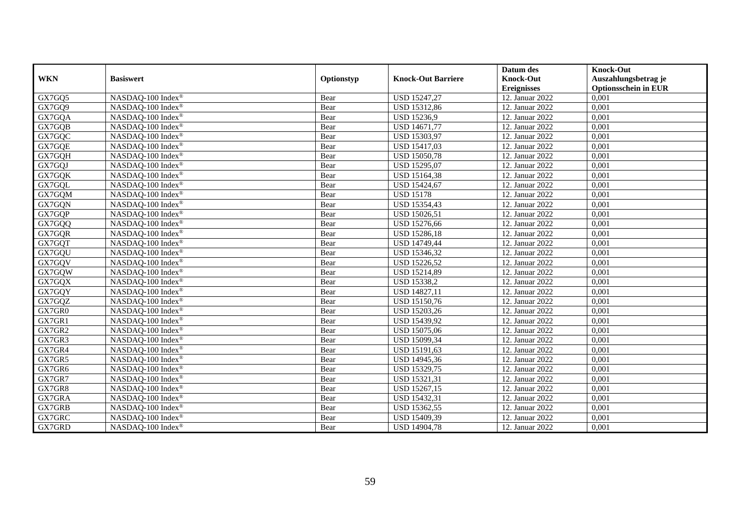| <b>WKN</b> | <b>Basiswert</b>              | Optionstyp | <b>Knock-Out Barriere</b> | Datum des<br><b>Knock-Out</b> | Knock-Out<br>Auszahlungsbetrag je |
|------------|-------------------------------|------------|---------------------------|-------------------------------|-----------------------------------|
|            |                               |            |                           | <b>Ereignisses</b>            | <b>Optionsschein in EUR</b>       |
| GX7GQ5     | NASDAQ-100 Index®             | Bear       | USD 15247,27              | 12. Januar 2022               | 0,001                             |
| GX7GQ9     | NASDAQ-100 Index®             | Bear       | USD 15312,86              | 12. Januar 2022               | 0,001                             |
| GX7GQA     | NASDAQ-100 Index®             | Bear       | USD 15236,9               | 12. Januar 2022               | 0,001                             |
| GX7GQB     | NASDAQ-100 Index®             | Bear       | USD 14671,77              | 12. Januar 2022               | 0,001                             |
| GX7GQC     | NASDAQ-100 Index®             | Bear       | USD 15303,97              | 12. Januar 2022               | 0,001                             |
| GX7GQE     | NASDAQ-100 Index®             | Bear       | USD 15417,03              | 12. Januar 2022               | 0,001                             |
| GX7GQH     | NASDAQ-100 Index®             | Bear       | <b>USD 15050,78</b>       | 12. Januar 2022               | 0,001                             |
| GX7GQJ     | NASDAQ-100 Index®             | Bear       | USD 15295,07              | 12. Januar 2022               | 0,001                             |
| GX7GQK     | NASDAQ-100 Index®             | Bear       | USD 15164,38              | 12. Januar 2022               | 0,001                             |
| GX7GQL     | NASDAQ-100 Index®             | Bear       | USD 15424,67              | 12. Januar 2022               | 0,001                             |
| GX7GQM     | NASDAQ-100 Index®             | Bear       | <b>USD 15178</b>          | 12. Januar 2022               | 0,001                             |
| GX7GQN     | NASDAQ-100 Index®             | Bear       | USD 15354,43              | 12. Januar 2022               | 0,001                             |
| GX7GQP     | NASDAQ-100 Index®             | Bear       | USD 15026,51              | 12. Januar 2022               | 0,001                             |
| GX7GQQ     | NASDAQ-100 Index®             | Bear       | USD 15276,66              | 12. Januar 2022               | 0,001                             |
| GX7GQR     | NASDAQ-100 Index®             | Bear       | <b>USD 15286,18</b>       | 12. Januar 2022               | 0,001                             |
| GX7GQT     | NASDAQ-100 Index®             | Bear       | USD 14749,44              | 12. Januar 2022               | 0,001                             |
| GX7GQU     | NASDAQ-100 Index®             | Bear       | USD 15346,32              | 12. Januar 2022               | 0,001                             |
| GX7GOV     | NASDAQ-100 Index®             | Bear       | <b>USD 15226,52</b>       | 12. Januar 2022               | 0,001                             |
| GX7GQW     | NASDAQ-100 Index <sup>®</sup> | Bear       | USD 15214,89              | 12. Januar 2022               | 0,001                             |
| GX7GQX     | NASDAQ-100 Index®             | Bear       | <b>USD 15338,2</b>        | 12. Januar 2022               | 0,001                             |
| GX7GQY     | NASDAQ-100 Index <sup>®</sup> | Bear       | USD 14827,11              | 12. Januar 2022               | 0,001                             |
| GX7GQZ     | NASDAQ-100 Index®             | Bear       | USD 15150,76              | 12. Januar 2022               | 0,001                             |
| GX7GR0     | NASDAQ-100 Index <sup>®</sup> | Bear       | USD 15203,26              | 12. Januar 2022               | 0,001                             |
| GX7GR1     | NASDAQ-100 Index®             | Bear       | USD 15439,92              | 12. Januar 2022               | 0,001                             |
| GX7GR2     | NASDAQ-100 Index®             | Bear       | USD 15075,06              | 12. Januar 2022               | 0,001                             |
| GX7GR3     | NASDAO-100 Index <sup>®</sup> | Bear       | USD 15099,34              | 12. Januar 2022               | 0,001                             |
| GX7GR4     | NASDAQ-100 Index®             | Bear       | USD 15191,63              | 12. Januar 2022               | 0,001                             |
| GX7GR5     | NASDAQ-100 Index <sup>®</sup> | Bear       | USD 14945,36              | 12. Januar 2022               | 0,001                             |
| GX7GR6     | NASDAQ-100 Index®             | Bear       | USD 15329,75              | 12. Januar 2022               | 0,001                             |
| GX7GR7     | NASDAQ-100 Index®             | Bear       | USD 15321,31              | 12. Januar 2022               | 0,001                             |
| GX7GR8     | NASDAQ-100 Index®             | Bear       | USD 15267,15              | 12. Januar 2022               | 0,001                             |
| GX7GRA     | NASDAQ-100 Index®             | Bear       | <b>USD 15432,31</b>       | 12. Januar 2022               | 0,001                             |
| GX7GRB     | NASDAQ-100 Index <sup>®</sup> | Bear       | USD 15362,55              | 12. Januar 2022               | 0,001                             |
| GX7GRC     | NASDAQ-100 Index®             | Bear       | USD 15409,39              | 12. Januar 2022               | 0,001                             |
| GX7GRD     | NASDAQ-100 Index®             | Bear       | <b>USD 14904,78</b>       | 12. Januar 2022               | 0,001                             |